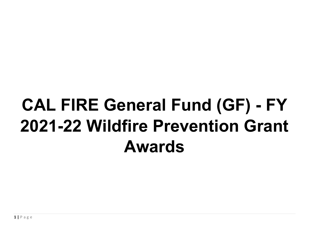## **CAL FIRE General Fund (GF) - FY 2021-22 Wildfire Prevention Grant Awards**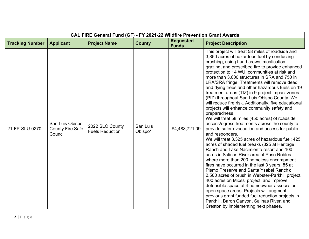| CAL FIRE General Fund (GF) - FY 2021-22 Wildfire Prevention Grant Awards |                                                       |                                           |                     |                                  |                                                                                                                                                                                                                                                                                                                                                                                                                                                                                                                                                                                                                                                                                                                                                                                                                                                                                                                                                                                                                                                                                                                                                                                                                                                                                                                                                                                                                                                                                |  |
|--------------------------------------------------------------------------|-------------------------------------------------------|-------------------------------------------|---------------------|----------------------------------|--------------------------------------------------------------------------------------------------------------------------------------------------------------------------------------------------------------------------------------------------------------------------------------------------------------------------------------------------------------------------------------------------------------------------------------------------------------------------------------------------------------------------------------------------------------------------------------------------------------------------------------------------------------------------------------------------------------------------------------------------------------------------------------------------------------------------------------------------------------------------------------------------------------------------------------------------------------------------------------------------------------------------------------------------------------------------------------------------------------------------------------------------------------------------------------------------------------------------------------------------------------------------------------------------------------------------------------------------------------------------------------------------------------------------------------------------------------------------------|--|
| <b>Tracking Number</b>                                                   | <b>Applicant</b>                                      | <b>Project Name</b>                       | <b>County</b>       | <b>Requested</b><br><b>Funds</b> | <b>Project Description</b>                                                                                                                                                                                                                                                                                                                                                                                                                                                                                                                                                                                                                                                                                                                                                                                                                                                                                                                                                                                                                                                                                                                                                                                                                                                                                                                                                                                                                                                     |  |
| 21-FP-SLU-0270                                                           | San Luis Obispo<br><b>County Fire Safe</b><br>Council | 2022 SLO County<br><b>Fuels Reduction</b> | San Luis<br>Obispo* | \$4,483,721.09                   | This project will treat 58 miles of roadside and<br>3,850 acres of hazardous fuel by conducting<br>crushing, using hand crews, mastication,<br>grazing, and prescribed fire to provide enhanced<br>protection to 14 WUI communities at risk and<br>more than 3,600 structures in SRA and 750 in<br>LRA/SRA fringe. Treatments will remove dead<br>and dying trees and other hazardous fuels on 19<br>treatment areas (TIZ) in 9 project impact zones<br>(PIZ) throughout San Luis Obispo County. We<br>will reduce fire risk. Additionally, five educational<br>projects will enhance community safety and<br>preparedness.<br>We will treat 58 miles (450 acres) of roadside<br>access/egress treatments across the county to<br>provide safer evacuation and access for public<br>and responders.<br>We will treat 3,325 acres of hazardous fuel; 425<br>acres of shaded fuel breaks (325 at Heritage<br>Ranch and Lake Nacimiento resort and 100<br>acres in Salinas River area of Paso Robles<br>where more than 200 homeless encampment<br>fires have occurred in the last 3 years, 85 at<br>Pismo Preserve and Santa Ysabel Ranch);<br>2,500 acres of brush in Webster-Parkhill project,<br>400 acres on Miossi project, and improve<br>defensible space at 4 homeowner association<br>open space areas. Projects will augment<br>previous grant funded fuel reduction projects in<br>Parkhill, Baron Canyon, Salinas River, and<br>Creston by implementing next phases. |  |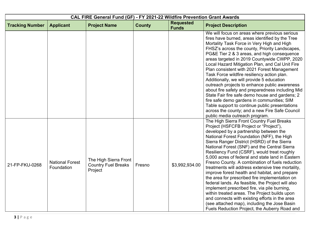| CAL FIRE General Fund (GF) - FY 2021-22 Wildfire Prevention Grant Awards |                                      |                                                                |               |                                  |                                                                                                                                                                                                                                                                                                                                                                                                                                                                                                                                                                                                                                                                                                                                                                                                                                                                                                    |  |
|--------------------------------------------------------------------------|--------------------------------------|----------------------------------------------------------------|---------------|----------------------------------|----------------------------------------------------------------------------------------------------------------------------------------------------------------------------------------------------------------------------------------------------------------------------------------------------------------------------------------------------------------------------------------------------------------------------------------------------------------------------------------------------------------------------------------------------------------------------------------------------------------------------------------------------------------------------------------------------------------------------------------------------------------------------------------------------------------------------------------------------------------------------------------------------|--|
| <b>Tracking Number</b>                                                   | <b>Applicant</b>                     | <b>Project Name</b>                                            | <b>County</b> | <b>Requested</b><br><b>Funds</b> | <b>Project Description</b>                                                                                                                                                                                                                                                                                                                                                                                                                                                                                                                                                                                                                                                                                                                                                                                                                                                                         |  |
|                                                                          |                                      |                                                                |               |                                  | We will focus on areas where previous serious<br>fires have burned, areas identified by the Tree<br>Mortality Task Force in Very High and High<br>FHSZ's across the county, Priority Landscapes,<br>PG&E Tier 2 & 3 areas, and high consequence<br>areas targeted in 2019 Countywide CWPP, 2020<br>Local Hazard Mitigation Plan, and Cal Unit Fire<br>Plan consistent with 2021 Forest Management<br>Task Force wildfire resiliency action plan.<br>Additionally, we will provide 5 education<br>outreach projects to enhance public awareness<br>about fire safety and preparedness including Mid<br>State Fair fire safe demo house and gardens; 2<br>fire safe demo gardens in communities; SIM<br>Table support to continue public presentations<br>across the county; and a new Fire Safe Council<br>public media outreach program.                                                           |  |
| 21-FP-FKU-0268                                                           | <b>National Forest</b><br>Foundation | The High Sierra Front<br><b>Country Fuel Breaks</b><br>Project | Fresno        | \$3,992,934.00                   | The High Sierra Front Country Fuel Breaks<br>Project (HSFCFB Project or "Project"),<br>developed by a partnership between the<br>National Forest Foundation (NFF), the High<br>Sierra Ranger District (HSRD) of the Sierra<br>National Forest (SNF) and the Central Sierra<br>Resiliency Fund (CSRF), would treat roughly<br>5,000 acres of federal and state land in Eastern<br>Fresno County. A combination of fuels reduction<br>treatments will address extensive tree mortality,<br>improve forest health and habitat, and prepare<br>the area for prescribed fire implementation on<br>federal lands. As feasible, the Project will also<br>implement prescribed fire, via pile burning,<br>within treated areas. The Project builds upon<br>and connects with existing efforts in the area<br>(see attached map), including the Jose Basin<br>Fuels Reduction Project, the Auberry Road and |  |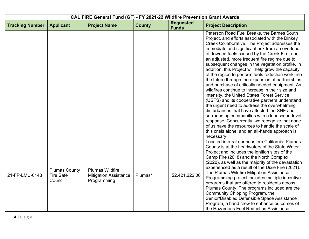| CAL FIRE General Fund (GF) - FY 2021-22 Wildfire Prevention Grant Awards |                                                     |                                                                       |               |                                  |                                                                                                                                                                                                                                                                                                                                                                                                                                                                                                                                                                                                                                                                                                                                                                                                                                                                                                                                                                                                                                                         |  |  |
|--------------------------------------------------------------------------|-----------------------------------------------------|-----------------------------------------------------------------------|---------------|----------------------------------|---------------------------------------------------------------------------------------------------------------------------------------------------------------------------------------------------------------------------------------------------------------------------------------------------------------------------------------------------------------------------------------------------------------------------------------------------------------------------------------------------------------------------------------------------------------------------------------------------------------------------------------------------------------------------------------------------------------------------------------------------------------------------------------------------------------------------------------------------------------------------------------------------------------------------------------------------------------------------------------------------------------------------------------------------------|--|--|
| <b>Tracking Number</b>                                                   | <b>Applicant</b>                                    | <b>Project Name</b>                                                   | <b>County</b> | <b>Requested</b><br><b>Funds</b> | <b>Project Description</b>                                                                                                                                                                                                                                                                                                                                                                                                                                                                                                                                                                                                                                                                                                                                                                                                                                                                                                                                                                                                                              |  |  |
|                                                                          |                                                     |                                                                       |               |                                  | Peterson Road Fuel Breaks, the Barnes South<br>Project, and efforts associated with the Dinkey<br>Creek Collaborative. The Project addresses the<br>immediate and significant risk from an overload<br>of downed fuels caused by the Creek Fire, and<br>an adjusted, more frequent fire regime due to<br>subsequent changes in the vegetation profile. In<br>addition, this Project will help grow the capacity<br>of the region to perform fuels reduction work into<br>the future through the expansion of partnerships<br>and purchase of critically needed equipment. As<br>wildfires continue to increase in their size and<br>intensity, the United States Forest Service<br>(USFS) and its cooperative partners understand<br>the urgent need to address the overwhelming<br>disturbances that have affected the SNF and<br>surrounding communities with a landscape-level<br>response. Concurrently, we recognize that none<br>of us have the resources to handle the scale of<br>this crisis alone, and an all-hands approach is<br>necessary. |  |  |
| 21-FP-LMU-0148                                                           | <b>Plumas County</b><br><b>Fire Safe</b><br>Council | <b>Plumas Wildfire</b><br><b>Mitigation Assistance</b><br>Programming | Plumas*       | \$2,421,222.00                   | Located in rural northeastern California, Plumas<br>County is at the headwaters of the State Water<br>Project and includes the ignition sites of the<br>Camp Fire (2018) and the North Complex<br>(2020), as well as the majority of the devastation<br>experienced as a result of the Dixie Fire (2021).<br>The Plumas Wildfire Mitigation Assistance<br>Programming project includes multiple incentive<br>programs that are offered to residents across<br>Plumas County. The programs included are the<br>Community Chipping Program, the<br>Senior/Disabled Defensible Space Assistance<br>Program, a hand crew to enhance outcomes of<br>the Hazardous Fuel Reduction Assistance                                                                                                                                                                                                                                                                                                                                                                  |  |  |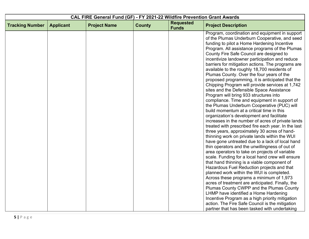|                        | CAL FIRE General Fund (GF) - FY 2021-22 Wildfire Prevention Grant Awards |                     |               |                                  |                                                                                                                                                                                                                                                                                                                                                                                                                                                                                                                                                                                                                                                                                                                                                                                                                                                                                                                                                                                                                                                                                                                                                                                                                                                                                                                |  |
|------------------------|--------------------------------------------------------------------------|---------------------|---------------|----------------------------------|----------------------------------------------------------------------------------------------------------------------------------------------------------------------------------------------------------------------------------------------------------------------------------------------------------------------------------------------------------------------------------------------------------------------------------------------------------------------------------------------------------------------------------------------------------------------------------------------------------------------------------------------------------------------------------------------------------------------------------------------------------------------------------------------------------------------------------------------------------------------------------------------------------------------------------------------------------------------------------------------------------------------------------------------------------------------------------------------------------------------------------------------------------------------------------------------------------------------------------------------------------------------------------------------------------------|--|
| <b>Tracking Number</b> | <b>Applicant</b>                                                         | <b>Project Name</b> | <b>County</b> | <b>Requested</b><br><b>Funds</b> | <b>Project Description</b>                                                                                                                                                                                                                                                                                                                                                                                                                                                                                                                                                                                                                                                                                                                                                                                                                                                                                                                                                                                                                                                                                                                                                                                                                                                                                     |  |
|                        |                                                                          |                     |               |                                  | Program, coordination and equipment in support<br>of the Plumas Underburn Cooperative, and seed<br>funding to pilot a Home Hardening Incentive<br>Program. All assistance programs of the Plumas<br>County Fire Safe Council are designed to<br>incentivize landowner participation and reduce<br>barriers for mitigation actions. The programs are<br>available to the roughly 18,700 residents of<br>Plumas County. Over the four years of the<br>proposed programming, it is anticipated that the<br>Chipping Program will provide services at 1,742<br>sites and the Defensible Space Assistance<br>Program will bring 933 structures into<br>compliance. Time and equipment in support of<br>the Plumas Underburn Cooperative (PUC) will<br>build momentum at a critical time in this<br>organization's development and facilitate<br>increases in the number of acres of private lands<br>treated with prescribed fire each year. In the last<br>three years, approximately 30 acres of hand-<br>thinning work on private lands within the WUI<br>have gone untreated due to a lack of local hand<br>thin operators and the unwillingness of out of<br>area operators to take on projects of variable<br>scale. Funding for a local hand crew will ensure<br>that hand thinning is a viable component of |  |
|                        |                                                                          |                     |               |                                  | Hazardous Fuel Reduction projects and that<br>planned work within the WUI is completed.                                                                                                                                                                                                                                                                                                                                                                                                                                                                                                                                                                                                                                                                                                                                                                                                                                                                                                                                                                                                                                                                                                                                                                                                                        |  |
|                        |                                                                          |                     |               |                                  | Across these programs a minimum of 1,973<br>acres of treatment are anticipated. Finally, the<br>Plumas County CWPP and the Plumas County                                                                                                                                                                                                                                                                                                                                                                                                                                                                                                                                                                                                                                                                                                                                                                                                                                                                                                                                                                                                                                                                                                                                                                       |  |
|                        |                                                                          |                     |               |                                  | LHMP have identified a Home Hardening<br>Incentive Program as a high priority mitigation<br>action. The Fire Safe Council is the mitigation                                                                                                                                                                                                                                                                                                                                                                                                                                                                                                                                                                                                                                                                                                                                                                                                                                                                                                                                                                                                                                                                                                                                                                    |  |
|                        |                                                                          |                     |               |                                  | partner that has been tasked with undertaking                                                                                                                                                                                                                                                                                                                                                                                                                                                                                                                                                                                                                                                                                                                                                                                                                                                                                                                                                                                                                                                                                                                                                                                                                                                                  |  |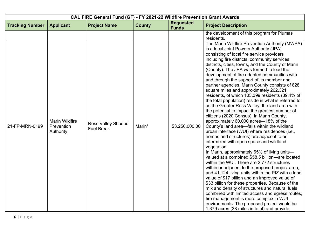| CAL FIRE General Fund (GF) - FY 2021-22 Wildfire Prevention Grant Awards |                                                  |                                                |               |                                  |                                                                                                                                                                                                                                                                                                                                                                                                                                                                                                                                                                                                                                                                                                                                                                                                                                                                                                                                                                                                                                                                                                                                                                                                                                                                                                                                                                                                                                                                                                                                                                                                                                                                         |  |
|--------------------------------------------------------------------------|--------------------------------------------------|------------------------------------------------|---------------|----------------------------------|-------------------------------------------------------------------------------------------------------------------------------------------------------------------------------------------------------------------------------------------------------------------------------------------------------------------------------------------------------------------------------------------------------------------------------------------------------------------------------------------------------------------------------------------------------------------------------------------------------------------------------------------------------------------------------------------------------------------------------------------------------------------------------------------------------------------------------------------------------------------------------------------------------------------------------------------------------------------------------------------------------------------------------------------------------------------------------------------------------------------------------------------------------------------------------------------------------------------------------------------------------------------------------------------------------------------------------------------------------------------------------------------------------------------------------------------------------------------------------------------------------------------------------------------------------------------------------------------------------------------------------------------------------------------------|--|
| <b>Tracking Number</b>                                                   | <b>Applicant</b>                                 | <b>Project Name</b>                            | <b>County</b> | <b>Requested</b><br><b>Funds</b> | <b>Project Description</b>                                                                                                                                                                                                                                                                                                                                                                                                                                                                                                                                                                                                                                                                                                                                                                                                                                                                                                                                                                                                                                                                                                                                                                                                                                                                                                                                                                                                                                                                                                                                                                                                                                              |  |
| 21-FP-MRN-0199                                                           | <b>Marin Wildfire</b><br>Prevention<br>Authority | <b>Ross Valley Shaded</b><br><b>Fuel Break</b> | Marin*        | \$3,250,000.00                   | the development of this program for Plumas<br>residents.<br>The Marin Wildfire Prevention Authority (MWPA)<br>is a local Joint Powers Authority (JPA)<br>consisting of local fire service providers<br>including fire districts, community services<br>districts, cities, towns, and the County of Marin<br>(County). The JPA was formed to lead the<br>development of fire adapted communities with<br>and through the support of its member and<br>partner agencies. Marin County consists of 828<br>square miles and approximately 262,321<br>residents, of which 103,399 residents (39.4% of<br>the total population) reside in what is referred to<br>as the Greater Ross Valley, the land area with<br>the potential to impact the greatest number of<br>citizens (2020 Census). In Marin County,<br>approximately 60,000 acres-18% of the<br>County's land area-falls within the wildland<br>urban interface (WUI) where residences (i.e.,<br>homes and structures) are adjacent to or<br>intermixed with open space and wildland<br>vegetation.<br>In Marin, approximately 65% of living units-<br>valued at a combined \$58.5 billion-are located<br>within the WUI. There are 2,772 structures<br>within or adjacent to the proposed project area,<br>and 41,124 living units within the PIZ with a land<br>value of \$17 billion and an improved value of<br>\$33 billion for these properties. Because of the<br>mix and density of structures and natural fuels<br>combined with limited access and egress routes,<br>fire management is more complex in WUI<br>environments. The proposed project would be<br>1,379 acres (38 miles in total) and provide |  |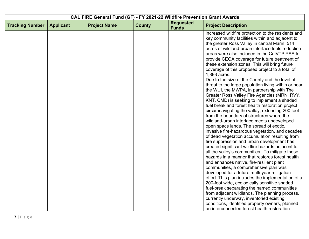|                        | CAL FIRE General Fund (GF) - FY 2021-22 Wildfire Prevention Grant Awards |                     |               |                                  |                                                                                                    |  |  |
|------------------------|--------------------------------------------------------------------------|---------------------|---------------|----------------------------------|----------------------------------------------------------------------------------------------------|--|--|
| <b>Tracking Number</b> | <b>Applicant</b>                                                         | <b>Project Name</b> | <b>County</b> | <b>Requested</b><br><b>Funds</b> | <b>Project Description</b>                                                                         |  |  |
|                        |                                                                          |                     |               |                                  | increased wildfire protection to the residents and                                                 |  |  |
|                        |                                                                          |                     |               |                                  | key community facilities within and adjacent to                                                    |  |  |
|                        |                                                                          |                     |               |                                  | the greater Ross Valley in central Marin. 514                                                      |  |  |
|                        |                                                                          |                     |               |                                  | acres of wildland-urban interface fuels reduction<br>areas were also included in the CalVTP PSA to |  |  |
|                        |                                                                          |                     |               |                                  | provide CEQA coverage for future treatment of                                                      |  |  |
|                        |                                                                          |                     |               |                                  | these extension zones. This will bring future                                                      |  |  |
|                        |                                                                          |                     |               |                                  | coverage of this proposed project to a total of                                                    |  |  |
|                        |                                                                          |                     |               |                                  | 1,893 acres.                                                                                       |  |  |
|                        |                                                                          |                     |               |                                  | Due to the size of the County and the level of                                                     |  |  |
|                        |                                                                          |                     |               |                                  | threat to the large population living within or near                                               |  |  |
|                        |                                                                          |                     |               |                                  | the WUI, the MWPA, in partnership with The                                                         |  |  |
|                        |                                                                          |                     |               |                                  | Greater Ross Valley Fire Agencies (MRN, RVY,                                                       |  |  |
|                        |                                                                          |                     |               |                                  | KNT, CMD) is seeking to implement a shaded                                                         |  |  |
|                        |                                                                          |                     |               |                                  | fuel break and forest health restoration project                                                   |  |  |
|                        |                                                                          |                     |               |                                  | circumnavigating the valley, extending 200 feet                                                    |  |  |
|                        |                                                                          |                     |               |                                  | from the boundary of structures where the                                                          |  |  |
|                        |                                                                          |                     |               |                                  | wildland-urban interface meets undeveloped                                                         |  |  |
|                        |                                                                          |                     |               |                                  | open space lands. The spread of exotic,                                                            |  |  |
|                        |                                                                          |                     |               |                                  | invasive fire-hazardous vegetation, and decades<br>of dead vegetation accumulation resulting from  |  |  |
|                        |                                                                          |                     |               |                                  | fire suppression and urban development has                                                         |  |  |
|                        |                                                                          |                     |               |                                  | created significant wildfire hazards adjacent to                                                   |  |  |
|                        |                                                                          |                     |               |                                  | all the valley's communities. To mitigate these                                                    |  |  |
|                        |                                                                          |                     |               |                                  | hazards in a manner that restores forest health                                                    |  |  |
|                        |                                                                          |                     |               |                                  | and enhances native, fire-resilient plant                                                          |  |  |
|                        |                                                                          |                     |               |                                  | communities, a comprehensive plan was                                                              |  |  |
|                        |                                                                          |                     |               |                                  | developed for a future multi-year mitigation                                                       |  |  |
|                        |                                                                          |                     |               |                                  | effort. This plan includes the implementation of a                                                 |  |  |
|                        |                                                                          |                     |               |                                  | 200-foot wide, ecologically sensitive shaded                                                       |  |  |
|                        |                                                                          |                     |               |                                  | fuel-break separating the named communities                                                        |  |  |
|                        |                                                                          |                     |               |                                  | from adjacent wildlands. The planning process,                                                     |  |  |
|                        |                                                                          |                     |               |                                  | currently underway, inventoried existing                                                           |  |  |
|                        |                                                                          |                     |               |                                  | conditions, identified property owners, planned                                                    |  |  |
|                        |                                                                          |                     |               |                                  | an interconnected forest health restoration                                                        |  |  |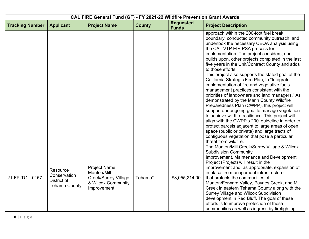| CAL FIRE General Fund (GF) - FY 2021-22 Wildfire Prevention Grant Awards |                                                                 |                                                                                                  |               |                                  |                                                                                                                                                                                                                                                                                                                                                                                                                                                                                                                                                                                                                                                                                                                                                                                                                                                                                                                                                                                                                                            |  |  |
|--------------------------------------------------------------------------|-----------------------------------------------------------------|--------------------------------------------------------------------------------------------------|---------------|----------------------------------|--------------------------------------------------------------------------------------------------------------------------------------------------------------------------------------------------------------------------------------------------------------------------------------------------------------------------------------------------------------------------------------------------------------------------------------------------------------------------------------------------------------------------------------------------------------------------------------------------------------------------------------------------------------------------------------------------------------------------------------------------------------------------------------------------------------------------------------------------------------------------------------------------------------------------------------------------------------------------------------------------------------------------------------------|--|--|
| <b>Tracking Number</b>                                                   | <b>Applicant</b>                                                | <b>Project Name</b>                                                                              | <b>County</b> | <b>Requested</b><br><b>Funds</b> | <b>Project Description</b>                                                                                                                                                                                                                                                                                                                                                                                                                                                                                                                                                                                                                                                                                                                                                                                                                                                                                                                                                                                                                 |  |  |
|                                                                          |                                                                 |                                                                                                  |               |                                  | approach within the 200-foot fuel break<br>boundary, conducted community outreach, and<br>undertook the necessary CEQA analysis using<br>the CAL VTP EIR PSA process for<br>implementation. The project considers, and<br>builds upon, other projects completed in the last<br>five years in the Unit/Contract County and adds<br>to those efforts.<br>This project also supports the stated goal of the<br>California Strategic Fire Plan, to "Integrate<br>implementation of fire and vegetative fuels<br>management practices consistent with the<br>priorities of landowners and land managers." As<br>demonstrated by the Marin County Wildfire<br>Preparedness Plan (CWPP), this project will<br>support our ongoing goal to manage vegetation<br>to achieve wildfire resilience. This project will<br>align with the CWPP's 200' guideline in order to<br>protect parcels adjacent to large areas of open<br>space (public or private) and large tracts of<br>contiguous vegetation that pose a particular<br>threat from wildfire. |  |  |
| 21-FP-TGU-0157                                                           | Resource<br>Conservation<br>District of<br><b>Tehama County</b> | Project Name:<br>Manton/Mill<br><b>Creek/Surrey Village</b><br>& Wilcox Community<br>Improvement | Tehama*       | \$3,055,214.00                   | The Manton/Mill Creek/Surrey Village & Wilcox<br><b>Subdivision Community</b><br>Improvement, Maintenance and Development<br>Project (Project) will result in the<br>improvement and, as appropriate, expansion of<br>in place fire management infrastructure<br>that protects the communities of<br>Manton/Forward Valley, Paynes Creek, and Mill<br>Creek in eastern Tehama County along with the<br>Surrey Village and Wilcox Subdivision<br>development in Red Bluff. The goal of these<br>efforts is to improve protection of these<br>communities as well as ingress by firefighting                                                                                                                                                                                                                                                                                                                                                                                                                                                 |  |  |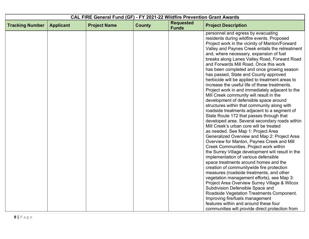|                        | CAL FIRE General Fund (GF) - FY 2021-22 Wildfire Prevention Grant Awards |                     |               |                                  |                                                                                                                                                                                                                                                                                                                                                                                                                                                                                                                                                                                                                                                                                                                                                                                                                                                                                                                                                                                                                                                                                                                                                                                                                                                                        |  |
|------------------------|--------------------------------------------------------------------------|---------------------|---------------|----------------------------------|------------------------------------------------------------------------------------------------------------------------------------------------------------------------------------------------------------------------------------------------------------------------------------------------------------------------------------------------------------------------------------------------------------------------------------------------------------------------------------------------------------------------------------------------------------------------------------------------------------------------------------------------------------------------------------------------------------------------------------------------------------------------------------------------------------------------------------------------------------------------------------------------------------------------------------------------------------------------------------------------------------------------------------------------------------------------------------------------------------------------------------------------------------------------------------------------------------------------------------------------------------------------|--|
| <b>Tracking Number</b> | <b>Applicant</b>                                                         | <b>Project Name</b> | <b>County</b> | <b>Requested</b><br><b>Funds</b> | <b>Project Description</b>                                                                                                                                                                                                                                                                                                                                                                                                                                                                                                                                                                                                                                                                                                                                                                                                                                                                                                                                                                                                                                                                                                                                                                                                                                             |  |
|                        |                                                                          |                     |               |                                  | personnel and egress by evacuating<br>residents during wildfire events. Proposed<br>Project work in the vicinity of Manton/Forward<br>Valley and Paynes Creek entails the retreatment<br>and, where necessary, expansion of fuel<br>breaks along Lanes Valley Road, Forward Road<br>and Forwards Mill Road. Once this work<br>has been completed and once growing season<br>has passed, State and County approved<br>herbicide will be applied to treatment areas to<br>increase the useful life of these treatments.<br>Project work in and immediately adjacent to the<br>Mill Creek community will result in the<br>development of defensible space around<br>structures within that community along with<br>roadside treatments adjacent to a segment of<br>State Route 172 that passes through that<br>developed area. Several secondary roads within<br>Mill Creek's urban core will be treated<br>as needed. See Map 1: Project Area<br>Generalized Overview and Map 2: Project Area<br>Overview for Manton, Paynes Creek and Mill<br>Creek Communities. Project work within<br>the Surrey Village development will result in the<br>implementation of various defensible<br>space treatments around homes and the<br>creation of communitywide fire protection |  |
|                        |                                                                          |                     |               |                                  | measures (roadside treatments, and other<br>vegetation management efforts), see Map 3:<br>Project Area Overview Surrey Village & Wilcox                                                                                                                                                                                                                                                                                                                                                                                                                                                                                                                                                                                                                                                                                                                                                                                                                                                                                                                                                                                                                                                                                                                                |  |
|                        |                                                                          |                     |               |                                  | Subdivision Defensible Space and<br>Roadside Vegetation Treatments Component.<br>Improving fire/fuels management                                                                                                                                                                                                                                                                                                                                                                                                                                                                                                                                                                                                                                                                                                                                                                                                                                                                                                                                                                                                                                                                                                                                                       |  |
|                        |                                                                          |                     |               |                                  | features within and around these four<br>communities will provide direct protection from                                                                                                                                                                                                                                                                                                                                                                                                                                                                                                                                                                                                                                                                                                                                                                                                                                                                                                                                                                                                                                                                                                                                                                               |  |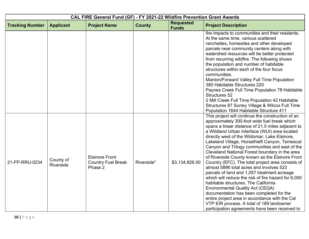| CAL FIRE General Fund (GF) - FY 2021-22 Wildfire Prevention Grant Awards |                        |                                                               |               |                                  |                                                                                                                                                                                                                                                                                                                                                                                                                                                                                                                                                                                                                                                                                                                                                                                                                                                                                                                                                          |  |
|--------------------------------------------------------------------------|------------------------|---------------------------------------------------------------|---------------|----------------------------------|----------------------------------------------------------------------------------------------------------------------------------------------------------------------------------------------------------------------------------------------------------------------------------------------------------------------------------------------------------------------------------------------------------------------------------------------------------------------------------------------------------------------------------------------------------------------------------------------------------------------------------------------------------------------------------------------------------------------------------------------------------------------------------------------------------------------------------------------------------------------------------------------------------------------------------------------------------|--|
| <b>Tracking Number</b>                                                   | <b>Applicant</b>       | <b>Project Name</b>                                           | <b>County</b> | <b>Requested</b><br><b>Funds</b> | <b>Project Description</b>                                                                                                                                                                                                                                                                                                                                                                                                                                                                                                                                                                                                                                                                                                                                                                                                                                                                                                                               |  |
|                                                                          |                        |                                                               |               |                                  | fire impacts to communities and their residents.<br>At the same time, various scattered<br>ranchettes, homesites and other developed<br>parcels near community centers along with<br>watershed resources will be better protected<br>from recurring wildfire. The following shows<br>the population and number of habitable<br>structures within each of the four focus<br>communities.<br>Manton/Forward Valley Full Time Population<br>380 Habitable Structures 220<br>Paynes Creek Full Time Population 78 Habitable<br>Structures 52<br>2 Mill Creek Full Time Population 42 Habitable<br>Structures 87 Surrey Village & Wilcox Full Time<br>Population 1644 Habitable Structure 411                                                                                                                                                                                                                                                                 |  |
| 21-FP-RRU-0234                                                           | County of<br>Riverside | <b>Elsinore Front</b><br><b>Country Fuel Break</b><br>Phase 2 | Riverside*    | \$3,134,826.00                   | This project will continue the construction of an<br>approximately 300-foot wide fuel break which<br>spans a linear distance of 21.5 miles adjacent to<br>a Wildland Urban Interface (WUI) area located<br>directly west of the Wildomar, Lake Elsinore,<br>Lakeland Village, Horsethieft Canyon, Temescal<br>Canyon and Trilogy communities and east of the<br>Cleveland National Forest boundary in the area<br>of Riverside County known as the Elsinore Front<br>Country (EFC). The total project area consists of<br>almost 5896 total acres and involves 523<br>parcels of land and 1,057 treatment acreage<br>which will reduce the risk of fire hazard for 6,000<br>habitable structures. The California<br><b>Environmental Quality Act (CEQA)</b><br>documentation has been completed for the<br>entire project area in accordance with the Cal<br>VTP EIR process. A total of 189 landowner<br>participation agreements have been received to |  |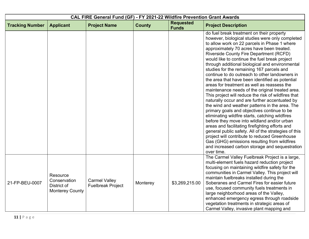| CAL FIRE General Fund (GF) - FY 2021-22 Wildfire Prevention Grant Awards |                                                                   |                                                  |               |                                  |                                                                                                                                                                                                                                                                                                                                                                                                                                                                                                                                                                                                                                                                                                                                                                                                                                                                                                                                                                                                                                                                                                                                                                                      |  |
|--------------------------------------------------------------------------|-------------------------------------------------------------------|--------------------------------------------------|---------------|----------------------------------|--------------------------------------------------------------------------------------------------------------------------------------------------------------------------------------------------------------------------------------------------------------------------------------------------------------------------------------------------------------------------------------------------------------------------------------------------------------------------------------------------------------------------------------------------------------------------------------------------------------------------------------------------------------------------------------------------------------------------------------------------------------------------------------------------------------------------------------------------------------------------------------------------------------------------------------------------------------------------------------------------------------------------------------------------------------------------------------------------------------------------------------------------------------------------------------|--|
| <b>Tracking Number</b>                                                   | <b>Applicant</b>                                                  | <b>Project Name</b>                              | <b>County</b> | <b>Requested</b><br><b>Funds</b> | <b>Project Description</b>                                                                                                                                                                                                                                                                                                                                                                                                                                                                                                                                                                                                                                                                                                                                                                                                                                                                                                                                                                                                                                                                                                                                                           |  |
|                                                                          |                                                                   |                                                  |               |                                  | do fuel break treatment on their property<br>however, biological studies were only completed<br>to allow work on 22 parcels in Phase 1 where<br>approximately 70 acres have been treated.<br>Riverside County Fire Department (RCFD)<br>would like to continue the fuel break project<br>through additional biological and environmental<br>studies for the remaining 167 parcels and<br>continue to do outreach to other landowners in<br>the area that have been identified as potential<br>areas for treatment as well as reassess the<br>maintenance needs of the original treated area.<br>This project will reduce the risk of wildfires that<br>naturally occur and are further accentuated by<br>the wind and weather patterns in the area. The<br>primary goals and objectives continue to be<br>eliminating wildfire starts, catching wildfires<br>before they move into wildland and/or urban<br>areas and facilitating firefighting efforts and<br>general public safety. All of the strategies of this<br>project will contribute to reduced Greenhouse<br>Gas (GHG) emissions resulting from wildfires<br>and increased carbon storage and sequestration<br>over time. |  |
| 21-FP-BEU-0007                                                           | Resource<br>Conservation<br>District of<br><b>Monterey County</b> | <b>Carmel Valley</b><br><b>Fuelbreak Project</b> | Monterey      | \$3,269,215.00                   | The Carmel Valley Fuelbreak Project is a large,<br>multi-element fuels hazard reduction project<br>focusing on maintaining wildfire safety for the<br>communities in Carmel Valley. This project will<br>maintain fuelbreaks installed during the<br>Soberanes and Carmel Fires for easier future<br>use, focused community fuels treatments in<br>large neighborhood areas of the Valley,<br>enhanced emergency egress through roadside<br>vegetation treatments in strategic areas of<br>Carmel Valley, invasive plant mapping and                                                                                                                                                                                                                                                                                                                                                                                                                                                                                                                                                                                                                                                 |  |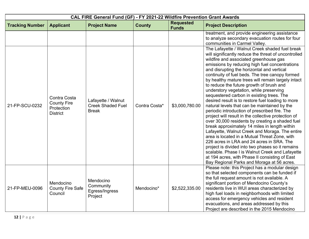|                        |                                                                     |                                                                | CAL FIRE General Fund (GF) - FY 2021-22 Wildfire Prevention Grant Awards |                                  |                                                                                                                                                                                                                                                                                                                                                                                                                                                                                                                                                                                                                                                                                                                                                                                                                                                                                                                                                                                                                                                                                                                                                                       |
|------------------------|---------------------------------------------------------------------|----------------------------------------------------------------|--------------------------------------------------------------------------|----------------------------------|-----------------------------------------------------------------------------------------------------------------------------------------------------------------------------------------------------------------------------------------------------------------------------------------------------------------------------------------------------------------------------------------------------------------------------------------------------------------------------------------------------------------------------------------------------------------------------------------------------------------------------------------------------------------------------------------------------------------------------------------------------------------------------------------------------------------------------------------------------------------------------------------------------------------------------------------------------------------------------------------------------------------------------------------------------------------------------------------------------------------------------------------------------------------------|
| <b>Tracking Number</b> | <b>Applicant</b>                                                    | <b>Project Name</b>                                            | <b>County</b>                                                            | <b>Requested</b><br><b>Funds</b> | <b>Project Description</b>                                                                                                                                                                                                                                                                                                                                                                                                                                                                                                                                                                                                                                                                                                                                                                                                                                                                                                                                                                                                                                                                                                                                            |
|                        |                                                                     |                                                                |                                                                          |                                  | treatment, and provide engineering assistance<br>to analyze secondary evacuation routes for four<br>communities in Carmel Valley.                                                                                                                                                                                                                                                                                                                                                                                                                                                                                                                                                                                                                                                                                                                                                                                                                                                                                                                                                                                                                                     |
| 21-FP-SCU-0232         | Contra Costa<br><b>County Fire</b><br>Protection<br><b>District</b> | Lafayette / Walnut<br><b>Creek Shaded Fuel</b><br><b>Break</b> | Contra Costa*                                                            | \$3,000,780.00                   | The Lafayette / Walnut Creek shaded fuel break<br>will significantly reduce the threat of uncontrolled<br>wildfire and associated greenhouse gas<br>emissions by reducing high fuel concentrations<br>and disrupting the horizontal and vertical<br>continuity of fuel beds. The tree canopy formed<br>by healthy mature trees will remain largely intact<br>to reduce the future growth of brush and<br>understory vegetation, while preserving<br>sequestered carbon in existing trees. The<br>desired result is to restore fuel loading to more<br>natural levels that can be maintained by the<br>periodic introduction of prescribed fire. The<br>project will result in the collective protection of<br>over 30,000 residents by creating a shaded fuel<br>break approximately 14 miles in length within<br>Lafayette, Walnut Creek and Moraga. The entire<br>area is located in a Mutual Threat Zone, with<br>226 acres in LRA and 24 acres in SRA. The<br>project is divided into two phases so it remains<br>scalable. Phase I is Walnut Creek and Lafayette<br>at 194 acres, with Phase II consisting of East<br>Bay Regional Parks and Moraga at 56 acres. |
| 21-FP-MEU-0096         | Mendocino<br><b>County Fire Safe</b><br>Council                     | Mendocino<br>Community<br>Egress/Ingress<br>Project            | Mendocino*                                                               | \$2,522,335.00                   | Please note: this Project has a modular design<br>so that selected components can be funded if<br>the full request amount is not available. A<br>significant portion of Mendocino County's<br>residents live in WUI areas characterized by<br>high fuel loads in neighborhoods with limited<br>access for emergency vehicles and resident<br>evacuations, and areas addressed by this<br>Project are described in the 2015 Mendocino                                                                                                                                                                                                                                                                                                                                                                                                                                                                                                                                                                                                                                                                                                                                  |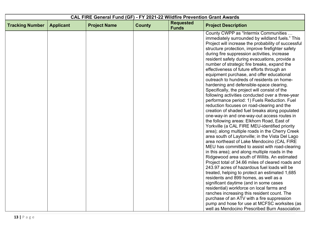| <b>Requested</b><br><b>County</b><br><b>Tracking Number</b><br><b>Applicant</b><br><b>Project Name</b><br><b>Project Description</b><br><b>Funds</b><br>County CWPP as "Intermix Communities<br>immediately surrounded by wildland fuels." This<br>Project will increase the probability of successful<br>structure protection, improve firefighter safety<br>during fire suppression activities, increase<br>resident safety during evacuations, provide a<br>number of strategic fire breaks, expand the<br>effectiveness of future efforts through an<br>equipment purchase, and offer educational<br>outreach to hundreds of residents on home-<br>hardening and defensible-space clearing.<br>Specifically, the project will consist of the<br>following activities conducted over a three-year | CAL FIRE General Fund (GF) - FY 2021-22 Wildfire Prevention Grant Awards |  |  |  |  |  |
|------------------------------------------------------------------------------------------------------------------------------------------------------------------------------------------------------------------------------------------------------------------------------------------------------------------------------------------------------------------------------------------------------------------------------------------------------------------------------------------------------------------------------------------------------------------------------------------------------------------------------------------------------------------------------------------------------------------------------------------------------------------------------------------------------|--------------------------------------------------------------------------|--|--|--|--|--|
|                                                                                                                                                                                                                                                                                                                                                                                                                                                                                                                                                                                                                                                                                                                                                                                                      |                                                                          |  |  |  |  |  |
|                                                                                                                                                                                                                                                                                                                                                                                                                                                                                                                                                                                                                                                                                                                                                                                                      |                                                                          |  |  |  |  |  |
|                                                                                                                                                                                                                                                                                                                                                                                                                                                                                                                                                                                                                                                                                                                                                                                                      |                                                                          |  |  |  |  |  |
|                                                                                                                                                                                                                                                                                                                                                                                                                                                                                                                                                                                                                                                                                                                                                                                                      |                                                                          |  |  |  |  |  |
|                                                                                                                                                                                                                                                                                                                                                                                                                                                                                                                                                                                                                                                                                                                                                                                                      |                                                                          |  |  |  |  |  |
|                                                                                                                                                                                                                                                                                                                                                                                                                                                                                                                                                                                                                                                                                                                                                                                                      |                                                                          |  |  |  |  |  |
|                                                                                                                                                                                                                                                                                                                                                                                                                                                                                                                                                                                                                                                                                                                                                                                                      |                                                                          |  |  |  |  |  |
|                                                                                                                                                                                                                                                                                                                                                                                                                                                                                                                                                                                                                                                                                                                                                                                                      |                                                                          |  |  |  |  |  |
|                                                                                                                                                                                                                                                                                                                                                                                                                                                                                                                                                                                                                                                                                                                                                                                                      |                                                                          |  |  |  |  |  |
|                                                                                                                                                                                                                                                                                                                                                                                                                                                                                                                                                                                                                                                                                                                                                                                                      |                                                                          |  |  |  |  |  |
|                                                                                                                                                                                                                                                                                                                                                                                                                                                                                                                                                                                                                                                                                                                                                                                                      |                                                                          |  |  |  |  |  |
|                                                                                                                                                                                                                                                                                                                                                                                                                                                                                                                                                                                                                                                                                                                                                                                                      |                                                                          |  |  |  |  |  |
|                                                                                                                                                                                                                                                                                                                                                                                                                                                                                                                                                                                                                                                                                                                                                                                                      |                                                                          |  |  |  |  |  |
| performance period: 1) Fuels Reduction. Fuel                                                                                                                                                                                                                                                                                                                                                                                                                                                                                                                                                                                                                                                                                                                                                         |                                                                          |  |  |  |  |  |
| reduction focuses on road-clearing and the                                                                                                                                                                                                                                                                                                                                                                                                                                                                                                                                                                                                                                                                                                                                                           |                                                                          |  |  |  |  |  |
| creation of shaded fuel breaks along populated                                                                                                                                                                                                                                                                                                                                                                                                                                                                                                                                                                                                                                                                                                                                                       |                                                                          |  |  |  |  |  |
| one-way-in and one-way-out access routes in                                                                                                                                                                                                                                                                                                                                                                                                                                                                                                                                                                                                                                                                                                                                                          |                                                                          |  |  |  |  |  |
| the following areas: Elkhorn Road, East of                                                                                                                                                                                                                                                                                                                                                                                                                                                                                                                                                                                                                                                                                                                                                           |                                                                          |  |  |  |  |  |
| Yorkville (a CAL FIRE MEU-identified priority                                                                                                                                                                                                                                                                                                                                                                                                                                                                                                                                                                                                                                                                                                                                                        |                                                                          |  |  |  |  |  |
| area); along multiple roads in the Cherry Creek                                                                                                                                                                                                                                                                                                                                                                                                                                                                                                                                                                                                                                                                                                                                                      |                                                                          |  |  |  |  |  |
| area south of Laytonville; in the Vista Del Lago                                                                                                                                                                                                                                                                                                                                                                                                                                                                                                                                                                                                                                                                                                                                                     |                                                                          |  |  |  |  |  |
| area northeast of Lake Mendocino (CAL FIRE                                                                                                                                                                                                                                                                                                                                                                                                                                                                                                                                                                                                                                                                                                                                                           |                                                                          |  |  |  |  |  |
| MEU has committed to assist with road-clearing                                                                                                                                                                                                                                                                                                                                                                                                                                                                                                                                                                                                                                                                                                                                                       |                                                                          |  |  |  |  |  |
| in this area); and along multiple roads in the                                                                                                                                                                                                                                                                                                                                                                                                                                                                                                                                                                                                                                                                                                                                                       |                                                                          |  |  |  |  |  |
| Ridgewood area south of Willits. An estimated                                                                                                                                                                                                                                                                                                                                                                                                                                                                                                                                                                                                                                                                                                                                                        |                                                                          |  |  |  |  |  |
| Project total of 34.66 miles of cleared roads and                                                                                                                                                                                                                                                                                                                                                                                                                                                                                                                                                                                                                                                                                                                                                    |                                                                          |  |  |  |  |  |
| 243.97 acres of hazardous fuel loads will be                                                                                                                                                                                                                                                                                                                                                                                                                                                                                                                                                                                                                                                                                                                                                         |                                                                          |  |  |  |  |  |
| treated, helping to protect an estimated 1,685                                                                                                                                                                                                                                                                                                                                                                                                                                                                                                                                                                                                                                                                                                                                                       |                                                                          |  |  |  |  |  |
| residents and 899 homes, as well as a                                                                                                                                                                                                                                                                                                                                                                                                                                                                                                                                                                                                                                                                                                                                                                |                                                                          |  |  |  |  |  |
| significant daytime (and in some cases                                                                                                                                                                                                                                                                                                                                                                                                                                                                                                                                                                                                                                                                                                                                                               |                                                                          |  |  |  |  |  |
| residential) workforce on local farms and                                                                                                                                                                                                                                                                                                                                                                                                                                                                                                                                                                                                                                                                                                                                                            |                                                                          |  |  |  |  |  |
| ranches increasing this resident count. The                                                                                                                                                                                                                                                                                                                                                                                                                                                                                                                                                                                                                                                                                                                                                          |                                                                          |  |  |  |  |  |
| purchase of an ATV with a fire suppression<br>pump and hose for use at MCFSC worksites (as                                                                                                                                                                                                                                                                                                                                                                                                                                                                                                                                                                                                                                                                                                           |                                                                          |  |  |  |  |  |
| well as Mendocino Prescribed Burn Association                                                                                                                                                                                                                                                                                                                                                                                                                                                                                                                                                                                                                                                                                                                                                        |                                                                          |  |  |  |  |  |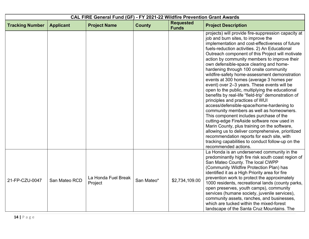|                        | CAL FIRE General Fund (GF) - FY 2021-22 Wildfire Prevention Grant Awards |                                |               |                                  |                                                                                                                                                                                                                                                                                                                                                                                                                                                                                                                                                                                                                                                                                                                                                                                                                                                                                                                                                                                                                                                                                                    |  |
|------------------------|--------------------------------------------------------------------------|--------------------------------|---------------|----------------------------------|----------------------------------------------------------------------------------------------------------------------------------------------------------------------------------------------------------------------------------------------------------------------------------------------------------------------------------------------------------------------------------------------------------------------------------------------------------------------------------------------------------------------------------------------------------------------------------------------------------------------------------------------------------------------------------------------------------------------------------------------------------------------------------------------------------------------------------------------------------------------------------------------------------------------------------------------------------------------------------------------------------------------------------------------------------------------------------------------------|--|
| <b>Tracking Number</b> | <b>Applicant</b>                                                         | <b>Project Name</b>            | <b>County</b> | <b>Requested</b><br><b>Funds</b> | <b>Project Description</b>                                                                                                                                                                                                                                                                                                                                                                                                                                                                                                                                                                                                                                                                                                                                                                                                                                                                                                                                                                                                                                                                         |  |
|                        |                                                                          |                                |               |                                  | projects) will provide fire-suppression capacity at<br>job and burn sites, to improve the<br>implementation and cost-effectiveness of future<br>fuels-reduction activities. 2) An Educational<br>Outreach component of this Project will motivate<br>action by community members to improve their<br>own defensible-space clearing and home-<br>hardening through 100 onsite community<br>wildfire-safety home-assessment demonstration<br>events at 300 homes (average 3 homes per<br>event) over 2-3 years. These events will be<br>open to the public, multiplying the educational<br>benefits by real-life "field-trip" demonstration of<br>principles and practices of WUI<br>access/defensible-space/home-hardening to<br>community members as well as homeowners.<br>This component includes purchase of the<br>cutting-edge FireAside software now used in<br>Marin County, plus training on the software,<br>allowing us to deliver comprehensive, prioritized<br>recommendation reports for each site, with<br>tracking capabilities to conduct follow-up on the<br>recommended actions. |  |
| 21-FP-CZU-0047         | San Mateo RCD                                                            | La Honda Fuel Break<br>Project | San Mateo*    | \$2,734,109.00                   | La Honda is an underserved community in the<br>predominantly high fire risk south coast region of<br>San Mateo County. The local CWPP<br>(Community Wildfire Protection Plan) has<br>identified it as a High Priority area for fire<br>prevention work to protect the approximately<br>1000 residents, recreational lands (county parks,<br>open preserves, youth camps), community<br>services (humane society, juvenile services),<br>community assets, ranches, and businesses,<br>which are tucked within the mixed-forest<br>landscape of the Santa Cruz Mountains. The                                                                                                                                                                                                                                                                                                                                                                                                                                                                                                                       |  |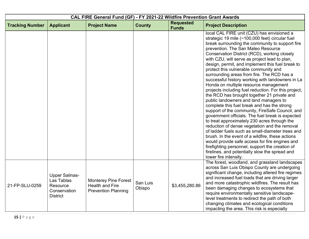| CAL FIRE General Fund (GF) - FY 2021-22 Wildfire Prevention Grant Awards |                                                                                    |                                                                                     |                    |                                  |                                                                                                                                                                                                                                                                                                                                                                                                                                                                                                                                                                                                                                                                                                                                                                                                                                                                                                                                                                                                                                                                                                                                                                                                                                 |  |
|--------------------------------------------------------------------------|------------------------------------------------------------------------------------|-------------------------------------------------------------------------------------|--------------------|----------------------------------|---------------------------------------------------------------------------------------------------------------------------------------------------------------------------------------------------------------------------------------------------------------------------------------------------------------------------------------------------------------------------------------------------------------------------------------------------------------------------------------------------------------------------------------------------------------------------------------------------------------------------------------------------------------------------------------------------------------------------------------------------------------------------------------------------------------------------------------------------------------------------------------------------------------------------------------------------------------------------------------------------------------------------------------------------------------------------------------------------------------------------------------------------------------------------------------------------------------------------------|--|
| <b>Tracking Number</b>                                                   | <b>Applicant</b>                                                                   | <b>Project Name</b>                                                                 | <b>County</b>      | <b>Requested</b><br><b>Funds</b> | <b>Project Description</b>                                                                                                                                                                                                                                                                                                                                                                                                                                                                                                                                                                                                                                                                                                                                                                                                                                                                                                                                                                                                                                                                                                                                                                                                      |  |
|                                                                          |                                                                                    |                                                                                     |                    |                                  | local CAL FIRE unit (CZU) has envisioned a<br>strategic 19 mile (~100,000 feet) circular fuel<br>break surrounding the community to support fire<br>prevention. The San Mateo Resource<br>Conservation District (RCD), working closely<br>with CZU, will serve as project lead to plan,<br>design, permit, and implement this fuel break to<br>protect this vulnerable community and<br>surrounding areas from fire. The RCD has a<br>successful history working with landowners in La<br>Honda on multiple resource management<br>projects including fuel reduction. For this project,<br>the RCD has brought together 21 private and<br>public landowners and land managers to<br>complete this fuel break and has the strong<br>support of the community, FireSafe Council, and<br>government officials. The fuel break is expected<br>to treat approximately 230 acres through the<br>reduction of dense vegetation and the removal<br>of ladder fuels such as small-diameter trees and<br>brush. In the event of a wildfire, these actions<br>would provide safe access for fire engines and<br>firefighting personnel, support the creation of<br>firelines, and potentially slow the spread and<br>lower fire intensity. |  |
| 21-FP-SLU-0259                                                           | <b>Upper Salinas-</b><br>Las Tablas<br>Resource<br>Conservation<br><b>District</b> | <b>Monterey Pine Forest</b><br><b>Health and Fire</b><br><b>Prevention Planning</b> | San Luis<br>Obispo | \$3,455,280.86                   | The forest, woodland, and grassland landscapes<br>across San Luis Obispo County are undergoing<br>significant change, including altered fire regimes<br>and increased fuel loads that are driving larger<br>and more catastrophic wildfires. The result has<br>been damaging changes to ecosystems that<br>require environmentally sensitive landscape-<br>level treatments to redirect the path of both<br>changing climates and ecological conditions<br>impacting the area. This risk is especially                                                                                                                                                                                                                                                                                                                                                                                                                                                                                                                                                                                                                                                                                                                          |  |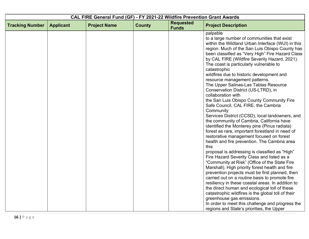| CAL FIRE General Fund (GF) - FY 2021-22 Wildfire Prevention Grant Awards |                  |                     |               |                                  |                                                                                                                                                                                                                                                                                                                                                                                                                                                                                                                                                                                                                                                                                                                                                                                                                                                                                                                                                                                                                                                                                                                                                                                                                                     |
|--------------------------------------------------------------------------|------------------|---------------------|---------------|----------------------------------|-------------------------------------------------------------------------------------------------------------------------------------------------------------------------------------------------------------------------------------------------------------------------------------------------------------------------------------------------------------------------------------------------------------------------------------------------------------------------------------------------------------------------------------------------------------------------------------------------------------------------------------------------------------------------------------------------------------------------------------------------------------------------------------------------------------------------------------------------------------------------------------------------------------------------------------------------------------------------------------------------------------------------------------------------------------------------------------------------------------------------------------------------------------------------------------------------------------------------------------|
| <b>Tracking Number</b>                                                   | <b>Applicant</b> | <b>Project Name</b> | <b>County</b> | <b>Requested</b><br><b>Funds</b> | <b>Project Description</b>                                                                                                                                                                                                                                                                                                                                                                                                                                                                                                                                                                                                                                                                                                                                                                                                                                                                                                                                                                                                                                                                                                                                                                                                          |
|                                                                          |                  |                     |               |                                  | palpable<br>to a large number of communities that exist<br>within the Wildland Urban Interface (WUI) in this<br>region. Much of the San Luis Obispo County has<br>been classified as "Very High" Fire Hazard Class<br>by CAL FIRE (Wildfire Severity Hazard, 2021).<br>The coast is particularly vulnerable to<br>catastrophic<br>wildfires due to historic development and<br>resource management patterns.<br>The Upper Salinas-Las Tablas Resource<br>Conservation District (US-LTRD), in<br>collaboration with<br>the San Luis Obispo County Community Fire<br>Safe Council, CAL FIRE, the Cambria<br>Community<br>Services District (CCSD), local landowners, and<br>the community of Cambria, California have<br>identified the Monterey pine (Pinus radiata)<br>forest as rare, important forestland in need of<br>restorative management focused on forest<br>health and fire prevention. The Cambria area<br>this<br>proposal is addressing is classified as "High"<br>Fire Hazard Severity Class and listed as a<br>"Community at Risk" (Office of the State Fire<br>Marshall). High priority forest health and fire<br>prevention projects must be first planned, then<br>carried out on a routine basis to promote fire |
|                                                                          |                  |                     |               |                                  | resiliency in these coastal areas. In addition to<br>the direct human and ecological toll of these                                                                                                                                                                                                                                                                                                                                                                                                                                                                                                                                                                                                                                                                                                                                                                                                                                                                                                                                                                                                                                                                                                                                  |
|                                                                          |                  |                     |               |                                  | catastrophic wildfires is the global toll of their<br>greenhouse gas emissions.                                                                                                                                                                                                                                                                                                                                                                                                                                                                                                                                                                                                                                                                                                                                                                                                                                                                                                                                                                                                                                                                                                                                                     |
|                                                                          |                  |                     |               |                                  | In order to meet this challenge and progress the<br>regions and State's priorities, the Upper                                                                                                                                                                                                                                                                                                                                                                                                                                                                                                                                                                                                                                                                                                                                                                                                                                                                                                                                                                                                                                                                                                                                       |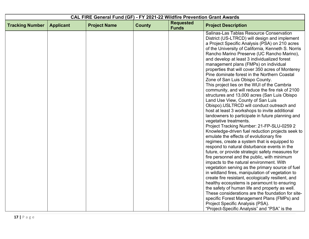|                        | CAL FIRE General Fund (GF) - FY 2021-22 Wildfire Prevention Grant Awards |                     |               |                                  |                                                                                                  |
|------------------------|--------------------------------------------------------------------------|---------------------|---------------|----------------------------------|--------------------------------------------------------------------------------------------------|
| <b>Tracking Number</b> | <b>Applicant</b>                                                         | <b>Project Name</b> | <b>County</b> | <b>Requested</b><br><b>Funds</b> | <b>Project Description</b>                                                                       |
|                        |                                                                          |                     |               |                                  | Salinas-Las Tablas Resource Conservation                                                         |
|                        |                                                                          |                     |               |                                  | District (US-LTRCD) will design and implement                                                    |
|                        |                                                                          |                     |               |                                  | a Project Specific Analysis (PSA) on 210 acres                                                   |
|                        |                                                                          |                     |               |                                  | of the University of California, Kenneth S. Norris<br>Rancho Marino Preserve (UC Rancho Marino), |
|                        |                                                                          |                     |               |                                  | and develop at least 3 individualized forest                                                     |
|                        |                                                                          |                     |               |                                  | management plans (FMPs) on individual                                                            |
|                        |                                                                          |                     |               |                                  | properties that will cover 350 acres of Monterey                                                 |
|                        |                                                                          |                     |               |                                  | Pine dominate forest in the Northern Coastal                                                     |
|                        |                                                                          |                     |               |                                  | Zone of San Luis Obispo County.                                                                  |
|                        |                                                                          |                     |               |                                  | This project lies on the WUI of the Cambria                                                      |
|                        |                                                                          |                     |               |                                  | community, and will reduce the fire risk of 2100                                                 |
|                        |                                                                          |                     |               |                                  | structures and 13,000 acres (San Luis Obispo                                                     |
|                        |                                                                          |                     |               |                                  | Land Use View, County of San Luis                                                                |
|                        |                                                                          |                     |               |                                  | Obispo).USLTRCD will conduct outreach and                                                        |
|                        |                                                                          |                     |               |                                  | host at least 3 workshops to invite additional                                                   |
|                        |                                                                          |                     |               |                                  | landowners to participate in future planning and                                                 |
|                        |                                                                          |                     |               |                                  | vegetative treatments.                                                                           |
|                        |                                                                          |                     |               |                                  | Project Tracking Number: 21-FP-SLU-0259 2<br>Knowledge-driven fuel reduction projects seek to    |
|                        |                                                                          |                     |               |                                  | emulate the effects of evolutionary fire                                                         |
|                        |                                                                          |                     |               |                                  | regimes, create a system that is equipped to                                                     |
|                        |                                                                          |                     |               |                                  | respond to natural disturbance events in the                                                     |
|                        |                                                                          |                     |               |                                  | future, or provide strategic safety measures for                                                 |
|                        |                                                                          |                     |               |                                  | fire personnel and the public, with minimum                                                      |
|                        |                                                                          |                     |               |                                  | impacts to the natural environment. With                                                         |
|                        |                                                                          |                     |               |                                  | vegetation serving as the primary source of fuel                                                 |
|                        |                                                                          |                     |               |                                  | in wildland fires, manipulation of vegetation to                                                 |
|                        |                                                                          |                     |               |                                  | create fire resistant, ecologically resilient, and                                               |
|                        |                                                                          |                     |               |                                  | healthy ecosystems is paramount to ensuring                                                      |
|                        |                                                                          |                     |               |                                  | the safety of human life and property as well.                                                   |
|                        |                                                                          |                     |               |                                  | These considerations are the foundation for site-                                                |
|                        |                                                                          |                     |               |                                  | specific Forest Management Plans (FMPs) and                                                      |
|                        |                                                                          |                     |               |                                  | Project Specific Analysis (PSA).                                                                 |
|                        |                                                                          |                     |               |                                  | "Project-Specific Analysis" and "PSA" is the                                                     |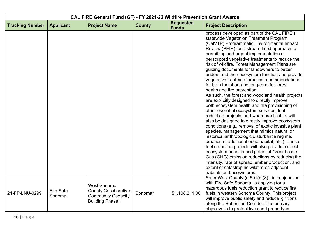|                        | CAL FIRE General Fund (GF) - FY 2021-22 Wildfire Prevention Grant Awards |                                                                                                            |               |                                  |                                                                                                                                                                                                                                                                                                                                                                                                                                                                                                                                                                                                                                                                                                                                                                                                                                                                                                                                                                                                                                                                                                                                                                                                                                                                                                                                                                      |  |
|------------------------|--------------------------------------------------------------------------|------------------------------------------------------------------------------------------------------------|---------------|----------------------------------|----------------------------------------------------------------------------------------------------------------------------------------------------------------------------------------------------------------------------------------------------------------------------------------------------------------------------------------------------------------------------------------------------------------------------------------------------------------------------------------------------------------------------------------------------------------------------------------------------------------------------------------------------------------------------------------------------------------------------------------------------------------------------------------------------------------------------------------------------------------------------------------------------------------------------------------------------------------------------------------------------------------------------------------------------------------------------------------------------------------------------------------------------------------------------------------------------------------------------------------------------------------------------------------------------------------------------------------------------------------------|--|
| <b>Tracking Number</b> | <b>Applicant</b>                                                         | <b>Project Name</b>                                                                                        | <b>County</b> | <b>Requested</b><br><b>Funds</b> | <b>Project Description</b>                                                                                                                                                                                                                                                                                                                                                                                                                                                                                                                                                                                                                                                                                                                                                                                                                                                                                                                                                                                                                                                                                                                                                                                                                                                                                                                                           |  |
|                        |                                                                          |                                                                                                            |               |                                  | process developed as part of the CAL FIRE's<br>statewide Vegetation Treatment Program<br>(CalVTP) Programmatic Environmental Impact<br>Review (PEIR) for a stream-lined approach to<br>permitting and urgent implementation of<br>perscripted vegetative treatments to reduce the<br>risk of wildfire. Forest Management Plans are<br>guiding documents for landowners to better<br>understand their ecosystem function and provide<br>vegetative treatment practice recommendations<br>for both the short and long-term for forest<br>health and fire prevention.<br>As such, the forest and woodland health projects<br>are explicitly designed to directly improve<br>both ecosystem health and the provisioning of<br>other essential ecosystem services, fuel<br>reduction projects, and when practicable, will<br>also be designed to directly improve ecosystem<br>conditions (e.g., removal of exotic invasive plant<br>species, management that mimics natural or<br>historical anthropologic disturbance regime,<br>creation of additional edge habitat, etc.). These<br>fuel reduction projects will also provide indirect<br>ecosystem benefits and potential Greenhouse<br>Gas (GHG) emission reductions by reducing the<br>intensity, rate of spread, ember production, and<br>extent of catastrophic wildfire on adjacent<br>habitats and ecosystems. |  |
| 21-FP-LNU-0299         | <b>Fire Safe</b><br>Sonoma                                               | <b>West Sonoma</b><br><b>County Collaborative:</b><br><b>Community Capacity</b><br><b>Building Phase 1</b> | Sonoma*       | \$1,108,211.00                   | Safer West County (a 501(c)(3)), in conjunction<br>with Fire Safe Sonoma, is applying for a<br>hazardous fuels reduction grant to reduce fire<br>fuels in western Sonoma County. This project<br>will improve public safety and reduce ignitions<br>along the Bohemian Corridor. The primary<br>objective is to protect lives and property in                                                                                                                                                                                                                                                                                                                                                                                                                                                                                                                                                                                                                                                                                                                                                                                                                                                                                                                                                                                                                        |  |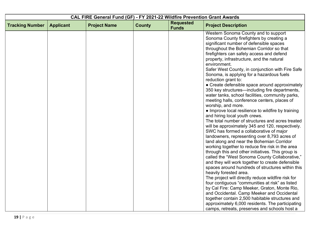|                        | CAL FIRE General Fund (GF) - FY 2021-22 Wildfire Prevention Grant Awards |                     |               |                                  |                                                                                     |  |
|------------------------|--------------------------------------------------------------------------|---------------------|---------------|----------------------------------|-------------------------------------------------------------------------------------|--|
| <b>Tracking Number</b> | <b>Applicant</b>                                                         | <b>Project Name</b> | <b>County</b> | <b>Requested</b><br><b>Funds</b> | <b>Project Description</b>                                                          |  |
|                        |                                                                          |                     |               |                                  | Western Sonoma County and to support                                                |  |
|                        |                                                                          |                     |               |                                  | Sonoma County firefighters by creating a                                            |  |
|                        |                                                                          |                     |               |                                  | significant number of defensible spaces<br>throughout the Bohemian Corridor so that |  |
|                        |                                                                          |                     |               |                                  | firefighters can safely access and defend                                           |  |
|                        |                                                                          |                     |               |                                  | property, infrastructure, and the natural                                           |  |
|                        |                                                                          |                     |               |                                  | environment.                                                                        |  |
|                        |                                                                          |                     |               |                                  | Safer West County, in conjunction with Fire Safe                                    |  |
|                        |                                                                          |                     |               |                                  | Sonoma, is applying for a hazardous fuels                                           |  |
|                        |                                                                          |                     |               |                                  | reduction grant to:                                                                 |  |
|                        |                                                                          |                     |               |                                  | • Create defensible space around approximately                                      |  |
|                        |                                                                          |                     |               |                                  | 350 key structures—including fire departments,                                      |  |
|                        |                                                                          |                     |               |                                  | water tanks, school facilities, community parks,                                    |  |
|                        |                                                                          |                     |               |                                  | meeting halls, conference centers, places of<br>worship, and more.                  |  |
|                        |                                                                          |                     |               |                                  | • Improve local resilience to wildfire by training                                  |  |
|                        |                                                                          |                     |               |                                  | and hiring local youth crews.                                                       |  |
|                        |                                                                          |                     |               |                                  | The total number of structures and acres treated                                    |  |
|                        |                                                                          |                     |               |                                  | will be approximately 345 and 120, respectively.                                    |  |
|                        |                                                                          |                     |               |                                  | SWC has formed a collaborative of major                                             |  |
|                        |                                                                          |                     |               |                                  | landowners, representing over 8,793 acres of                                        |  |
|                        |                                                                          |                     |               |                                  | land along and near the Bohemian Corridor                                           |  |
|                        |                                                                          |                     |               |                                  | working together to reduce fire risk in the area                                    |  |
|                        |                                                                          |                     |               |                                  | through this and other initiatives. This group is                                   |  |
|                        |                                                                          |                     |               |                                  | called the "West Sonoma County Collaborative,"                                      |  |
|                        |                                                                          |                     |               |                                  | and they will work together to create defensible                                    |  |
|                        |                                                                          |                     |               |                                  | spaces around hundreds of structures within this<br>heavily forested area.          |  |
|                        |                                                                          |                     |               |                                  | The project will directly reduce wildfire risk for                                  |  |
|                        |                                                                          |                     |               |                                  | four contiguous "communities at risk" as listed                                     |  |
|                        |                                                                          |                     |               |                                  | by Cal Fire: Camp Meeker, Graton, Monte Rio,                                        |  |
|                        |                                                                          |                     |               |                                  | and Occidental. Camp Meeker and Occidental                                          |  |
|                        |                                                                          |                     |               |                                  | together contain 2,500 habitable structures and                                     |  |
|                        |                                                                          |                     |               |                                  | approximately 6,000 residents. The participating                                    |  |
|                        |                                                                          |                     |               |                                  | camps, retreats, preserves and schools host a                                       |  |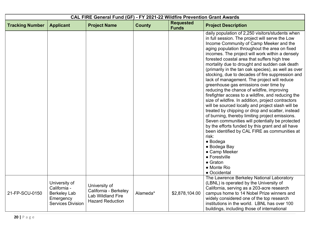| CAL FIRE General Fund (GF) - FY 2021-22 Wildfire Prevention Grant Awards |                                                                                               |                                                                                               |               |                                  |                                                                                                                                                                                                                                                                                                                                                                                                                                                                                                                                                                                                                                                                                                                                                                                                                                                                                                                                                                                                                                                                                                                                                                        |  |
|--------------------------------------------------------------------------|-----------------------------------------------------------------------------------------------|-----------------------------------------------------------------------------------------------|---------------|----------------------------------|------------------------------------------------------------------------------------------------------------------------------------------------------------------------------------------------------------------------------------------------------------------------------------------------------------------------------------------------------------------------------------------------------------------------------------------------------------------------------------------------------------------------------------------------------------------------------------------------------------------------------------------------------------------------------------------------------------------------------------------------------------------------------------------------------------------------------------------------------------------------------------------------------------------------------------------------------------------------------------------------------------------------------------------------------------------------------------------------------------------------------------------------------------------------|--|
| <b>Tracking Number</b>                                                   | <b>Applicant</b>                                                                              | <b>Project Name</b>                                                                           | <b>County</b> | <b>Requested</b><br><b>Funds</b> | <b>Project Description</b>                                                                                                                                                                                                                                                                                                                                                                                                                                                                                                                                                                                                                                                                                                                                                                                                                                                                                                                                                                                                                                                                                                                                             |  |
|                                                                          |                                                                                               |                                                                                               |               |                                  | daily population of 2,250 visitors/students when<br>in full session. The project will serve the Low<br>Income Community of Camp Meeker and the<br>aging population throughout the area on fixed<br>incomes. The project will work within a densely<br>forested coastal area that suffers high tree<br>mortality due to drought and sudden oak death<br>(primarily in the tan oak species), as well as over<br>stocking, due to decades of fire suppression and<br>lack of management. The project will reduce<br>greenhouse gas emissions over time by<br>reducing the chance of wildfire, improving<br>firefighter access to a wildfire, and reducing the<br>size of wildfire. In addition, project contractors<br>will be sourced locally and project slash will be<br>treated by chipping or drop and scatter, instead<br>of burning, thereby limiting project emissions.<br>Seven communities will potentially be protected<br>by the efforts funded by this grant and all have<br>been identified by CAL FIRE as communities at<br>risk:<br>$\bullet$ Bodega<br>• Bodega Bay<br>• Camp Meeker<br>• Forestville<br>$\bullet$ Graton<br>• Monte Rio<br>• Occidental |  |
| 21-FP-SCU-0150                                                           | University of<br>California -<br><b>Berkeley Lab</b><br>Emergency<br><b>Services Division</b> | University of<br>California - Berkeley<br><b>Lab Wildland Fire</b><br><b>Hazard Reduction</b> | Alameda*      | \$2,878,104.00                   | The Lawrence Berkeley National Laboratory<br>(LBNL) is operated by the University of<br>California, serving as a 203-acre research<br>campus home to 14 Nobel Prize winners and<br>widely considered one of the top research<br>institutions in the world. LBNL has over 100<br>buildings, including those of international                                                                                                                                                                                                                                                                                                                                                                                                                                                                                                                                                                                                                                                                                                                                                                                                                                            |  |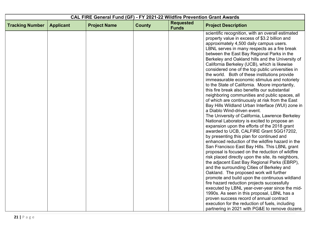| <b>Requested</b><br><b>Tracking Number</b><br><b>Applicant</b><br><b>Project Name</b><br><b>County</b><br><b>Project Description</b><br><b>Funds</b><br>property value in excess of \$3.2 billion and<br>approximately 4,500 daily campus users.<br>between the East Bay Regional Parks in the<br>California Berkeley (UCB), which is likewise<br>this fire break also benefits our substantial<br>a Diablo Wind-driven event.<br>by presenting this plan for continued and<br>and the surrounding Cities of Berkeley and<br>Oakland. The proposed work will further<br>fire hazard reduction projects successfully<br>executed by LBNL year-over-year since the mid-<br>proven success record of annual contract | CAL FIRE General Fund (GF) - FY 2021-22 Wildfire Prevention Grant Awards |  |  |  |                                                                                                                                                                                                                                                                                                                                                                                                                                                                                                                                                                                                                                                                                                                                                                                                                                                                                                                                                                                                                                      |  |
|-------------------------------------------------------------------------------------------------------------------------------------------------------------------------------------------------------------------------------------------------------------------------------------------------------------------------------------------------------------------------------------------------------------------------------------------------------------------------------------------------------------------------------------------------------------------------------------------------------------------------------------------------------------------------------------------------------------------|--------------------------------------------------------------------------|--|--|--|--------------------------------------------------------------------------------------------------------------------------------------------------------------------------------------------------------------------------------------------------------------------------------------------------------------------------------------------------------------------------------------------------------------------------------------------------------------------------------------------------------------------------------------------------------------------------------------------------------------------------------------------------------------------------------------------------------------------------------------------------------------------------------------------------------------------------------------------------------------------------------------------------------------------------------------------------------------------------------------------------------------------------------------|--|
|                                                                                                                                                                                                                                                                                                                                                                                                                                                                                                                                                                                                                                                                                                                   |                                                                          |  |  |  |                                                                                                                                                                                                                                                                                                                                                                                                                                                                                                                                                                                                                                                                                                                                                                                                                                                                                                                                                                                                                                      |  |
|                                                                                                                                                                                                                                                                                                                                                                                                                                                                                                                                                                                                                                                                                                                   |                                                                          |  |  |  | scientific recognition, with an overall estimated<br>LBNL serves in many respects as a fire break<br>Berkeley and Oakland hills and the University of<br>considered one of the top public universities in<br>the world. Both of these institutions provide<br>immeasurable economic stimulus and notoriety<br>to the State of California. Moore importantly,<br>neighboring communities and public spaces, all<br>of which are continuously at risk from the East<br>Bay Hills Wildland Urban Interface (WUI) zone in<br>The University of California, Lawrence Berkeley<br>National Laboratory is excited to propose an<br>expansion upon the efforts of the 2018 grant<br>awarded to UCB, CALFIRE Grant 5GG17202,<br>enhanced reduction of the wildfire hazard in the<br>San Francisco East Bay Hills. This LBNL grant<br>proposal is focused on the reduction of wildfire<br>risk placed directly upon the site, its neighbors,<br>the adjacent East Bay Regional Parks (EBRP),<br>promote and build upon the continuous wildland |  |
|                                                                                                                                                                                                                                                                                                                                                                                                                                                                                                                                                                                                                                                                                                                   |                                                                          |  |  |  | 1990s. As seen in this proposal, LBNL has a<br>execution for the reduction of fuels, including<br>partnering in 2021 with PG&E to remove dozens                                                                                                                                                                                                                                                                                                                                                                                                                                                                                                                                                                                                                                                                                                                                                                                                                                                                                      |  |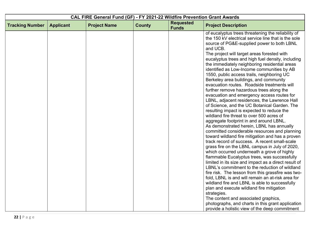|                        | CAL FIRE General Fund (GF) - FY 2021-22 Wildfire Prevention Grant Awards |                     |               |                                  |                                                                                                                                                                                                                                                                                                                                                                                                                                                                                                                                                                                                                                                                                                                                                                                                                                                                                                                                                                                                                                                                                                                                                                                                                                                                                                                                                                   |  |
|------------------------|--------------------------------------------------------------------------|---------------------|---------------|----------------------------------|-------------------------------------------------------------------------------------------------------------------------------------------------------------------------------------------------------------------------------------------------------------------------------------------------------------------------------------------------------------------------------------------------------------------------------------------------------------------------------------------------------------------------------------------------------------------------------------------------------------------------------------------------------------------------------------------------------------------------------------------------------------------------------------------------------------------------------------------------------------------------------------------------------------------------------------------------------------------------------------------------------------------------------------------------------------------------------------------------------------------------------------------------------------------------------------------------------------------------------------------------------------------------------------------------------------------------------------------------------------------|--|
| <b>Tracking Number</b> | <b>Applicant</b>                                                         | <b>Project Name</b> | <b>County</b> | <b>Requested</b><br><b>Funds</b> | <b>Project Description</b>                                                                                                                                                                                                                                                                                                                                                                                                                                                                                                                                                                                                                                                                                                                                                                                                                                                                                                                                                                                                                                                                                                                                                                                                                                                                                                                                        |  |
|                        |                                                                          |                     |               |                                  | of eucalyptus trees threatening the reliability of<br>the 150 kV electrical service line that is the sole<br>source of PG&E-supplied power to both LBNL<br>and UCB.<br>The project will target areas forested with<br>eucalyptus trees and high fuel density, including<br>the immediately neighboring residential areas<br>identified as Low-Income communities by AB<br>1550, public access trails, neighboring UC<br>Berkeley area buildings, and community<br>evacuation routes. Roadside treatments will<br>further remove hazardous trees along the<br>evacuation and emergency access routes for<br>LBNL, adjacent residences, the Lawrence Hall<br>of Science, and the UC Botanical Garden. The<br>resulting impact is expected to reduce the<br>wildland fire threat to over 500 acres of<br>aggregate footprint in and around LBNL.<br>As demonstrated herein, LBNL has annually<br>committed considerable resources and planning<br>toward wildland fire mitigation and has a proven<br>track record of success. A recent small-scale<br>grass fire on the LBNL campus in July of 2020,<br>which occurred underneath a grove of highly<br>flammable Eucalyptus trees, was successfully<br>limited in its size and impact as a direct result of<br>LBNL's commitment to the reduction of wildland<br>fire risk. The lesson from this grassfire was two- |  |
|                        |                                                                          |                     |               |                                  | fold, LBNL is and will remain an at-risk area for<br>wildland fire and LBNL is able to successfully                                                                                                                                                                                                                                                                                                                                                                                                                                                                                                                                                                                                                                                                                                                                                                                                                                                                                                                                                                                                                                                                                                                                                                                                                                                               |  |
|                        |                                                                          |                     |               |                                  | plan and execute wildland fire mitigation<br>strategies.                                                                                                                                                                                                                                                                                                                                                                                                                                                                                                                                                                                                                                                                                                                                                                                                                                                                                                                                                                                                                                                                                                                                                                                                                                                                                                          |  |
|                        |                                                                          |                     |               |                                  | The content and associated graphics,<br>photographs, and charts in this grant application<br>provide a holistic view of the deep commitment                                                                                                                                                                                                                                                                                                                                                                                                                                                                                                                                                                                                                                                                                                                                                                                                                                                                                                                                                                                                                                                                                                                                                                                                                       |  |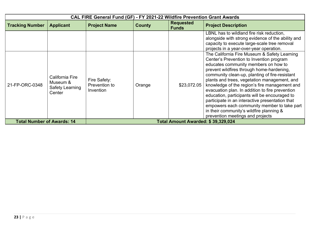|                                   |                                                          | CAL FIRE General Fund (GF) - FY 2021-22 Wildfire Prevention Grant Awards |               |                                    |                                                                                                                                                                                                                                                                                                                                                                                                                                                                                                                                                                                                                        |
|-----------------------------------|----------------------------------------------------------|--------------------------------------------------------------------------|---------------|------------------------------------|------------------------------------------------------------------------------------------------------------------------------------------------------------------------------------------------------------------------------------------------------------------------------------------------------------------------------------------------------------------------------------------------------------------------------------------------------------------------------------------------------------------------------------------------------------------------------------------------------------------------|
| <b>Tracking Number</b>            | <b>Applicant</b>                                         | <b>Project Name</b>                                                      | <b>County</b> | <b>Requested</b><br><b>Funds</b>   | <b>Project Description</b>                                                                                                                                                                                                                                                                                                                                                                                                                                                                                                                                                                                             |
|                                   |                                                          |                                                                          |               |                                    | LBNL has to wildland fire risk reduction,<br>alongside with strong evidence of the ability and<br>capacity to execute large-scale tree removal<br>projects in a year-over-year operation.                                                                                                                                                                                                                                                                                                                                                                                                                              |
| 21-FP-ORC-0348                    | California Fire<br>Museum &<br>Safety Learning<br>Center | Fire Safety:<br>Prevention to<br>Invention                               | Orange        | \$23,072.05                        | The California Fire Museum & Safety Learning<br>Center's Prevention to Invention program<br>educates community members on how to<br>prevent wildfires through home-hardening,<br>community clean-up, planting of fire-resistant<br>plants and trees, vegetation management, and<br>knowledge of the region's fire management and<br>evacuation plan. In addition to fire prevention<br>education, participants will be encouraged to<br>participate in an interactive presentation that<br>empowers each community member to take part<br>in their community's wildfire planning &<br>prevention meetings and projects |
| <b>Total Number of Awards: 14</b> |                                                          |                                                                          |               | Total Amount Awarded: \$39,329,024 |                                                                                                                                                                                                                                                                                                                                                                                                                                                                                                                                                                                                                        |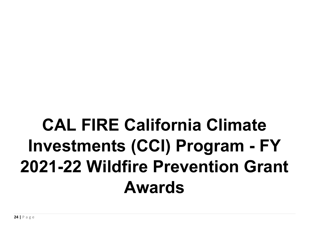## **CAL FIRE California Climate Investments (CCI) Program - FY 2021-22 Wildfire Prevention Grant Awards**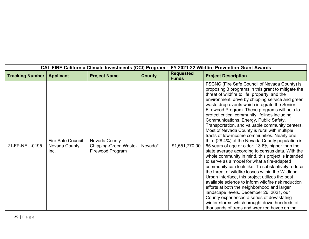| FY 2021-22 Wildfire Prevention Grant Awards<br><b>CAL FIRE California Climate Investments (CCI) Program -</b> |                                                    |                                                            |               |                                  |                                                                                                                                                                                                                                                                                                                                                                                                                                                                                                                                                                                                                                                                                                                                                                                                                                                                                                                                                                                                                                                                                                                                                                                                                                                                                    |  |
|---------------------------------------------------------------------------------------------------------------|----------------------------------------------------|------------------------------------------------------------|---------------|----------------------------------|------------------------------------------------------------------------------------------------------------------------------------------------------------------------------------------------------------------------------------------------------------------------------------------------------------------------------------------------------------------------------------------------------------------------------------------------------------------------------------------------------------------------------------------------------------------------------------------------------------------------------------------------------------------------------------------------------------------------------------------------------------------------------------------------------------------------------------------------------------------------------------------------------------------------------------------------------------------------------------------------------------------------------------------------------------------------------------------------------------------------------------------------------------------------------------------------------------------------------------------------------------------------------------|--|
| <b>Tracking Number</b>                                                                                        | <b>Applicant</b>                                   | <b>Project Name</b>                                        | <b>County</b> | <b>Requested</b><br><b>Funds</b> | <b>Project Description</b>                                                                                                                                                                                                                                                                                                                                                                                                                                                                                                                                                                                                                                                                                                                                                                                                                                                                                                                                                                                                                                                                                                                                                                                                                                                         |  |
| 21-FP-NEU-0195                                                                                                | <b>Fire Safe Council</b><br>Nevada County,<br>Inc. | Nevada County<br>Chipping-Green Waste-<br>Firewood Program | Nevada*       | \$1,551,770.00                   | FSCNC (Fire Safe Council of Nevada County) is<br>proposing 3 programs in this grant to mitigate the<br>threat of wildfire to life, property, and the<br>environment: drive by chipping service and green<br>waste drop events which integrate the Senior<br>Firewood Program. These programs will help to<br>protect critical community lifelines including<br>Communications, Energy, Public Safety,<br>Transportation, and valuable community centers.<br>Most of Nevada County is rural with multiple<br>tracts of low-income communities. Nearly one<br>third (28.4%) of the Nevada County population is<br>65 years of age or older; 13.6% higher than the<br>state average according to census data. With the<br>whole community in mind, this project is intended<br>to serve as a model for what a fire-adapted<br>community can look like. To substantively reduce<br>the threat of wildfire losses within the Wildland<br>Urban Interface, this project utilizes the best<br>available science to inform wildfire risk reduction<br>efforts at both the neighborhood and larger<br>landscape levels. December 26, 2021, our<br>County experienced a series of devastating<br>winter storms which brought down hundreds of<br>thousands of trees and wreaked havoc on the |  |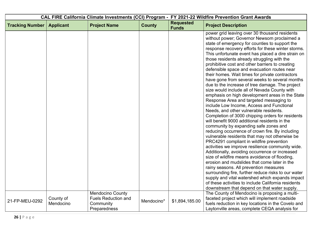| CAL FIRE California Climate Investments (CCI) Program - FY 2021-22 Wildfire Prevention Grant Awards |                  |                                                       |               |                                  |                                                                                                                                                                                                                                                                                                                                                                                                                                                                                                                                                                                                                                                                                                                                                                                                                                                                                                                                                                                                                                                                                                                                                                                                                                                                                                                                                                                                                 |
|-----------------------------------------------------------------------------------------------------|------------------|-------------------------------------------------------|---------------|----------------------------------|-----------------------------------------------------------------------------------------------------------------------------------------------------------------------------------------------------------------------------------------------------------------------------------------------------------------------------------------------------------------------------------------------------------------------------------------------------------------------------------------------------------------------------------------------------------------------------------------------------------------------------------------------------------------------------------------------------------------------------------------------------------------------------------------------------------------------------------------------------------------------------------------------------------------------------------------------------------------------------------------------------------------------------------------------------------------------------------------------------------------------------------------------------------------------------------------------------------------------------------------------------------------------------------------------------------------------------------------------------------------------------------------------------------------|
| <b>Tracking Number</b>                                                                              | <b>Applicant</b> | <b>Project Name</b>                                   | <b>County</b> | <b>Requested</b><br><b>Funds</b> | <b>Project Description</b>                                                                                                                                                                                                                                                                                                                                                                                                                                                                                                                                                                                                                                                                                                                                                                                                                                                                                                                                                                                                                                                                                                                                                                                                                                                                                                                                                                                      |
|                                                                                                     |                  |                                                       |               |                                  | power grid leaving over 30 thousand residents<br>without power; Governor Newsom proclaimed a<br>state of emergency for counties to support the<br>response recovery efforts for these winter storms.<br>This unfortunate event has placed a dire strain on<br>those residents already struggling with the<br>prohibitive cost and other barriers to creating<br>defensible space and evacuation routes near<br>their homes. Wait times for private contractors<br>have gone from several weeks to several months<br>due to the increase of tree damage. The project<br>size would include all of Nevada County with<br>emphasis on high development areas in the State<br>Response Area and targeted messaging to<br>include Low Income, Access and Functional<br>Needs, and other vulnerable residents.<br>Completion of 3000 chipping orders for residents<br>will benefit 9000 additional residents in the<br>community by expanding safe zones and<br>reducing occurrence of crown fire. By including<br>vulnerable residents that may not otherwise be<br>PRC4291 compliant in wildfire prevention<br>activities we improve resilience community wide.<br>Additionally, avoiding occurrence or increased<br>size of wildfire means avoidance of flooding,<br>erosion and mudslides that come later in the<br>rainy seasons. All prevention measures<br>surrounding fire, further reduce risks to our water |
|                                                                                                     |                  |                                                       |               |                                  | supply and vital watershed which expands impact<br>of these activities to include California residents<br>downstream that depend on that water supply.                                                                                                                                                                                                                                                                                                                                                                                                                                                                                                                                                                                                                                                                                                                                                                                                                                                                                                                                                                                                                                                                                                                                                                                                                                                          |
|                                                                                                     | County of        | <b>Mendocino County</b><br><b>Fuels Reduction and</b> |               |                                  | The County of Mendocino is proposing a multi-<br>faceted project which will implement roadside                                                                                                                                                                                                                                                                                                                                                                                                                                                                                                                                                                                                                                                                                                                                                                                                                                                                                                                                                                                                                                                                                                                                                                                                                                                                                                                  |
| 21-FP-MEU-0292                                                                                      | Mendocino        | Community<br>Preparedness                             | Mendocino*    | \$1,894,185.00                   | fuels reduction in key locations in the Covelo and<br>Laytonville areas, complete CEQA analysis for                                                                                                                                                                                                                                                                                                                                                                                                                                                                                                                                                                                                                                                                                                                                                                                                                                                                                                                                                                                                                                                                                                                                                                                                                                                                                                             |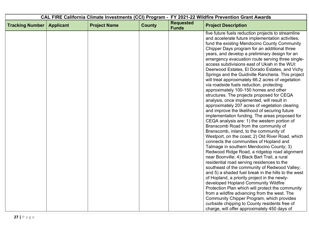| <b>Requested</b><br><b>Tracking Number</b><br><b>Project Name</b><br><b>County</b><br><b>Applicant</b><br><b>Project Description</b><br><b>Funds</b><br>via roadside fuels reduction, protecting<br>approximately 100-150 homes and other<br>analysis, once implemented, will result in<br>Branscomb Road from the community of<br>Branscomb, inland, to the community of |                                                                                                                                                                                                                                                                                                                                                                                                                                                                                                                                                                                                                                                                                                                                                                                                                                                                                                                                                                                            | CAL FIRE California Climate Investments (CCI) Program - FY 2021-22 Wildfire Prevention Grant Awards |  |  |  |
|---------------------------------------------------------------------------------------------------------------------------------------------------------------------------------------------------------------------------------------------------------------------------------------------------------------------------------------------------------------------------|--------------------------------------------------------------------------------------------------------------------------------------------------------------------------------------------------------------------------------------------------------------------------------------------------------------------------------------------------------------------------------------------------------------------------------------------------------------------------------------------------------------------------------------------------------------------------------------------------------------------------------------------------------------------------------------------------------------------------------------------------------------------------------------------------------------------------------------------------------------------------------------------------------------------------------------------------------------------------------------------|-----------------------------------------------------------------------------------------------------|--|--|--|
|                                                                                                                                                                                                                                                                                                                                                                           |                                                                                                                                                                                                                                                                                                                                                                                                                                                                                                                                                                                                                                                                                                                                                                                                                                                                                                                                                                                            |                                                                                                     |  |  |  |
| connects the communities of Hopland and<br>Talmage in southern Mendocino County; 3)<br>near Boonville; 4) Black Bart Trail, a rural<br>residential road serving residences to the<br>of Hopland, a priority project in the newly-<br>developed Hopland Community Wildfire                                                                                                 | five future fuels reduction projects to streamline<br>and accelerate future implementation activities,<br>fund the existing Mendocino County Community<br>Chipper Days program for an additional three<br>years, and develop a preliminary design for an<br>emergency evacuation route serving three single-<br>access subdivisions east of Ukiah in the WUI:<br>Deerwood Estates, El Dorado Estates, and Vichy<br>Springs and the Guidiville Rancheria. This project<br>will treat approximately 66.2 acres of vegetation<br>structures. The projects proposed for CEQA<br>approximately 207 acres of vegetation clearing<br>and improve the likelihood of securing future<br>implementation funding. The areas proposed for<br>CEQA analysis are: 1) the western portion of<br>Westport, on the coast; 2) Old River Road, which<br>Redwood Ridge Road, a ridgetop road alignment<br>southeast of the community of Redwood Valley;<br>and 5) a shaded fuel break in the hills to the west |                                                                                                     |  |  |  |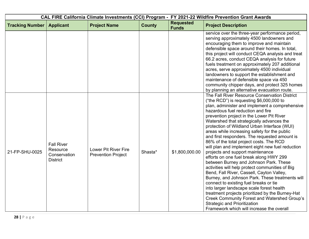| CAL FIRE California Climate Investments (CCI) Program - FY 2021-22 Wildfire Prevention Grant Awards |                                                                  |                                                   |               |                                  |                                                                                                                                                                                                                                                                                                                                                                                                                                                                                                                                                                                                                                                                                                                                                                                                                                                                                                                                                                                                                                                                                               |  |
|-----------------------------------------------------------------------------------------------------|------------------------------------------------------------------|---------------------------------------------------|---------------|----------------------------------|-----------------------------------------------------------------------------------------------------------------------------------------------------------------------------------------------------------------------------------------------------------------------------------------------------------------------------------------------------------------------------------------------------------------------------------------------------------------------------------------------------------------------------------------------------------------------------------------------------------------------------------------------------------------------------------------------------------------------------------------------------------------------------------------------------------------------------------------------------------------------------------------------------------------------------------------------------------------------------------------------------------------------------------------------------------------------------------------------|--|
| <b>Tracking Number</b>                                                                              | <b>Applicant</b>                                                 | <b>Project Name</b>                               | <b>County</b> | <b>Requested</b><br><b>Funds</b> | <b>Project Description</b>                                                                                                                                                                                                                                                                                                                                                                                                                                                                                                                                                                                                                                                                                                                                                                                                                                                                                                                                                                                                                                                                    |  |
|                                                                                                     |                                                                  |                                                   |               |                                  | service over the three-year performance period,<br>serving approximately 4500 landowners and<br>encouraging them to improve and maintain<br>defensible space around their homes. In total,<br>this project will conduct CEQA analysis and treat<br>66.2 acres, conduct CEQA analysis for future<br>fuels treatment on approximately 207 additional<br>acres, serve approximately 4500 individual<br>landowners to support the establishment and<br>maintenance of defensible space via 450<br>community chipper days, and protect 325 homes<br>by planning an alternative evacuation route.                                                                                                                                                                                                                                                                                                                                                                                                                                                                                                   |  |
| 21-FP-SHU-0025                                                                                      | <b>Fall River</b><br>Resource<br>Conservation<br><b>District</b> | Lower Pit River Fire<br><b>Prevention Project</b> | Shasta*       | \$1,800,000.00                   | The Fall River Resource Conservation District<br>("the RCD") is requesting $$6,000,000$ to<br>plan, administer and implement a comprehensive<br>hazardous fuel reduction and fire<br>prevention project in the Lower Pit River<br>Watershed that strategically advances the<br>protection of Wildland Urban Interface (WUI)<br>areas while increasing safety for the public<br>and first responders. The requested amount is<br>86% of the total project costs. The RCD<br>will plan and implement eight new fuel reduction<br>projects and support maintenance<br>efforts on one fuel break along HWY 299<br>between Burney and Johnson Park. These<br>activities will help protect communities of Big<br>Bend, Fall River, Cassell, Cayton Valley,<br>Burney, and Johnson Park. These treatments will<br>connect to existing fuel breaks or tie<br>into larger landscape scale forest health<br>treatment projects prioritized by the Burney-Hat<br><b>Creek Community Forest and Watershed Group's</b><br><b>Strategic and Prioritization</b><br>Framework which will increase the overall |  |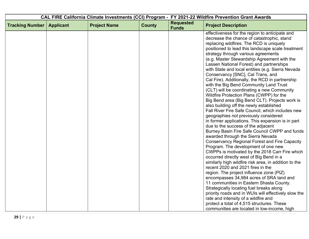| <b>Requested</b><br><b>County</b><br><b>Tracking Number</b><br><b>Applicant</b><br><b>Project Name</b><br><b>Project Description</b><br><b>Funds</b>                                                                                                                                                                                                                                                                                                                                                                                                                                                                                                                                                                                                                                                                                                                                                                                                                                                                                                                                                                                                                                                                                                                                                                                                                                                                                                                                                                          |
|-------------------------------------------------------------------------------------------------------------------------------------------------------------------------------------------------------------------------------------------------------------------------------------------------------------------------------------------------------------------------------------------------------------------------------------------------------------------------------------------------------------------------------------------------------------------------------------------------------------------------------------------------------------------------------------------------------------------------------------------------------------------------------------------------------------------------------------------------------------------------------------------------------------------------------------------------------------------------------------------------------------------------------------------------------------------------------------------------------------------------------------------------------------------------------------------------------------------------------------------------------------------------------------------------------------------------------------------------------------------------------------------------------------------------------------------------------------------------------------------------------------------------------|
|                                                                                                                                                                                                                                                                                                                                                                                                                                                                                                                                                                                                                                                                                                                                                                                                                                                                                                                                                                                                                                                                                                                                                                                                                                                                                                                                                                                                                                                                                                                               |
| effectiveness for the region to anticipate and<br>decrease the chance of catastrophic, stand<br>replacing wildfires. The RCD is uniquely<br>positioned to lead this landscape scale treatment<br>strategy through various agreements<br>(e.g. Master Stewardship Agreement with the<br>Lassen National Forest) and partnerships<br>with State and local entities (e.g. Sierra Nevada<br>Conservancy [SNC], Cal Trans, and<br>Cal Fire). Additionally, the RCD in partnership<br>with the Big Bend Community Land Trust<br>(CLT) will be coordinating a new Community<br>Wildfire Protection Plans (CWPP) for the<br>Big Bend area (Big Bend CLT). Projects work is<br>also building off the newly established<br>Fall River Fire Safe Council, which includes new<br>geographies not previously considered<br>in former applications. This expansion is in part<br>due to the success of the adjacent<br>Burney Basin Fire Safe Council CWPP and funds<br>awarded through the Sierra Nevada<br><b>Conservancy Regional Forest and Fire Capacity</b><br>Program. The development of one new<br>CWPPs is motivated by the 2018 Carr Fire which<br>occurred directly west of Big Bend in a<br>similarly high wildfire risk area, in addition to the<br>recent 2020 and 2021 fires in the<br>region. The project influence zone (PIZ)<br>encompasses 34,984 acres of SRA land and<br>11 communities in Eastern Shasta County.<br>Strategically locating fuel breaks along<br>priority roads and in WUIs will effectively slow the |
| rate and intensity of a wildfire and<br>protect a total of 4,515 structures. These<br>communities are located in low-income, high                                                                                                                                                                                                                                                                                                                                                                                                                                                                                                                                                                                                                                                                                                                                                                                                                                                                                                                                                                                                                                                                                                                                                                                                                                                                                                                                                                                             |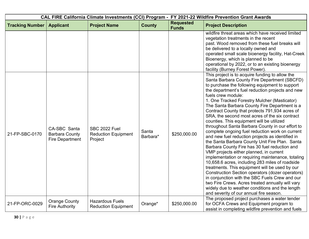|                        |                                                                 |                                                               |                   | CAL FIRE California Climate Investments (CCI) Program - FY 2021-22 Wildfire Prevention Grant Awards |                                                                                                                                                                                                                                                                                                                                                                                                                                                                                                                                                                                                                                                                                                                                                                                                                                                                                                                                                                                                                                                                                                                                                                                                          |
|------------------------|-----------------------------------------------------------------|---------------------------------------------------------------|-------------------|-----------------------------------------------------------------------------------------------------|----------------------------------------------------------------------------------------------------------------------------------------------------------------------------------------------------------------------------------------------------------------------------------------------------------------------------------------------------------------------------------------------------------------------------------------------------------------------------------------------------------------------------------------------------------------------------------------------------------------------------------------------------------------------------------------------------------------------------------------------------------------------------------------------------------------------------------------------------------------------------------------------------------------------------------------------------------------------------------------------------------------------------------------------------------------------------------------------------------------------------------------------------------------------------------------------------------|
| <b>Tracking Number</b> | <b>Applicant</b>                                                | <b>Project Name</b>                                           | <b>County</b>     | <b>Requested</b><br><b>Funds</b>                                                                    | <b>Project Description</b>                                                                                                                                                                                                                                                                                                                                                                                                                                                                                                                                                                                                                                                                                                                                                                                                                                                                                                                                                                                                                                                                                                                                                                               |
|                        |                                                                 |                                                               |                   |                                                                                                     | wildfire threat areas which have received limited<br>vegetation treatments in the recent<br>past. Wood removed from these fuel breaks will<br>be delivered to a locally owned and<br>operated small scale bioenergy facility, Hat-Creek<br>Bioenergy, which is planned to be<br>operational by 2022, or to an existing bioenergy<br>facility (Burney Forest Power).                                                                                                                                                                                                                                                                                                                                                                                                                                                                                                                                                                                                                                                                                                                                                                                                                                      |
| 21-FP-SBC-0170         | CA-SBC Santa<br><b>Barbara County</b><br><b>Fire Department</b> | <b>SBC 2022 Fuel</b><br><b>Reduction Equipment</b><br>Project | Santa<br>Barbara* | \$250,000.00                                                                                        | This project is to acquire funding to allow the<br>Santa Barbara County Fire Department (SBCFD)<br>to purchase the following equipment to support<br>the department's fuel reduction projects and new<br>fuels crew module:<br>1. One Tracked Forestry Mulcher (Masticator)<br>The Santa Barbara County Fire Department is a<br>Contract County that protects 791,934 acres of<br>SRA, the second most acres of the six contract<br>counties. This equipment will be utilized<br>throughout Santa Barbara County in our effort to<br>complete ongoing fuel reduction work on current<br>and new fuel reduction projects as identified in<br>the Santa Barbara County Unit Fire Plan. Santa<br>Barbara County Fire has 30 fuel reduction and<br>VMP projects either planned, in current<br>implementation or requiring maintenance, totaling<br>10,658.6 acres, including 283 miles of roadside<br>treatments. This equipment will be used by our<br>Construction Section operators (dozer operators)<br>in conjunction with the SBC Fuels Crew and our<br>two Fire Crews. Acres treated annually will vary<br>widely due to weather conditions and the length<br>and severity of our annual fire season. |
| 21-FP-ORC-0029         | <b>Orange County</b><br><b>Fire Authority</b>                   | <b>Hazardous Fuels</b><br><b>Reduction Equipment</b>          | Orange*           | \$250,000.00                                                                                        | The proposed project purchases a water tender<br>for OCFA Crews and Equipment program to<br>assist in completing wildfire prevention and fuels                                                                                                                                                                                                                                                                                                                                                                                                                                                                                                                                                                                                                                                                                                                                                                                                                                                                                                                                                                                                                                                           |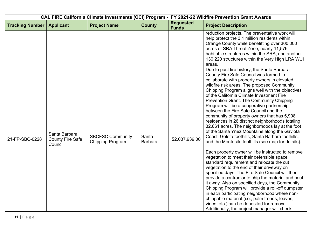| CAL FIRE California Climate Investments (CCI) Program - FY 2021-22 Wildfire Prevention Grant Awards |                                                     |                                                    |                         |                                  |                                                                                                                                                                                                                                                                                                                                                                                                                                                                                                                                                                                                                                                                                                                                                                                                                                                                                                                                                                                                                                                                                                                                                                                                                                                                                                                                                        |
|-----------------------------------------------------------------------------------------------------|-----------------------------------------------------|----------------------------------------------------|-------------------------|----------------------------------|--------------------------------------------------------------------------------------------------------------------------------------------------------------------------------------------------------------------------------------------------------------------------------------------------------------------------------------------------------------------------------------------------------------------------------------------------------------------------------------------------------------------------------------------------------------------------------------------------------------------------------------------------------------------------------------------------------------------------------------------------------------------------------------------------------------------------------------------------------------------------------------------------------------------------------------------------------------------------------------------------------------------------------------------------------------------------------------------------------------------------------------------------------------------------------------------------------------------------------------------------------------------------------------------------------------------------------------------------------|
| <b>Tracking Number</b>                                                                              | <b>Applicant</b>                                    | <b>Project Name</b>                                | <b>County</b>           | <b>Requested</b><br><b>Funds</b> | <b>Project Description</b>                                                                                                                                                                                                                                                                                                                                                                                                                                                                                                                                                                                                                                                                                                                                                                                                                                                                                                                                                                                                                                                                                                                                                                                                                                                                                                                             |
|                                                                                                     |                                                     |                                                    |                         |                                  | reduction projects. The preventative work will<br>help protect the 3.1 million residents within<br>Orange County while benefitting over 300,000<br>acres of SRA Threat Zone, nearly 11,576<br>habitable structures within the SRA, and another<br>130,220 structures within the Very High LRA WUI<br>areas.                                                                                                                                                                                                                                                                                                                                                                                                                                                                                                                                                                                                                                                                                                                                                                                                                                                                                                                                                                                                                                            |
| 21-FP-SBC-0228                                                                                      | Santa Barbara<br><b>County Fire Safe</b><br>Council | <b>SBCFSC Community</b><br><b>Chipping Program</b> | Santa<br><b>Barbara</b> | \$2,037,939.00                   | Due to past fire history, the Santa Barbara<br>County Fire Safe Council was formed to<br>collaborate with property owners in elevated<br>wildfire risk areas. The proposed Community<br>Chipping Program aligns well with the objectives<br>of the California Climate Investment Fire<br>Prevention Grant. The Community Chipping<br>Program will be a cooperative partnership<br>between the Fire Safe Council and the<br>community of property owners that has 5,908<br>residences in 26 distinct neighborhoods totaling<br>32,661 acres. The neighborhoods lay at the foot<br>of the Santa Ynez Mountains along the Gaviota<br>Coast, Goleta foothills, Santa Barbara foothills,<br>and the Montecito foothills (see map for details).<br>Each property owner will be instructed to remove<br>vegetation to meet their defensible space<br>standard requirement and relocate the cut<br>vegetation to the end of their driveway on<br>specified days. The Fire Safe Council will then<br>provide a contractor to chip the material and haul<br>it away. Also on specified days, the Community<br>Chipping Program will provide a roll-off dumpster<br>in each participating neighborhood where non-<br>chippable material (i.e., palm fronds, leaves,<br>vines, etc.) can be deposited for removal.<br>Additionally, the project manager will check |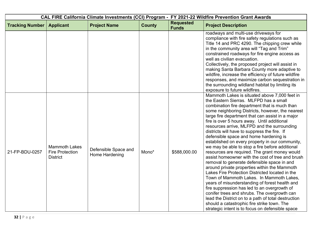|                        |                                                                   |                                        |               | CAL FIRE California Climate Investments (CCI) Program - FY 2021-22 Wildfire Prevention Grant Awards |                                                                                                                                                                                                                                                                                                                                                                                                                                                                                                                                                                                                                                                                                                                                                                                                                                                                                                                                                                                                                                                                                                                                                               |
|------------------------|-------------------------------------------------------------------|----------------------------------------|---------------|-----------------------------------------------------------------------------------------------------|---------------------------------------------------------------------------------------------------------------------------------------------------------------------------------------------------------------------------------------------------------------------------------------------------------------------------------------------------------------------------------------------------------------------------------------------------------------------------------------------------------------------------------------------------------------------------------------------------------------------------------------------------------------------------------------------------------------------------------------------------------------------------------------------------------------------------------------------------------------------------------------------------------------------------------------------------------------------------------------------------------------------------------------------------------------------------------------------------------------------------------------------------------------|
| <b>Tracking Number</b> | <b>Applicant</b>                                                  | <b>Project Name</b>                    | <b>County</b> | <b>Requested</b><br><b>Funds</b>                                                                    | <b>Project Description</b>                                                                                                                                                                                                                                                                                                                                                                                                                                                                                                                                                                                                                                                                                                                                                                                                                                                                                                                                                                                                                                                                                                                                    |
|                        |                                                                   |                                        |               |                                                                                                     | roadways and multi-use driveways for<br>compliance with fire safety regulations such as<br>Title 14 and PRC 4290. The chipping crew while<br>in the community area will "Tag and Trim"<br>constrained roadways for fire engine access as<br>well as civilian evacuation.<br>Collectively, the proposed project will assist in<br>making Santa Barbara County more adaptive to<br>wildfire, increase the efficiency of future wildfire<br>responses, and maximize carbon sequestration in<br>the surrounding wildland habitat by limiting its<br>exposure to future wildfires.                                                                                                                                                                                                                                                                                                                                                                                                                                                                                                                                                                                 |
| 21-FP-BDU-0257         | <b>Mammoth Lakes</b><br><b>Fire Protection</b><br><b>District</b> | Defensible Space and<br>Home Hardening | Mono*         | \$588,000.00                                                                                        | Mammoth Lakes is situated above 7,000 feet in<br>the Eastern Sierras. MLFPD has a small<br>combination fire department that is much than<br>some neighboring Districts, however, the nearest<br>large fire department that can assist in a major<br>fire is over 5 hours away. Until additional<br>resources arrive, MLFPD and the surrounding<br>districts will have to suppress the fire. If<br>defensible space and home hardening is<br>established on every property in our community,<br>we may be able to stop a fire before additional<br>resources are required. The grant money would<br>assist homeowner with the cost of tree and brush<br>removal to generate defensible space in and<br>around private properties within the Mammoth<br>Lakes Fire Protection Districted located in the<br>Town of Mammoth Lakes. In Mammoth Lakes,<br>years of misunderstanding of forest health and<br>fire suppression has led to an overgrowth of<br>conifer trees and shrubs. The overgrowth can<br>lead the District on to a path of total destruction<br>should a catastrophic fire strike town. The<br>strategic intent is to focus on defensible space |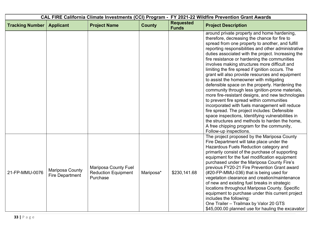|                        |                                           |                                                                       | CAL FIRE California Climate Investments (CCI) Program - FY 2021-22 Wildfire Prevention Grant Awards |                                  |                                                                                                                                                                                                                                                                                                                                                                                                                                                                                                                                                                                                                                                                                                                                                                                                                                                                                                                                                                                                            |
|------------------------|-------------------------------------------|-----------------------------------------------------------------------|-----------------------------------------------------------------------------------------------------|----------------------------------|------------------------------------------------------------------------------------------------------------------------------------------------------------------------------------------------------------------------------------------------------------------------------------------------------------------------------------------------------------------------------------------------------------------------------------------------------------------------------------------------------------------------------------------------------------------------------------------------------------------------------------------------------------------------------------------------------------------------------------------------------------------------------------------------------------------------------------------------------------------------------------------------------------------------------------------------------------------------------------------------------------|
| <b>Tracking Number</b> | <b>Applicant</b>                          | <b>Project Name</b>                                                   | <b>County</b>                                                                                       | <b>Requested</b><br><b>Funds</b> | <b>Project Description</b>                                                                                                                                                                                                                                                                                                                                                                                                                                                                                                                                                                                                                                                                                                                                                                                                                                                                                                                                                                                 |
|                        |                                           |                                                                       |                                                                                                     |                                  | around private property and home hardening,<br>therefore, decreasing the chance for fire to<br>spread from one property to another, and fulfill<br>reporting responsibilities and other administrative<br>duties associated with the project. Increasing the<br>fire resistance or hardening the communities<br>involves making structures more difficult and<br>limiting the fire spread if ignition occurs. The<br>grant will also provide resources and equipment<br>to assist the homeowner with mitigating<br>defensible space on the property. Hardening the<br>community through less ignition-prone materials,<br>more fire-resistant designs, and new technologies<br>to prevent fire spread within communities<br>incorporated with fuels management will reduce<br>fire spread. The project includes: Defensible<br>space inspections, Identifying vulnerabilities in<br>the structures and methods to harden the home,<br>A free chipping program for the community,<br>Follow-up inspections. |
| 21-FP-MMU-0076         | Mariposa County<br><b>Fire Department</b> | <b>Mariposa County Fuel</b><br><b>Reduction Equipment</b><br>Purchase | Mariposa*                                                                                           | \$230,141.68                     | The project proposed by the Mariposa County<br>Fire Department will take place under the<br>Hazardous Fuels Reduction category and<br>primarily consist of the purchase of supporting<br>equipment for the fuel modification equipment<br>purchased under the Mariposa County Fire's<br>previous FY20-21 Fire Prevention Grant award<br>(#20-FP-MMU-036) that is being used for<br>vegetation clearance and creation/maintenance<br>of new and existing fuel breaks in strategic<br>locations throughout Mariposa County. Specific<br>equipment to purchase under this current project<br>includes the following:<br>One Trailer - Trailmax by Valor 20 GTS<br>\$45,000.00 planned use for hauling the excavator                                                                                                                                                                                                                                                                                           |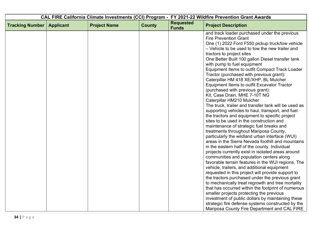| CAL FIRE California Climate Investments (CCI) Program - FY 2021-22 Wildfire Prevention Grant Awards                                                  |  |  |  |
|------------------------------------------------------------------------------------------------------------------------------------------------------|--|--|--|
| <b>Requested</b><br><b>County</b><br><b>Tracking Number</b><br><b>Project Name</b><br><b>Project Description</b><br><b>Applicant</b><br><b>Funds</b> |  |  |  |
| and track loader purchased under the previous<br><b>Fire Prevention Grant</b>                                                                        |  |  |  |
| One (1) 2022 Ford F550 pickup truck/tow vehicle                                                                                                      |  |  |  |
| - Vehicle to be used to tow the new trailer and                                                                                                      |  |  |  |
| tractors to project sites                                                                                                                            |  |  |  |
| One Better Built 100 gallon Diesel transfer tank                                                                                                     |  |  |  |
| with pump to fuel equipment                                                                                                                          |  |  |  |
| Equipment Items to outfit Compact Track Loader                                                                                                       |  |  |  |
| Tractor (purchased with previous grant):<br>Caterpillar HM 418 XE/XHP, BL Mulcher                                                                    |  |  |  |
| Equipment Items to outfit Excavator Tractor                                                                                                          |  |  |  |
| (purchased with previous grant):                                                                                                                     |  |  |  |
| Kit, Case Drain, MHE 7-10T NG                                                                                                                        |  |  |  |
| Caterpillar HM210 Mulcher                                                                                                                            |  |  |  |
| The truck, trailer and transfer tank will be used as                                                                                                 |  |  |  |
| supporting vehicles to haul, transport, and fuel                                                                                                     |  |  |  |
| the tractors and equipment to specific project                                                                                                       |  |  |  |
| sites to be used in the construction and                                                                                                             |  |  |  |
| maintenance of strategic fuel breaks and                                                                                                             |  |  |  |
| treatments throughout Mariposa County,<br>particularly the wildland urban interface (WUI)                                                            |  |  |  |
| areas in the Sierra Nevada foothill and mountains                                                                                                    |  |  |  |
| in the eastern half of the county. Individual                                                                                                        |  |  |  |
| projects currently exist in isolated areas around                                                                                                    |  |  |  |
| communities and population centers along                                                                                                             |  |  |  |
| favorable terrain features in the WUI regions. The                                                                                                   |  |  |  |
| vehicle, trailers, and additional equipment                                                                                                          |  |  |  |
| requested in this project will provide support to                                                                                                    |  |  |  |
| the tractors purchased under the previous grant                                                                                                      |  |  |  |
| to mechanically treat regrowth and tree mortality                                                                                                    |  |  |  |
| that has occurred within the footprint of numerous                                                                                                   |  |  |  |
| smaller projects protecting the previous                                                                                                             |  |  |  |
| investment of public dollars by maintaining these                                                                                                    |  |  |  |
| strategic fire defense systems constructed by the<br>Mariposa County Fire Department and CAL FIRE                                                    |  |  |  |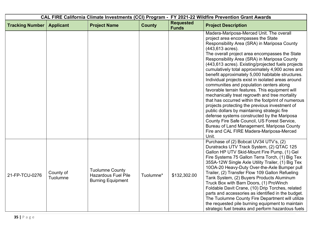| CAL FIRE California Climate Investments (CCI) Program - FY 2021-22 Wildfire Prevention Grant Awards |                       |                                                                                  |               |                                  |                                                                                                                                                                                                                                                                                                                                                                                                                                                                                                                                                                                                                                                                                                                                                                                                                                                                                                                                                                                      |
|-----------------------------------------------------------------------------------------------------|-----------------------|----------------------------------------------------------------------------------|---------------|----------------------------------|--------------------------------------------------------------------------------------------------------------------------------------------------------------------------------------------------------------------------------------------------------------------------------------------------------------------------------------------------------------------------------------------------------------------------------------------------------------------------------------------------------------------------------------------------------------------------------------------------------------------------------------------------------------------------------------------------------------------------------------------------------------------------------------------------------------------------------------------------------------------------------------------------------------------------------------------------------------------------------------|
| <b>Tracking Number</b>                                                                              | <b>Applicant</b>      | <b>Project Name</b>                                                              | <b>County</b> | <b>Requested</b><br><b>Funds</b> | <b>Project Description</b>                                                                                                                                                                                                                                                                                                                                                                                                                                                                                                                                                                                                                                                                                                                                                                                                                                                                                                                                                           |
|                                                                                                     |                       |                                                                                  |               |                                  | Madera-Mariposa-Merced Unit. The overall<br>project area encompasses the State<br>Responsibility Area (SRA) in Mariposa County<br>(443,613 acres).<br>The overall project area encompasses the State<br>Responsibility Area (SRA) in Mariposa County<br>(443,613 acres). Existing/projected fuels projects<br>cumulatively total approximately 4,900 acres and<br>benefit approximately 5,000 habitable structures.<br>Individual projects exist in isolated areas around<br>communities and population centers along<br>favorable terrain features. This equipment will<br>mechanically treat regrowth and tree mortality<br>that has occurred within the footprint of numerous<br>projects protecting the previous investment of<br>public dollars by maintaining strategic fire<br>defense systems constructed by the Mariposa<br>County Fire Safe Council, US Forest Service,<br>Bureau of Land Management, Mariposa County<br>Fire and CAL FIRE Madera-Mariposa-Merced<br>Unit. |
| 21-FP-TCU-0276                                                                                      | County of<br>Tuolumne | <b>Tuolumne County</b><br><b>Hazardous Fuel Pile</b><br><b>Burning Equipment</b> | Tuolumne*     | \$132,302.00                     | Purchase of (2) Bobcat UV34 UTV's, (2)<br>Duratracks UTV Track System, (2) QTAC 125<br>Gallon HP UTV Skid-Mount Fire Pump, (1) Gel<br>Fire Systems 75 Gallon Terra Torch, (1) Big Tex<br>35SA-12W Single Axle Utility Trailer, (1) Big Tex<br>10OA-20 Heavy-Duty Over-the-Axle Bumper pull<br>Trailer, (2) Transfer Flow 109 Gallon Refueling<br>Tank System, (2) Buyers Products Aluminum<br>Truck Box with Barn Doors, (1) ProWinch<br>Foldable Davit Crane, (10) Drip Torches, related<br>parts and accessories as identified in the budget.<br>The Tuolumne County Fire Department will utilize<br>the requested pile burning equipment to maintain<br>strategic fuel breaks and perform hazardous fuels                                                                                                                                                                                                                                                                         |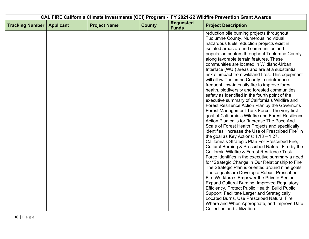|                        |                  |                     |               | CAL FIRE California Climate Investments (CCI) Program - FY 2021-22 Wildfire Prevention Grant Awards |                                                                                                                                                                                                                                                                                                                                                                                                                                                                                                                                                                                                                                                                                                                                                                                                                                                                                                                                                                                                                                                                                                                                                                                                                                                                                                                                                                                                                                                                                                                                                                                     |
|------------------------|------------------|---------------------|---------------|-----------------------------------------------------------------------------------------------------|-------------------------------------------------------------------------------------------------------------------------------------------------------------------------------------------------------------------------------------------------------------------------------------------------------------------------------------------------------------------------------------------------------------------------------------------------------------------------------------------------------------------------------------------------------------------------------------------------------------------------------------------------------------------------------------------------------------------------------------------------------------------------------------------------------------------------------------------------------------------------------------------------------------------------------------------------------------------------------------------------------------------------------------------------------------------------------------------------------------------------------------------------------------------------------------------------------------------------------------------------------------------------------------------------------------------------------------------------------------------------------------------------------------------------------------------------------------------------------------------------------------------------------------------------------------------------------------|
| <b>Tracking Number</b> | <b>Applicant</b> | <b>Project Name</b> | <b>County</b> | <b>Requested</b><br><b>Funds</b>                                                                    | <b>Project Description</b>                                                                                                                                                                                                                                                                                                                                                                                                                                                                                                                                                                                                                                                                                                                                                                                                                                                                                                                                                                                                                                                                                                                                                                                                                                                                                                                                                                                                                                                                                                                                                          |
|                        |                  |                     |               |                                                                                                     | reduction pile burning projects throughout<br>Tuolumne County. Numerous individual<br>hazardous fuels reduction projects exist in<br>isolated areas around communities and<br>population centers throughout Tuolumne County<br>along favorable terrain features. These<br>communities are located in Wildland-Urban<br>Interface (WUI) areas and are at a substantial<br>risk of impact from wildland fires. This equipment<br>will allow Tuolumne County to reintroduce<br>frequent, low-intensity fire to improve forest<br>health, biodiversity and forested communities'<br>safety as identified in the fourth point of the<br>executive summary of California's Wildfire and<br>Forest Resilience Action Plan by the Governor's<br>Forest Management Task Force. The very first<br>goal of California's Wildfire and Forest Resilience<br>Action Plan calls for "Increase The Pace And<br>Scale of Forest Health Projects and specifically<br>identifies "Increase the Use of Prescribed Fire" in<br>the goal as Key Actions: $1.18 - 1.27$ .<br>California's Strategic Plan For Prescribed Fire,<br>Cultural Burning & Prescribed Natural Fire by the<br>California Wildfire & Forest Resilience Task<br>Force identifies in the executive summary a need<br>for "Strategic Change in Our Relationship to Fire".<br>The Strategic Plan is oriented around nine goals.<br>These goals are Develop a Robust Prescribed<br>Fire Workforce, Empower the Private Sector,<br><b>Expand Cultural Burning, Improved Regulatory</b><br>Efficiency, Protect Public Health, Build Public |
|                        |                  |                     |               |                                                                                                     | Support, Facilitate Larger and Strategically<br>Located Burns, Use Prescribed Natural Fire<br>Where and When Appropriate, and Improve Date<br><b>Collection and Utilization.</b>                                                                                                                                                                                                                                                                                                                                                                                                                                                                                                                                                                                                                                                                                                                                                                                                                                                                                                                                                                                                                                                                                                                                                                                                                                                                                                                                                                                                    |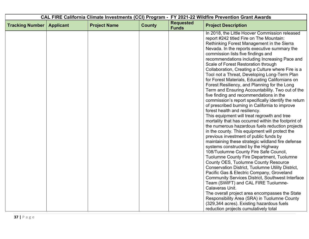| <b>Requested</b><br><b>Tracking Number</b><br><b>Project Name</b><br><b>County</b><br><b>Applicant</b><br><b>Project Description</b><br><b>Funds</b><br>In 2018, the Little Hoover Commission released<br>report #242 titled Fire on The Mountain:<br>Rethinking Forest Management in the Sierra<br>Nevada. In the reports executive summary the<br>commission lists five findings and<br>recommendations including Increasing Pace and<br>Scale of Forest Restoration through<br>Collaboration, Creating a Culture where Fire is a<br>Tool not a Threat, Developing Long-Term Plan<br>for Forest Materials, Educating Californians on<br>Forest Resiliency, and Planning for the Long<br>Term and Ensuring Accountability. Two out of the<br>five finding and recommendations in the<br>commission's report specifically identify the return<br>of prescribed burning in California to improve<br>forest health and resiliency.<br>This equipment will treat regrowth and tree<br>mortality that has occurred within the footprint of<br>the numerous hazardous fuels reduction projects |  |  | CAL FIRE California Climate Investments (CCI) Program - FY 2021-22 Wildfire Prevention Grant Awards |
|-------------------------------------------------------------------------------------------------------------------------------------------------------------------------------------------------------------------------------------------------------------------------------------------------------------------------------------------------------------------------------------------------------------------------------------------------------------------------------------------------------------------------------------------------------------------------------------------------------------------------------------------------------------------------------------------------------------------------------------------------------------------------------------------------------------------------------------------------------------------------------------------------------------------------------------------------------------------------------------------------------------------------------------------------------------------------------------------|--|--|-----------------------------------------------------------------------------------------------------|
|                                                                                                                                                                                                                                                                                                                                                                                                                                                                                                                                                                                                                                                                                                                                                                                                                                                                                                                                                                                                                                                                                           |  |  |                                                                                                     |
| in the county. This equipment will protect the<br>previous investment of public funds by<br>maintaining these strategic wildland fire defense<br>systems constructed by the Highway<br>108/Tuolumne County Fire Safe Council,<br>Tuolumne County Fire Department, Tuolumne<br>County OES, Tuolumne County Resource<br><b>Conservation District, Tuolumne Utility District,</b><br>Pacific Gas & Electric Company, Groveland<br><b>Community Services District, Southwest Interface</b><br>Team (SWIFT) and CAL FIRE Tuolumne-<br>Calaveras Unit.<br>The overall project area encompasses the State<br>Responsibility Area (SRA) in Tuolumne County<br>(329,344 acres). Existing hazardous fuels                                                                                                                                                                                                                                                                                                                                                                                           |  |  |                                                                                                     |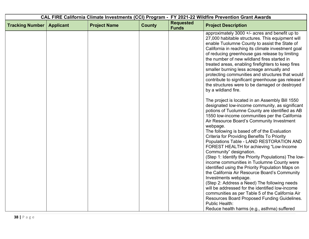|                        |                  |                     |               |                                  | CAL FIRE California Climate Investments (CCI) Program - FY 2021-22 Wildfire Prevention Grant Awards                                                                                                                                                                                                                                                                                                                                                                                                                                                                                                                                                                                                                                                                                                                                                                                                                                                                                          |
|------------------------|------------------|---------------------|---------------|----------------------------------|----------------------------------------------------------------------------------------------------------------------------------------------------------------------------------------------------------------------------------------------------------------------------------------------------------------------------------------------------------------------------------------------------------------------------------------------------------------------------------------------------------------------------------------------------------------------------------------------------------------------------------------------------------------------------------------------------------------------------------------------------------------------------------------------------------------------------------------------------------------------------------------------------------------------------------------------------------------------------------------------|
| <b>Tracking Number</b> | <b>Applicant</b> | <b>Project Name</b> | <b>County</b> | <b>Requested</b><br><b>Funds</b> | <b>Project Description</b>                                                                                                                                                                                                                                                                                                                                                                                                                                                                                                                                                                                                                                                                                                                                                                                                                                                                                                                                                                   |
|                        |                  |                     |               |                                  | approximately 3000 $+/-$ acres and benefit up to<br>27,000 habitable structures. This equipment will<br>enable Tuolumne County to assist the State of<br>California in reaching its climate investment goal<br>of reducing greenhouse gas release by limiting<br>the number of new wildland fires started in<br>treated areas, enabling firefighters to keep fires<br>smaller burning less acreage annually and<br>protecting communities and structures that would<br>contribute to significant greenhouse gas release if<br>the structures were to be damaged or destroyed<br>by a wildland fire.                                                                                                                                                                                                                                                                                                                                                                                          |
|                        |                  |                     |               |                                  | The project is located in an Assembly Bill 1550<br>designated low-income community, as significant<br>potions of Tuolumne County are identified as AB<br>1550 low-income communities per the California<br>Air Resource Board's Community Investment<br>webpage.<br>The following is based off of the Evaluation<br>Criteria for Providing Benefits To Priority<br>Populations Table - LAND RESTORATION AND<br>FOREST HEALTH for achieving "Low-Income<br>Community" designation.<br>(Step 1: Identify the Priority Populations) The low-<br>income communities in Tuolumne County were<br>identified using the Priority Population Maps on<br>the California Air Resource Board's Community<br>Investments webpage.<br>(Step 2: Address a Need) The following needs<br>will be addressed for the identified low-income<br>communities as per Table 5 of the California Air<br>Resources Board Proposed Funding Guidelines.<br>Public Health:<br>Reduce health harms (e.g., asthma) suffered |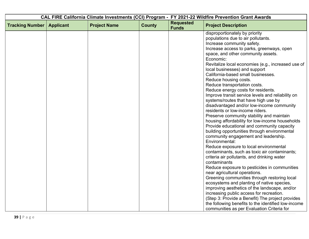|                        |                  |                     |               |                                  | CAL FIRE California Climate Investments (CCI) Program - FY 2021-22 Wildfire Prevention Grant Awards                                                                                                                                                                                                                                                                                                                                                                                                                                                                                                                                                                                                                                                                                                                                                                                                                                                                                                                                                                                                                                                                                                                                                                                                                                                                                                                                                                |
|------------------------|------------------|---------------------|---------------|----------------------------------|--------------------------------------------------------------------------------------------------------------------------------------------------------------------------------------------------------------------------------------------------------------------------------------------------------------------------------------------------------------------------------------------------------------------------------------------------------------------------------------------------------------------------------------------------------------------------------------------------------------------------------------------------------------------------------------------------------------------------------------------------------------------------------------------------------------------------------------------------------------------------------------------------------------------------------------------------------------------------------------------------------------------------------------------------------------------------------------------------------------------------------------------------------------------------------------------------------------------------------------------------------------------------------------------------------------------------------------------------------------------------------------------------------------------------------------------------------------------|
| <b>Tracking Number</b> | <b>Applicant</b> | <b>Project Name</b> | <b>County</b> | <b>Requested</b><br><b>Funds</b> | <b>Project Description</b>                                                                                                                                                                                                                                                                                                                                                                                                                                                                                                                                                                                                                                                                                                                                                                                                                                                                                                                                                                                                                                                                                                                                                                                                                                                                                                                                                                                                                                         |
|                        |                  |                     |               |                                  | disproportionately by priority<br>populations due to air pollutants.<br>Increase community safety.<br>Increase access to parks, greenways, open<br>space, and other community assets.<br>Economic:<br>Revitalize local economies (e.g., increased use of<br>local businesses) and support<br>California-based small businesses.<br>Reduce housing costs.<br>Reduce transportation costs.<br>Reduce energy costs for residents.<br>Improve transit service levels and reliability on<br>systems/routes that have high use by<br>disadvantaged and/or low-income community<br>residents or low-income riders.<br>Preserve community stability and maintain<br>housing affordability for low-income households<br>Provide educational and community capacity<br>building opportunities through environmental<br>community engagement and leadership.<br>Environmental:<br>Reduce exposure to local environmental<br>contaminants, such as toxic air contaminants;<br>criteria air pollutants, and drinking water<br>contaminants<br>Reduce exposure to pesticides in communities<br>near agricultural operations.<br>Greening communities through restoring local<br>ecosystems and planting of native species,<br>improving aesthetics of the landscape, and/or<br>increasing public access for recreation.<br>(Step 3: Provide a Benefit) The project provides<br>the following benefits to the identified low-income<br>communities as per Evaluation Criteria for |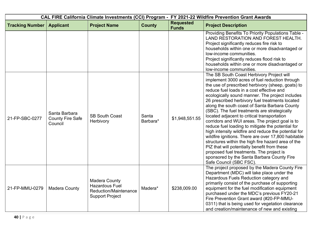| CAL FIRE California Climate Investments (CCI) Program - FY 2021-22 Wildfire Prevention Grant Awards |                                                     |                                                                                                  |                   |                                  |                                                                                                                                                                                                                                                                                                                                                                                                                                                                                                                                                                                                                                                                                                                                                                                                                                                                                                       |  |
|-----------------------------------------------------------------------------------------------------|-----------------------------------------------------|--------------------------------------------------------------------------------------------------|-------------------|----------------------------------|-------------------------------------------------------------------------------------------------------------------------------------------------------------------------------------------------------------------------------------------------------------------------------------------------------------------------------------------------------------------------------------------------------------------------------------------------------------------------------------------------------------------------------------------------------------------------------------------------------------------------------------------------------------------------------------------------------------------------------------------------------------------------------------------------------------------------------------------------------------------------------------------------------|--|
| <b>Tracking Number</b>                                                                              | <b>Applicant</b>                                    | <b>Project Name</b>                                                                              | <b>County</b>     | <b>Requested</b><br><b>Funds</b> | <b>Project Description</b>                                                                                                                                                                                                                                                                                                                                                                                                                                                                                                                                                                                                                                                                                                                                                                                                                                                                            |  |
|                                                                                                     |                                                     |                                                                                                  |                   |                                  | Providing Benefits To Priority Populations Table -<br>LAND RESTORATION AND FOREST HEALTH.<br>Project significantly reduces fire risk to<br>households within one or more disadvantaged or<br>low-income communities.<br>Project significantly reduces flood risk to<br>households within one or more disadvantaged or<br>low-income communities.                                                                                                                                                                                                                                                                                                                                                                                                                                                                                                                                                      |  |
| 21-FP-SBC-0277                                                                                      | Santa Barbara<br><b>County Fire Safe</b><br>Council | <b>SB South Coast</b><br>Herbivory                                                               | Santa<br>Barbara* | \$1,948,551.55                   | The SB South Coast Herbivory Project will<br>implement 3000 acres of fuel reduction through<br>the use of prescribed herbivory (sheep, goats) to<br>reduce fuel loads in a cost effective and<br>ecologically sound manner. The project includes<br>26 prescribed herbivory fuel treatments located<br>along the south coast of Santa Barbara County<br>(SBC). The fuel treatments are strategically<br>located adjacent to critical transportation<br>corridors and WUI areas. The project goal is to<br>reduce fuel loading to mitigate the potential for<br>high intensity wildfire and reduce the potential for<br>wildfire ignitions. There are over 17,800 habitable<br>structures within the high fire hazard area of the<br>PIZ that will potentially benefit from these<br>proposed fuel treatments. The project is<br>sponsored by the Santa Barbara County Fire<br>Safe Council (SBC FSC). |  |
| 21-FP-MMU-0279                                                                                      | <b>Madera County</b>                                | <b>Madera County</b><br><b>Hazardous Fuel</b><br>Reduction/Maintenance<br><b>Support Project</b> | Madera*           | \$238,009.00                     | The project proposed by the Madera County Fire<br>Department (MDC) will take place under the<br>Hazardous Fuels Reduction category and<br>primarily consist of the purchase of supporting<br>equipment for the fuel modification equipment<br>purchased under the MDC's previous FY20-21<br>Fire Prevention Grant award (#20-FP-MMU-<br>0311) that is being used for vegetation clearance<br>and creation/maintenance of new and existing                                                                                                                                                                                                                                                                                                                                                                                                                                                             |  |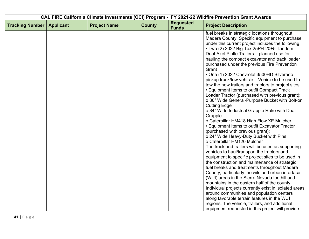|                        |                  |                     |               |                                  | CAL FIRE California Climate Investments (CCI) Program - FY 2021-22 Wildfire Prevention Grant Awards                                                                                                                                                                                                                                                                                                                                                                                                                                                                                                                                                                                                                                                                                                                                                                                                                                                                                                                                                                                                                                                                                                                      |
|------------------------|------------------|---------------------|---------------|----------------------------------|--------------------------------------------------------------------------------------------------------------------------------------------------------------------------------------------------------------------------------------------------------------------------------------------------------------------------------------------------------------------------------------------------------------------------------------------------------------------------------------------------------------------------------------------------------------------------------------------------------------------------------------------------------------------------------------------------------------------------------------------------------------------------------------------------------------------------------------------------------------------------------------------------------------------------------------------------------------------------------------------------------------------------------------------------------------------------------------------------------------------------------------------------------------------------------------------------------------------------|
| <b>Tracking Number</b> | <b>Applicant</b> | <b>Project Name</b> | <b>County</b> | <b>Requested</b><br><b>Funds</b> | <b>Project Description</b>                                                                                                                                                                                                                                                                                                                                                                                                                                                                                                                                                                                                                                                                                                                                                                                                                                                                                                                                                                                                                                                                                                                                                                                               |
|                        |                  |                     |               |                                  | fuel breaks in strategic locations throughout<br>Madera County. Specific equipment to purchase<br>under this current project includes the following:<br>• Two (2) 2022 Big Tex 25PH-20+5 Tandem<br>Dual-Axel Pintle Trailers - planned use for<br>hauling the compact excavator and track loader<br>purchased under the previous Fire Prevention<br>Grant<br>• One (1) 2022 Chevrolet 3500HD Silverado<br>pickup truck/tow vehicle - Vehicle to be used to<br>tow the new trailers and tractors to project sites<br>• Equipment Items to outfit Compact Track<br>Loader Tractor (purchased with previous grant):<br>o 80" Wide General-Purpose Bucket with Bolt-on<br><b>Cutting Edge</b><br>o 84" Wide Industrial Grapple Rake with Dual<br>Grapple<br>o Caterpillar HM418 High Flow XE Mulcher<br>• Equipment Items to outfit Excavator Tractor<br>(purchased with previous grant):<br>o 24" Wide Heavy-Duty Bucket with Pins<br>o Caterpillar HM120 Mulcher<br>The truck and trailers will be used as supporting<br>vehicles to haul/transport the tractors and<br>equipment to specific project sites to be used in<br>the construction and maintenance of strategic<br>fuel breaks and treatments throughout Madera |
|                        |                  |                     |               |                                  | County, particularly the wildland urban interface<br>(WUI) areas in the Sierra Nevada foothill and<br>mountains in the eastern half of the county.                                                                                                                                                                                                                                                                                                                                                                                                                                                                                                                                                                                                                                                                                                                                                                                                                                                                                                                                                                                                                                                                       |
|                        |                  |                     |               |                                  | Individual projects currently exist in isolated areas<br>around communities and population centers<br>along favorable terrain features in the WUI                                                                                                                                                                                                                                                                                                                                                                                                                                                                                                                                                                                                                                                                                                                                                                                                                                                                                                                                                                                                                                                                        |
|                        |                  |                     |               |                                  | regions. The vehicle, trailers, and additional<br>equipment requested in this project will provide                                                                                                                                                                                                                                                                                                                                                                                                                                                                                                                                                                                                                                                                                                                                                                                                                                                                                                                                                                                                                                                                                                                       |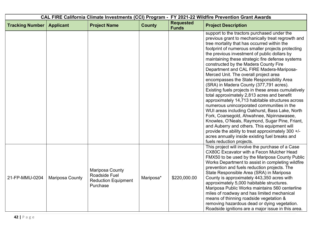| CAL FIRE California Climate Investments (CCI) Program - FY 2021-22 Wildfire Prevention Grant Awards |                  |                                                                            |               |                                  |                                                                                                                                                                                                                                                                                                                                                                                                                                                                                                                                                                                                                                                                                                                                                                                                                                                                                                                                                                                                                                                                             |
|-----------------------------------------------------------------------------------------------------|------------------|----------------------------------------------------------------------------|---------------|----------------------------------|-----------------------------------------------------------------------------------------------------------------------------------------------------------------------------------------------------------------------------------------------------------------------------------------------------------------------------------------------------------------------------------------------------------------------------------------------------------------------------------------------------------------------------------------------------------------------------------------------------------------------------------------------------------------------------------------------------------------------------------------------------------------------------------------------------------------------------------------------------------------------------------------------------------------------------------------------------------------------------------------------------------------------------------------------------------------------------|
| <b>Tracking Number</b>                                                                              | <b>Applicant</b> | <b>Project Name</b>                                                        | <b>County</b> | <b>Requested</b><br><b>Funds</b> | <b>Project Description</b>                                                                                                                                                                                                                                                                                                                                                                                                                                                                                                                                                                                                                                                                                                                                                                                                                                                                                                                                                                                                                                                  |
|                                                                                                     |                  |                                                                            |               |                                  | support to the tractors purchased under the<br>previous grant to mechanically treat regrowth and<br>tree mortality that has occurred within the<br>footprint of numerous smaller projects protecting<br>the previous investment of public dollars by<br>maintaining these strategic fire defense systems<br>constructed by the Madera County Fire<br>Department and CAL FIRE Madera-Mariposa-<br>Merced Unit. The overall project area<br>encompasses the State Responsibility Area<br>(SRA) in Madera County (377,791 acres).<br>Existing fuels projects in these areas cumulatively<br>total approximately 2,813 acres and benefit<br>approximately 14,713 habitable structures across<br>numerous unincorporated communities in the<br>WUI areas including Oakhurst, Bass Lake, North<br>Fork, Coarsegold, Ahwahnee, Nipinnawasee,<br>Knowles, O'Neals, Raymond, Sugar Pine, Friant,<br>and Auberry and others. This equipment will<br>provide the ability to treat approximately 300 +/-<br>acres annually inside existing fuel breaks and<br>fuels reduction projects. |
| 21-FP-MMU-0204                                                                                      | Mariposa County  | Mariposa County<br>Roadside Fuel<br><b>Reduction Equipment</b><br>Purchase | Mariposa*     | \$220,000.00                     | This project will involve the purchase of a Case<br>CX80C Excavator with a Fecon Mulcher Head<br>FMX50 to be used by the Mariposa County Public<br>Works Department to assist in completing wildfire<br>prevention and fuels reduction projects. The<br>State Responsible Area (SRA) in Mariposa<br>County is approximately 443,350 acres with<br>approximately 5,000 habitable structures.<br>Mariposa Public Works maintains 560 centerline<br>miles of roadway and has limited mechanical<br>means of thinning roadside vegetation &<br>removing hazardous dead or dying vegetation.<br>Roadside ignitions are a major issue in this area.                                                                                                                                                                                                                                                                                                                                                                                                                               |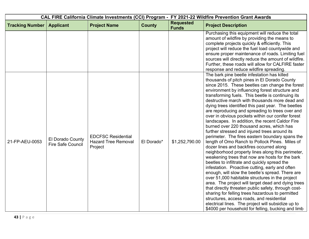|                        |                                              |                                                                    |               |                                  | CAL FIRE California Climate Investments (CCI) Program - FY 2021-22 Wildfire Prevention Grant Awards                                                                                                                                                                                                                                                                                                                                                                                                                                                                                                                                                                                                                                                                                                                                                                                                                                                                                                                                                                                                                                                                                                                                                                                                                                                                                                                  |
|------------------------|----------------------------------------------|--------------------------------------------------------------------|---------------|----------------------------------|----------------------------------------------------------------------------------------------------------------------------------------------------------------------------------------------------------------------------------------------------------------------------------------------------------------------------------------------------------------------------------------------------------------------------------------------------------------------------------------------------------------------------------------------------------------------------------------------------------------------------------------------------------------------------------------------------------------------------------------------------------------------------------------------------------------------------------------------------------------------------------------------------------------------------------------------------------------------------------------------------------------------------------------------------------------------------------------------------------------------------------------------------------------------------------------------------------------------------------------------------------------------------------------------------------------------------------------------------------------------------------------------------------------------|
| <b>Tracking Number</b> | <b>Applicant</b>                             | <b>Project Name</b>                                                | <b>County</b> | <b>Requested</b><br><b>Funds</b> | <b>Project Description</b>                                                                                                                                                                                                                                                                                                                                                                                                                                                                                                                                                                                                                                                                                                                                                                                                                                                                                                                                                                                                                                                                                                                                                                                                                                                                                                                                                                                           |
|                        |                                              |                                                                    |               |                                  | Purchasing this equipment will reduce the total<br>amount of wildfire by providing the means to<br>complete projects quickly & efficiently. This<br>project will reduce the fuel load countywide and<br>ensure proper maintenance of roads. Limiting fuel<br>sources will directly reduce the amount of wildfire.<br>Further, these roads will allow for CALFIRE faster<br>response and reduce wildfire spreading.                                                                                                                                                                                                                                                                                                                                                                                                                                                                                                                                                                                                                                                                                                                                                                                                                                                                                                                                                                                                   |
| 21-FP-AEU-0053         | El Dorado County<br><b>Fire Safe Council</b> | <b>EDCFSC Residential</b><br><b>Hazard Tree Removal</b><br>Project | El Dorado*    | \$1,252,790.00                   | The bark pine beetle infestation has killed<br>thousands of pitch pines in El Dorado County<br>since 2015. These beetles can change the forest<br>environment by influencing forest structure and<br>transforming fuels. This beetle is continuing its<br>destructive march with thousands more dead and<br>dying trees identified this past year. The beetles<br>are reproducing and spreading to trees over and<br>over in obvious pockets within our conifer forest<br>landscapes. In addition, the recent Caldor Fire<br>burned over 220 thousand acres, which has<br>further stressed and injured trees around its<br>perimeter. The fires eastern boundary spans the<br>length of Omo Ranch to Pollock Pines. Miles of<br>dozer lines and backfires occurred along<br>neighborhood property lines along this perimeter,<br>weakening trees that now are hosts for the bark<br>beetles to infiltrate and quickly spread the<br>infestation. Proactive cutting, early and often<br>enough, will slow the beetle's spread. There are<br>over 51,000 habitable structures in the project<br>area. The project will target dead and dying trees<br>that directly threaten public safety, through cost-<br>sharing for felling trees hazardous to permitted<br>structures, access roads, and residential<br>electrical lines. The project will subsidize up to<br>\$4000 per household for felling, bucking and limb |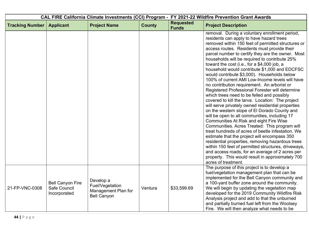| <b>CAL FIRE California Climate Investments (CCI) Program -</b> |                                                         |                                                                           | FY 2021-22 Wildfire Prevention Grant Awards |                                  |                                                                                                                                                                                                                                                                                                                                                                                                                                                                                                                                                                                                                                                                                                                                                                                                                                                                                                                                                                                                                                                                                                                                                                                                                                                                                                             |
|----------------------------------------------------------------|---------------------------------------------------------|---------------------------------------------------------------------------|---------------------------------------------|----------------------------------|-------------------------------------------------------------------------------------------------------------------------------------------------------------------------------------------------------------------------------------------------------------------------------------------------------------------------------------------------------------------------------------------------------------------------------------------------------------------------------------------------------------------------------------------------------------------------------------------------------------------------------------------------------------------------------------------------------------------------------------------------------------------------------------------------------------------------------------------------------------------------------------------------------------------------------------------------------------------------------------------------------------------------------------------------------------------------------------------------------------------------------------------------------------------------------------------------------------------------------------------------------------------------------------------------------------|
| <b>Tracking Number</b>                                         | <b>Applicant</b>                                        | <b>Project Name</b>                                                       | <b>County</b>                               | <b>Requested</b><br><b>Funds</b> | <b>Project Description</b>                                                                                                                                                                                                                                                                                                                                                                                                                                                                                                                                                                                                                                                                                                                                                                                                                                                                                                                                                                                                                                                                                                                                                                                                                                                                                  |
|                                                                |                                                         |                                                                           |                                             |                                  | removal. During a voluntary enrollment period,<br>residents can apply to have hazard trees<br>removed within 150 feet of permitted structures or<br>access routes. Residents must provide their<br>parcel number to certify they are the owner. Most<br>households will be required to contribute 25%<br>toward the cost (i.e., for a \$4,000 job, a<br>household would contribute \$1,000 and EDCFSC<br>would contribute \$3,000). Households below<br>100% of current AMI Low-Income levels will have<br>no contribution requirement. An arborist or<br>Registered Professional Forester will determine<br>which trees need to be felled and possibly<br>covered to kill the larva. Location: The project<br>will serve privately owned residential properties<br>on the western slope of El Dorado County and<br>will be open to all communities, including 17<br>Communities At Risk and eight Fire Wise<br>Communities. Acres Treated: This program will<br>treat hundreds of acres of beetle infestation. We<br>estimate that the project will encompass 350<br>residential properties, removing hazardous trees<br>within 150 feet of permitted structures, driveways,<br>and access roads, for an average of 2 acres per<br>property. This would result in approximately 700<br>acres of treatment. |
| 21-FP-VNC-0308                                                 | <b>Bell Canyon Fire</b><br>Safe Council<br>Incorporated | Develop a<br>Fuel/Vegetation<br>Management Plan for<br><b>Bell Canyon</b> | Ventura                                     | \$33,599.69                      | The purpose of this project is to develop a<br>fuel/vegetation management plan that can be<br>implemented for the Bell Canyon community and<br>a 100-yard buffer zone around the community.<br>We will begin by updating the vegetation map<br>developed for the 2019 Community Wildfire Risk<br>Analysis project and add to that the unburned<br>and partially burned fuel left from the Woolsey<br>Fire. We will then analyze what needs to be                                                                                                                                                                                                                                                                                                                                                                                                                                                                                                                                                                                                                                                                                                                                                                                                                                                            |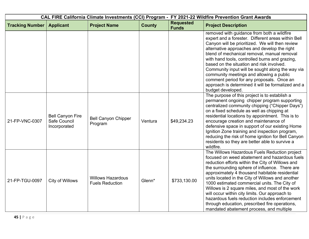| CAL FIRE California Climate Investments (CCI) Program - FY 2021-22 Wildfire Prevention Grant Awards |                                                         |                                                    |               |                                  |                                                                                                                                                                                                                                                                                                                                                                                                                                                                                                                                                                                                                 |
|-----------------------------------------------------------------------------------------------------|---------------------------------------------------------|----------------------------------------------------|---------------|----------------------------------|-----------------------------------------------------------------------------------------------------------------------------------------------------------------------------------------------------------------------------------------------------------------------------------------------------------------------------------------------------------------------------------------------------------------------------------------------------------------------------------------------------------------------------------------------------------------------------------------------------------------|
| <b>Tracking Number</b>                                                                              | <b>Applicant</b>                                        | <b>Project Name</b>                                | <b>County</b> | <b>Requested</b><br><b>Funds</b> | <b>Project Description</b>                                                                                                                                                                                                                                                                                                                                                                                                                                                                                                                                                                                      |
|                                                                                                     |                                                         |                                                    |               |                                  | removed with guidance from both a wildfire<br>expert and a forester. Different areas within Bell<br>Canyon will be prioritized. We will then review<br>alternative approaches and develop the right<br>blend of mechanical removal, manual removal<br>with hand tools, controlled burns and grazing,<br>based on the situation and risk involved.<br>Community input will be sought along the way via<br>community meetings and allowing a public<br>comment period for any proposals. Once an<br>approach is determined it will be formalized and a<br>budget developed.                                       |
| 21-FP-VNC-0307                                                                                      | <b>Bell Canyon Fire</b><br>Safe Council<br>Incorporated | <b>Bell Canyon Chipper</b><br>Program              | Ventura       | \$49,234.23                      | The purpose of this project is to establish a<br>permanent ongoing chipper program supporting<br>centralized community chipping ("Chipper Days")<br>on a fixed schedule as well as chipping at<br>residential locations by appointment. This is to<br>encourage creation and maintenance of<br>defensive space in support of our existing Home<br>Ignition Zone training and inspection program,<br>reducing the risk of home ignition for Bell Canyon<br>residents so they are better able to survive a<br>wildfire.                                                                                           |
| 21-FP-TGU-0097                                                                                      | City of Willows                                         | <b>Willows Hazardous</b><br><b>Fuels Reduction</b> | Glenn*        | \$733,130.00                     | The Willows Hazardous Fuels Reduction project<br>focused on weed abatement and hazardous fuels<br>reduction efforts within the City of Willows and<br>the surrounding sphere of influence. There are<br>approximately 4 thousand habitable residential<br>units located in the City of Willows and another<br>1000 estimated commercial units. The City of<br>Willows is 2 square miles, and most of the work<br>will occur within city limits. Our approach to<br>hazardous fuels reduction includes enforcement<br>through education, prescribed fire operations,<br>mandated abatement process, and multiple |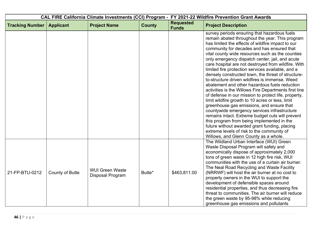| CAL FIRE California Climate Investments (CCI) Program - FY 2021-22 Wildfire Prevention Grant Awards |                  |                                            |               |                                  |                                                                                                                                                                                                                                                                                                                                                                                                                                                                                                                                                                                                                                                                                                                                                                                                                                                                                                                                                                                                                                                                                            |
|-----------------------------------------------------------------------------------------------------|------------------|--------------------------------------------|---------------|----------------------------------|--------------------------------------------------------------------------------------------------------------------------------------------------------------------------------------------------------------------------------------------------------------------------------------------------------------------------------------------------------------------------------------------------------------------------------------------------------------------------------------------------------------------------------------------------------------------------------------------------------------------------------------------------------------------------------------------------------------------------------------------------------------------------------------------------------------------------------------------------------------------------------------------------------------------------------------------------------------------------------------------------------------------------------------------------------------------------------------------|
| <b>Tracking Number</b>                                                                              | <b>Applicant</b> | <b>Project Name</b>                        | <b>County</b> | <b>Requested</b><br><b>Funds</b> | <b>Project Description</b>                                                                                                                                                                                                                                                                                                                                                                                                                                                                                                                                                                                                                                                                                                                                                                                                                                                                                                                                                                                                                                                                 |
|                                                                                                     |                  |                                            |               |                                  | survey periods ensuring that hazardous fuels<br>remain abated throughout the year. This program<br>has limited the effects of wildfire impact to our<br>community for decades and has ensured that<br>vital county wide resources such as the counties<br>only emergency dispatch center, jail, and acute<br>care hospital are not destroyed from wildfire. With<br>limited fire protection services available, and a<br>densely constructed town, the threat of structure-<br>to-structure driven wildfires is immense. Weed<br>abatement and other hazardous fuels reduction<br>activities is the Willows Fire Departments first line<br>of defense in our mission to protect life, property,<br>limit wildfire growth to 10 acres or less, limit<br>greenhouse gas emissions, and ensure that<br>countywide emergency services infrastructure<br>remains intact. Extreme budget cuts will prevent<br>this program from being implemented in the<br>future without awarded grant funding, placing<br>extreme levels of risk to the community of<br>Willows, and Glenn County as a whole. |
| 21-FP-BTU-0212                                                                                      | County of Butte  | <b>WUI Green Waste</b><br>Disposal Program | Butte*        | \$463,811.00                     | The Wildland Urban Interface (WUI) Green<br>Waste Disposal Program will safely and<br>economically dispose of approximately 2,000<br>tons of green waste in 12 high fire risk, WUI<br>communities with the use of a curtain air burner.<br>The Neal Road Recycling and Waste Facility<br>(NRRWF) will host the air burner at no cost to<br>property owners in the WUI to support the<br>development of defensible spaces around<br>residential properties, and thus decreasing fire<br>threat to communities. The air burner will reduce<br>the green waste by 95-98% while reducing<br>greenhouse gas emissions and pollutants                                                                                                                                                                                                                                                                                                                                                                                                                                                            |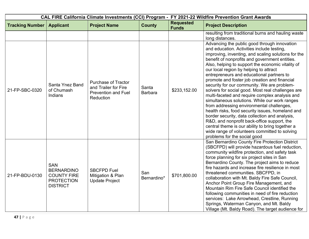|                        |                                                                                               |                                                                                               | CAL FIRE California Climate Investments (CCI) Program - FY 2021-22 Wildfire Prevention Grant Awards |                                  |                                                                                                                                                                                                                                                                                                                                                                                                                                                                                                                                                                                                                                                                                                                                                                                                                                                                                                                                                |
|------------------------|-----------------------------------------------------------------------------------------------|-----------------------------------------------------------------------------------------------|-----------------------------------------------------------------------------------------------------|----------------------------------|------------------------------------------------------------------------------------------------------------------------------------------------------------------------------------------------------------------------------------------------------------------------------------------------------------------------------------------------------------------------------------------------------------------------------------------------------------------------------------------------------------------------------------------------------------------------------------------------------------------------------------------------------------------------------------------------------------------------------------------------------------------------------------------------------------------------------------------------------------------------------------------------------------------------------------------------|
| <b>Tracking Number</b> | <b>Applicant</b>                                                                              | <b>Project Name</b>                                                                           | <b>County</b>                                                                                       | <b>Requested</b><br><b>Funds</b> | <b>Project Description</b>                                                                                                                                                                                                                                                                                                                                                                                                                                                                                                                                                                                                                                                                                                                                                                                                                                                                                                                     |
|                        |                                                                                               |                                                                                               |                                                                                                     |                                  | resulting from traditional burns and hauling waste<br>long distances.                                                                                                                                                                                                                                                                                                                                                                                                                                                                                                                                                                                                                                                                                                                                                                                                                                                                          |
| 21-FP-SBC-0320         | Santa Ynez Band<br>of Chumash<br>Indians                                                      | <b>Purchase of Tractor</b><br>and Trailer for Fire<br><b>Prevention and Fuel</b><br>Reduction | Santa<br><b>Barbara</b>                                                                             | \$233,152.00                     | Advancing the public good through innovation<br>and education. Activities include testing,<br>improving, inventing, and scaling solutions for the<br>benefit of nonprofits and government entities.<br>Also, helping to support the economic vitality of<br>our local region by helping to attract<br>entrepreneurs and educational partners to<br>promote and foster job creation and financial<br>security for our community. We are problem-<br>solvers for social good. Most real challenges are<br>multi-faceted and require complex analysis and<br>simultaneous solutions. While our work ranges<br>from addressing environmental challenges,<br>health risks, food security issues, homeland and<br>border security, data collection and analysis,<br>R&D, and nonprofit back-office support, the<br>central theme is our ability to bring together a<br>wide range of volunteers committed to solving<br>problems for the social good |
| 21-FP-BDU-0130         | <b>SAN</b><br><b>BERNARDINO</b><br><b>COUNTY FIRE</b><br><b>PROTECTION</b><br><b>DISTRICT</b> | <b>SBCFPD Fuel</b><br>Mitigation & Plan<br><b>Update Project</b>                              | San<br>Bernardino*                                                                                  | \$701,800.00                     | San Bernardino County Fire Protection District<br>(SBCFPD) will provide hazardous fuel reduction,<br>community wildfire protection, and safety task<br>force planning for six project sites in San<br>Bernardino County. The project aims to reduce<br>fire hazards and increase fire resilience in most<br>threatened communities. SBCFPD, in<br>collaboration with Mt. Baldy Fire Safe Council,<br>Anchor Point Group Fire Management, and<br>Mountain Rim Fire Safe Council identified the<br>following communities in need of fire reduction<br>services: Lake Arrowhead, Crestline, Running<br>Springs, Waterman Canyon, and Mt. Baldy<br>Village (Mt. Baldy Road). The target audience for                                                                                                                                                                                                                                               |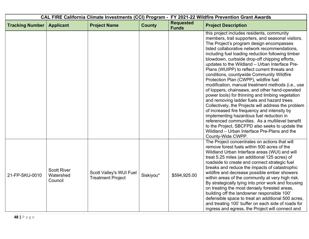| CAL FIRE California Climate Investments (CCI) Program - FY 2021-22 Wildfire Prevention Grant Awards |                                            |                                                     |               |                                  |                                                                                                                                                                                                                                                                                                                                                                                                                                                                                                                                                                                                                                                                                                                                                                                                                                                                                                                                                                                                                                    |
|-----------------------------------------------------------------------------------------------------|--------------------------------------------|-----------------------------------------------------|---------------|----------------------------------|------------------------------------------------------------------------------------------------------------------------------------------------------------------------------------------------------------------------------------------------------------------------------------------------------------------------------------------------------------------------------------------------------------------------------------------------------------------------------------------------------------------------------------------------------------------------------------------------------------------------------------------------------------------------------------------------------------------------------------------------------------------------------------------------------------------------------------------------------------------------------------------------------------------------------------------------------------------------------------------------------------------------------------|
| <b>Tracking Number</b>                                                                              | <b>Applicant</b>                           | <b>Project Name</b>                                 | <b>County</b> | <b>Requested</b><br><b>Funds</b> | <b>Project Description</b>                                                                                                                                                                                                                                                                                                                                                                                                                                                                                                                                                                                                                                                                                                                                                                                                                                                                                                                                                                                                         |
|                                                                                                     |                                            |                                                     |               |                                  | this project includes residents, community<br>members, trail supporters, and seasonal visitors.<br>The Project's program design encompasses<br>listed collaborative network recommendations,<br>including fuel loading reduction following timber<br>blowdown, curbside drop-off chipping efforts,<br>updates to the Wildland - Urban Interface Pre-<br>Plans (WUIPP) to reflect current threats and<br>conditions, countywide Community Wildfire<br>Protection Plan (CWPP), wildfire fuel<br>modification, manual treatment methods (i.e., use<br>of loppers, chainsaws, and other hand-operated<br>power tools) for thinning and limbing vegetation<br>and removing ladder fuels and hazard trees.<br>Collectively, the Projects will address the problem<br>of increased fire frequency and intensity by<br>implementing hazardous fuel reduction in<br>referenced communities. As a multilevel benefit<br>to the Project, SBCFPD also seeks to update the<br>Wildland - Urban Interface Pre-Plans and the<br>County-Wide CWPP. |
| 21-FP-SKU-0010                                                                                      | <b>Scott River</b><br>Watershed<br>Council | Scott Valley's WUI Fuel<br><b>Treatment Project</b> | Siskiyou*     | \$594,925.00                     | The Project concentrates on actions that will<br>remove forest fuels within 500 acres of the<br>Wildland Urban Interface areas (WUI) and will<br>treat 5.25 miles (an additional 125 acres) of<br>roadside to create and connect strategic fuel<br>breaks and reduce the impacts of catastrophic<br>wildfire and decrease possible ember showers<br>within areas of the community at very high risk.<br>By strategically tying into prior work and focusing<br>on treating the most densely forested areas,<br>building off the landowner responsible 100'<br>defensible space to treat an additional 500 acres,<br>and treating 100' buffer on each side of roads for<br>ingress and egress, the Project will connect and                                                                                                                                                                                                                                                                                                         |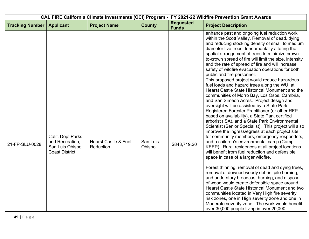| CAL FIRE California Climate Investments (CCI) Program - FY 2021-22 Wildfire Prevention Grant Awards |                                                                                  |                                              |                    |                                  |                                                                                                                                                                                                                                                                                                                                                                                                                                                                                                                                                                                                                                                                                                                                                                                                                                                                                                                                                                                                                                                                                                                                                                                                                                                                       |  |
|-----------------------------------------------------------------------------------------------------|----------------------------------------------------------------------------------|----------------------------------------------|--------------------|----------------------------------|-----------------------------------------------------------------------------------------------------------------------------------------------------------------------------------------------------------------------------------------------------------------------------------------------------------------------------------------------------------------------------------------------------------------------------------------------------------------------------------------------------------------------------------------------------------------------------------------------------------------------------------------------------------------------------------------------------------------------------------------------------------------------------------------------------------------------------------------------------------------------------------------------------------------------------------------------------------------------------------------------------------------------------------------------------------------------------------------------------------------------------------------------------------------------------------------------------------------------------------------------------------------------|--|
| <b>Tracking Number</b>                                                                              | <b>Applicant</b>                                                                 | <b>Project Name</b>                          | <b>County</b>      | <b>Requested</b><br><b>Funds</b> | <b>Project Description</b>                                                                                                                                                                                                                                                                                                                                                                                                                                                                                                                                                                                                                                                                                                                                                                                                                                                                                                                                                                                                                                                                                                                                                                                                                                            |  |
|                                                                                                     |                                                                                  |                                              |                    |                                  | enhance past and ongoing fuel reduction work<br>within the Scott Valley. Removal of dead, dying<br>and reducing stocking density of small to medium<br>diameter live trees, fundamentally altering the<br>spatial arrangement of trees to minimize crown-<br>to-crown spread of fire will limit the size, intensity<br>and the rate of spread of fire and will increase<br>safety of wildfire evacuation operations for both<br>public and fire personnel.                                                                                                                                                                                                                                                                                                                                                                                                                                                                                                                                                                                                                                                                                                                                                                                                            |  |
| 21-FP-SLU-0028                                                                                      | Calif. Dept Parks<br>and Recreation,<br>San Luis Obispo<br><b>Coast District</b> | <b>Hearst Castle &amp; Fuel</b><br>Reduction | San Luis<br>Obispo | \$848,719.20                     | This proposed project would reduce hazardous<br>fuel loads and hazard trees along the WUI at<br>Hearst Castle State Historical Monument and the<br>communities of Morro Bay, Los Osos, Cambria,<br>and San Simeon Acres. Project design and<br>oversight will be assisted by a State Park<br>Registered Forester Practitioner (or other RFP<br>based on availability), a State Park certified<br>arborist (ISA), and a State Park Environmental<br>Scientist (Senior Specialist). This project will also<br>improve the ingress/egress at each project site<br>for community members, emergency responders,<br>and a children's environmental camp (Camp<br>KEEP). Rural residences at all project locations<br>will benefit from fuel reduction and defensible<br>space in case of a larger wildfire.<br>Forest thinning, removal of dead and dying trees,<br>removal of downed woody debris, pile burning,<br>and understory broadcast burning, and disposal<br>of wood would create defensible space around<br>Hearst Castle State Historical Monument and two<br>communities located in Very High fire severity<br>risk zones, one in High severity zone and one in<br>Moderate severity zone. The work would benefit<br>over 30,000 people living in over 20,000 |  |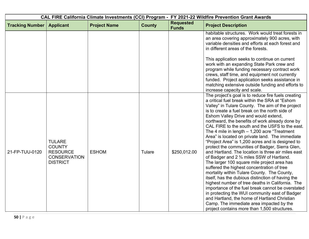| CAL FIRE California Climate Investments (CCI) Program - FY 2021-22 Wildfire Prevention Grant Awards |                                                                                             |                     |               |                                  |                                                                                                                                                                                                                                                                                                                                                                                                                                                                                                                                                                                                                                                                                                                                                                                                                                                                                                                                                                                                                                                                                                                                                                                                                                           |
|-----------------------------------------------------------------------------------------------------|---------------------------------------------------------------------------------------------|---------------------|---------------|----------------------------------|-------------------------------------------------------------------------------------------------------------------------------------------------------------------------------------------------------------------------------------------------------------------------------------------------------------------------------------------------------------------------------------------------------------------------------------------------------------------------------------------------------------------------------------------------------------------------------------------------------------------------------------------------------------------------------------------------------------------------------------------------------------------------------------------------------------------------------------------------------------------------------------------------------------------------------------------------------------------------------------------------------------------------------------------------------------------------------------------------------------------------------------------------------------------------------------------------------------------------------------------|
| <b>Tracking Number</b>                                                                              | <b>Applicant</b>                                                                            | <b>Project Name</b> | <b>County</b> | <b>Requested</b><br><b>Funds</b> | <b>Project Description</b>                                                                                                                                                                                                                                                                                                                                                                                                                                                                                                                                                                                                                                                                                                                                                                                                                                                                                                                                                                                                                                                                                                                                                                                                                |
|                                                                                                     |                                                                                             |                     |               |                                  | habitable structures. Work would treat forests in<br>an area covering approximately 900 acres, with<br>variable densities and efforts at each forest and<br>in different areas of the forests.<br>This application seeks to continue on current<br>work with an expanding State Park crew and<br>program while funding necessary contract work<br>crews, staff time, and equipment not currently<br>funded. Project application seeks assistance in<br>matching extensive outside funding and efforts to                                                                                                                                                                                                                                                                                                                                                                                                                                                                                                                                                                                                                                                                                                                                  |
| 21-FP-TUU-0120                                                                                      | <b>TULARE</b><br><b>COUNTY</b><br><b>RESOURCE</b><br><b>CONSERVATION</b><br><b>DISTRICT</b> | <b>ESHOM</b>        | Tulare        | \$250,012.00                     | increase capacity and scale.<br>The project's goal is to reduce fire fuels creating<br>a critical fuel break within the SRA at "Eshom<br>Valley" in Tulare County. The aim of the project<br>is to create a fuel break on the north side of<br>Eshom Valley Drive and would extend,<br>northward, the benefits of work already done by<br>CAL FIRE to the south and the USFS to the east.<br>The 4 mile in length $-1,200$ acre "Treatment"<br>Area" is located on private land. The immediate<br>"Project Area" is 1,200 acres and is designed to<br>protect the communities of Badger, Sierra Glen,<br>and Hartland. The location is three air miles east<br>of Badger and 2 <sup>3</sup> / <sub>4</sub> miles SSW of Hartland.<br>The larger 100 square mile project area has<br>suffered the highest concentration of tree<br>mortality within Tulare County. The County,<br>itself, has the dubious distinction of having the<br>highest number of tree deaths in California. The<br>importance of the fuel break cannot be overstated<br>in protecting the WUI community east of Badger<br>and Hartland, the home of Hartland Christian<br>Camp. The immediate area impacted by the<br>project contains more than 1,500 structures. |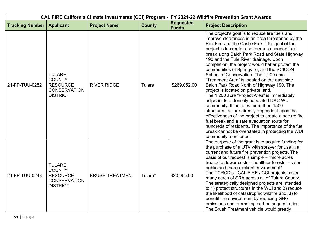| CAL FIRE California Climate Investments (CCI) Program - FY 2021-22 Wildfire Prevention Grant Awards |                                                                                             |                        |               |                                  |                                                                                                                                                                                                                                                                                                                                                                                                                                                                                                                                                                                                                                                                                                                                                                                                                                                                                                                                                                                                               |  |
|-----------------------------------------------------------------------------------------------------|---------------------------------------------------------------------------------------------|------------------------|---------------|----------------------------------|---------------------------------------------------------------------------------------------------------------------------------------------------------------------------------------------------------------------------------------------------------------------------------------------------------------------------------------------------------------------------------------------------------------------------------------------------------------------------------------------------------------------------------------------------------------------------------------------------------------------------------------------------------------------------------------------------------------------------------------------------------------------------------------------------------------------------------------------------------------------------------------------------------------------------------------------------------------------------------------------------------------|--|
| <b>Tracking Number</b>                                                                              | <b>Applicant</b>                                                                            | <b>Project Name</b>    | <b>County</b> | <b>Requested</b><br><b>Funds</b> | <b>Project Description</b>                                                                                                                                                                                                                                                                                                                                                                                                                                                                                                                                                                                                                                                                                                                                                                                                                                                                                                                                                                                    |  |
| 21-FP-TUU-0252                                                                                      | <b>TULARE</b><br><b>COUNTY</b><br><b>RESOURCE</b><br><b>CONSERVATION</b><br><b>DISTRICT</b> | <b>RIVER RIDGE</b>     | Tulare        | \$269,052.00                     | The project's goal is to reduce fire fuels and<br>improve clearances in an area threatened by the<br>Pier Fire and the Castle Fire. The goal of the<br>project is to create a better/much needed fuel<br>break along Balch Park Road and State Highway<br>190 and the Tule River drainage. Upon<br>completion, the project would better protect the<br>communities of Springville, and the SCICON<br>School of Conservation. The 1,200 acre<br>"Treatment Area" is located on the east side<br>Balch Park Road North of Highway 190. The<br>project is located on private land.<br>The 1,200 acre "Project Area" is immediately<br>adjacent to a densely populated DAC WUI<br>community. It includes more than 1500<br>structures, all are directly dependent upon the<br>effectiveness of the project to create a secure fire<br>fuel break and a safe evacuation route for<br>hundreds of residents. The importance of the fuel<br>break cannot be overstated in protecting the WUI<br>community mentioned. |  |
| 21-FP-TUU-0248                                                                                      | <b>TULARE</b><br><b>COUNTY</b><br><b>RESOURCE</b><br><b>CONSERVATION</b><br><b>DISTRICT</b> | <b>BRUSH TREATMENT</b> | Tulare*       | \$20,955.00                      | The purpose of the grant is to acquire funding for<br>the purchase of a UTV with sprayer for use in all<br>current and future fire prevention projects. The<br>basis of our request is simple $\sim$ "more acres<br>treated at lower costs = healthier forests = safer<br>public and more resilient environment"<br>The TCRCD's - CAL FIRE / CCI projects cover<br>many acres of SRA across all of Tulare County.<br>The strategically designed projects are intended<br>to 1) protect structures in the WUI and 2) reduce<br>the likelihood of catastrophic wildfire and, 3) to<br>benefit the environment by reducing GHG<br>emissions and promoting carbon sequestration.<br>The Brush Treatment vehicle would greatly                                                                                                                                                                                                                                                                                     |  |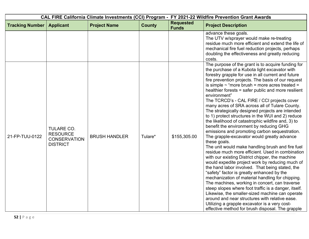| CAL FIRE California Climate Investments (CCI) Program - FY 2021-22 Wildfire Prevention Grant Awards |                                                                                |                      |               |                                  |                                                                                                                                                                                                                                                                                                                                                                                                                                                                                                                                                                                                                                                                                                                                                                                                                                                                                                                                                                                                                                                                                                                                                                                                                                                                                                                                                                                                                                                                 |
|-----------------------------------------------------------------------------------------------------|--------------------------------------------------------------------------------|----------------------|---------------|----------------------------------|-----------------------------------------------------------------------------------------------------------------------------------------------------------------------------------------------------------------------------------------------------------------------------------------------------------------------------------------------------------------------------------------------------------------------------------------------------------------------------------------------------------------------------------------------------------------------------------------------------------------------------------------------------------------------------------------------------------------------------------------------------------------------------------------------------------------------------------------------------------------------------------------------------------------------------------------------------------------------------------------------------------------------------------------------------------------------------------------------------------------------------------------------------------------------------------------------------------------------------------------------------------------------------------------------------------------------------------------------------------------------------------------------------------------------------------------------------------------|
| <b>Tracking Number</b>                                                                              | <b>Applicant</b>                                                               | <b>Project Name</b>  | <b>County</b> | <b>Requested</b><br><b>Funds</b> | <b>Project Description</b>                                                                                                                                                                                                                                                                                                                                                                                                                                                                                                                                                                                                                                                                                                                                                                                                                                                                                                                                                                                                                                                                                                                                                                                                                                                                                                                                                                                                                                      |
|                                                                                                     |                                                                                |                      |               |                                  | advance these goals.<br>The UTV w/sprayer would make re-treating<br>residue much more efficient and extend the life of<br>mechanical fire fuel reduction projects, perhaps<br>doubling the effectiveness and greatly reducing<br>costs.                                                                                                                                                                                                                                                                                                                                                                                                                                                                                                                                                                                                                                                                                                                                                                                                                                                                                                                                                                                                                                                                                                                                                                                                                         |
| 21-FP-TUU-0122                                                                                      | <b>TULARE CO.</b><br><b>RESOURCE</b><br><b>CONSERVATION</b><br><b>DISTRICT</b> | <b>BRUSH HANDLER</b> | Tulare*       | \$155,305.00                     | The purpose of the grant is to acquire funding for<br>the purchase of a Kubota light excavator with<br>forestry grapple for use in all current and future<br>fire prevention projects. The basis of our request<br>is simple $\sim$ "more brush = more acres treated =<br>healthier forests = safer public and more resilient<br>environment"<br>The TCRCD's - CAL FIRE / CCI projects cover<br>many acres of SRA across all of Tulare County.<br>The strategically designed projects are intended<br>to 1) protect structures in the WUI and 2) reduce<br>the likelihood of catastrophic wildfire and, 3) to<br>benefit the environment by reducing GHG<br>emissions and promoting carbon sequestration.<br>The grapple-excavator would greatly advance<br>these goals.<br>The unit would make handling brush and fire fuel<br>residue much more efficient. Used in combination<br>with our existing District chipper, the machine<br>would expedite project work by reducing much of<br>the hand labor involved. That being stated, the<br>"safety" factor is greatly enhanced by the<br>mechanization of material handling for chipping.<br>The machines, working in concert, can traverse<br>steep slopes where foot traffic is a danger, itself.<br>Likewise, the smaller-sized machine can operate<br>around and near structures with relative ease.<br>Utilizing a grapple excavator is a very cost-<br>effective method for brush disposal. The grapple |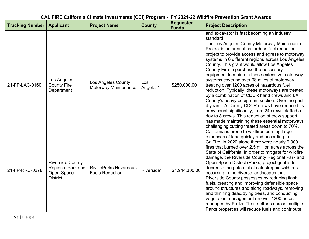| CAL FIRE California Climate Investments (CCI) Program - FY 2021-22 Wildfire Prevention Grant Awards |                                                                               |                                                       |                 |                                  |                                                                                                                                                                                                                                                                                                                                                                                                                                                                                                                                                                                                                                                                                                                                                                                                                                                              |
|-----------------------------------------------------------------------------------------------------|-------------------------------------------------------------------------------|-------------------------------------------------------|-----------------|----------------------------------|--------------------------------------------------------------------------------------------------------------------------------------------------------------------------------------------------------------------------------------------------------------------------------------------------------------------------------------------------------------------------------------------------------------------------------------------------------------------------------------------------------------------------------------------------------------------------------------------------------------------------------------------------------------------------------------------------------------------------------------------------------------------------------------------------------------------------------------------------------------|
| <b>Tracking Number</b>                                                                              | <b>Applicant</b>                                                              | <b>Project Name</b>                                   | <b>County</b>   | <b>Requested</b><br><b>Funds</b> | <b>Project Description</b>                                                                                                                                                                                                                                                                                                                                                                                                                                                                                                                                                                                                                                                                                                                                                                                                                                   |
|                                                                                                     |                                                                               |                                                       |                 |                                  | and excavator is fast becoming an industry<br>standard.                                                                                                                                                                                                                                                                                                                                                                                                                                                                                                                                                                                                                                                                                                                                                                                                      |
| 21-FP-LAC-0160                                                                                      | Los Angeles<br><b>County Fire</b><br>Department                               | Los Angeles County<br>Motorway Maintenance            | Los<br>Angeles* | \$250,000.00                     | The Los Angeles County Motorway Maintenance<br>Project is an annual hazardous fuel reduction<br>project to provide access and egress to motorway<br>systems in 6 different regions across Los Angeles<br>County. This grant would allow Los Angeles<br>County Fire to purchase the necessary<br>equipment to maintain these extensive motorway<br>systems covering over 98 miles of motorway<br>treating over 1200 acres of hazardous fuel<br>reduction. Typically, these motorways are treated<br>by a combination of CDCR hand crews and LA<br>County's heavy equipment section. Over the past<br>4 years LA County CDCR crews have reduced its<br>crew count significantly, from 24 crews staffed a<br>day to 8 crews. This reduction of crew support<br>has made maintaining these essential motorways<br>challenging cutting treated areas down to 70%. |
| 21-FP-RRU-0278                                                                                      | <b>Riverside County</b><br>Regional Park and<br>Open-Space<br><b>District</b> | <b>RivCoParks Hazardous</b><br><b>Fuels Reduction</b> | Riverside*      | \$1,944,300.00                   | California is prone to wildfires burning large<br>expanses of land quickly and according to<br>CalFire, in 2020 alone there were nearly 9,000<br>fires that burned over 2.5 million acres across the<br>State of California. In order to mitigate for wildfire<br>damage, the Riverside County Regional Park and<br>Open-Space District (Parks) project goal is to<br>decrease the potential of catastrophic wildfires<br>occurring in the diverse landscapes that<br>Riverside County possesses by reducing flash<br>fuels, creating and improving defensible space<br>around structures and along roadways, removing<br>and thinning dead/dying trees, and conducting<br>vegetation management on over 1200 acres<br>managed by Parks. These efforts across multiple<br>Parks properties will reduce fuels and contribute                                  |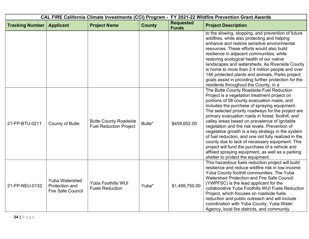| CAL FIRE California Climate Investments (CCI) Program - FY 2021-22 Wildfire Prevention Grant Awards |                                                                     |                                                               |               |                                  |                                                                                                                                                                                                                                                                                                                                                                                                                                                                                                                                                                                                                                                                                                                   |
|-----------------------------------------------------------------------------------------------------|---------------------------------------------------------------------|---------------------------------------------------------------|---------------|----------------------------------|-------------------------------------------------------------------------------------------------------------------------------------------------------------------------------------------------------------------------------------------------------------------------------------------------------------------------------------------------------------------------------------------------------------------------------------------------------------------------------------------------------------------------------------------------------------------------------------------------------------------------------------------------------------------------------------------------------------------|
| <b>Tracking Number</b>                                                                              | <b>Applicant</b>                                                    | <b>Project Name</b>                                           | <b>County</b> | <b>Requested</b><br><b>Funds</b> | <b>Project Description</b>                                                                                                                                                                                                                                                                                                                                                                                                                                                                                                                                                                                                                                                                                        |
|                                                                                                     |                                                                     |                                                               |               |                                  | to the slowing, stopping, and prevention of future<br>wildfires, while also protecting and helping<br>enhance and restore sensitive environmental<br>resources. These efforts would also build<br>resilience in adjacent communities, while<br>restoring ecological health of our native<br>landscapes and watersheds. As Riverside County<br>is home to more than 2.4 million people and over<br>146 protected plants and animals, Parks project<br>goals assist in providing further protection for the<br>residents throughout the County, in a                                                                                                                                                                |
| 21-FP-BTU-0211                                                                                      | <b>County of Butte</b>                                              | <b>Butte County Roadside</b><br><b>Fuel Reduction Project</b> | Butte*        | \$459,652.00                     | The Butte County Roadside Fuel Reduction<br>Project is a vegetation treatment project on<br>portions of 58 county evacuation roads, and<br>includes the purchase of spraying equipment.<br>The selected priority roadways for the project are<br>primary evacuation roads in forest, foothill, and<br>valley areas based on prevalence of ignitable<br>vegetation and fire risk levels. Prevention of<br>vegetative growth is a key strategy in the system<br>of fuel reduction, and one not fully realized in the<br>county due to lack of necessary equipment. This<br>project will fund the purchase of a vehicle and<br>affixed spraying equipment, as well as a parking<br>shelter to protect the equipment. |
| 21-FP-NEU-0132                                                                                      | <b>Yuba Watershed</b><br>Protection and<br><b>Fire Safe Council</b> | <b>Yuba Foothills WUI</b><br><b>Fuels Reduction</b>           | Yuba*         | \$1,499,750.00                   | This hazardous fuels reduction project will build<br>resilience and reduce wildfire risk in low-income<br>Yuba County foothill communities. The Yuba<br><b>Watershed Protection and Fire Safe Council</b><br>(YWPFSC) is the lead applicant for the<br>collaborative Yuba Foothills WUI Fuels Reduction<br>Project, which focuses on roadside fuels<br>reduction and public outreach and will include<br>coordination with Yuba County, Yuba Water<br>Agency, local fire districts, and community                                                                                                                                                                                                                 |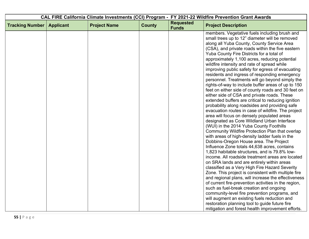|                        |                  |                     |               |                                  | CAL FIRE California Climate Investments (CCI) Program - FY 2021-22 Wildfire Prevention Grant Awards                                                                                                                                                                                                                                                                                                                                                                                                                                                                                                                                                                                                                                                                                                                                                                                                                                                                                                                                                                                                                                                                                                                                                                                                                                                                                                                                                                                                                                                                                                                                           |
|------------------------|------------------|---------------------|---------------|----------------------------------|-----------------------------------------------------------------------------------------------------------------------------------------------------------------------------------------------------------------------------------------------------------------------------------------------------------------------------------------------------------------------------------------------------------------------------------------------------------------------------------------------------------------------------------------------------------------------------------------------------------------------------------------------------------------------------------------------------------------------------------------------------------------------------------------------------------------------------------------------------------------------------------------------------------------------------------------------------------------------------------------------------------------------------------------------------------------------------------------------------------------------------------------------------------------------------------------------------------------------------------------------------------------------------------------------------------------------------------------------------------------------------------------------------------------------------------------------------------------------------------------------------------------------------------------------------------------------------------------------------------------------------------------------|
| <b>Tracking Number</b> | <b>Applicant</b> | <b>Project Name</b> | <b>County</b> | <b>Requested</b><br><b>Funds</b> | <b>Project Description</b>                                                                                                                                                                                                                                                                                                                                                                                                                                                                                                                                                                                                                                                                                                                                                                                                                                                                                                                                                                                                                                                                                                                                                                                                                                                                                                                                                                                                                                                                                                                                                                                                                    |
|                        |                  |                     |               |                                  | members. Vegetative fuels including brush and<br>small trees up to 12" diameter will be removed<br>along all Yuba County, County Service Area<br>(CSA), and private roads within the five eastern<br>Yuba County Fire Districts for a total of<br>approximately 1,100 acres, reducing potential<br>wildfire intensity and rate of spread while<br>improving public safety for egress of evacuating<br>residents and ingress of responding emergency<br>personnel. Treatments will go beyond simply the<br>rights-of-way to include buffer areas of up to 150<br>feet on either side of county roads and 30 feet on<br>either side of CSA and private roads. These<br>extended buffers are critical to reducing ignition<br>probability along roadsides and providing safe<br>evacuation routes in case of wildfire. The project<br>area will focus on densely populated areas<br>designated as Core Wildland Urban Interface<br>(WUI) in the 2014 Yuba County Foothills<br>Community Wildfire Protection Plan that overlap<br>with areas of high-density ladder fuels in the<br>Dobbins-Oregon House area. The Project<br>Influence Zone totals 44,638 acres, contains<br>1,823 habitable structures, and is 79.8% low-<br>income. All roadside treatment areas are located<br>on SRA lands and are entirely within areas<br>classified as a Very High Fire Hazard Severity<br>Zone. This project is consistent with multiple fire<br>and regional plans, will increase the effectiveness<br>of current fire-prevention activities in the region,<br>such as fuel-break creation and ongoing<br>community-level fire prevention programs, and |
|                        |                  |                     |               |                                  | will augment an existing fuels reduction and<br>restoration planning tool to guide future fire<br>mitigation and forest health improvement efforts.                                                                                                                                                                                                                                                                                                                                                                                                                                                                                                                                                                                                                                                                                                                                                                                                                                                                                                                                                                                                                                                                                                                                                                                                                                                                                                                                                                                                                                                                                           |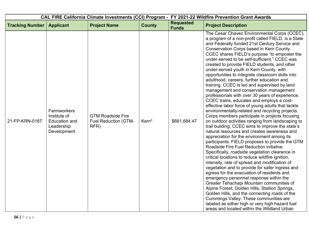| CAL FIRE California Climate Investments (CCI) Program - FY 2021-22 Wildfire Prevention Grant Awards |                                                                                  |                                                                 |               |                                  |                                                                                                                                                                                                                                                                                                                                                                                                                                                                                                                                                                                                                                                                                                                                                                                                                                                                                                                                                                                                                                                                                                                                                                                                                                                                                                                                                                                                                                                                                                                                                                                                                                                                                                                                                    |
|-----------------------------------------------------------------------------------------------------|----------------------------------------------------------------------------------|-----------------------------------------------------------------|---------------|----------------------------------|----------------------------------------------------------------------------------------------------------------------------------------------------------------------------------------------------------------------------------------------------------------------------------------------------------------------------------------------------------------------------------------------------------------------------------------------------------------------------------------------------------------------------------------------------------------------------------------------------------------------------------------------------------------------------------------------------------------------------------------------------------------------------------------------------------------------------------------------------------------------------------------------------------------------------------------------------------------------------------------------------------------------------------------------------------------------------------------------------------------------------------------------------------------------------------------------------------------------------------------------------------------------------------------------------------------------------------------------------------------------------------------------------------------------------------------------------------------------------------------------------------------------------------------------------------------------------------------------------------------------------------------------------------------------------------------------------------------------------------------------------|
| <b>Tracking Number</b>                                                                              | <b>Applicant</b>                                                                 | <b>Project Name</b>                                             | <b>County</b> | <b>Requested</b><br><b>Funds</b> | <b>Project Description</b>                                                                                                                                                                                                                                                                                                                                                                                                                                                                                                                                                                                                                                                                                                                                                                                                                                                                                                                                                                                                                                                                                                                                                                                                                                                                                                                                                                                                                                                                                                                                                                                                                                                                                                                         |
| 21-FP-KRN-0187                                                                                      | Farmworkers<br>Institute of<br><b>Education and</b><br>Leadership<br>Development | <b>GTM Roadside Fire</b><br><b>Fuel Reduction (GTM-</b><br>RFR) | Kern*         | \$661,684.47                     | The Cesar Chavez Environmental Corps (CCEC),<br>a program of a non-profit called FIELD, is a State<br>and Federally funded 21st Century Service and<br>Conservation Corps based in Kern County.<br>CCEC shares FIELD's purpose "to empower the<br>under-served to be self-sufficient." CCEC was<br>created to provide FIELD students, and other<br>under-served youth in Kern County, with<br>opportunities to integrate classroom skills into<br>adulthood, careers, further education and<br>training. CCEC is led and supervised by land<br>management and conservation management<br>professionals with over 30 years of experience.<br>CCEC trains, educates and employs a cost-<br>effective labor force of young adults that tackle<br>environmentally-related and recycling projects.<br>Corps members participate in projects focusing<br>on outdoor activities ranging from landscaping to<br>trail building. CCEC aims to improve the state's<br>natural resources and creates awareness and<br>appreciation for the environment among its<br>participants. FIELD proposes to provide the GTM<br>Roadside Fire Fuel Reduction initiative.<br>Specifically, roadside vegetation clearance in<br>critical locations to reduce wildfire ignition,<br>intensity, rate of spread and modification of<br>vegetation and to provide for safer ingress and<br>egress for the evacuation of residents and<br>emergency personnel response within the<br>Greater Tehachapi Mountain communities of<br>Alpine Forest, Golden Hills, Stallion Springs,<br>Golden Hills, and the connecting roads of the<br>Cummings Valley. These communities are<br>labeled as either high or very high hazard fuel<br>areas and located within the Wildland Urban |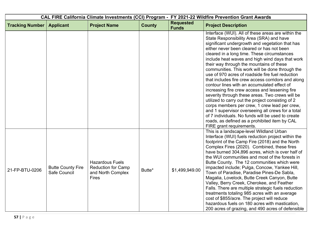| CAL FIRE California Climate Investments (CCI) Program - FY 2021-22 Wildfire Prevention Grant Awards |                                          |                                                                                          |               |                                  |                                                                                                                                                                                                                                                                                                                                                                                                                                                                                                                                                                                                                                                                                                                                                                                                                                                                                                                                                            |
|-----------------------------------------------------------------------------------------------------|------------------------------------------|------------------------------------------------------------------------------------------|---------------|----------------------------------|------------------------------------------------------------------------------------------------------------------------------------------------------------------------------------------------------------------------------------------------------------------------------------------------------------------------------------------------------------------------------------------------------------------------------------------------------------------------------------------------------------------------------------------------------------------------------------------------------------------------------------------------------------------------------------------------------------------------------------------------------------------------------------------------------------------------------------------------------------------------------------------------------------------------------------------------------------|
| <b>Tracking Number</b>                                                                              | <b>Applicant</b>                         | <b>Project Name</b>                                                                      | <b>County</b> | <b>Requested</b><br><b>Funds</b> | <b>Project Description</b>                                                                                                                                                                                                                                                                                                                                                                                                                                                                                                                                                                                                                                                                                                                                                                                                                                                                                                                                 |
|                                                                                                     |                                          |                                                                                          |               |                                  | Interface (WUI). All of these areas are within the<br>State Responsibility Area (SRA) and have<br>significant undergrowth and vegetation that has<br>either never been cleared or has not been<br>cleared in a long time. These circumstances<br>include heat waves and high wind days that work<br>their way through the mountains of these<br>communities. This work will be done through the<br>use of 970 acres of roadside fire fuel reduction<br>that includes fire crew access corridors and along<br>contour lines with an accumulated effect of<br>increasing fire crew access and lessening fire<br>severity through these areas. Two crews will be<br>utilized to carry out the project consisting of 2<br>corps members per crew, 1 crew lead per crew,<br>and 1 supervisor overseeing all crews for a total<br>of 7 individuals. No funds will be used to create<br>roads, as defined as a prohibited item by CAL<br>FIRE grant requirements. |
| 21-FP-BTU-0206                                                                                      | <b>Butte County Fire</b><br>Safe Council | <b>Hazardous Fuels</b><br><b>Reduction for Camp</b><br>and North Complex<br><b>Fires</b> | Butte*        | \$1,499,949.00                   | This is a landscape-level Wildland Urban<br>Interface (WUI) fuels reduction project within the<br>footprint of the Camp Fire (2018) and the North<br>Complex Fires (2020). Combined, these fires<br>have burned 304,896 acres, which is over half of<br>the WUI communities and most of the forests in<br>Butte County. The 12 communities which were<br>impacted include; Pulga, Concow, Yankee Hill,<br>Town of Paradise, Paradise Pines-De Sabla,<br>Magalia, Lovelock, Butte Creek Canyon, Butte<br>Valley, Berry Creek, Cherokee, and Feather<br>Falls. There are multiple strategic fuels reduction<br>treatments totaling 985 acres with an average<br>cost of \$855/acre. The project will reduce<br>hazardous fuels on 180 acres with mastication,<br>200 acres of grazing, and 490 acres of defensible                                                                                                                                           |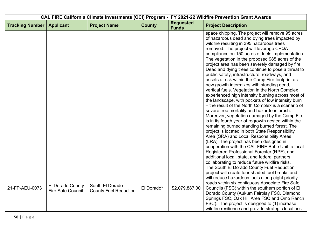| CAL FIRE California Climate Investments (CCI) Program - FY 2021-22 Wildfire Prevention Grant Awards |                                              |                                                 |               |                                  |                                                                                                                                                                                                                                                                                                                                                                                                                                                                                                                                                                                                                                                                                                                                                                                                                                                                                                                                                                                                                                                                                                                                                                                                                                                                                                                                      |  |
|-----------------------------------------------------------------------------------------------------|----------------------------------------------|-------------------------------------------------|---------------|----------------------------------|--------------------------------------------------------------------------------------------------------------------------------------------------------------------------------------------------------------------------------------------------------------------------------------------------------------------------------------------------------------------------------------------------------------------------------------------------------------------------------------------------------------------------------------------------------------------------------------------------------------------------------------------------------------------------------------------------------------------------------------------------------------------------------------------------------------------------------------------------------------------------------------------------------------------------------------------------------------------------------------------------------------------------------------------------------------------------------------------------------------------------------------------------------------------------------------------------------------------------------------------------------------------------------------------------------------------------------------|--|
| <b>Tracking Number</b>                                                                              | <b>Applicant</b>                             | <b>Project Name</b>                             | <b>County</b> | <b>Requested</b><br><b>Funds</b> | <b>Project Description</b>                                                                                                                                                                                                                                                                                                                                                                                                                                                                                                                                                                                                                                                                                                                                                                                                                                                                                                                                                                                                                                                                                                                                                                                                                                                                                                           |  |
|                                                                                                     |                                              |                                                 |               |                                  | space chipping. The project will remove 95 acres<br>of hazardous dead and dying trees impacted by<br>wildfire resulting in 395 hazardous trees<br>removed. The project will leverage CEQA<br>compliance on 150 acres of fuels implementation.<br>The vegetation in the proposed 985 acres of the<br>project area has been severely damaged by fire.<br>Dead and dying trees continue to pose a threat to<br>public safety, infrastructure, roadways, and<br>assets at risk within the Camp Fire footprint as<br>new growth intermixes with standing dead,<br>vertical fuels. Vegetation in the North Complex<br>experienced high intensity burning across most of<br>the landscape, with pockets of low intensity burn<br>- the result of the North Complex is a scenario of<br>severe tree mortality and hazardous brush.<br>Moreover, vegetation damaged by the Camp Fire<br>is in its fourth year of regrowth nested within the<br>remaining burned standing burned forest. The<br>project is located in both State Responsibility<br>Area (SRA) and Local Responsibility Areas<br>(LRA). The project has been designed in<br>cooperation with the CAL FIRE Butte Unit, a local<br>Registered Professional Forester (RPF), and<br>additional local, state, and federal partners<br>collaborating to reduce future wildfire risks. |  |
| 21-FP-AEU-0073                                                                                      | El Dorado County<br><b>Fire Safe Council</b> | South El Dorado<br><b>County Fuel Reduction</b> | El Dorado*    | \$2,079,887.00                   | The South El Dorado County Fuel Reduction<br>project will create four shaded fuel breaks and<br>will reduce hazardous fuels along eight priority<br>roads within six contiguous Associate Fire Safe<br>Councils (FSC) within the southern portion of El<br>Dorado County (Aukum Fairplay FSC, Diamond<br>Springs FSC, Oak Hill Area FSC and Omo Ranch<br>FSC). The project is designed to (1) increase<br>wildfire resilience and provide strategic locations                                                                                                                                                                                                                                                                                                                                                                                                                                                                                                                                                                                                                                                                                                                                                                                                                                                                        |  |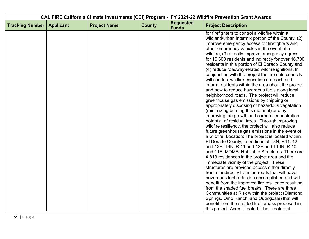| CAL FIRE California Climate Investments (CCI) Program - FY 2021-22 Wildfire Prevention Grant Awards |                  |                     |               |                                  |                                                                                        |
|-----------------------------------------------------------------------------------------------------|------------------|---------------------|---------------|----------------------------------|----------------------------------------------------------------------------------------|
| <b>Tracking Number</b>                                                                              | <b>Applicant</b> | <b>Project Name</b> | <b>County</b> | <b>Requested</b><br><b>Funds</b> | <b>Project Description</b>                                                             |
|                                                                                                     |                  |                     |               |                                  | for firefighters to control a wildfire within a                                        |
|                                                                                                     |                  |                     |               |                                  | wildland/urban intermix portion of the County, (2)                                     |
|                                                                                                     |                  |                     |               |                                  | improve emergency access for firefighters and                                          |
|                                                                                                     |                  |                     |               |                                  | other emergency vehicles in the event of a                                             |
|                                                                                                     |                  |                     |               |                                  | wildfire, (3) directly improve emergency egress                                        |
|                                                                                                     |                  |                     |               |                                  | for 10,600 residents and indirectly for over 16,700                                    |
|                                                                                                     |                  |                     |               |                                  | residents in this portion of El Dorado County and                                      |
|                                                                                                     |                  |                     |               |                                  | (4) reduce roadway-related wildfire ignitions. In                                      |
|                                                                                                     |                  |                     |               |                                  | conjunction with the project the fire safe councils                                    |
|                                                                                                     |                  |                     |               |                                  | will conduct wildfire education outreach and                                           |
|                                                                                                     |                  |                     |               |                                  | inform residents within the area about the project                                     |
|                                                                                                     |                  |                     |               |                                  | and how to reduce hazardous fuels along local                                          |
|                                                                                                     |                  |                     |               |                                  | neighborhood roads. The project will reduce<br>greenhouse gas emissions by chipping or |
|                                                                                                     |                  |                     |               |                                  | appropriately disposing of hazardous vegetation                                        |
|                                                                                                     |                  |                     |               |                                  | (minimizing burning this material) and by                                              |
|                                                                                                     |                  |                     |               |                                  | improving the growth and carbon sequestration                                          |
|                                                                                                     |                  |                     |               |                                  | potential of residual trees. Through improving                                         |
|                                                                                                     |                  |                     |               |                                  | wildfire resiliency, the project will also reduce                                      |
|                                                                                                     |                  |                     |               |                                  | future greenhouse gas emissions in the event of                                        |
|                                                                                                     |                  |                     |               |                                  | a wildfire. Location: The project is located within                                    |
|                                                                                                     |                  |                     |               |                                  | El Dorado County, in portions of T8N, R11, 12                                          |
|                                                                                                     |                  |                     |               |                                  | and 13E, T9N, R.11 and 12E and T10N, R.10                                              |
|                                                                                                     |                  |                     |               |                                  | and 11E, MDMB. Habitable Structures: There are                                         |
|                                                                                                     |                  |                     |               |                                  | 4,813 residences in the project area and the                                           |
|                                                                                                     |                  |                     |               |                                  | immediate vicinity of the project. These                                               |
|                                                                                                     |                  |                     |               |                                  | structures are provided access either directly                                         |
|                                                                                                     |                  |                     |               |                                  | from or indirectly from the roads that will have                                       |
|                                                                                                     |                  |                     |               |                                  | hazardous fuel reduction accomplished and will                                         |
|                                                                                                     |                  |                     |               |                                  | benefit from the improved fire resilience resulting                                    |
|                                                                                                     |                  |                     |               |                                  | from the shaded fuel breaks. There are three                                           |
|                                                                                                     |                  |                     |               |                                  | Communities at Risk within the project (Diamond                                        |
|                                                                                                     |                  |                     |               |                                  | Springs, Omo Ranch, and Outingdale) that will                                          |
|                                                                                                     |                  |                     |               |                                  | benefit from the shaded fuel breaks proposed in                                        |
|                                                                                                     |                  |                     |               |                                  | this project. Acres Treated: The Treatment                                             |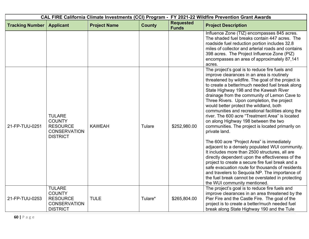| CAL FIRE California Climate Investments (CCI) Program - FY 2021-22 Wildfire Prevention Grant Awards |                                                                                             |                     |               |                                  |                                                                                                                                                                                                                                                                                                                                                                                                                                                                                                                                                                                                                                                                                                                                                                                                                                                                                                                                                                                                                                                                    |  |
|-----------------------------------------------------------------------------------------------------|---------------------------------------------------------------------------------------------|---------------------|---------------|----------------------------------|--------------------------------------------------------------------------------------------------------------------------------------------------------------------------------------------------------------------------------------------------------------------------------------------------------------------------------------------------------------------------------------------------------------------------------------------------------------------------------------------------------------------------------------------------------------------------------------------------------------------------------------------------------------------------------------------------------------------------------------------------------------------------------------------------------------------------------------------------------------------------------------------------------------------------------------------------------------------------------------------------------------------------------------------------------------------|--|
| <b>Tracking Number</b>                                                                              | <b>Applicant</b>                                                                            | <b>Project Name</b> | <b>County</b> | <b>Requested</b><br><b>Funds</b> | <b>Project Description</b>                                                                                                                                                                                                                                                                                                                                                                                                                                                                                                                                                                                                                                                                                                                                                                                                                                                                                                                                                                                                                                         |  |
|                                                                                                     |                                                                                             |                     |               |                                  | Influence Zone (TIZ) encompasses 845 acres.<br>The shaded fuel breaks contain 447 acres. The<br>roadside fuel reduction portion includes 32.8<br>miles of collector and arterial roads and contains<br>398 acres. The Project Influence Zone (PIZ)<br>encompasses an area of approximately 87,141<br>acres.                                                                                                                                                                                                                                                                                                                                                                                                                                                                                                                                                                                                                                                                                                                                                        |  |
| 21-FP-TUU-0251                                                                                      | <b>TULARE</b><br><b>COUNTY</b><br><b>RESOURCE</b><br><b>CONSERVATION</b><br><b>DISTRICT</b> | <b>KAWEAH</b>       | Tulare        | \$252,980.00                     | The project's goal is to reduce fire fuels and<br>improve clearances in an area is routinely<br>threatened by wildfire. The goal of the project is<br>to create a better/much needed fuel break along<br>State Highway 198 and the Kaweah River<br>drainage from the community of Lemon Cave to<br>Three Rivers. Upon completion, the project<br>would better protect the wildland, both<br>communities and recreational facilities along the<br>river. The 600 acre "Treatment Area" is located<br>on along Highway 198 between the two<br>communities. The project is located primarily on<br>private land.<br>The 600 acre "Project Area" is immediately<br>adjacent to a densely populated WUI community.<br>It includes more than 2500 structures, all are<br>directly dependent upon the effectiveness of the<br>project to create a secure fire fuel break and a<br>safe evacuation route for thousands of residents<br>and travelers to Sequoia NP. The importance of<br>the fuel break cannot be overstated in protecting<br>the WUI community mentioned. |  |
| 21-FP-TUU-0253                                                                                      | <b>TULARE</b><br><b>COUNTY</b><br><b>RESOURCE</b><br><b>CONSERVATION</b><br><b>DISTRICT</b> | <b>TULE</b>         | Tulare*       | \$265,804.00                     | The project's goal is to reduce fire fuels and<br>improve clearances in an area threatened by the<br>Pier Fire and the Castle Fire. The goal of the<br>project is to create a better/much needed fuel<br>break along State Highway 190 and the Tule                                                                                                                                                                                                                                                                                                                                                                                                                                                                                                                                                                                                                                                                                                                                                                                                                |  |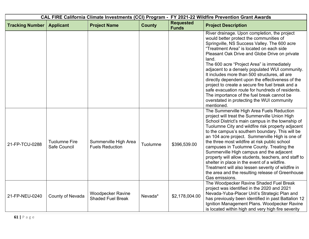| CAL FIRE California Climate Investments (CCI) Program - FY 2021-22 Wildfire Prevention Grant Awards |                                      |                                                      |               |                                  |                                                                                                                                                                                                                                                                                                                                                                                                                                                                                                                                                                                                                                                                                         |  |
|-----------------------------------------------------------------------------------------------------|--------------------------------------|------------------------------------------------------|---------------|----------------------------------|-----------------------------------------------------------------------------------------------------------------------------------------------------------------------------------------------------------------------------------------------------------------------------------------------------------------------------------------------------------------------------------------------------------------------------------------------------------------------------------------------------------------------------------------------------------------------------------------------------------------------------------------------------------------------------------------|--|
| <b>Tracking Number</b>                                                                              | <b>Applicant</b>                     | <b>Project Name</b>                                  | <b>County</b> | <b>Requested</b><br><b>Funds</b> | <b>Project Description</b>                                                                                                                                                                                                                                                                                                                                                                                                                                                                                                                                                                                                                                                              |  |
|                                                                                                     |                                      |                                                      |               |                                  | River drainage. Upon completion, the project<br>would better protect the communities of<br>Springville, NS Success Valley. The 600 acre<br>"Treatment Area" is located on each side<br>Pleasant Oak Drive and Globe Drive on private<br>land.<br>The 600 acre "Project Area" is immediately<br>adjacent to a densely populated WUI community.<br>It includes more than 500 structures, all are<br>directly dependent upon the effectiveness of the<br>project to create a secure fire fuel break and a<br>safe evacuation route for hundreds of residents.<br>The importance of the fuel break cannot be<br>overstated in protecting the WUI community<br>mentioned.                    |  |
| 21-FP-TCU-0288                                                                                      | <b>Tuolumne Fire</b><br>Safe Council | Summerville High Area<br><b>Fuels Reduction</b>      | Tuolumne      | \$396,539.00                     | The Summerville High Area Fuels Reduction<br>project will treat the Summerville Union High<br>School District's main campus in the township of<br>Tuolumne City and wildfire risk property adjacent<br>to the campus's southern boundary. This will be<br>an 104 acre project. Summerville High is one of<br>the three most wildfire at risk public school<br>campuses in Tuolumne County. Treating the<br>Summerville High campus and the adjacent<br>property will allow students, teachers, and staff to<br>shelter in place in the event of a wildfire.<br>Treatment will also lessen severity of wildfire in<br>the area and the resulting release of Greenhouse<br>Gas emissions. |  |
| 21-FP-NEU-0240                                                                                      | County of Nevada                     | <b>Woodpecker Ravine</b><br><b>Shaded Fuel Break</b> | Nevada*       | \$2,178,004.00                   | The Woodpecker Ravine Shaded Fuel Break<br>project was identified in the 2020 and 2021<br>Nevada-Yuba-Placer Unit's Strategic Plan and<br>has previously been identified in past Battalion 12<br>Ignition Management Plans. Woodpecker Ravine<br>is located within high and very high fire severity                                                                                                                                                                                                                                                                                                                                                                                     |  |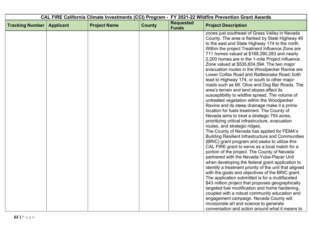| CAL FIRE California Climate Investments (CCI) Program - FY 2021-22 Wildfire Prevention Grant Awards |                  |                     |               |                                  |                                                                                                                                                                                                                                                                                                                                                                                                                                                                                                                                                                                                                                                                                                                                                                                                                                                                                                                                                                                                                                                                                                                                                                                                                                                                                                                                                                                                                                                                                    |
|-----------------------------------------------------------------------------------------------------|------------------|---------------------|---------------|----------------------------------|------------------------------------------------------------------------------------------------------------------------------------------------------------------------------------------------------------------------------------------------------------------------------------------------------------------------------------------------------------------------------------------------------------------------------------------------------------------------------------------------------------------------------------------------------------------------------------------------------------------------------------------------------------------------------------------------------------------------------------------------------------------------------------------------------------------------------------------------------------------------------------------------------------------------------------------------------------------------------------------------------------------------------------------------------------------------------------------------------------------------------------------------------------------------------------------------------------------------------------------------------------------------------------------------------------------------------------------------------------------------------------------------------------------------------------------------------------------------------------|
| <b>Tracking Number</b>                                                                              | <b>Applicant</b> | <b>Project Name</b> | <b>County</b> | <b>Requested</b><br><b>Funds</b> | <b>Project Description</b>                                                                                                                                                                                                                                                                                                                                                                                                                                                                                                                                                                                                                                                                                                                                                                                                                                                                                                                                                                                                                                                                                                                                                                                                                                                                                                                                                                                                                                                         |
|                                                                                                     |                  |                     |               |                                  | zones just southeast of Grass Valley in Nevada<br>County. The area is flanked by State Highway 49<br>to the east and State Highway 174 to the north.<br>Within the project Treatment Influence Zone are<br>711 homes valued at \$168,390,283 and nearly<br>2,200 homes are in the 1-mile Project Influence<br>Zone valued at \$535,834,594. The two major<br>evacuation routes in the Woodpecker Ravine are<br>Lower Colfax Road and Rattlesnake Road; both<br>lead to Highway 174, or south to other major<br>roads such as Mt. Olive and Dog Bar Roads. The<br>area's terrain and land slopes affect its<br>susceptibility to wildfire spread. The volume of<br>untreated vegetation within the Woodpecker<br>Ravine and its steep drainage make it a prime<br>location for fuels treatment. The County of<br>Nevada aims to treat a strategic 754 acres,<br>prioritizing critical infrastructure, evacuation<br>routes, and strategic ridges.<br>The County of Nevada has applied for FEMA's<br><b>Building Resilient Infrastructure and Communities</b><br>(BRIC) grant program and seeks to utilize this<br>CAL FIRE grant to serve as a local match for a<br>portion of the project. The County of Nevada<br>partnered with the Nevada-Yuba-Placer Unit<br>when developing the federal grant application to<br>identify a treatment priority of the unit that aligned<br>with the goals and objectives of the BRIC grant.<br>The application submitted is for a multifaceted |
|                                                                                                     |                  |                     |               |                                  | \$43 million project that proposes geographically<br>targeted fuel modification and home hardening,<br>coupled with a robust community education and<br>engagement campaign. Nevada County will                                                                                                                                                                                                                                                                                                                                                                                                                                                                                                                                                                                                                                                                                                                                                                                                                                                                                                                                                                                                                                                                                                                                                                                                                                                                                    |
|                                                                                                     |                  |                     |               |                                  | incorporate art and science to generate<br>conversation and action around what it means to                                                                                                                                                                                                                                                                                                                                                                                                                                                                                                                                                                                                                                                                                                                                                                                                                                                                                                                                                                                                                                                                                                                                                                                                                                                                                                                                                                                         |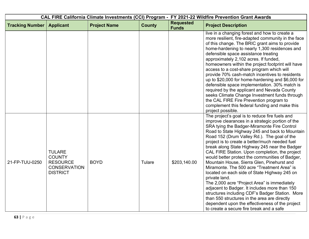| CAL FIRE California Climate Investments (CCI) Program - FY 2021-22 Wildfire Prevention Grant Awards |                                                                                             |                     |               |                                  |                                                                                                                                                                                                                                                                                                                                                                                                                                                                                                                                                                                                                                                                                                                                                                                                                                                                                                                             |  |
|-----------------------------------------------------------------------------------------------------|---------------------------------------------------------------------------------------------|---------------------|---------------|----------------------------------|-----------------------------------------------------------------------------------------------------------------------------------------------------------------------------------------------------------------------------------------------------------------------------------------------------------------------------------------------------------------------------------------------------------------------------------------------------------------------------------------------------------------------------------------------------------------------------------------------------------------------------------------------------------------------------------------------------------------------------------------------------------------------------------------------------------------------------------------------------------------------------------------------------------------------------|--|
| <b>Tracking Number</b>                                                                              | <b>Applicant</b>                                                                            | <b>Project Name</b> | <b>County</b> | <b>Requested</b><br><b>Funds</b> | <b>Project Description</b>                                                                                                                                                                                                                                                                                                                                                                                                                                                                                                                                                                                                                                                                                                                                                                                                                                                                                                  |  |
|                                                                                                     |                                                                                             |                     |               |                                  | live in a changing forest and how to create a<br>more resilient, fire-adapted community in the face<br>of this change. The BRIC grant aims to provide<br>home-hardening to nearly 1,300 residences and<br>defensible space assistance treating<br>approximately 2,102 acres. If funded,<br>homeowners within the project footprint will have<br>access to a cost-share program which will<br>provide 70% cash-match incentives to residents<br>up to \$20,000 for home-hardening and \$6,000 for<br>defensible space implementation. 30% match is<br>required by the applicant and Nevada County<br>seeks Climate Change Investment funds through<br>the CAL FIRE Fire Prevention program to<br>complement this federal funding and make this<br>project possible.                                                                                                                                                          |  |
| 21-FP-TUU-0250                                                                                      | <b>TULARE</b><br><b>COUNTY</b><br><b>RESOURCE</b><br><b>CONSERVATION</b><br><b>DISTRICT</b> | <b>BOYD</b>         | <b>Tulare</b> | \$203,140.00                     | The project's goal is to reduce fire fuels and<br>improve clearances in a strategic portion of the<br>SRA tying the Badger-Miramonte Fire Control<br>Road to State Highway 245 and back to Mountain<br>Road 152 (Drum Valley Rd.). The goal of the<br>project is to create a better/much needed fuel<br>break along State Highway 245 near the Badger<br>CAL FIRE Station. Upon completion, the project<br>would better protect the communities of Badger,<br>Mountain House, Sierra Glen, Pinehurst and<br>Miramonte. The 500 acre "Treatment Area" is<br>located on each side of State Highway 245 on<br>private land.<br>The 2,000 acre "Project Area" is immediately<br>adjacent to Badger. It includes more than 150<br>structures including CDF's Badger Station. More<br>than 550 structures in the area are directly<br>dependent upon the effectiveness of the project<br>to create a secure fire break and a safe |  |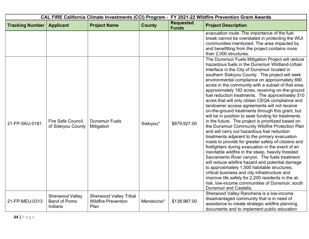| CAL FIRE California Climate Investments (CCI) Program - FY 2021-22 Wildfire Prevention Grant Awards |                                                   |                                                                     |               |                                  |                                                                                                                                                                                                                                                                                                                                                                                                                                                                                                                                                                                                                                                                                                                                                                                                                                                                                                                                                                                                                                                                                                                                                                                                                                                                                                                                                       |  |
|-----------------------------------------------------------------------------------------------------|---------------------------------------------------|---------------------------------------------------------------------|---------------|----------------------------------|-------------------------------------------------------------------------------------------------------------------------------------------------------------------------------------------------------------------------------------------------------------------------------------------------------------------------------------------------------------------------------------------------------------------------------------------------------------------------------------------------------------------------------------------------------------------------------------------------------------------------------------------------------------------------------------------------------------------------------------------------------------------------------------------------------------------------------------------------------------------------------------------------------------------------------------------------------------------------------------------------------------------------------------------------------------------------------------------------------------------------------------------------------------------------------------------------------------------------------------------------------------------------------------------------------------------------------------------------------|--|
| <b>Tracking Number</b>                                                                              | <b>Applicant</b>                                  | <b>Project Name</b>                                                 | <b>County</b> | <b>Requested</b><br><b>Funds</b> | <b>Project Description</b>                                                                                                                                                                                                                                                                                                                                                                                                                                                                                                                                                                                                                                                                                                                                                                                                                                                                                                                                                                                                                                                                                                                                                                                                                                                                                                                            |  |
|                                                                                                     |                                                   |                                                                     |               |                                  | evacuation route. The importance of the fuel<br>break cannot be overstated in protecting the WUI<br>communities mentioned. The area impacted by<br>and benefitting from the project contains more<br>than 2,000 structures.                                                                                                                                                                                                                                                                                                                                                                                                                                                                                                                                                                                                                                                                                                                                                                                                                                                                                                                                                                                                                                                                                                                           |  |
| 21-FP-SKU-0181                                                                                      | <b>Fire Safe Council</b><br>of Siskiyou County    | <b>Dunsmuir Fuels</b><br>Mitigation                                 | Siskiyou*     | \$879,927.00                     | The Dunsmuir Fuels Mitigation Project will reduce<br>hazardous fuels in the Dunsmuir Wildland-Urban<br>Interface in the City of Dunsmuir located in<br>southern Siskiyou County. The project will seek<br>environmental compliance on approximately 690<br>acres in the community with a subset of that area,<br>approximately 183 acres, receiving on-the-ground<br>fuel reduction treatments. The approximately 510<br>acres that will only obtain CEQA compliance and<br>landowner access agreements will not receive<br>on-the-ground treatments through this grant, but<br>will be in position to seek funding for treatments<br>in the future. The project is prioritized based on<br>the Dunsmuir Community Wildfire Protection Plan<br>and will carry out hazardous fuel reduction<br>treatments adjacent to the primary evacuation<br>roads to provide for greater safety of citizens and<br>firefighters during evacuation in the event of an<br>inevitable wildfire in the steep, heavily forested<br>Sacramento River canyon. The fuels treatment<br>will reduce wildfire hazard and potential damage<br>to approximately 1,500 habitable structures,<br>critical business and city infrastructure and<br>improve life safety for 2,200 residents in the at-<br>risk, low-income communities of Dunsmuir, south<br>Dunsmuir and Castella. |  |
| 21-FP-MEU-0313                                                                                      | Sherwood Valley<br><b>Band of Pomo</b><br>Indians | <b>Sherwood Valley Tribal</b><br><b>Wildfire Prevention</b><br>Plan | Mendocino*    | \$138,987.00                     | Sherwood Valley Rancheria is a low-income<br>disadvantaged community that is in need of<br>assistance to create strategic wildfire planning<br>documents and to implement public education                                                                                                                                                                                                                                                                                                                                                                                                                                                                                                                                                                                                                                                                                                                                                                                                                                                                                                                                                                                                                                                                                                                                                            |  |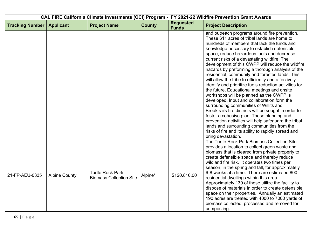|                        |                      |                                                           |               | CAL FIRE California Climate Investments (CCI) Program - FY 2021-22 Wildfire Prevention Grant Awards |                                                                                                                                                                                                                                                                                                                                                                                                                                                                                                                                                                                                                                                                                                                                                                                                                                                                                                                                                                                                                                                     |
|------------------------|----------------------|-----------------------------------------------------------|---------------|-----------------------------------------------------------------------------------------------------|-----------------------------------------------------------------------------------------------------------------------------------------------------------------------------------------------------------------------------------------------------------------------------------------------------------------------------------------------------------------------------------------------------------------------------------------------------------------------------------------------------------------------------------------------------------------------------------------------------------------------------------------------------------------------------------------------------------------------------------------------------------------------------------------------------------------------------------------------------------------------------------------------------------------------------------------------------------------------------------------------------------------------------------------------------|
| <b>Tracking Number</b> | <b>Applicant</b>     | <b>Project Name</b>                                       | <b>County</b> | <b>Requested</b><br><b>Funds</b>                                                                    | <b>Project Description</b>                                                                                                                                                                                                                                                                                                                                                                                                                                                                                                                                                                                                                                                                                                                                                                                                                                                                                                                                                                                                                          |
|                        |                      |                                                           |               |                                                                                                     | and outreach programs around fire prevention.<br>These 611 acres of tribal lands are home to<br>hundreds of members that lack the funds and<br>knowledge necessary to establish defensible<br>space, reduce hazardous fuels and decrease<br>current risks of a devastating wildfire. The<br>development of this CWPP will reduce the wildfire<br>hazards by preforming a thorough analysis of the<br>residential, community and forested lands. This<br>will allow the tribe to efficiently and affectively<br>identify and prioritize fuels reduction activities for<br>the future. Educational meetings and onsite<br>workshops will be planned as the CWPP is<br>developed. Input and collaboration form the<br>surrounding communities of Willits and<br>Brooktrails fire districts will be sought in order to<br>foster a cohesive plan. These planning and<br>prevention activities will help safeguard the tribal<br>lands and surrounding communities from the<br>risks of fire and its ability to rapidly spread and<br>bring devastation. |
| 21-FP-AEU-0335         | <b>Alpine County</b> | <b>Turtle Rock Park</b><br><b>Biomass Collection Site</b> | Alpine*       | \$120,810.00                                                                                        | The Turtle Rock Park Biomass Collection Site<br>provides a location to collect green waste and<br>biomass that is cleared from private property to<br>create defensible space and thereby reduce<br>wildland fire risk. It operates two times per<br>season, in the spring and fall, for approximately<br>6-8 weeks at a time. There are estimated 800<br>residential dwellings within this area.<br>Approximately 130 of these utilize the facility to<br>dispose of materials in order to create defensible<br>space on their properties. Annually an estimated<br>190 acres are treated with 4000 to 7000 yards of<br>biomass collected, processed and removed for<br>composting.                                                                                                                                                                                                                                                                                                                                                                |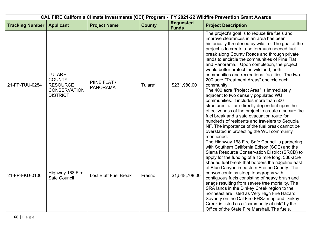| CAL FIRE California Climate Investments (CCI) Program - FY 2021-22 Wildfire Prevention Grant Awards |                                                                                             |                                 |               |                                  |                                                                                                                                                                                                                                                                                                                                                                                                                                                                                                                                                                                                                                                                                                                                                                                                                                                                                                                                                                        |  |
|-----------------------------------------------------------------------------------------------------|---------------------------------------------------------------------------------------------|---------------------------------|---------------|----------------------------------|------------------------------------------------------------------------------------------------------------------------------------------------------------------------------------------------------------------------------------------------------------------------------------------------------------------------------------------------------------------------------------------------------------------------------------------------------------------------------------------------------------------------------------------------------------------------------------------------------------------------------------------------------------------------------------------------------------------------------------------------------------------------------------------------------------------------------------------------------------------------------------------------------------------------------------------------------------------------|--|
| <b>Tracking Number</b>                                                                              | <b>Applicant</b>                                                                            | <b>Project Name</b>             | <b>County</b> | <b>Requested</b><br><b>Funds</b> | <b>Project Description</b>                                                                                                                                                                                                                                                                                                                                                                                                                                                                                                                                                                                                                                                                                                                                                                                                                                                                                                                                             |  |
| 21-FP-TUU-0254                                                                                      | <b>TULARE</b><br><b>COUNTY</b><br><b>RESOURCE</b><br><b>CONSERVATION</b><br><b>DISTRICT</b> | PIINE FLAT /<br><b>PANORAMA</b> | Tulare*       | \$231,980.00                     | The project's goal is to reduce fire fuels and<br>improve clearances in an area has been<br>historically threatened by wildfire. The goal of the<br>project is to create a better/much needed fuel<br>break along County Roads and through private<br>lands to encircle the communities of Pine Flat<br>and Panorama. Upon completion, the project<br>would better protect the wildland, both<br>communities and recreational facilities. The two-<br>200 acre "Treatment Areas" encircle each<br>community.<br>The 400 acre "Project Area" is immediately<br>adjacent to two densely populated WUI<br>communities. It includes more than 500<br>structures, all are directly dependent upon the<br>effectiveness of the project to create a secure fire<br>fuel break and a safe evacuation route for<br>hundreds of residents and travelers to Sequoia<br>NF. The importance of the fuel break cannot be<br>overstated in protecting the WUI community<br>mentioned. |  |
| 21-FP-FKU-0106                                                                                      | Highway 168 Fire<br>Safe Council                                                            | Lost Bluff Fuel Break           | Fresno        | \$1,548,708.00                   | The Highway 168 Fire Safe Council is partnering<br>with Southern California Edison (SCE) and the<br>Sierra Resource Conservation District (SRCD) to<br>apply for the funding of a 12 mile long, 588-acre<br>shaded fuel break that borders the ridgeline east<br>of Blue Canyon in eastern Fresno County. The<br>canyon contains steep topography with<br>contiguous fuels consisting of heavy brush and<br>snags resulting from severe tree mortality. The<br>SRA lands in the Dinkey Creek region to the<br>northeast are listed as Very High Fire Hazard<br>Severity on the Cal Fire FHSZ map and Dinkey<br>Creek is listed as a "community at risk" by the<br>Office of the State Fire Marshall. The fuels,                                                                                                                                                                                                                                                        |  |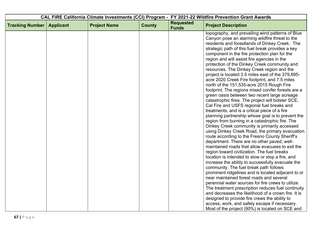| CAL FIRE California Climate Investments (CCI) Program - FY 2021-22 Wildfire Prevention Grant Awards |                  |                     |               |                                  |                                                                                                                                                                                                                                                                                                                                                                                                                                                                                                                                                                                                                                                                                                                                                                                                                                                                                                                                                                                                                                                                                                                                                                                                                                                                                                                                                                                                                                                                                         |
|-----------------------------------------------------------------------------------------------------|------------------|---------------------|---------------|----------------------------------|-----------------------------------------------------------------------------------------------------------------------------------------------------------------------------------------------------------------------------------------------------------------------------------------------------------------------------------------------------------------------------------------------------------------------------------------------------------------------------------------------------------------------------------------------------------------------------------------------------------------------------------------------------------------------------------------------------------------------------------------------------------------------------------------------------------------------------------------------------------------------------------------------------------------------------------------------------------------------------------------------------------------------------------------------------------------------------------------------------------------------------------------------------------------------------------------------------------------------------------------------------------------------------------------------------------------------------------------------------------------------------------------------------------------------------------------------------------------------------------------|
| <b>Tracking Number</b>                                                                              | <b>Applicant</b> | <b>Project Name</b> | <b>County</b> | <b>Requested</b><br><b>Funds</b> | <b>Project Description</b>                                                                                                                                                                                                                                                                                                                                                                                                                                                                                                                                                                                                                                                                                                                                                                                                                                                                                                                                                                                                                                                                                                                                                                                                                                                                                                                                                                                                                                                              |
|                                                                                                     |                  |                     |               |                                  | topography, and prevailing wind patterns of Blue<br>Canyon pose an alarming wildfire threat to the<br>residents and forestlands of Dinkey Creek. The<br>strategic path of this fuel break provides a key<br>component in the fire protection plan for the<br>region and will assist fire agencies in the<br>protection of the Dinkey Creek community and<br>resources. The Dinkey Creek region and the<br>project is located 3.5 miles east of the 379,895-<br>acre 2020 Creek Fire footprint, and 7.5 miles<br>north of the 151,535-acre 2015 Rough Fire<br>footprint. The regions mixed conifer forests are a<br>green oasis between two recent large acreage<br>catastrophic fires. The project will bolster SCE,<br>Cal Fire and USFS regional fuel breaks and<br>treatments, and is a critical piece of a fire<br>planning partnership whose goal is to prevent the<br>region from burning in a catastrophic fire. The<br>Dinkey Creek community is primarily accessed<br>using Dinkey Creek Road, the primary evacuation<br>route according to the Fresno County Sheriff's<br>department. There are no other paved, well-<br>maintained roads that allow evacuees to exit the<br>region toward civilization. The fuel breaks<br>location is intended to slow or stop a fire, and<br>increase the ability to successfully evacuate the<br>community. The fuel break path follows<br>prominent ridgelines and is located adjacent to or<br>near maintained forest roads and several |
|                                                                                                     |                  |                     |               |                                  | perennial water sources for fire crews to utilize.<br>The treatment prescription reduces fuel continuity<br>and decreases the likelihood of a crown fire. It is                                                                                                                                                                                                                                                                                                                                                                                                                                                                                                                                                                                                                                                                                                                                                                                                                                                                                                                                                                                                                                                                                                                                                                                                                                                                                                                         |
|                                                                                                     |                  |                     |               |                                  | designed to provide fire crews the ability to                                                                                                                                                                                                                                                                                                                                                                                                                                                                                                                                                                                                                                                                                                                                                                                                                                                                                                                                                                                                                                                                                                                                                                                                                                                                                                                                                                                                                                           |
|                                                                                                     |                  |                     |               |                                  | access, work, and safely escape if necessary.<br>Most of the project (90%) is located on SCE and                                                                                                                                                                                                                                                                                                                                                                                                                                                                                                                                                                                                                                                                                                                                                                                                                                                                                                                                                                                                                                                                                                                                                                                                                                                                                                                                                                                        |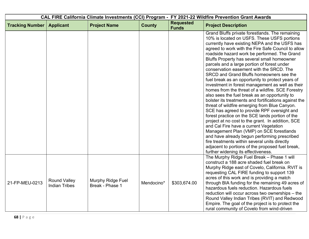| CAL FIRE California Climate Investments (CCI) Program - FY 2021-22 Wildfire Prevention Grant Awards |                                             |                                      |               |                                  |                                                                                                                                                                                                                                                                                                                                                                                                                                                                                                                                                                                                                                                                                                                                                                                                                                                                                                                                                                                                                                                                                                                                                                                                              |
|-----------------------------------------------------------------------------------------------------|---------------------------------------------|--------------------------------------|---------------|----------------------------------|--------------------------------------------------------------------------------------------------------------------------------------------------------------------------------------------------------------------------------------------------------------------------------------------------------------------------------------------------------------------------------------------------------------------------------------------------------------------------------------------------------------------------------------------------------------------------------------------------------------------------------------------------------------------------------------------------------------------------------------------------------------------------------------------------------------------------------------------------------------------------------------------------------------------------------------------------------------------------------------------------------------------------------------------------------------------------------------------------------------------------------------------------------------------------------------------------------------|
| <b>Tracking Number</b>                                                                              | <b>Applicant</b>                            | <b>Project Name</b>                  | <b>County</b> | <b>Requested</b><br><b>Funds</b> | <b>Project Description</b>                                                                                                                                                                                                                                                                                                                                                                                                                                                                                                                                                                                                                                                                                                                                                                                                                                                                                                                                                                                                                                                                                                                                                                                   |
|                                                                                                     |                                             |                                      |               |                                  | Grand Bluffs private forestlands. The remaining<br>10% is located on USFS. These USFS portions<br>currently have existing NEPA and the USFS has<br>agreed to work with the Fire Safe Council to allow<br>roadside hazard work be performed. The Grand<br>Bluffs Property has several small homeowner<br>parcels and a large portion of forest under<br>conservation easement with the SRCD. The<br>SRCD and Grand Bluffs homeowners see the<br>fuel break as an opportunity to protect years of<br>investment in forest management as well as their<br>homes from the threat of a wildfire. SCE Forestry<br>also sees the fuel break as an opportunity to<br>bolster its treatments and fortifications against the<br>threat of wildfire emerging from Blue Canyon.<br>SCE has agreed to provide RPF oversight and<br>forest practice on the SCE lands portion of the<br>project at no cost to the grant. In addition, SCE<br>and Cal Fire have a current Vegetation<br>Management Plan (VMP) on SCE forestlands<br>and have already begun performing prescribed<br>fire treatments within several units directly<br>adjacent to portions of the proposed fuel break,<br>further widening its effectiveness. |
| 21-FP-MEU-0213                                                                                      | <b>Round Valley</b><br><b>Indian Tribes</b> | Murphy Ridge Fuel<br>Break - Phase 1 | Mendocino*    | \$303,674.00                     | The Murphy Ridge Fuel Break - Phase 1 will<br>construct a 188 acre shaded fuel break on<br>Murphy Ridge east of Covelo, California. RVIT is<br>requesting CAL FIRE funding to support 139<br>acres of this work and is providing a match<br>through BIA funding for the remaining 49 acres of<br>hazardous fuels reduction. Hazardous fuels<br>reduction will occur across two ownerships - the<br>Round Valley Indian Tribes (RVIT) and Redwood<br>Empire. The goal of the project is to protect the<br>rural community of Covelo from wind-driven                                                                                                                                                                                                                                                                                                                                                                                                                                                                                                                                                                                                                                                          |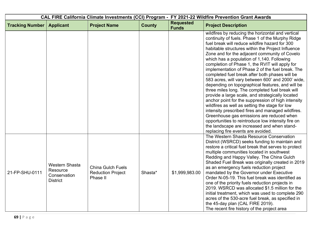| CAL FIRE California Climate Investments (CCI) Program - FY 2021-22 Wildfire Prevention Grant Awards |                                                                      |                                                                  |               |                                  |                                                                                                                                                                                                                                                                                                                                                                                                                                                                                                                                                                                                                                                                                                                                                                                                                                                                                                                                                                                                                                          |
|-----------------------------------------------------------------------------------------------------|----------------------------------------------------------------------|------------------------------------------------------------------|---------------|----------------------------------|------------------------------------------------------------------------------------------------------------------------------------------------------------------------------------------------------------------------------------------------------------------------------------------------------------------------------------------------------------------------------------------------------------------------------------------------------------------------------------------------------------------------------------------------------------------------------------------------------------------------------------------------------------------------------------------------------------------------------------------------------------------------------------------------------------------------------------------------------------------------------------------------------------------------------------------------------------------------------------------------------------------------------------------|
| <b>Tracking Number</b>                                                                              | <b>Applicant</b>                                                     | <b>Project Name</b>                                              | <b>County</b> | <b>Requested</b><br><b>Funds</b> | <b>Project Description</b>                                                                                                                                                                                                                                                                                                                                                                                                                                                                                                                                                                                                                                                                                                                                                                                                                                                                                                                                                                                                               |
|                                                                                                     |                                                                      |                                                                  |               |                                  | wildfires by reducing the horizontal and vertical<br>continuity of fuels. Phase 1 of the Murphy Ridge<br>fuel break will reduce wildfire hazard for 300<br>habitable structures within the Project Influence<br>Zone and for the adjacent community of Covelo<br>which has a population of 1,140. Following<br>completion of Phase 1, the RVIT will apply for<br>implementation of Phase 2 of the fuel break. The<br>completed fuel break after both phases will be<br>583 acres, will vary between 600' and 2000' wide,<br>depending on topographical features, and will be<br>three miles long. The completed fuel break will<br>provide a large scale, and strategically located<br>anchor point for the suppression of high intensity<br>wildfires as well as setting the stage for low<br>intensity prescribed fires and managed wildfires.<br>Greenhouse gas emissions are reduced when<br>opportunities to reintroduce low intensity fire on<br>the landscape are increased and when stand-<br>replacing fire events are avoided. |
| 21-FP-SHU-0111                                                                                      | <b>Western Shasta</b><br>Resource<br>Conservation<br><b>District</b> | <b>China Gulch Fuels</b><br><b>Reduction Project</b><br>Phase II | Shasta*       | \$1,999,983.00                   | The Western Shasta Resource Conservation<br>District (WSRCD) seeks funding to maintain and<br>restore a critical fuel break that serves to protect<br>multiple communities located in southwest<br>Redding and Happy Valley. The China Gulch<br>Shaded Fuel Break was originally created in 2019<br>as an emergency fuels reduction project<br>mandated by the Governor under Executive<br>Order N-05-19. This fuel break was identified as<br>one of the priority fuels reduction projects in<br>2019. WSRCD was allocated \$1.5 million for the<br>initial treatment, which was used to complete 290<br>acres of the 530-acre fuel break, as specified in<br>the 45-day plan (CAL FIRE 2019).<br>The recent fire history of the project area                                                                                                                                                                                                                                                                                           |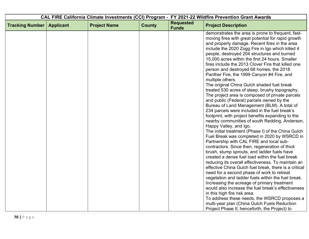| CAL FIRE California Climate Investments (CCI) Program - FY 2021-22 Wildfire Prevention Grant Awards |                  |                     |               |                                  |                                                                                                                                                                                                                                                                                                                                                                                                                                                                                                                                                                                                                                                                                                                                                                                                                                                                                                                                                                                                                                                                                                                                                                                                                                                                                                                                                                                                                                                                                                                                                                                  |
|-----------------------------------------------------------------------------------------------------|------------------|---------------------|---------------|----------------------------------|----------------------------------------------------------------------------------------------------------------------------------------------------------------------------------------------------------------------------------------------------------------------------------------------------------------------------------------------------------------------------------------------------------------------------------------------------------------------------------------------------------------------------------------------------------------------------------------------------------------------------------------------------------------------------------------------------------------------------------------------------------------------------------------------------------------------------------------------------------------------------------------------------------------------------------------------------------------------------------------------------------------------------------------------------------------------------------------------------------------------------------------------------------------------------------------------------------------------------------------------------------------------------------------------------------------------------------------------------------------------------------------------------------------------------------------------------------------------------------------------------------------------------------------------------------------------------------|
| <b>Tracking Number</b>                                                                              | <b>Applicant</b> | <b>Project Name</b> | <b>County</b> | <b>Requested</b><br><b>Funds</b> | <b>Project Description</b>                                                                                                                                                                                                                                                                                                                                                                                                                                                                                                                                                                                                                                                                                                                                                                                                                                                                                                                                                                                                                                                                                                                                                                                                                                                                                                                                                                                                                                                                                                                                                       |
|                                                                                                     |                  |                     |               |                                  | demonstrates the area is prone to frequent, fast-<br>moving fires with great potential for rapid growth<br>and property damage. Recent fires in the area<br>include the 2020 Zogg Fire in Igo which killed 4<br>people, destroyed 204 structures and burned<br>15,000 acres within the first 24 hours. Smaller<br>fires include the 2013 Clover Fire that killed one<br>person and destroyed 68 homes, the 2018<br>Panther Fire, the 1999 Canyon #4 Fire, and<br>multiple others.<br>The original China Gulch shaded fuel break<br>treated 530 acres of steep, brushy topography.<br>The project area is composed of private parcels<br>and public (Federal) parcels owned by the<br>Bureau of Land Management (BLM). A total of<br>234 parcels were included in the fuel break's<br>footprint, with project benefits expanding to the<br>nearby communities of south Redding, Anderson,<br>Happy Valley, and Igo.<br>The initial treatment (Phase I) of the China Gulch<br>Fuel Break was completed in 2020 by WSRCD in<br>Partnership with CAL FIRE and local sub-<br>contractors. Since then, regeneration of thick<br>brush, stump sprouts, and ladder fuels have<br>created a dense fuel load within the fuel break<br>reducing its overall effectiveness. To maintain an<br>effective China Gulch fuel break, there is a critical<br>need for a second phase of work to retreat<br>vegetation and ladder fuels within the fuel break.<br>Increasing the acreage of primary treatment<br>would also increase the fuel break's effectiveness<br>in this high fire risk area. |
|                                                                                                     |                  |                     |               |                                  | To address these needs, the WSRCD proposes a<br>multi-year plan (China Gulch Fuels Reduction<br>Project Phase II; henceforth, the Project) to                                                                                                                                                                                                                                                                                                                                                                                                                                                                                                                                                                                                                                                                                                                                                                                                                                                                                                                                                                                                                                                                                                                                                                                                                                                                                                                                                                                                                                    |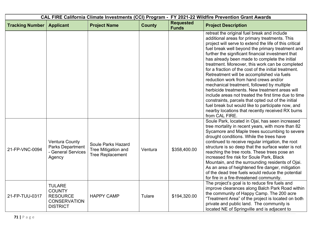| CAL FIRE California Climate Investments (CCI) Program - FY 2021-22 Wildfire Prevention Grant Awards |                                                                                             |                                                                      |               |                                  |                                                                                                                                                                                                                                                                                                                                                                                                                                                                                                                                                                                                                                                                                                                                                                                                                                                             |  |
|-----------------------------------------------------------------------------------------------------|---------------------------------------------------------------------------------------------|----------------------------------------------------------------------|---------------|----------------------------------|-------------------------------------------------------------------------------------------------------------------------------------------------------------------------------------------------------------------------------------------------------------------------------------------------------------------------------------------------------------------------------------------------------------------------------------------------------------------------------------------------------------------------------------------------------------------------------------------------------------------------------------------------------------------------------------------------------------------------------------------------------------------------------------------------------------------------------------------------------------|--|
| <b>Tracking Number</b>                                                                              | <b>Applicant</b>                                                                            | <b>Project Name</b>                                                  | <b>County</b> | <b>Requested</b><br><b>Funds</b> | <b>Project Description</b>                                                                                                                                                                                                                                                                                                                                                                                                                                                                                                                                                                                                                                                                                                                                                                                                                                  |  |
|                                                                                                     |                                                                                             |                                                                      |               |                                  | retreat the original fuel break and include<br>additional areas for primary treatments. This<br>project will serve to extend the life of this critical<br>fuel break well beyond the primary treatment and<br>further the significant financial investment that<br>has already been made to complete the initial<br>treatment. Moreover, this work can be completed<br>for a fraction of the cost of the initial treatment.<br>Retreatment will be accomplished via fuels<br>reduction work from hand crews and/or<br>mechanical treatment, followed by multiple<br>herbicide treatments. New treatment areas will<br>include areas not treated the first time due to time<br>constraints, parcels that opted out of the initial<br>fuel break but would like to participate now, and<br>nearby locations that recently received RX burns<br>from CAL FIRE. |  |
| 21-FP-VNC-0094                                                                                      | <b>Ventura County</b><br>Parks Department<br>- General Services<br>Agency                   | Soule Parks Hazard<br>Tree Mitigation and<br><b>Tree Replacement</b> | Ventura       | \$358,400.00                     | Soule Park, located in Ojai, has seen increased<br>tree mortality in recent years, with more than 82<br>Sycamore and Maple trees succumbing to severe<br>drought conditions. While the trees have<br>continued to receive regular irrigation, the root<br>structure is so deep that the surface water is not<br>reaching the tree roots. These trees pose an<br>increased fire risk for Soule Park, Black<br>Mountain, and the surrounding residents of Ojai.<br>As an area of heightened fire danger, mitigation<br>of the dead tree fuels would reduce the potential<br>for fire in a fire-threatened community.                                                                                                                                                                                                                                          |  |
| 21-FP-TUU-0317                                                                                      | <b>TULARE</b><br><b>COUNTY</b><br><b>RESOURCE</b><br><b>CONSERVATION</b><br><b>DISTRICT</b> | <b>HAPPY CAMP</b>                                                    | Tulare        | \$194,320.00                     | The project's goal is to reduce fire fuels and<br>improve clearances along Balch Park Road within<br>the community of Happy Camp. The 200 acre<br>"Treatment Area" of the project is located on both<br>private and public land. The community is<br>located NE of Springville and is adjacent to                                                                                                                                                                                                                                                                                                                                                                                                                                                                                                                                                           |  |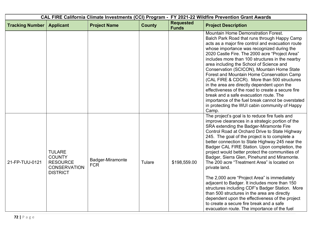|                        |                                                                                             |                                | CAL FIRE California Climate Investments (CCI) Program - FY 2021-22 Wildfire Prevention Grant Awards |                                  |                                                                                                                                                                                                                                                                                                                                                                                                                                                                                                                                                                                                                                                                                                                                                                                                                                                                             |
|------------------------|---------------------------------------------------------------------------------------------|--------------------------------|-----------------------------------------------------------------------------------------------------|----------------------------------|-----------------------------------------------------------------------------------------------------------------------------------------------------------------------------------------------------------------------------------------------------------------------------------------------------------------------------------------------------------------------------------------------------------------------------------------------------------------------------------------------------------------------------------------------------------------------------------------------------------------------------------------------------------------------------------------------------------------------------------------------------------------------------------------------------------------------------------------------------------------------------|
| <b>Tracking Number</b> | <b>Applicant</b>                                                                            | <b>Project Name</b>            | <b>County</b>                                                                                       | <b>Requested</b><br><b>Funds</b> | <b>Project Description</b>                                                                                                                                                                                                                                                                                                                                                                                                                                                                                                                                                                                                                                                                                                                                                                                                                                                  |
|                        |                                                                                             |                                |                                                                                                     |                                  | Mountain Home Demonstration Forest.<br>Balch Park Road that runs through Happy Camp<br>acts as a major fire control and evacuation route<br>whose importance was recognized during the<br>2020 Castle Fire. The 2000 acre "Project Area"<br>includes more than 100 structures in the nearby<br>area including the School of Science and<br>Conservation (SCICON), Mountain Home State<br>Forest and Mountain Home Conservation Camp<br>(CAL FIRE & CDCR). More than 500 structures<br>in the area are directly dependent upon the<br>effectiveness of the road to create a secure fire<br>break and a safe evacuation route. The<br>importance of the fuel break cannot be overstated<br>in protecting the WUI cabin community of Happy<br>Camp.                                                                                                                            |
| 21-FP-TUU-0121         | <b>TULARE</b><br><b>COUNTY</b><br><b>RESOURCE</b><br><b>CONSERVATION</b><br><b>DISTRICT</b> | Badger-Miramonte<br><b>FCR</b> | Tulare                                                                                              | \$198,559.00                     | The project's goal is to reduce fire fuels and<br>improve clearances in a strategic portion of the<br>SRA extending the Badger-Miramonte Fire<br>Control Road at Orchard Drive to State Highway<br>245. The goal of the project is to complete a<br>better connection to State Highway 245 near the<br>Badger CAL FIRE Station. Upon completion, the<br>project would better protect the communities of<br>Badger, Sierra Glen, Pinehurst and Miramonte.<br>The 200 acre "Treatment Area" is located on<br>private land.<br>The 2,000 acre "Project Area" is immediately<br>adjacent to Badger. It includes more than 150<br>structures including CDF's Badger Station. More<br>than 500 structures in the area are directly<br>dependent upon the effectiveness of the project<br>to create a secure fire break and a safe<br>evacuation route. The importance of the fuel |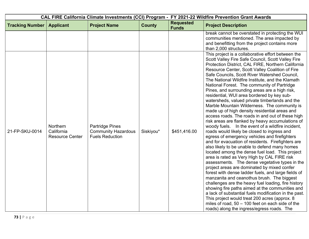| CAL FIRE California Climate Investments (CCI) Program - FY 2021-22 Wildfire Prevention Grant Awards |                                                  |                                                                                |               |                                  |                                                                                                                                                                                                                                                                                                                                                                                                                                                                                                                                                                                                                                                                                                                                                                                                                                                                                                                                                                                                                                                                                                                                                                                                                                                                                                                                                                                                                                                                                                                                                                                                                           |
|-----------------------------------------------------------------------------------------------------|--------------------------------------------------|--------------------------------------------------------------------------------|---------------|----------------------------------|---------------------------------------------------------------------------------------------------------------------------------------------------------------------------------------------------------------------------------------------------------------------------------------------------------------------------------------------------------------------------------------------------------------------------------------------------------------------------------------------------------------------------------------------------------------------------------------------------------------------------------------------------------------------------------------------------------------------------------------------------------------------------------------------------------------------------------------------------------------------------------------------------------------------------------------------------------------------------------------------------------------------------------------------------------------------------------------------------------------------------------------------------------------------------------------------------------------------------------------------------------------------------------------------------------------------------------------------------------------------------------------------------------------------------------------------------------------------------------------------------------------------------------------------------------------------------------------------------------------------------|
| <b>Tracking Number</b>                                                                              | <b>Applicant</b>                                 | <b>Project Name</b>                                                            | <b>County</b> | <b>Requested</b><br><b>Funds</b> | <b>Project Description</b>                                                                                                                                                                                                                                                                                                                                                                                                                                                                                                                                                                                                                                                                                                                                                                                                                                                                                                                                                                                                                                                                                                                                                                                                                                                                                                                                                                                                                                                                                                                                                                                                |
|                                                                                                     |                                                  |                                                                                |               |                                  | break cannot be overstated in protecting the WUI<br>communities mentioned. The area impacted by<br>and benefitting from the project contains more<br>than 2,000 structures.                                                                                                                                                                                                                                                                                                                                                                                                                                                                                                                                                                                                                                                                                                                                                                                                                                                                                                                                                                                                                                                                                                                                                                                                                                                                                                                                                                                                                                               |
| 21-FP-SKU-0014                                                                                      | Northern<br>California<br><b>Resource Center</b> | <b>Partridge Pines</b><br><b>Community Hazardous</b><br><b>Fuels Reduction</b> | Siskiyou*     | \$451,416.00                     | This project is a collaborative effort between the<br>Scott Valley Fire Safe Council, Scott Valley Fire<br>Protection District, CAL FIRE, Northern California<br>Resource Center, Scott Valley Coalition of Fire<br>Safe Councils, Scott River Watershed Council,<br>The National Wildfire Institute, and the Klamath<br>National Forest. The community of Partridge<br>Pines, and surrounding areas are a high risk,<br>residential, WUI area bordered by key sub-<br>watersheds, valued private timberlands and the<br>Marble Mountain Wilderness. The community is<br>made up of high density residential areas and<br>access roads. The roads in and out of these high<br>risk areas are flanked by heavy accumulations of<br>woody fuels. In the event of a wildfire incident,<br>roads would likely be closed to ingress and<br>egress of emergency vehicles and firefighters<br>and for evacuation of residents. Firefighters are<br>also likely to be unable to defend many homes<br>located among the dense fuel load. This project<br>area is rated as Very High by CAL FIRE risk<br>assessments. The dense vegetative types in the<br>project areas are dominated by mixed confer<br>forest with dense ladder fuels, and large fields of<br>manzanita and ceanothus brush. The biggest<br>challenges are the heavy fuel loading, fire history<br>showing fire paths aimed at the communities and<br>a lack of substantial fuels modification in the past.<br>This project would treat 200 acres (approx. 8<br>miles of road, $50 - 100$ feet on each side of the<br>roads) along the ingress/egress roads. The |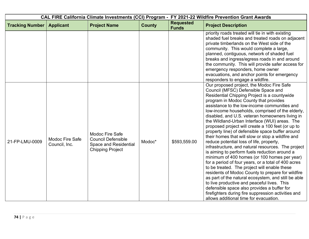|                        |                                  |                                                                                                         | CAL FIRE California Climate Investments (CCI) Program - FY 2021-22 Wildfire Prevention Grant Awards |                                  |                                                                                                                                                                                                                                                                                                                                                                                                                                                                                                                                                                                                                                                                                                                                                                                                                                                                                                                                                                                                                                                                                                                                                                      |
|------------------------|----------------------------------|---------------------------------------------------------------------------------------------------------|-----------------------------------------------------------------------------------------------------|----------------------------------|----------------------------------------------------------------------------------------------------------------------------------------------------------------------------------------------------------------------------------------------------------------------------------------------------------------------------------------------------------------------------------------------------------------------------------------------------------------------------------------------------------------------------------------------------------------------------------------------------------------------------------------------------------------------------------------------------------------------------------------------------------------------------------------------------------------------------------------------------------------------------------------------------------------------------------------------------------------------------------------------------------------------------------------------------------------------------------------------------------------------------------------------------------------------|
| <b>Tracking Number</b> | <b>Applicant</b>                 | <b>Project Name</b>                                                                                     | <b>County</b>                                                                                       | <b>Requested</b><br><b>Funds</b> | <b>Project Description</b>                                                                                                                                                                                                                                                                                                                                                                                                                                                                                                                                                                                                                                                                                                                                                                                                                                                                                                                                                                                                                                                                                                                                           |
|                        |                                  |                                                                                                         |                                                                                                     |                                  | priority roads treated will tie in with existing<br>shaded fuel breaks and treated roads on adjacent<br>private timberlands on the West side of the<br>community. This would complete a large,<br>planned, contiguous, network of shaded fuel<br>breaks and ingress/egress roads in and around<br>the community. This will provide safer access for<br>emergency responders, home owner<br>evacuations, and anchor points for emergency<br>responders to engage a wildfire.                                                                                                                                                                                                                                                                                                                                                                                                                                                                                                                                                                                                                                                                                          |
| 21-FP-LMU-0009         | Modoc Fire Safe<br>Council, Inc. | Modoc Fire Safe<br><b>Council Defensible</b><br><b>Space and Residential</b><br><b>Chipping Project</b> | Modoc*                                                                                              | \$593,559.00                     | Our proposed project, the Modoc Fire Safe<br>Council (MFSC) Defensible Space and<br>Residential Chipping Project is a countywide<br>program in Modoc County that provides<br>assistance to the low-income communities and<br>low-income households, comprised of the elderly,<br>disabled, and U.S. veteran homeowners living in<br>the Wildland-Urban Interface (WUI) areas. The<br>proposed project will create a 100 feet (or up to<br>property line) of defensible space buffer around<br>their homes that will slow or stop a wildfire and<br>reduce potential loss of life, property,<br>infrastructure, and natural resources. The project<br>is aiming to perform fuels reduction around a<br>minimum of 400 homes (or 100 homes per year)<br>for a period of four years, or a total of 400 acres<br>to be treated. The project will enable these<br>residents of Modoc County to prepare for wildfire<br>as part of the natural ecosystem, and still be able<br>to live productive and peaceful lives. This<br>defensible space also provides a buffer for<br>firefighters during fire suppression activities and<br>allows additional time for evacuation. |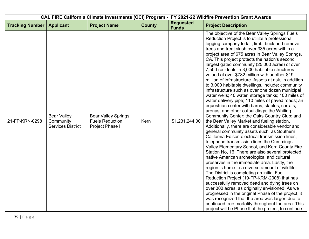| CAL FIRE California Climate Investments (CCI) Program - FY 2021-22 Wildfire Prevention Grant Awards |                                                             |                                                                          |               |                                  |                                                                                                                                                                                                                                                                                                                                                                                                                                                                                                                                                                                                                                                                                                                                                                                                                                                                                                                                                                                                                                                                                                                                                                                                                                                                                                                                                                                                                                                                                                                                                                                                                                                                                                                                                                                                                            |
|-----------------------------------------------------------------------------------------------------|-------------------------------------------------------------|--------------------------------------------------------------------------|---------------|----------------------------------|----------------------------------------------------------------------------------------------------------------------------------------------------------------------------------------------------------------------------------------------------------------------------------------------------------------------------------------------------------------------------------------------------------------------------------------------------------------------------------------------------------------------------------------------------------------------------------------------------------------------------------------------------------------------------------------------------------------------------------------------------------------------------------------------------------------------------------------------------------------------------------------------------------------------------------------------------------------------------------------------------------------------------------------------------------------------------------------------------------------------------------------------------------------------------------------------------------------------------------------------------------------------------------------------------------------------------------------------------------------------------------------------------------------------------------------------------------------------------------------------------------------------------------------------------------------------------------------------------------------------------------------------------------------------------------------------------------------------------------------------------------------------------------------------------------------------------|
| <b>Tracking Number</b>                                                                              | <b>Applicant</b>                                            | <b>Project Name</b>                                                      | <b>County</b> | <b>Requested</b><br><b>Funds</b> | <b>Project Description</b>                                                                                                                                                                                                                                                                                                                                                                                                                                                                                                                                                                                                                                                                                                                                                                                                                                                                                                                                                                                                                                                                                                                                                                                                                                                                                                                                                                                                                                                                                                                                                                                                                                                                                                                                                                                                 |
| 21-FP-KRN-0298                                                                                      | <b>Bear Valley</b><br>Community<br><b>Services District</b> | <b>Bear Valley Springs</b><br><b>Fuels Reduction</b><br>Project Phase II | Kern          | \$1,231,244.00                   | The objective of the Bear Valley Springs Fuels<br>Reduction Project is to utilize a professional<br>logging company to fall, limb, buck and remove<br>trees and treat slash over 335 acres within a<br>project area of 675 acres in Bear Valley Springs,<br>CA. This project protects the nation's second<br>largest gated community (25,000 acres) of over<br>7,500 residents in 3,000 habitable structures<br>valued at over \$782 million with another \$19<br>million of infrastructure. Assets at risk, in addition<br>to 3,000 habitable dwellings, include: community<br>infrastructure such as over one dozen municipal<br>water wells; 40 water storage tanks; 100 miles of<br>water delivery pipe; 110 miles of paved roads; an<br>equestrian center with barns, stables, corrals,<br>arenas, and other outbuildings; the Whiting<br>Community Center; the Oaks Country Club; and<br>the Bear Valley Market and fueling station.<br>Additionally, there are considerable vendor and<br>general community assets such as Southern<br>California Edison electrical transmission lines,<br>telephone transmission lines the Cummings<br>Valley Elementary School, and Kern County Fire<br>Station No, 16. There are also several protected<br>native American archeological and cultural<br>preserves in the immediate area. Lastly, the<br>region is home to a diverse amount of wildlife.<br>The District is completing an initial Fuel<br>Reduction Project (19-FP-KRM-2008) that has<br>successfully removed dead and dying trees on<br>over 300 acres, as originally envisioned. As we<br>progressed in the original Phase of the project, it<br>was recognized that the area was larger, due to<br>continued tree mortality throughout the area. This<br>project will be Phase II of the project, to continue |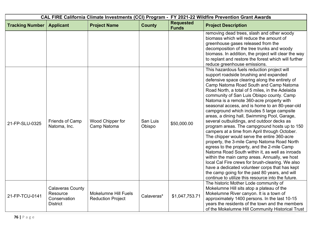| CAL FIRE California Climate Investments (CCI) Program - FY 2021-22 Wildfire Prevention Grant Awards |                                                                        |                                                         |                    |                                  |                                                                                                                                                                                                                                                                                                                                                                                                                                                                                                                                                                                                                                                                                                                                                                                                                                                                                                                                                                                                                                                                                               |  |
|-----------------------------------------------------------------------------------------------------|------------------------------------------------------------------------|---------------------------------------------------------|--------------------|----------------------------------|-----------------------------------------------------------------------------------------------------------------------------------------------------------------------------------------------------------------------------------------------------------------------------------------------------------------------------------------------------------------------------------------------------------------------------------------------------------------------------------------------------------------------------------------------------------------------------------------------------------------------------------------------------------------------------------------------------------------------------------------------------------------------------------------------------------------------------------------------------------------------------------------------------------------------------------------------------------------------------------------------------------------------------------------------------------------------------------------------|--|
| <b>Tracking Number</b>                                                                              | <b>Applicant</b>                                                       | <b>Project Name</b>                                     | <b>County</b>      | <b>Requested</b><br><b>Funds</b> | <b>Project Description</b>                                                                                                                                                                                                                                                                                                                                                                                                                                                                                                                                                                                                                                                                                                                                                                                                                                                                                                                                                                                                                                                                    |  |
|                                                                                                     |                                                                        |                                                         |                    |                                  | removing dead trees, slash and other woody<br>biomass which will reduce the amount of<br>greenhouse gases released from the<br>decomposition of the tree trunks and woody<br>biomass. In addition, the project will clear the way<br>to replant and restore the forest which will further<br>reduce greenhouse emissions.                                                                                                                                                                                                                                                                                                                                                                                                                                                                                                                                                                                                                                                                                                                                                                     |  |
| 21-FP-SLU-0325                                                                                      | <b>Friends of Camp</b><br>Natoma, Inc.                                 | Wood Chipper for<br>Camp Natoma                         | San Luis<br>Obispo | \$50,000.00                      | This hazardous fuels reduction project will<br>support roadside brushing and expanded<br>defensive space clearing along the entirety of<br>Camp Natoma Road South and Camp Natoma<br>Road North, a total of 5 miles, in the Adelaida<br>community of San Luis Obispo county. Camp<br>Natoma is a remote 360-acre property with<br>seasonal access, and is home to an 80-year-old<br>campground which includes 5 large campsite<br>areas, a dining hall, Swimming Pool, Garage,<br>several outbuildings, and outdoor decks as<br>program areas. The campground hosts up to 150<br>campers at a time from April through October.<br>The chipper would serve the entire 360-acre<br>property, the 3-mile Camp Natoma Road North<br>egress to the property, and the 2-mile Camp<br>Natoma Road South within it, as well as inroads<br>within the main camp areas. Annually, we host<br>local Cal Fire crews for brush-clearing. We also<br>have a dedicated volunteer corps that has kept<br>the camp going for the past 80 years, and will<br>continue to utilize this resource into the future. |  |
| 21-FP-TCU-0141                                                                                      | <b>Calaveras County</b><br>Resource<br>Conservation<br><b>District</b> | <b>Mokelumne Hill Fuels</b><br><b>Reduction Project</b> | Calaveras*         | \$1,047,753.71                   | The historic Mother Lode community of<br>Mokelumne Hill sits atop a plateau of the<br>Mokelumne River canyon. It is a town of<br>approximately 1400 persons. In the last 10-15<br>years the residents of the town and the members<br>of the Mokelumne Hill Community Historical Trust                                                                                                                                                                                                                                                                                                                                                                                                                                                                                                                                                                                                                                                                                                                                                                                                         |  |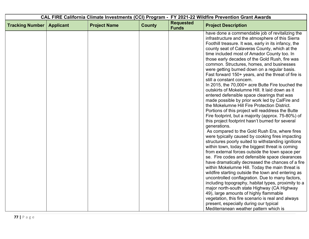| CAL FIRE California Climate Investments (CCI) Program - FY 2021-22 Wildfire Prevention Grant Awards |                  |                     |               |                                  |                                                                                                                                                                                                                                                                                                                                                                                                                                                                                                                                                                                                                                                                                                                                                                                                                                                                                                                                                                                                                                                                                                                                                                                                                                                                                                                                                                                                                                                                                                                                  |
|-----------------------------------------------------------------------------------------------------|------------------|---------------------|---------------|----------------------------------|----------------------------------------------------------------------------------------------------------------------------------------------------------------------------------------------------------------------------------------------------------------------------------------------------------------------------------------------------------------------------------------------------------------------------------------------------------------------------------------------------------------------------------------------------------------------------------------------------------------------------------------------------------------------------------------------------------------------------------------------------------------------------------------------------------------------------------------------------------------------------------------------------------------------------------------------------------------------------------------------------------------------------------------------------------------------------------------------------------------------------------------------------------------------------------------------------------------------------------------------------------------------------------------------------------------------------------------------------------------------------------------------------------------------------------------------------------------------------------------------------------------------------------|
| <b>Tracking Number</b>                                                                              | <b>Applicant</b> | <b>Project Name</b> | <b>County</b> | <b>Requested</b><br><b>Funds</b> | <b>Project Description</b>                                                                                                                                                                                                                                                                                                                                                                                                                                                                                                                                                                                                                                                                                                                                                                                                                                                                                                                                                                                                                                                                                                                                                                                                                                                                                                                                                                                                                                                                                                       |
|                                                                                                     |                  |                     |               |                                  | have done a commendable job of revitalizing the<br>infrastructure and the atmosphere of this Sierra<br>Foothill treasure. It was, early in its infancy, the<br>county seat of Calaveras County, which at the<br>time included most of Amador County too. In<br>those early decades of the Gold Rush, fire was<br>common. Structures, homes, and businesses<br>were getting burned down on a regular basis.<br>Fast forward 150+ years, and the threat of fire is<br>still a constant concern.<br>In 2015, the 70,000+ acre Butte Fire touched the<br>outskirts of Mokelumne Hill. It laid down as it<br>entered defensible space clearings that was<br>made possible by prior work led by CalFire and<br>the Mokelumne Hill Fire Protection District.<br>Portions of this project will readdress the Butte<br>Fire footprint, but a majority (approx. 75-80%) of<br>this project footprint hasn't burned for several<br>generations.<br>As compared to the Gold Rush Era, where fires<br>were typically caused by cooking fires impacting<br>structures poorly suited to withstanding ignitions<br>within town, today the biggest threat is coming<br>from external forces outside the town space per<br>se. Fire codes and defensible space clearances<br>have dramatically decreased the chances of a fire<br>within Mokelumne Hill. Today the main threat is<br>wildfire starting outside the town and entering as<br>uncontrolled conflagration. Due to many factors,<br>including topography, habitat types, proximity to a |
|                                                                                                     |                  |                     |               |                                  | major north-south state Highway (CA Highway<br>49), large amounts of highly flammable<br>vegetation, this fire scenario is real and always<br>present, especially during our typical<br>Mediterranean weather pattern which is                                                                                                                                                                                                                                                                                                                                                                                                                                                                                                                                                                                                                                                                                                                                                                                                                                                                                                                                                                                                                                                                                                                                                                                                                                                                                                   |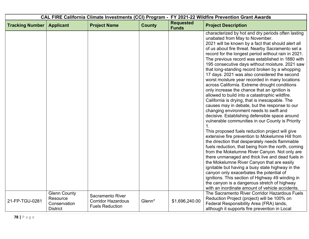| CAL FIRE California Climate Investments (CCI) Program - FY 2021-22 Wildfire Prevention Grant Awards |                                                                    |                                                                                |               |                                  |                                                                                                                                                                                                                                                                                                                                                                                                                                                                                                                                                                                                                                                                                                                                                                                                                                                                                                                                                                                                                                                                                                                                                                                                                                                                                                                                                                                                             |
|-----------------------------------------------------------------------------------------------------|--------------------------------------------------------------------|--------------------------------------------------------------------------------|---------------|----------------------------------|-------------------------------------------------------------------------------------------------------------------------------------------------------------------------------------------------------------------------------------------------------------------------------------------------------------------------------------------------------------------------------------------------------------------------------------------------------------------------------------------------------------------------------------------------------------------------------------------------------------------------------------------------------------------------------------------------------------------------------------------------------------------------------------------------------------------------------------------------------------------------------------------------------------------------------------------------------------------------------------------------------------------------------------------------------------------------------------------------------------------------------------------------------------------------------------------------------------------------------------------------------------------------------------------------------------------------------------------------------------------------------------------------------------|
| <b>Tracking Number</b>                                                                              | <b>Applicant</b>                                                   | <b>Project Name</b>                                                            | <b>County</b> | <b>Requested</b><br><b>Funds</b> | <b>Project Description</b>                                                                                                                                                                                                                                                                                                                                                                                                                                                                                                                                                                                                                                                                                                                                                                                                                                                                                                                                                                                                                                                                                                                                                                                                                                                                                                                                                                                  |
|                                                                                                     |                                                                    |                                                                                |               |                                  | characterized by hot and dry periods often lasting<br>unabated from May to November.<br>2021 will be known by a fact that should alert all<br>of us about fire threat. Nearby Sacramento set a<br>record for the longest period without rain in 2021.<br>The previous record was established in 1880 with<br>195 consecutive days without moisture. 2021 saw<br>that long-standing record broken by a whopping<br>17 days. 2021 was also considered the second<br>worst moisture year recorded in many locations<br>across California. Extreme drought conditions<br>only increase the chance that an ignition is<br>allowed to build into a catastrophic wildfire.<br>California is drying, that is inescapable. The<br>causes may in debate, but the response to our<br>changing environment needs to swift and<br>decisive. Establishing defensible space around<br>vulnerable communities in our County is Priority<br>1 <sub>1</sub><br>This proposed fuels reduction project will give<br>extensive fire prevention to Mokelumne Hill from<br>the direction that desperately needs flammable<br>fuels reduction, that being from the north, coming<br>from the Mokelumne River Canyon. Not only are<br>there unmanaged and thick live and dead fuels in<br>the Mokelumne River Canyon that are easily<br>ignitable but having a busy state highway in the<br>canyon only exacerbates the potential of |
|                                                                                                     |                                                                    |                                                                                |               |                                  | ignitions. This section of Highway 49 winding in<br>the canyon is a dangerous stretch of highway<br>with an inordinate amount of vehicle accidents.                                                                                                                                                                                                                                                                                                                                                                                                                                                                                                                                                                                                                                                                                                                                                                                                                                                                                                                                                                                                                                                                                                                                                                                                                                                         |
| 21-FP-TGU-0281                                                                                      | <b>Glenn County</b><br>Resource<br>Conservation<br><b>District</b> | <b>Sacramento River</b><br><b>Corridor Hazardous</b><br><b>Fuels Reduction</b> | Glenn*        | \$1,696,240.00                   | The Sacramento River Corridor Hazardous Fuels<br>Reduction Project (project) will be 100% on<br>Federal Responsibility Area (FRA) lands,<br>although it supports fire prevention in Local                                                                                                                                                                                                                                                                                                                                                                                                                                                                                                                                                                                                                                                                                                                                                                                                                                                                                                                                                                                                                                                                                                                                                                                                                   |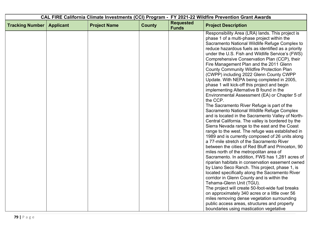| CAL FIRE California Climate Investments (CCI) Program - FY 2021-22 Wildfire Prevention Grant Awards |                  |                     |               |                                  |                                                                                                                                                                                                                                                                                                                                                                                                                                                                                                                                                                                                                                                                                                                                                                                                                                                                                                                                                                                                                                                                                                                                                                                                                                                                                                                                                                                      |
|-----------------------------------------------------------------------------------------------------|------------------|---------------------|---------------|----------------------------------|--------------------------------------------------------------------------------------------------------------------------------------------------------------------------------------------------------------------------------------------------------------------------------------------------------------------------------------------------------------------------------------------------------------------------------------------------------------------------------------------------------------------------------------------------------------------------------------------------------------------------------------------------------------------------------------------------------------------------------------------------------------------------------------------------------------------------------------------------------------------------------------------------------------------------------------------------------------------------------------------------------------------------------------------------------------------------------------------------------------------------------------------------------------------------------------------------------------------------------------------------------------------------------------------------------------------------------------------------------------------------------------|
| <b>Tracking Number</b>                                                                              | <b>Applicant</b> | <b>Project Name</b> | <b>County</b> | <b>Requested</b><br><b>Funds</b> | <b>Project Description</b>                                                                                                                                                                                                                                                                                                                                                                                                                                                                                                                                                                                                                                                                                                                                                                                                                                                                                                                                                                                                                                                                                                                                                                                                                                                                                                                                                           |
|                                                                                                     |                  |                     |               |                                  | Responsibility Area (LRA) lands. This project is<br>phase 1 of a multi-phase project within the<br>Sacramento National Wildlife Refuge Complex to<br>reduce hazardous fuels as identified as a priority<br>under the U.S. Fish and Wildlife Service's (FWS)<br>Comprehensive Conservation Plan (CCP), their<br>Fire Management Plan and the 2011 Glenn<br><b>County Community Wildfire Protection Plan</b><br>(CWPP) including 2022 Glenn County CWPP<br>Update. With NEPA being completed in 2005,<br>phase 1 will kick-off this project and begin<br>implementing Alternative B found in the<br>Environmental Assessment (EA) or Chapter 5 of<br>the CCP.<br>The Sacramento River Refuge is part of the<br>Sacramento National Wildlife Refuge Complex<br>and is located in the Sacramento Valley of North-<br>Central California. The valley is bordered by the<br>Sierra Nevada range to the east and the Coast<br>range to the west. The refuge was established in<br>1989 and is currently composed of 26 units along<br>a 77-mile stretch of the Sacramento River<br>between the cities of Red Bluff and Princeton, 90<br>miles north of the metropolitan area of<br>Sacramento. In addition, FWS has 1,281 acres of<br>riparian habitats in conservation easement owned<br>by Llano Seco Ranch. This project, phase 1, is<br>located specifically along the Sacramento River |
|                                                                                                     |                  |                     |               |                                  | corridor in Glenn County and is within the<br>Tehama-Glenn Unit (TGU).                                                                                                                                                                                                                                                                                                                                                                                                                                                                                                                                                                                                                                                                                                                                                                                                                                                                                                                                                                                                                                                                                                                                                                                                                                                                                                               |
|                                                                                                     |                  |                     |               |                                  | The project will create 50-foot-wide fuel breaks<br>on approximately 340 acres or a little over 56<br>miles removing dense vegetation surrounding                                                                                                                                                                                                                                                                                                                                                                                                                                                                                                                                                                                                                                                                                                                                                                                                                                                                                                                                                                                                                                                                                                                                                                                                                                    |
|                                                                                                     |                  |                     |               |                                  | public access areas, structures and property<br>boundaries using mastication vegetative                                                                                                                                                                                                                                                                                                                                                                                                                                                                                                                                                                                                                                                                                                                                                                                                                                                                                                                                                                                                                                                                                                                                                                                                                                                                                              |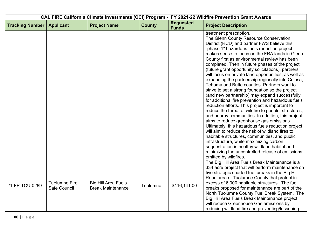| CAL FIRE California Climate Investments (CCI) Program - FY 2021-22 Wildfire Prevention Grant Awards |                                      |                                                        |               |                                  |                                                                                                                                                                                                                                                                                                                                                                                                                                                                                                                                                                                                                                                                                                                                                                                                                                                                                                                                                                                                                                                                                                                                                                                                                                                    |
|-----------------------------------------------------------------------------------------------------|--------------------------------------|--------------------------------------------------------|---------------|----------------------------------|----------------------------------------------------------------------------------------------------------------------------------------------------------------------------------------------------------------------------------------------------------------------------------------------------------------------------------------------------------------------------------------------------------------------------------------------------------------------------------------------------------------------------------------------------------------------------------------------------------------------------------------------------------------------------------------------------------------------------------------------------------------------------------------------------------------------------------------------------------------------------------------------------------------------------------------------------------------------------------------------------------------------------------------------------------------------------------------------------------------------------------------------------------------------------------------------------------------------------------------------------|
| <b>Tracking Number</b>                                                                              | <b>Applicant</b>                     | <b>Project Name</b>                                    | <b>County</b> | <b>Requested</b><br><b>Funds</b> | <b>Project Description</b>                                                                                                                                                                                                                                                                                                                                                                                                                                                                                                                                                                                                                                                                                                                                                                                                                                                                                                                                                                                                                                                                                                                                                                                                                         |
|                                                                                                     |                                      |                                                        |               |                                  | treatment prescription.<br>The Glenn County Resource Conservation<br>District (RCD) and partner FWS believe this<br>"phase 1" hazardous fuels reduction project<br>makes sense to focus on the FRA lands in Glenn<br>County first as environmental review has been<br>completed. Then in future phases of the project<br>(future grant opportunity solicitations), partners<br>will focus on private land opportunities, as well as<br>expanding the partnership regionally into Colusa,<br>Tehama and Butte counties. Partners want to<br>strive to set a strong foundation so the project<br>(and new partnership) may expand successfully<br>for additional fire prevention and hazardous fuels<br>reduction efforts. This project is important to<br>reduce the threat of wildfire to people, structures,<br>and nearby communities. In addition, this project<br>aims to reduce greenhouse gas emissions.<br>Ultimately, this hazardous fuels reduction project<br>will aim to reduce the risk of wildland fires to<br>habitable structures, communities, and public<br>infrastructure, while maximizing carbon<br>sequestration in healthy wildland habitat and<br>minimizing the uncontrolled release of emissions<br>emitted by wildfires. |
| 21-FP-TCU-0289                                                                                      | <b>Tuolumne Fire</b><br>Safe Council | <b>Big Hill Area Fuels</b><br><b>Break Maintenance</b> | Tuolumne      | \$416,141.00                     | The Big Hill Area Fuels Break Maintenance is a<br>334 acre project that will perform maintenance on<br>five strategic shaded fuel breaks in the Big Hill<br>Road area of Tuolumne County that protect in<br>excess of 6,000 habitable structures. The fuel<br>breaks proposed for maintenance are part of the<br>North Tuolumne County Fuel Break System. The<br>Big Hill Area Fuels Break Maintenance project<br>will reduce Greenhouse Gas emissions by<br>reducing wildland fire and preventing/lessening                                                                                                                                                                                                                                                                                                                                                                                                                                                                                                                                                                                                                                                                                                                                       |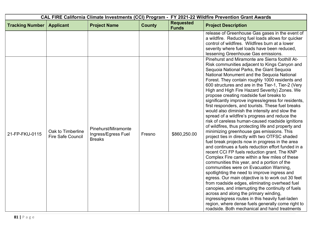| CAL FIRE California Climate Investments (CCI) Program - FY 2021-22 Wildfire Prevention Grant Awards |                                               |                                                             |               |                                  |                                                                                                                                                                                                                                                                                                                                                                                                                                                                                                                                                                                                                                                                                                                                                                                                                                                                                                                                                                                                                                                                                                                                                                                                                                                                                                                                                                                                                                                                                                                                                 |
|-----------------------------------------------------------------------------------------------------|-----------------------------------------------|-------------------------------------------------------------|---------------|----------------------------------|-------------------------------------------------------------------------------------------------------------------------------------------------------------------------------------------------------------------------------------------------------------------------------------------------------------------------------------------------------------------------------------------------------------------------------------------------------------------------------------------------------------------------------------------------------------------------------------------------------------------------------------------------------------------------------------------------------------------------------------------------------------------------------------------------------------------------------------------------------------------------------------------------------------------------------------------------------------------------------------------------------------------------------------------------------------------------------------------------------------------------------------------------------------------------------------------------------------------------------------------------------------------------------------------------------------------------------------------------------------------------------------------------------------------------------------------------------------------------------------------------------------------------------------------------|
| <b>Tracking Number</b>                                                                              | <b>Applicant</b>                              | <b>Project Name</b>                                         | <b>County</b> | <b>Requested</b><br><b>Funds</b> | <b>Project Description</b>                                                                                                                                                                                                                                                                                                                                                                                                                                                                                                                                                                                                                                                                                                                                                                                                                                                                                                                                                                                                                                                                                                                                                                                                                                                                                                                                                                                                                                                                                                                      |
|                                                                                                     |                                               |                                                             |               |                                  | release of Greenhouse Gas gases in the event of<br>a wildfire. Reducing fuel loads allows for quicker<br>control of wildfires. Wildfires burn at a lower<br>severity where fuel loads have been reduced,<br>lessening Greenhouse Gas emissions.                                                                                                                                                                                                                                                                                                                                                                                                                                                                                                                                                                                                                                                                                                                                                                                                                                                                                                                                                                                                                                                                                                                                                                                                                                                                                                 |
| 21-FP-FKU-0115                                                                                      | Oak to Timberline<br><b>Fire Safe Council</b> | Pinehurst/Miramonte<br>Ingress/Egress Fuel<br><b>Breaks</b> | Fresno        | \$860,250.00                     | Pinehurst and Miramonte are Sierra foothill At-<br>Risk communities adjacent to Kings Canyon and<br>Sequoia National Parks, the Giant Sequoia<br>National Monument and the Sequoia National<br>Forest. They contain roughly 1000 residents and<br>600 structures and are in the Tier-1, Tier-2 (Very<br>High and High Fire Hazard Severity) Zones. We<br>propose creating roadside fuel breaks to<br>significantly improve ingress/egress for residents,<br>first responders, and tourists. These fuel breaks<br>would also diminish the intensity and slow the<br>spread of a wildfire's progress and reduce the<br>risk of careless human-caused roadside ignitions<br>of wildfires, thus protecting life and property and<br>minimizing greenhouse gas emissions. This<br>project ties in directly with two OTFSC shaded<br>fuel break projects now in progress in the area<br>and continues a fuels reduction effort funded in a<br>recent CCI FP fuels reduction grant. The KNP<br>Complex Fire came within a few miles of these<br>communities this year, and a portion of the<br>communities were on Evacuation Warning,<br>spotlighting the need to improve ingress and<br>egress. Our main objective is to work out 30 feet<br>from roadside edges, eliminating overhead fuel<br>canopies, and interrupting the continuity of fuels<br>across and along the primary winding,<br>ingress/egress routes in this heavily fuel-laden<br>region, where dense fuels generally come right to<br>roadside. Both mechanical and hand treatments |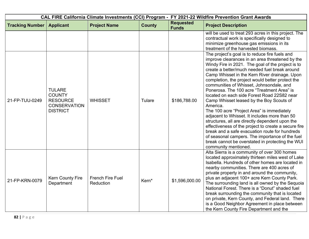| CAL FIRE California Climate Investments (CCI) Program - FY 2021-22 Wildfire Prevention Grant Awards |                                                                                             |                                      |               |                                  |                                                                                                                                                                                                                                                                                                                                                                                                                                                                                                                                                                                                                                                                                                                                                                                                                                                                                                          |
|-----------------------------------------------------------------------------------------------------|---------------------------------------------------------------------------------------------|--------------------------------------|---------------|----------------------------------|----------------------------------------------------------------------------------------------------------------------------------------------------------------------------------------------------------------------------------------------------------------------------------------------------------------------------------------------------------------------------------------------------------------------------------------------------------------------------------------------------------------------------------------------------------------------------------------------------------------------------------------------------------------------------------------------------------------------------------------------------------------------------------------------------------------------------------------------------------------------------------------------------------|
| <b>Tracking Number</b>                                                                              | <b>Applicant</b>                                                                            | <b>Project Name</b>                  | <b>County</b> | <b>Requested</b><br><b>Funds</b> | <b>Project Description</b>                                                                                                                                                                                                                                                                                                                                                                                                                                                                                                                                                                                                                                                                                                                                                                                                                                                                               |
|                                                                                                     |                                                                                             |                                      |               |                                  | will be used to treat 293 acres in this project. The<br>contractual work is specifically designed to<br>minimize greenhouse gas emissions in its<br>treatment of the harvested biomass.                                                                                                                                                                                                                                                                                                                                                                                                                                                                                                                                                                                                                                                                                                                  |
| 21-FP-TUU-0249                                                                                      | <b>TULARE</b><br><b>COUNTY</b><br><b>RESOURCE</b><br><b>CONSERVATION</b><br><b>DISTRICT</b> | <b>WHISSET</b>                       | Tulare        | \$186,788.00                     | The project's goal is to reduce fire fuels and<br>improve clearances in an area threatened by the<br>Windy Fire in 2021. The goal of the project is to<br>create a better/much needed fuel break around<br>Camp Whisset in the Kern River drainage. Upon<br>completion, the project would better protect the<br>communities of Whisset, Johnsondale, and<br>Ponerosa. The 100 acre "Treatment Area" is<br>located on each side Forest Road 22S82 near<br>Camp Whisset leased by the Boy Scouts of<br>America.<br>The 100 acre "Project Area" is immediately<br>adjacent to Whisset. It includes more than 50<br>structures, all are directly dependent upon the<br>effectiveness of the project to create a secure fire<br>break and a safe evacuation route for hundreds<br>of seasonal campers. The importance of the fuel<br>break cannot be overstated in protecting the WUI<br>community mentioned. |
| 21-FP-KRN-0079                                                                                      | <b>Kern County Fire</b><br>Department                                                       | <b>French Fire Fuel</b><br>Reduction | Kern*         | \$1,596,000.00                   | Alta Sierra is a community of over 300 homes<br>located approximately thirteen miles west of Lake<br>Isabella. Hundreds of other homes are located in<br>nearby communities. There are 400 acres of<br>private property in and around the community,<br>plus an adjacent 100+ acre Kern County Park.<br>The surrounding land is all owned by the Sequoia<br>National Forest. There is a "Donut" shaded fuel<br>break surrounding the community that is located<br>on private, Kern County, and Federal land. There<br>is a Good Neighbor Agreement in place between<br>the Kern County Fire Department and the                                                                                                                                                                                                                                                                                           |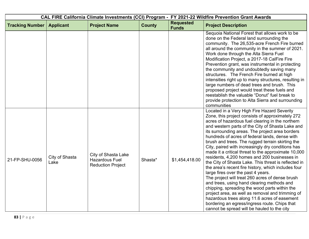| CAL FIRE California Climate Investments (CCI) Program - FY 2021-22 Wildfire Prevention Grant Awards |                        |                                                                          |               |                                  |                                                                                                                                                                                                                                                                                                                                                                                                                                                                                                                                                                                                                                                                                                                                                                                                                                                                                                                                                                                                                                         |
|-----------------------------------------------------------------------------------------------------|------------------------|--------------------------------------------------------------------------|---------------|----------------------------------|-----------------------------------------------------------------------------------------------------------------------------------------------------------------------------------------------------------------------------------------------------------------------------------------------------------------------------------------------------------------------------------------------------------------------------------------------------------------------------------------------------------------------------------------------------------------------------------------------------------------------------------------------------------------------------------------------------------------------------------------------------------------------------------------------------------------------------------------------------------------------------------------------------------------------------------------------------------------------------------------------------------------------------------------|
| <b>Tracking Number</b>                                                                              | <b>Applicant</b>       | <b>Project Name</b>                                                      | <b>County</b> | <b>Requested</b><br><b>Funds</b> | <b>Project Description</b>                                                                                                                                                                                                                                                                                                                                                                                                                                                                                                                                                                                                                                                                                                                                                                                                                                                                                                                                                                                                              |
|                                                                                                     |                        |                                                                          |               |                                  | Sequoia National Forest that allows work to be<br>done on the Federal land surrounding the<br>community. The 26,535-acre French Fire burned<br>all around the community in the summer of 2021.<br>Work done through the Alta Sierra Fuel<br>Modification Project, a 2017-18 CalFire Fire<br>Prevention grant, was instrumental in protecting<br>the community and undoubtedly saving many<br>structures. The French Fire burned at high<br>intensities right up to many structures, resulting in<br>large numbers of dead trees and brush. This<br>proposed project would treat these fuels and<br>reestablish the valuable "Donut" fuel break to<br>provide protection to Alta Sierra and surrounding<br>communities                                                                                                                                                                                                                                                                                                                   |
| 21-FP-SHU-0056                                                                                      | City of Shasta<br>Lake | City of Shasta Lake<br><b>Hazardous Fuel</b><br><b>Reduction Project</b> | Shasta*       | \$1,454,418.00                   | Located in a Very High Fire Hazard Severity<br>Zone, this project consists of approximately 272<br>acres of hazardous fuel clearing in the northern<br>and western parts of the City of Shasta Lake and<br>its surrounding areas. The project area borders<br>hundreds of acres of federal lands, dense with<br>brush and trees. The rugged terrain skirting the<br>City, paired with increasingly dry conditions has<br>made it a critical threat to the approximate 10,000<br>residents, 4,200 homes and 200 businesses in<br>the City of Shasta Lake. This threat is reflected in<br>the area's recent fire history, which includes four<br>large fires over the past 4 years.<br>The project will treat 260 acres of dense brush<br>and trees, using hand clearing methods and<br>chipping, spreading the wood parts within the<br>project area, as well as removal and trimming of<br>hazardous trees along 11.6 acres of easement<br>bordering an egress/ingress route. Chips that<br>cannot be spread will be hauled to the city |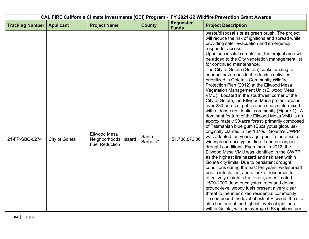| CAL FIRE California Climate Investments (CCI) Program - FY 2021-22 Wildfire Prevention Grant Awards |                  |                                                                      |                   |                                  |                                                                                                                                                                                                                                                                                                                                                                                                                                                                                                                                                                                                                                                                                                                                                                                                                                                                                                                                                                                                                                                                                                                                                                                                                                                                                                                                                                                                                                 |
|-----------------------------------------------------------------------------------------------------|------------------|----------------------------------------------------------------------|-------------------|----------------------------------|---------------------------------------------------------------------------------------------------------------------------------------------------------------------------------------------------------------------------------------------------------------------------------------------------------------------------------------------------------------------------------------------------------------------------------------------------------------------------------------------------------------------------------------------------------------------------------------------------------------------------------------------------------------------------------------------------------------------------------------------------------------------------------------------------------------------------------------------------------------------------------------------------------------------------------------------------------------------------------------------------------------------------------------------------------------------------------------------------------------------------------------------------------------------------------------------------------------------------------------------------------------------------------------------------------------------------------------------------------------------------------------------------------------------------------|
| <b>Tracking Number</b>                                                                              | <b>Applicant</b> | <b>Project Name</b>                                                  | <b>County</b>     | <b>Requested</b><br><b>Funds</b> | <b>Project Description</b>                                                                                                                                                                                                                                                                                                                                                                                                                                                                                                                                                                                                                                                                                                                                                                                                                                                                                                                                                                                                                                                                                                                                                                                                                                                                                                                                                                                                      |
|                                                                                                     |                  |                                                                      |                   |                                  | waste/disposal site as green brush. The project<br>will reduce the risk of ignitions and spread while<br>providing safer evacuation and emergency<br>responder access.<br>Upon successful completion, the project area will<br>be added to the City vegetation management list<br>for continued maintenance.                                                                                                                                                                                                                                                                                                                                                                                                                                                                                                                                                                                                                                                                                                                                                                                                                                                                                                                                                                                                                                                                                                                    |
| 21-FP-SBC-0274                                                                                      | City of Goleta   | <b>Ellwood Mesa</b><br>Neighborhoods Hazard<br><b>Fuel Reduction</b> | Santa<br>Barbara* | \$1,708,872.00                   | The City of Goleta (Goleta) seeks funding to<br>conduct hazardous fuel reduction activities<br>prioritized in Goleta's Community Wildfire<br>Protection Plan (2012) at the Ellwood Mesa<br>Vegetation Management Unit (Ellwood Mesa<br>VMU). Located in the southwest corner of the<br>City of Goleta, the Ellwood Mesa project area is<br>over 230-acres of public open space intermixed<br>with a dense residential community (Figure 1). A<br>dominant feature of the Ellwood Mesa VMU is an<br>approximately 90-acre forest, primarily composed<br>of Tasmanian blue gum (Eucalyptus globulus)<br>originally planted in the 1870s. Goleta's CWPP<br>was adopted ten years ago, prior to the onset of<br>widespread eucalyptus die off and prolonged<br>drought conditions. Even then, in 2012, the<br>Ellwood Mesa VMU was identified in the CWPP<br>as the highest fire hazard and risk area within<br>Goleta city limits. Due to persistent drought<br>conditions during the past ten years, widespread<br>beetle infestation, and a lack of resources to<br>effectively maintain the forest, an estimated<br>1500-2000 dead eucalyptus trees and dense<br>ground-level woody fuels present a very clear<br>threat to the intermixed residential community.<br>To compound the level of risk at Ellwood, the site<br>also has one of the highest levels of ignitions<br>within Goleta, with an average 0.68 ignitions per |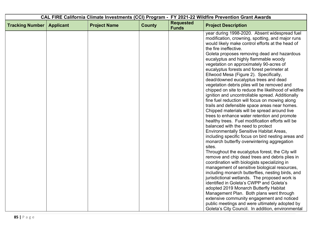| <b>Requested</b><br><b>Tracking Number</b><br><b>Project Name</b><br><b>County</b><br><b>Applicant</b><br><b>Project Description</b><br><b>Funds</b><br>would likely make control efforts at the head of<br>the fire ineffective.<br>eucalyptus and highly flammable woody<br>vegetation on approximately 90-acres of<br>eucalyptus forests and forest perimeter at<br>Ellwood Mesa (Figure 2). Specifically,<br>dead/downed eucalyptus trees and dead<br>vegetation debris piles will be removed and<br>ignition and uncontrollable spread. Additionally<br>fine fuel reduction will focus on mowing along<br>trails and defensible space areas near homes.<br>Chipped materials will be spread around live<br>trees to enhance water retention and promote<br>healthy trees. Fuel modification efforts will be<br>balanced with the need to protect<br><b>Environmentally Sensitive Habitat Areas,</b><br>monarch butterfly overwintering aggregation<br>sites.<br>Throughout the eucalyptus forest, the City will<br>remove and chip dead trees and debris plies in | CAL FIRE California Climate Investments (CCI) Program - FY 2021-22 Wildfire Prevention Grant Awards |  |  |  |                                                                                                                                                                                                                                                                                                                                                                     |
|------------------------------------------------------------------------------------------------------------------------------------------------------------------------------------------------------------------------------------------------------------------------------------------------------------------------------------------------------------------------------------------------------------------------------------------------------------------------------------------------------------------------------------------------------------------------------------------------------------------------------------------------------------------------------------------------------------------------------------------------------------------------------------------------------------------------------------------------------------------------------------------------------------------------------------------------------------------------------------------------------------------------------------------------------------------------|-----------------------------------------------------------------------------------------------------|--|--|--|---------------------------------------------------------------------------------------------------------------------------------------------------------------------------------------------------------------------------------------------------------------------------------------------------------------------------------------------------------------------|
|                                                                                                                                                                                                                                                                                                                                                                                                                                                                                                                                                                                                                                                                                                                                                                                                                                                                                                                                                                                                                                                                        |                                                                                                     |  |  |  |                                                                                                                                                                                                                                                                                                                                                                     |
| management of sensitive biological resources,<br>jurisdictional wetlands. The proposed work is<br>identified in Goleta's CWPP and Goleta's                                                                                                                                                                                                                                                                                                                                                                                                                                                                                                                                                                                                                                                                                                                                                                                                                                                                                                                             |                                                                                                     |  |  |  | year during 1998-2020. Absent widespread fuel<br>modification, crowning, spotting, and major runs<br>Goleta proposes removing dead and hazardous<br>chipped on site to reduce the likelihood of wildfire<br>including specific focus on bird nesting areas and<br>coordination with biologists specializing in<br>including monarch butterflies, nesting birds, and |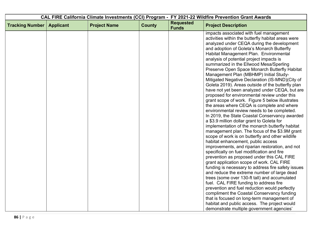|                        |                  |                     |               |                                  | CAL FIRE California Climate Investments (CCI) Program - FY 2021-22 Wildfire Prevention Grant Awards                                                                                                                                                                                                                                                                                                                                                                                                                                                                                                                                                                                                                                                                                                                                                                                                                                                                                                                                                                                                                                                                                                                                                                                                                                                                                                                                                                                                                                                                       |
|------------------------|------------------|---------------------|---------------|----------------------------------|---------------------------------------------------------------------------------------------------------------------------------------------------------------------------------------------------------------------------------------------------------------------------------------------------------------------------------------------------------------------------------------------------------------------------------------------------------------------------------------------------------------------------------------------------------------------------------------------------------------------------------------------------------------------------------------------------------------------------------------------------------------------------------------------------------------------------------------------------------------------------------------------------------------------------------------------------------------------------------------------------------------------------------------------------------------------------------------------------------------------------------------------------------------------------------------------------------------------------------------------------------------------------------------------------------------------------------------------------------------------------------------------------------------------------------------------------------------------------------------------------------------------------------------------------------------------------|
| <b>Tracking Number</b> | <b>Applicant</b> | <b>Project Name</b> | <b>County</b> | <b>Requested</b><br><b>Funds</b> | <b>Project Description</b>                                                                                                                                                                                                                                                                                                                                                                                                                                                                                                                                                                                                                                                                                                                                                                                                                                                                                                                                                                                                                                                                                                                                                                                                                                                                                                                                                                                                                                                                                                                                                |
|                        |                  |                     |               |                                  | impacts associated with fuel management<br>activities within the butterfly habitat areas were<br>analyzed under CEQA during the development<br>and adoption of Goleta's Monarch Butterfly<br>Habitat Management Plan. Environmental<br>analysis of potential project impacts is<br>summarized in the Ellwood Mesa/Sperling<br>Preserve Open Space Monarch Butterfly Habitat<br>Management Plan (MBHMP) Initial Study-<br>Mitigated Negative Declaration (IS-MND)(City of<br>Goleta 2019). Areas outside of the butterfly plan<br>have not yet been analyzed under CEQA, but are<br>proposed for environmental review under this<br>grant scope of work. Figure 5 below illustrates<br>the areas where CEQA is complete and where<br>environmental review needs to be completed.<br>In 2019, the State Coastal Conservancy awarded<br>a \$3.9 million dollar grant to Goleta for<br>implementation of the monarch butterfly habitat<br>management plan. The focus of the \$3.9M grant<br>scope of work is on butterfly and other wildlife<br>habitat enhancement, public access<br>improvements, and riparian restoration, and not<br>specifically on fuel modification and fire<br>prevention as proposed under this CAL FIRE<br>grant application scope of work. CAL FIRE<br>funding is necessary to address fire safety issues<br>and reduce the extreme number of large dead<br>trees (some over 130-ft tall) and accumulated<br>fuel. CAL FIRE funding to address fire<br>prevention and fuel reduction would perfectly<br>compliment the Coastal Conservancy funding |
|                        |                  |                     |               |                                  | that is focused on long-term management of<br>habitat and public access. The project would<br>demonstrate multiple government agencies'                                                                                                                                                                                                                                                                                                                                                                                                                                                                                                                                                                                                                                                                                                                                                                                                                                                                                                                                                                                                                                                                                                                                                                                                                                                                                                                                                                                                                                   |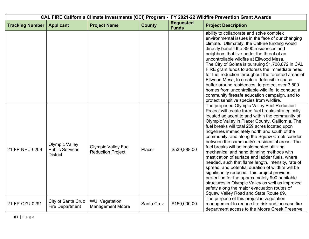| CAL FIRE California Climate Investments (CCI) Program - FY 2021-22 Wildfire Prevention Grant Awards |                                                                    |                                                        |               |                                  |                                                                                                                                                                                                                                                                                                                                                                                                                                                                                                                                                                                                                                                                                                                                                                                                                                                                                                                     |  |
|-----------------------------------------------------------------------------------------------------|--------------------------------------------------------------------|--------------------------------------------------------|---------------|----------------------------------|---------------------------------------------------------------------------------------------------------------------------------------------------------------------------------------------------------------------------------------------------------------------------------------------------------------------------------------------------------------------------------------------------------------------------------------------------------------------------------------------------------------------------------------------------------------------------------------------------------------------------------------------------------------------------------------------------------------------------------------------------------------------------------------------------------------------------------------------------------------------------------------------------------------------|--|
| <b>Tracking Number</b>                                                                              | <b>Applicant</b>                                                   | <b>Project Name</b>                                    | <b>County</b> | <b>Requested</b><br><b>Funds</b> | <b>Project Description</b>                                                                                                                                                                                                                                                                                                                                                                                                                                                                                                                                                                                                                                                                                                                                                                                                                                                                                          |  |
|                                                                                                     |                                                                    |                                                        |               |                                  | ability to collaborate and solve complex<br>environmental issues in the face of our changing<br>climate. Ultimately, the CalFire funding would<br>directly benefit the 3500 residences and<br>neighbors that live under the threat of an<br>uncontrollable wildfire at Ellwood Mesa.<br>The City of Goleta is pursuing \$1,708,872 in CAL<br>FIRE grant funds to address the immediate need<br>for fuel reduction throughout the forested areas of<br>Ellwood Mesa, to create a defensible space<br>buffer around residences, to protect over 3,500<br>homes from uncontrollable wildlife, to conduct a<br>community firesafe education campaign, and to<br>protect sensitive species from wildfire.                                                                                                                                                                                                                |  |
| 21-FP-NEU-0209                                                                                      | <b>Olympic Valley</b><br><b>Public Services</b><br><b>District</b> | <b>Olympic Valley Fuel</b><br><b>Reduction Project</b> | Placer        | \$539,888.00                     | The proposed Olympic Valley Fuel Reduction<br>Project will create three fuel breaks strategically<br>located adjacent to and within the community of<br>Olympic Valley in Placer County, California. The<br>fuel breaks will total 259 acres located upon<br>ridgelines immediately north and south of the<br>community, and along the Squaw Creek corridor<br>between the community's residential areas. The<br>fuel breaks will be implemented utilizing<br>mechanical and hand thinning methods with<br>mastication of surface and ladder fuels, where<br>needed, such that flame length, intensity, rate of<br>spread, and potential duration of wildfire will be<br>significantly reduced. This project provides<br>protection for the approximately 900 habitable<br>structures in Olympic Valley as well as improved<br>safety along the major evacuation routes of<br>Squaw Valley Road and State Route 89. |  |
| 21-FP-CZU-0291                                                                                      | City of Santa Cruz<br><b>Fire Department</b>                       | <b>WUI Vegetation</b><br><b>Management Moore</b>       | Santa Cruz    | \$150,000.00                     | The purpose of this project is vegetation<br>management to reduce fire risk and increase fire<br>department access to the Moore Creek Preserve                                                                                                                                                                                                                                                                                                                                                                                                                                                                                                                                                                                                                                                                                                                                                                      |  |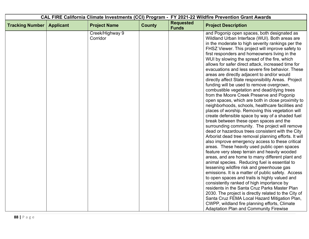|                        |                  |                             |               |                                  | CAL FIRE California Climate Investments (CCI) Program - FY 2021-22 Wildfire Prevention Grant Awards                                                                                                                                                                                                                                                                                                                                                                                                                                                                                                                 |
|------------------------|------------------|-----------------------------|---------------|----------------------------------|---------------------------------------------------------------------------------------------------------------------------------------------------------------------------------------------------------------------------------------------------------------------------------------------------------------------------------------------------------------------------------------------------------------------------------------------------------------------------------------------------------------------------------------------------------------------------------------------------------------------|
| <b>Tracking Number</b> | <b>Applicant</b> | <b>Project Name</b>         | <b>County</b> | <b>Requested</b><br><b>Funds</b> | <b>Project Description</b>                                                                                                                                                                                                                                                                                                                                                                                                                                                                                                                                                                                          |
|                        |                  | Creek/Highway 9<br>Corridor |               |                                  | and Pogonip open spaces, both designated as<br>Wildland Urban Interface (WUI). Both areas are<br>in the moderate to high severity rankings per the<br>FHSZ Viewer. This project will improve safety to<br>first responders and homeowners living in the<br>WUI by slowing the spread of the fire, which<br>allows for safer direct attack, increased time for<br>evacuations and less severe fire behavior. These<br>areas are directly adjacent to and/or would<br>directly affect State responsibility Areas. Project<br>funding will be used to remove overgrown,<br>combustible vegetation and dead/dying trees |
|                        |                  |                             |               |                                  | from the Moore Creek Preserve and Pogonip<br>open spaces, which are both in close proximity to<br>neighborhoods, schools, healthcare facilities and<br>places of worship. Removing this vegetation will<br>create defensible space by way of a shaded fuel<br>break between these open spaces and the<br>surrounding community. The project will remove<br>dead or hazardous trees consistent with the City<br>Arborist dead tree removal planning efforts. It will<br>also improve emergency access to these critical<br>areas. These heavily used public open spaces                                              |
|                        |                  |                             |               |                                  | feature very steep terrain and heavily wooded<br>areas, and are home to many different plant and<br>animal species. Reducing fuel is essential to<br>lessening wildfire risk and greenhouse gas<br>emissions. It is a matter of public safety. Access<br>to open spaces and trails is highly valued and<br>consistently ranked of high importance by<br>residents in the Santa Cruz Parks Master Plan<br>2030. The project is directly related to the City of<br>Santa Cruz FEMA Local Hazard Mitigation Plan,<br>CWPP, wildland fire planning efforts, Climate<br><b>Adaptation Plan and Community Firewise</b>    |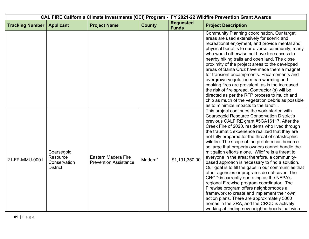| CAL FIRE California Climate Investments (CCI) Program - FY 2021-22 Wildfire Prevention Grant Awards |                                                           |                                                     |               |                                  |                                                                                                                                                                                                                                                                                                                                                                                                                                                                                                                                                                                                                                                                                                                                                                                                                                                                                                                                                                                                                      |  |
|-----------------------------------------------------------------------------------------------------|-----------------------------------------------------------|-----------------------------------------------------|---------------|----------------------------------|----------------------------------------------------------------------------------------------------------------------------------------------------------------------------------------------------------------------------------------------------------------------------------------------------------------------------------------------------------------------------------------------------------------------------------------------------------------------------------------------------------------------------------------------------------------------------------------------------------------------------------------------------------------------------------------------------------------------------------------------------------------------------------------------------------------------------------------------------------------------------------------------------------------------------------------------------------------------------------------------------------------------|--|
| <b>Tracking Number</b>                                                                              | <b>Applicant</b>                                          | <b>Project Name</b>                                 | <b>County</b> | <b>Requested</b><br><b>Funds</b> | <b>Project Description</b>                                                                                                                                                                                                                                                                                                                                                                                                                                                                                                                                                                                                                                                                                                                                                                                                                                                                                                                                                                                           |  |
|                                                                                                     |                                                           |                                                     |               |                                  | Community Planning coordination. Our target<br>areas are used extensively for scenic and<br>recreational enjoyment, and provide mental and<br>physical benefits to our diverse community, many<br>who would otherwise not have free access to<br>nearby hiking trails and open land. The close<br>proximity of the project areas to the developed<br>areas of Santa Cruz have made them a magnet<br>for transient encampments. Encampments and<br>overgrown vegetation mean warming and<br>cooking fires are prevalent, as is the increased<br>the risk of fire spread. Contractor (s) will be<br>directed as per the RFP process to mulch and<br>chip as much of the vegetation debris as possible<br>as to minimize impacts to the landfill.                                                                                                                                                                                                                                                                       |  |
| 21-FP-MMU-0001                                                                                      | Coarsegold<br>Resource<br>Conservation<br><b>District</b> | Eastern Madera Fire<br><b>Prevention Assistance</b> | Madera*       | \$1,191,350.00                   | This project continues the work started with<br><b>Coarsegold Resource Conservation District's</b><br>previous CALFIRE grant #5GA16117. After the<br>Creek Fire of 2020, residents who lived through<br>the traumatic experience realized that they are<br>not fully prepared for the threat of catastrophic<br>wildfire. The scope of the problem has become<br>so large that property owners cannot handle the<br>mitigation efforts alone. Wildfire is a threat to<br>everyone in the area; therefore, a community-<br>based approach is necessary to find a solution.<br>Our goal is to fill the gaps in our communities that<br>other agencies or programs do not cover. The<br>CRCD is currently operating as the NFPA's<br>regional Firewise program coordinator. The<br>Firewise program offers neighborhoods a<br>framework to create and implement their own<br>action plans. There are approximately 5000<br>homes in the SRA, and the CRCD is actively<br>working at finding new neighborhoods that wish |  |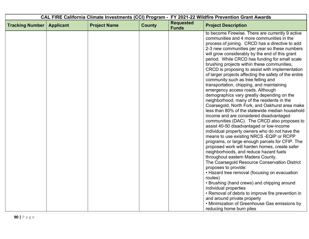| <b>Applicant</b> | <b>Project Name</b> | <b>County</b> | <b>Requested</b><br><b>Funds</b> | <b>Project Description</b>                                                                                                                                                                                                                                                                                                                                                                                                                                                                                                                                                                                                                                                                                                                                                                                                                                                                                                                                                                                                                                                                                                                                                                                                                                                                                                                                                                                                                                                                                          |
|------------------|---------------------|---------------|----------------------------------|---------------------------------------------------------------------------------------------------------------------------------------------------------------------------------------------------------------------------------------------------------------------------------------------------------------------------------------------------------------------------------------------------------------------------------------------------------------------------------------------------------------------------------------------------------------------------------------------------------------------------------------------------------------------------------------------------------------------------------------------------------------------------------------------------------------------------------------------------------------------------------------------------------------------------------------------------------------------------------------------------------------------------------------------------------------------------------------------------------------------------------------------------------------------------------------------------------------------------------------------------------------------------------------------------------------------------------------------------------------------------------------------------------------------------------------------------------------------------------------------------------------------|
|                  |                     |               |                                  | to become Firewise. There are currently 9 active<br>communities and 4 more communities in the<br>process of joining. CRCD has a directive to add<br>2-3 new communities per year so these numbers<br>will grow considerably by the end of this grant<br>period. While CRCD has funding for small scale<br>brushing projects within these communities,<br>CRCD is proposing to assist with implementation<br>of larger projects affecting the safety of the entire<br>community such as tree felling and<br>transportation, chipping, and maintaining<br>emergency access roads. Although<br>demographics vary greatly depending on the<br>neighborhood, many of the residents in the<br>Coarsegold, North Fork, and Oakhurst area make<br>less than 80% of the statewide median household<br>income and are considered disadvantaged<br>communities (DAC). The CRCD also proposes to<br>assist 40-50 disadvantaged or low-income<br>individual property owners who do not have the<br>means to use existing NRCS - EQIP or RCPP<br>programs, or large enough parcels for CFIP. The<br>proposed work will harden homes, create safer<br>neighborhoods, and reduce hazard fuels<br>throughout eastern Madera County.<br>The Coarsegold Resource Conservation District<br>proposes to provide:<br>• Hazard tree removal (focusing on evacuation<br>routes)<br>• Brushing (hand crews) and chipping around<br>individual properties<br>• Removal of debris to improve fire prevention in<br>and around private property |
|                  |                     |               |                                  | • Minimization of Greenhouse Gas emissions by<br>reducing home burn piles                                                                                                                                                                                                                                                                                                                                                                                                                                                                                                                                                                                                                                                                                                                                                                                                                                                                                                                                                                                                                                                                                                                                                                                                                                                                                                                                                                                                                                           |
|                  |                     |               |                                  | CAL FIRE California Climate Investments (CCI) Program - FY 2021-22 Wildfire Prevention Grant Awards                                                                                                                                                                                                                                                                                                                                                                                                                                                                                                                                                                                                                                                                                                                                                                                                                                                                                                                                                                                                                                                                                                                                                                                                                                                                                                                                                                                                                 |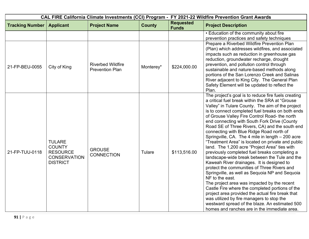|                        |                                                                                             |                                                    |               |                                  | CAL FIRE California Climate Investments (CCI) Program - FY 2021-22 Wildfire Prevention Grant Awards                                                                                                                                                                                                                                                                                                                                                                                                                                                                                                                                                                                                                                                                                                                                                                                                                                                                                                                                                                                                                                             |
|------------------------|---------------------------------------------------------------------------------------------|----------------------------------------------------|---------------|----------------------------------|-------------------------------------------------------------------------------------------------------------------------------------------------------------------------------------------------------------------------------------------------------------------------------------------------------------------------------------------------------------------------------------------------------------------------------------------------------------------------------------------------------------------------------------------------------------------------------------------------------------------------------------------------------------------------------------------------------------------------------------------------------------------------------------------------------------------------------------------------------------------------------------------------------------------------------------------------------------------------------------------------------------------------------------------------------------------------------------------------------------------------------------------------|
| <b>Tracking Number</b> | <b>Applicant</b>                                                                            | <b>Project Name</b>                                | <b>County</b> | <b>Requested</b><br><b>Funds</b> | <b>Project Description</b>                                                                                                                                                                                                                                                                                                                                                                                                                                                                                                                                                                                                                                                                                                                                                                                                                                                                                                                                                                                                                                                                                                                      |
|                        |                                                                                             |                                                    |               |                                  | • Education of the community about fire                                                                                                                                                                                                                                                                                                                                                                                                                                                                                                                                                                                                                                                                                                                                                                                                                                                                                                                                                                                                                                                                                                         |
|                        |                                                                                             |                                                    |               |                                  | prevention practices and safety techniques                                                                                                                                                                                                                                                                                                                                                                                                                                                                                                                                                                                                                                                                                                                                                                                                                                                                                                                                                                                                                                                                                                      |
| 21-FP-BEU-0055         | City of King                                                                                | <b>Riverbed Wildfire</b><br><b>Prevention Plan</b> | Monterey*     | \$224,000.00                     | Prepare a Riverbed Wildfire Prevention Plan<br>(Plan) which addresses wildfires, and associated<br>impacts such as reduction in greenhouse gas<br>reduction, groundwater recharge, drought<br>prevention, and pollution control through<br>sustainable and nature-based methods along<br>portions of the San Lorenzo Creek and Salinas<br>River adjacent to King City. The General Plan                                                                                                                                                                                                                                                                                                                                                                                                                                                                                                                                                                                                                                                                                                                                                         |
|                        |                                                                                             |                                                    |               |                                  | Safety Element will be updated to reflect the<br>Plan.                                                                                                                                                                                                                                                                                                                                                                                                                                                                                                                                                                                                                                                                                                                                                                                                                                                                                                                                                                                                                                                                                          |
| 21-FP-TUU-0118         | <b>TULARE</b><br><b>COUNTY</b><br><b>RESOURCE</b><br><b>CONSERVATION</b><br><b>DISTRICT</b> | <b>GROUSE</b><br><b>CONNECTION</b>                 | Tulare        | \$113,516.00                     | The project's goal is to reduce fire fuels creating<br>a critical fuel break within the SRA at "Grouse<br>Valley" in Tulare County. The aim of the project<br>is to connect completed fuel breaks on both ends<br>of Grouse Valley Fire Control Road- the north<br>end connecting with South Fork Drive (County<br>Road SE of Three Rivers, CA) and the south end<br>connecting with Blue Ridge Road north of<br>Springville, CA. The 4 mile in length - 200 acre<br>"Treatment Area" is located on private and public<br>land. The 1,200 acre "Project Area" ties with<br>previously completed fuel breaks completing a<br>landscape-wide break between the Tule and the<br>Kaweah River drainages. It is designed to<br>protect the communities of Three Rivers and<br>Springville, as well as Sequoia NP and Sequoia<br>NF to the east.<br>The project area was impacted by the recent<br>Castle Fire where the completed portions of the<br>project area provided the actual fire break that<br>was utilized by fire managers to stop the<br>westward spread of the blaze. An estimated 500<br>homes and ranches are in the immediate area. |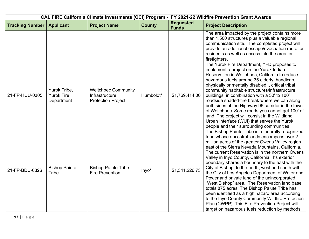|                        |                                                 |                                                                           |               |                                  | CAL FIRE California Climate Investments (CCI) Program - FY 2021-22 Wildfire Prevention Grant Awards                                                                                                                                                                                                                                                                                                                                                                                                                                                                                                                                                                                                                                                                                                                                      |
|------------------------|-------------------------------------------------|---------------------------------------------------------------------------|---------------|----------------------------------|------------------------------------------------------------------------------------------------------------------------------------------------------------------------------------------------------------------------------------------------------------------------------------------------------------------------------------------------------------------------------------------------------------------------------------------------------------------------------------------------------------------------------------------------------------------------------------------------------------------------------------------------------------------------------------------------------------------------------------------------------------------------------------------------------------------------------------------|
| <b>Tracking Number</b> | <b>Applicant</b>                                | <b>Project Name</b>                                                       | <b>County</b> | <b>Requested</b><br><b>Funds</b> | <b>Project Description</b>                                                                                                                                                                                                                                                                                                                                                                                                                                                                                                                                                                                                                                                                                                                                                                                                               |
|                        |                                                 |                                                                           |               |                                  | The area impacted by the project contains more<br>than 1,500 structures plus a valuable regional<br>communication site. The completed project will<br>provide an additional escape/evacuation route for<br>residents as well as access into the area for<br>firefighters.                                                                                                                                                                                                                                                                                                                                                                                                                                                                                                                                                                |
| 21-FP-HUU-0305         | Yurok Tribe,<br><b>Yurok Fire</b><br>Department | <b>Weitchpec Community</b><br>Infrastructure<br><b>Protection Project</b> | Humboldt*     | \$1,769,414.00                   | The Yurok Fire Department, YFD proposes to<br>implement a project on the Yurok Indian<br>Reservation in Weitchpec, California to reduce<br>hazardous fuels around 35 elderly, handicap,<br>physically or mentally disabled, critical tribal<br>community habitable structures/infrastructure<br>buildings, in combination with a 50' to 100'<br>roadside shaded-fire break where we can along<br>both sides of the Highway 96 corridor in the town<br>of Weitchpec. Some roads you cannot get 100' of<br>land. The project will consist in the Wildland<br>Urban Interface (WUI) that serves the Yurok<br>people and their surrounding communities.                                                                                                                                                                                      |
| 21-FP-BDU-0326         | <b>Bishop Paiute</b><br><b>Tribe</b>            | <b>Bishop Paiute Tribe</b><br><b>Fire Prevention</b>                      | Inyo*         | \$1,341,226.73                   | The Bishop Paiute Tribe is a federally recognized<br>tribe whose ancestral lands encompass over 2<br>million acres of the greater Owens Valley region<br>east of the Sierra Nevada Mountains, California.<br>The current Reservation is in the northern Owens<br>Valley in Inyo County, California. Its exterior<br>boundary shares a boundary to the east with the<br>City of Bishop, to the north, west and south with<br>the City of Los Angeles Department of Water and<br>Power and private land of the unincorporated<br>"West Bishop" area. The Reservation land base<br>totals 875 acres. The Bishop Paiute Tribe has<br>been identified as a high hazard area according<br>to the Inyo County Community Wildfire Protection<br>Plan (CWPP). This Fire Prevention Project will<br>target on hazardous fuels reduction by methods |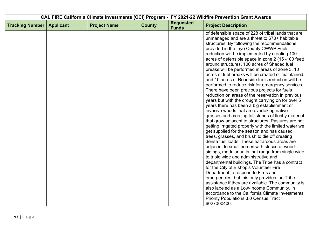| CAL FIRE California Climate Investments (CCI) Program - FY 2021-22 Wildfire Prevention Grant Awards |                  |                     |               |                                  |                                                                                                                                                                                                                                                                                                                                                                                                                                                                                                                                                                                                                                                                                                                                                                                                                                                                                                                                                                                                                                                                                                                                                                                                                                                                                                                                                                                                                                                                                                                                                                                       |
|-----------------------------------------------------------------------------------------------------|------------------|---------------------|---------------|----------------------------------|---------------------------------------------------------------------------------------------------------------------------------------------------------------------------------------------------------------------------------------------------------------------------------------------------------------------------------------------------------------------------------------------------------------------------------------------------------------------------------------------------------------------------------------------------------------------------------------------------------------------------------------------------------------------------------------------------------------------------------------------------------------------------------------------------------------------------------------------------------------------------------------------------------------------------------------------------------------------------------------------------------------------------------------------------------------------------------------------------------------------------------------------------------------------------------------------------------------------------------------------------------------------------------------------------------------------------------------------------------------------------------------------------------------------------------------------------------------------------------------------------------------------------------------------------------------------------------------|
| <b>Tracking Number</b>                                                                              | <b>Applicant</b> | <b>Project Name</b> | <b>County</b> | <b>Requested</b><br><b>Funds</b> | <b>Project Description</b>                                                                                                                                                                                                                                                                                                                                                                                                                                                                                                                                                                                                                                                                                                                                                                                                                                                                                                                                                                                                                                                                                                                                                                                                                                                                                                                                                                                                                                                                                                                                                            |
|                                                                                                     |                  |                     |               |                                  | of defensible space of 228 of tribal lands that are<br>unmanaged and are a threat to 670+ habitable<br>structures. By following the recommendations<br>provided in the Inyo County CWWP Fuels<br>reduction will be implemented by creating 100<br>acres of defensible space in zone 2 (15 -100 feet)<br>around structures, 100 acres of Shaded fuel<br>breaks will be performed in areas of zone 3, 10<br>acres of fuel breaks will be created or maintained,<br>and 10 acres of Roadside fuels reduction will be<br>performed to reduce risk for emergency services.<br>There have been previous projects for fuels<br>reduction on areas of the reservation in previous<br>years but with the drought carrying on for over 5<br>years there has been a big establishment of<br>invasive weeds that are overtaking native<br>grasses and creating tall stands of flashy material<br>that grow adjacent to structures. Pastures are not<br>getting irrigated properly with the limited water we<br>get supplied for the season and has caused<br>trees, grasses, and brush to die off creating<br>dense fuel loads. These hazardous areas are<br>adjacent to small homes with stucco or wood<br>sidings, modular units that range from single wide<br>to triple wide and administrative and<br>departmental buildings. The Tribe has a contract<br>for the City of Bishop's Volunteer Fire<br>Department to respond to Fires and<br>emergencies, but this only provides the Tribe<br>assistance if they are available. The community is<br>also labeled as a Low-Income Community, in |
|                                                                                                     |                  |                     |               |                                  | accordance to the California Climate Investments<br><b>Priority Populations 3.0 Census Tract</b><br>6027000400.                                                                                                                                                                                                                                                                                                                                                                                                                                                                                                                                                                                                                                                                                                                                                                                                                                                                                                                                                                                                                                                                                                                                                                                                                                                                                                                                                                                                                                                                       |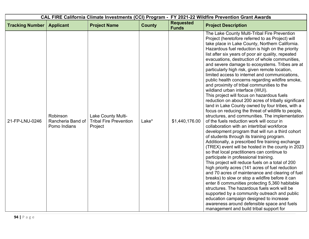|                        |                                               |                                                                |               |                                  | CAL FIRE California Climate Investments (CCI) Program - FY 2021-22 Wildfire Prevention Grant Awards                                                                                                                                                                                                                                                                                                                                                                                                                                                                                                                                                                                                                                                                                                                                                                                                                                                                                                                                                                                                                                                                                                                                                                                                                                                                                                                                                                                                                                                                                                                                                                                                                                                                                  |
|------------------------|-----------------------------------------------|----------------------------------------------------------------|---------------|----------------------------------|--------------------------------------------------------------------------------------------------------------------------------------------------------------------------------------------------------------------------------------------------------------------------------------------------------------------------------------------------------------------------------------------------------------------------------------------------------------------------------------------------------------------------------------------------------------------------------------------------------------------------------------------------------------------------------------------------------------------------------------------------------------------------------------------------------------------------------------------------------------------------------------------------------------------------------------------------------------------------------------------------------------------------------------------------------------------------------------------------------------------------------------------------------------------------------------------------------------------------------------------------------------------------------------------------------------------------------------------------------------------------------------------------------------------------------------------------------------------------------------------------------------------------------------------------------------------------------------------------------------------------------------------------------------------------------------------------------------------------------------------------------------------------------------|
| <b>Tracking Number</b> | <b>Applicant</b>                              | <b>Project Name</b>                                            | <b>County</b> | <b>Requested</b><br><b>Funds</b> | <b>Project Description</b>                                                                                                                                                                                                                                                                                                                                                                                                                                                                                                                                                                                                                                                                                                                                                                                                                                                                                                                                                                                                                                                                                                                                                                                                                                                                                                                                                                                                                                                                                                                                                                                                                                                                                                                                                           |
| 21-FP-LNU-0246         | Robinson<br>Rancheria Band of<br>Pomo Indians | Lake County Multi-<br><b>Tribal Fire Prevention</b><br>Project | Lake*         | \$1,440,176.00                   | The Lake County Multi-Tribal Fire Prevention<br>Project (heretofore referred to as Project) will<br>take place in Lake County, Northern California.<br>Hazardous fuel reduction is high on the priority<br>list after six years of poor air quality, repeated<br>evacuations, destruction of whole communities,<br>and severe damage to ecosystems. Tribes are at<br>particularly high risk, given remote location,<br>limited access to internet and communications,<br>public health concerns regarding wildfire smoke,<br>and proximity of tribal communities to the<br>wildland urban interface (WUI).<br>This project will focus on hazardous fuels<br>reduction on about 200 acres of tribally significant<br>land in Lake County owned by four tribes, with a<br>focus on reducing the threat of wildlife to people,<br>structures, and communities. The implementation<br>of the fuels reduction work will occur in<br>collaboration with an intertribal workforce<br>development program that will run a third cohort<br>of students through its training program.<br>Additionally, a prescribed fire training exchange<br>(TREX) event will be hosted in the county in 2023<br>so that local practitioners can continue to<br>participate in professional training.<br>This project will reduce fuels on a total of 200<br>high priority acres (141 acres of fuel reduction<br>and 70 acres of maintenance and clearing of fuel<br>breaks) to slow or stop a wildfire before it can<br>enter 8 communities protecting 5,360 habitable<br>structures. The hazardous fuels work will be<br>supported by a community outreach and public<br>education campaign designed to increase<br>awareness around defensible space and fuels<br>management and build tribal support for |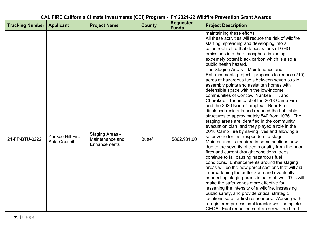|                        |                                  |                                                           |               |                                  | CAL FIRE California Climate Investments (CCI) Program - FY 2021-22 Wildfire Prevention Grant Awards                                                                                                                                                                                                                                                                                                                                                                                                                                                                                                                                                                                                                                                                                                                                                                                                                                                                                                                                                                                                                                                                                                                                                                                                                                                                                                |
|------------------------|----------------------------------|-----------------------------------------------------------|---------------|----------------------------------|----------------------------------------------------------------------------------------------------------------------------------------------------------------------------------------------------------------------------------------------------------------------------------------------------------------------------------------------------------------------------------------------------------------------------------------------------------------------------------------------------------------------------------------------------------------------------------------------------------------------------------------------------------------------------------------------------------------------------------------------------------------------------------------------------------------------------------------------------------------------------------------------------------------------------------------------------------------------------------------------------------------------------------------------------------------------------------------------------------------------------------------------------------------------------------------------------------------------------------------------------------------------------------------------------------------------------------------------------------------------------------------------------|
| <b>Tracking Number</b> | <b>Applicant</b>                 | <b>Project Name</b>                                       | <b>County</b> | <b>Requested</b><br><b>Funds</b> | <b>Project Description</b>                                                                                                                                                                                                                                                                                                                                                                                                                                                                                                                                                                                                                                                                                                                                                                                                                                                                                                                                                                                                                                                                                                                                                                                                                                                                                                                                                                         |
|                        |                                  |                                                           |               |                                  | maintaining these efforts.<br>All these activities will reduce the risk of wildfire<br>starting, spreading and developing into a<br>catastrophic fire that deposits tons of GHG<br>emissions into the atmosphere including<br>extremely potent black carbon which is also a<br>public health hazard.                                                                                                                                                                                                                                                                                                                                                                                                                                                                                                                                                                                                                                                                                                                                                                                                                                                                                                                                                                                                                                                                                               |
| 21-FP-BTU-0222         | Yankee Hill Fire<br>Safe Council | <b>Staging Areas -</b><br>Maintenance and<br>Enhancements | Butte*        | \$862,931.00                     | The Staging Areas - Maintenance and<br>Enhancements project - proposes to reduce (210)<br>acres of hazardous fuels between seven public<br>assembly points and assist ten homes with<br>defensible space within the low-income<br>communities of Concow, Yankee Hill, and<br>Cherokee. The impact of the 2018 Camp Fire<br>and the 2020 North Complex - Bear Fire<br>displaced residents and reduced the habitable<br>structures to approximately 540 from 1076. The<br>staging areas are identified in the community<br>evacuation plan, and they played a role in the<br>2018 Camp Fire by saving lives and allowing a<br>safer zone for first responders to stage.<br>Maintenance is required in some sections now<br>due to the severity of tree mortality from the prior<br>fires and current drought conditions, trees<br>continue to fall causing hazardous fuel<br>conditions. Enhancements around the staging<br>areas will be the new parcel sections that will aid<br>in broadening the buffer zone and eventually,<br>connecting staging areas in pairs of two. This will<br>make the safer zones more effective for<br>lessening the intensity of a wildfire, increasing<br>public safety, and provide critical strategic<br>locations safe for first responders. Working with<br>a registered professional forester we'll complete<br>CEQA. Fuel reduction contractors will be hired |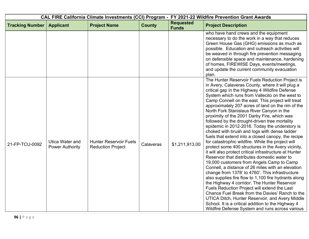|                        |                                                  |                                                           |               |                                  | CAL FIRE California Climate Investments (CCI) Program - FY 2021-22 Wildfire Prevention Grant Awards                                                                                                                                                                                                                                                                                                                                                                                                                                                                                                                                                                                                                                                                                                                                                                                                                                                                                                                                                                                                                                                                                                                                                                                                                                                                      |
|------------------------|--------------------------------------------------|-----------------------------------------------------------|---------------|----------------------------------|--------------------------------------------------------------------------------------------------------------------------------------------------------------------------------------------------------------------------------------------------------------------------------------------------------------------------------------------------------------------------------------------------------------------------------------------------------------------------------------------------------------------------------------------------------------------------------------------------------------------------------------------------------------------------------------------------------------------------------------------------------------------------------------------------------------------------------------------------------------------------------------------------------------------------------------------------------------------------------------------------------------------------------------------------------------------------------------------------------------------------------------------------------------------------------------------------------------------------------------------------------------------------------------------------------------------------------------------------------------------------|
| <b>Tracking Number</b> | <b>Applicant</b>                                 | <b>Project Name</b>                                       | <b>County</b> | <b>Requested</b><br><b>Funds</b> | <b>Project Description</b>                                                                                                                                                                                                                                                                                                                                                                                                                                                                                                                                                                                                                                                                                                                                                                                                                                                                                                                                                                                                                                                                                                                                                                                                                                                                                                                                               |
|                        |                                                  |                                                           |               |                                  | who have hand crews and the equipment<br>necessary to do the work in a way that reduces<br>Green House Gas (GHG) emissions as much as<br>possible. Education and outreach activities will<br>be weaved in through fire prevention messaging<br>on defensible space and maintenance, hardening<br>of homes, FIREWISE Days, events/meetings,<br>and update the current community evacuation<br>plan.                                                                                                                                                                                                                                                                                                                                                                                                                                                                                                                                                                                                                                                                                                                                                                                                                                                                                                                                                                       |
| 21-FP-TCU-0092         | <b>Utica Water and</b><br><b>Power Authority</b> | <b>Hunter Reservoir Fuels</b><br><b>Reduction Project</b> | Calaveras     | \$1,211,913.00                   | The Hunter Reservoir Fuels Reduction Project is<br>in Avery, Calaveras County, where it will plug a<br>critical gap in the Highway 4 Wildfire Defense<br>System which runs from Vallecito on the west to<br>Camp Connell on the east. This project will treat<br>approximately 207 acres of land on the rim of the<br>North Fork Stanislaus River Canyon in the<br>proximity of the 2001 Darby Fire, which was<br>followed by the drought-driven tree mortality<br>epidemic in 2012-2016. Today the understory is<br>choked with brush and logs with dense ladder<br>fuels that extend into a closed canopy, the recipe<br>for catastrophic wildfire. While the project will<br>protect some 400 structures in the Avery vicinity,<br>it will also protect critical infrastructure at Hunter<br>Reservoir that distributes domestic water to<br>19,000 customers from Angels Camp to Camp<br>Connell, a distance of 26 miles with an elevation<br>change from 1378' to 4760'. This infrastructure<br>also supplies fire flow to 1,100 fire hydrants along<br>the Highway 4 corridor. The Hunter Reservoir<br>Fuels Reduction Project will extend the Last<br>Chance Fuel Break from the Davies' Ranch to the<br>UTICA Ditch, Hunter Reservoir, and Avery Middle<br>School. It is a critical addition to the Highway 4<br>Wildfire Defense System and runs across various |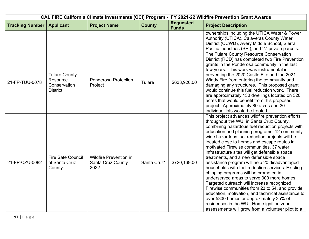| CAL FIRE California Climate Investments (CCI) Program - FY 2021-22 Wildfire Prevention Grant Awards |                                                                     |                                                                   |               |                                  |                                                                                                                                                                                                                                                                                                                                                                                                                                                                                                                                                                                                                                                                                                                                                                                                                                                                                                                                               |
|-----------------------------------------------------------------------------------------------------|---------------------------------------------------------------------|-------------------------------------------------------------------|---------------|----------------------------------|-----------------------------------------------------------------------------------------------------------------------------------------------------------------------------------------------------------------------------------------------------------------------------------------------------------------------------------------------------------------------------------------------------------------------------------------------------------------------------------------------------------------------------------------------------------------------------------------------------------------------------------------------------------------------------------------------------------------------------------------------------------------------------------------------------------------------------------------------------------------------------------------------------------------------------------------------|
| <b>Tracking Number</b>                                                                              | <b>Applicant</b>                                                    | <b>Project Name</b>                                               | <b>County</b> | <b>Requested</b><br><b>Funds</b> | <b>Project Description</b>                                                                                                                                                                                                                                                                                                                                                                                                                                                                                                                                                                                                                                                                                                                                                                                                                                                                                                                    |
|                                                                                                     |                                                                     |                                                                   |               |                                  | ownerships including the UTICA Water & Power<br>Authority (UTICA), Calaveras County Water<br>District (CCWD), Avery Middle School, Sierra<br>Pacific Industries (SPI), and 27 private parcels.                                                                                                                                                                                                                                                                                                                                                                                                                                                                                                                                                                                                                                                                                                                                                |
| 21-FP-TUU-0078                                                                                      | <b>Tulare County</b><br>Resource<br>Conservation<br><b>District</b> | Ponderosa Protection<br>Project                                   | Tulare        | \$633,920.00                     | The Tulare County Resource Conservation<br>District (RCD) has completed two Fire Prevention<br>grants in the Ponderosa community in the last<br>few years. This work was instrumental in<br>preventing the 2020 Castle Fire and the 2021<br>Windy Fire from entering the community and<br>damaging any structures. This proposed grant<br>would continue this fuel reduction work. There<br>are approximately 130 dwellings located on 320<br>acres that would benefit from this proposed<br>project. Approximately 80 acres and 30<br>individual lots would be treated.                                                                                                                                                                                                                                                                                                                                                                      |
| 21-FP-CZU-0082                                                                                      | <b>Fire Safe Council</b><br>of Santa Cruz<br>County                 | <b>Wildfire Prevention in</b><br><b>Santa Cruz County</b><br>2022 | Santa Cruz*   | \$720,169.00                     | This project advances wildfire prevention efforts<br>throughout the WUI in Santa Cruz County,<br>combining hazardous fuel reduction projects with<br>education and planning programs. 12 community-<br>wide hazardous fuel reduction projects will be<br>located close to homes and escape routes in<br>motivated Firewise communities. 37 water<br>infrastructure sites will get defensible space<br>treatments, and a new defensible space<br>assistance program will help 20 disadvantaged<br>households with fuel reduction services. Existing<br>chipping programs will be promoted in<br>underserved areas to serve 300 more homes.<br>Targeted outreach will increase recognized<br>Firewise communities from 23 to 54, and provide<br>education, motivation, and technical assistance to<br>over 5300 homes or approximately 25% of<br>residences in the WUI. Home ignition zone<br>assessments will grow from a volunteer pilot to a |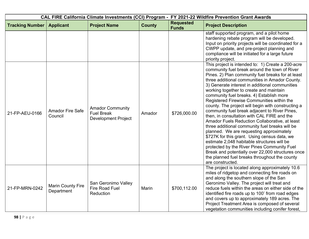| CAL FIRE California Climate Investments (CCI) Program - FY 2021-22 Wildfire Prevention Grant Awards |                                        |                                                                            |               |                                  |                                                                                                                                                                                                                                                                                                                                                                                                                                                                                                                                                                                                                                                                                                                                                                                                                                                                                                                                                                                |  |
|-----------------------------------------------------------------------------------------------------|----------------------------------------|----------------------------------------------------------------------------|---------------|----------------------------------|--------------------------------------------------------------------------------------------------------------------------------------------------------------------------------------------------------------------------------------------------------------------------------------------------------------------------------------------------------------------------------------------------------------------------------------------------------------------------------------------------------------------------------------------------------------------------------------------------------------------------------------------------------------------------------------------------------------------------------------------------------------------------------------------------------------------------------------------------------------------------------------------------------------------------------------------------------------------------------|--|
| <b>Tracking Number</b>                                                                              | <b>Applicant</b>                       | <b>Project Name</b>                                                        | <b>County</b> | <b>Requested</b><br><b>Funds</b> | <b>Project Description</b>                                                                                                                                                                                                                                                                                                                                                                                                                                                                                                                                                                                                                                                                                                                                                                                                                                                                                                                                                     |  |
|                                                                                                     |                                        |                                                                            |               |                                  | staff supported program, and a pilot home<br>hardening rebate program will be developed.<br>Input on priority projects will be coordinated for a<br>CWPP update, and pre-project planning and<br>compliance will be initiated for a large future<br>priority project.                                                                                                                                                                                                                                                                                                                                                                                                                                                                                                                                                                                                                                                                                                          |  |
| 21-FP-AEU-0166                                                                                      | <b>Amador Fire Safe</b><br>Council     | <b>Amador Community</b><br><b>Fuel Break</b><br><b>Development Project</b> | Amador        | \$726,000.00                     | This project is intended to: 1) Create a 200-acre<br>community fuel break around the town of River<br>Pines. 2) Plan community fuel breaks for at least<br>three additional communities in Amador County.<br>3) Generate interest in additional communities<br>working together to create and maintain<br>community fuel breaks. 4) Establish more<br>Registered Firewise Communities within the<br>county. The project will begin with constructing a<br>community fuel break adjacent to River Pines,<br>then, in consultation with CAL FIRE and the<br>Amador Fuels Reduction Collaborative, at least<br>three additional community fuel breaks will be<br>planned. We are requesting approximately<br>\$727K for this grant. Using census data, we<br>estimate 2,048 habitable structures will be<br>protected by the River Pines Community Fuel<br>Break and potentially over 22,000 structures once<br>the planned fuel breaks throughout the county<br>are constructed. |  |
| 21-FP-MRN-0242                                                                                      | <b>Marin County Fire</b><br>Department | San Geronimo Valley<br><b>Fire Road Fuel</b><br>Reduction                  | <b>Marin</b>  | \$700,112.00                     | The project is located along approximately 10.6<br>miles of ridgetop and connecting fire roads on<br>and along the southern slope of the San<br>Geronimo Valley. The project will treat and<br>reduce fuels within the areas on either side of the<br>identified fire roads up to 100' from road edges<br>and covers up to approximately 189 acres. The<br>Project Treatment Area is composed of several<br>vegetation communities including conifer forest,                                                                                                                                                                                                                                                                                                                                                                                                                                                                                                                   |  |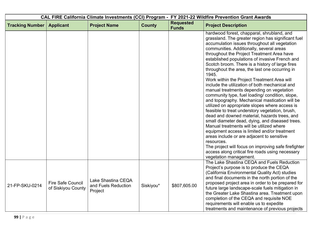| CAL FIRE California Climate Investments (CCI) Program - FY 2021-22 Wildfire Prevention Grant Awards |                                         |                                                      |               |                                  |                                                                                                                                                                                                                                                                                                                                                                                                                                                                                                                                                                                                                                                                                                                                                                                                                                                                                                                                                                                                                                                                                                                                                                      |
|-----------------------------------------------------------------------------------------------------|-----------------------------------------|------------------------------------------------------|---------------|----------------------------------|----------------------------------------------------------------------------------------------------------------------------------------------------------------------------------------------------------------------------------------------------------------------------------------------------------------------------------------------------------------------------------------------------------------------------------------------------------------------------------------------------------------------------------------------------------------------------------------------------------------------------------------------------------------------------------------------------------------------------------------------------------------------------------------------------------------------------------------------------------------------------------------------------------------------------------------------------------------------------------------------------------------------------------------------------------------------------------------------------------------------------------------------------------------------|
| <b>Tracking Number</b>                                                                              | <b>Applicant</b>                        | <b>Project Name</b>                                  | <b>County</b> | <b>Requested</b><br><b>Funds</b> | <b>Project Description</b>                                                                                                                                                                                                                                                                                                                                                                                                                                                                                                                                                                                                                                                                                                                                                                                                                                                                                                                                                                                                                                                                                                                                           |
|                                                                                                     |                                         |                                                      |               |                                  | hardwood forest, chapparal, shrubland, and<br>grassland. The greater region has significant fuel<br>accumulation issues throughout all vegetation<br>communities. Additionally, several areas<br>throughout the Project Treatment Area have<br>established populations of invasive French and<br>Scotch broom. There is a history of large fires<br>throughout the area, the last one occurring in<br>1945.<br>Work within the Project Treatment Area will<br>include the utilization of both mechanical and<br>manual treatments depending on vegetation<br>community type, fuel loading/ condition, slope,<br>and topography. Mechanical mastication will be<br>utilized on appropriate slopes where access is<br>feasible to treat understory vegetation, brush,<br>dead and downed material, hazards trees, and<br>small diameter dead, dying, and diseased trees.<br>Manual treatments will be utilized where<br>equipment access is limited and/or treatment<br>areas include or are adjacent to sensitive<br>resources.<br>The project will focus on improving safe firefighter<br>access along critical fire roads using necessary<br>vegetation management. |
| 21-FP-SKU-0214                                                                                      | Fire Safe Council<br>of Siskiyou County | Lake Shastina CEQA<br>and Fuels Reduction<br>Project | Siskiyou*     | \$807,605.00                     | The Lake Shastina CEQA and Fuels Reduction<br>Project's purpose is to produce the CEQA<br>(California Environmental Quality Act) studies<br>and final documents in the north portion of the<br>proposed project area in order to be prepared for<br>future large landscape-scale fuels mitigation in<br>the Greater Lake Shastina area. Treatment upon<br>completion of the CEQA and requisite NOE<br>requirements will enable us to expedite<br>treatments and maintenance of previous projects                                                                                                                                                                                                                                                                                                                                                                                                                                                                                                                                                                                                                                                                     |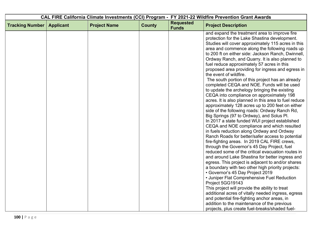| CAL FIRE California Climate Investments (CCI) Program - FY 2021-22 Wildfire Prevention Grant Awards |                  |                     |               |                                  |                                                                                                                                                                                                                                                                                                                                                                                                                                                                                                                                                                                                                                                                                                                                                                                                                                                                                                                                                                                                                                                                                                                                                                                                                                                                                                                                                                                                                                                                                                                                                                                                                                           |
|-----------------------------------------------------------------------------------------------------|------------------|---------------------|---------------|----------------------------------|-------------------------------------------------------------------------------------------------------------------------------------------------------------------------------------------------------------------------------------------------------------------------------------------------------------------------------------------------------------------------------------------------------------------------------------------------------------------------------------------------------------------------------------------------------------------------------------------------------------------------------------------------------------------------------------------------------------------------------------------------------------------------------------------------------------------------------------------------------------------------------------------------------------------------------------------------------------------------------------------------------------------------------------------------------------------------------------------------------------------------------------------------------------------------------------------------------------------------------------------------------------------------------------------------------------------------------------------------------------------------------------------------------------------------------------------------------------------------------------------------------------------------------------------------------------------------------------------------------------------------------------------|
| <b>Tracking Number</b>                                                                              | <b>Applicant</b> | <b>Project Name</b> | <b>County</b> | <b>Requested</b><br><b>Funds</b> | <b>Project Description</b>                                                                                                                                                                                                                                                                                                                                                                                                                                                                                                                                                                                                                                                                                                                                                                                                                                                                                                                                                                                                                                                                                                                                                                                                                                                                                                                                                                                                                                                                                                                                                                                                                |
|                                                                                                     |                  |                     |               |                                  | and expand the treatment area to improve fire<br>protection for the Lake Shastina development.<br>Studies will cover approximately 115 acres in this<br>area and commence along the following roads up<br>to 200 ft on either side: Jackson Ranch, Dwinnell,<br>Ordway Ranch, and Quarry. It is also planned to<br>fuel reduce approximately 57 acres in this<br>proposed area providing for ingress and egress in<br>the event of wildfire.<br>The south portion of this project has an already<br>completed CEQA and NOE. Funds will be used<br>to update the archelogy bringing the existing<br>CEQA into compliance on approximately 198<br>acres. It is also planned in this area to fuel reduce<br>approximately 128 acres up to 200 feet on either<br>side of the following roads: Ordway Ranch Rd,<br>Big Springs (97 to Ordway), and Solus Pl.<br>In 2017 a state funded WUI project established<br>CEQA and NOE compliance and which resulted<br>in fuels reduction along Ordway and Ordway<br>Ranch Roads for better/safer access to potential<br>fire-fighting areas. In 2019 CAL FIRE crews,<br>through the Governor's 45 Day Project, fuel<br>reduced some of the critical evacuation routes in<br>and around Lake Shastina for better ingress and<br>egress. This project is adjacent to and/or shares<br>a boundary with two other high priority projects:<br>• Governor's 45 Day Project 2019<br>• Juniper Flat Comprehensive Fuel Reduction<br>Project 5GG19143<br>This project will provide the ability to treat<br>additional acres of vitally needed ingress, egress<br>and potential fire-fighting anchor areas, in |
|                                                                                                     |                  |                     |               |                                  | addition to the maintenance of the previous<br>projects, plus create fuel-breaks/shaded fuel-                                                                                                                                                                                                                                                                                                                                                                                                                                                                                                                                                                                                                                                                                                                                                                                                                                                                                                                                                                                                                                                                                                                                                                                                                                                                                                                                                                                                                                                                                                                                             |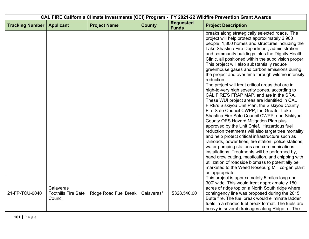| CAL FIRE California Climate Investments (CCI) Program - FY 2021-22 Wildfire Prevention Grant Awards |                                                    |                       |               |                                  |                                                                                                                                                                                                                                                                                                                                                                                                                                                                                                                                                                                                                                                                                                                                                                                                                                                                                                                                                                                                                                                                                                                                                                                                                                                                                                                                                                                         |  |
|-----------------------------------------------------------------------------------------------------|----------------------------------------------------|-----------------------|---------------|----------------------------------|-----------------------------------------------------------------------------------------------------------------------------------------------------------------------------------------------------------------------------------------------------------------------------------------------------------------------------------------------------------------------------------------------------------------------------------------------------------------------------------------------------------------------------------------------------------------------------------------------------------------------------------------------------------------------------------------------------------------------------------------------------------------------------------------------------------------------------------------------------------------------------------------------------------------------------------------------------------------------------------------------------------------------------------------------------------------------------------------------------------------------------------------------------------------------------------------------------------------------------------------------------------------------------------------------------------------------------------------------------------------------------------------|--|
| <b>Tracking Number</b>                                                                              | <b>Applicant</b>                                   | <b>Project Name</b>   | <b>County</b> | <b>Requested</b><br><b>Funds</b> | <b>Project Description</b>                                                                                                                                                                                                                                                                                                                                                                                                                                                                                                                                                                                                                                                                                                                                                                                                                                                                                                                                                                                                                                                                                                                                                                                                                                                                                                                                                              |  |
|                                                                                                     |                                                    |                       |               |                                  | breaks along strategically selected roads. The<br>project will help protect approximately 2,900<br>people, 1,300 homes and structures including the<br>Lake Shastina Fire Department, administration<br>and community buildings, plus the Dignity Health<br>Clinic, all positioned within the subdivision proper.<br>This project will also substantially reduce<br>greenhouse gases and carbon emissions during<br>the project and over time through wildfire intensity<br>reduction.<br>The project will treat critical areas that are in<br>high-to-very high severity zones, according to<br>CAL FIRE'S FRAP MAP, and are in the SRA.<br>These WUI project areas are identified in CAL<br>FIRE's Siskiyou Unit Plan, the Siskiyou County<br>Fire Safe Council CWPP, the Greater Lake<br>Shastina Fire Safe Council CWPP, and Siskiyou<br>County OES Hazard Mitigation Plan plus<br>approved by the Unit Chief. Hazardous fuel<br>reduction treatments will also target tree mortality<br>and help protect critical infrastructure such as<br>railroads, power lines, fire station, police stations,<br>water pumping stations and communications<br>installations. Treatments will be performed by,<br>hand crew cutting, mastication, and chipping with<br>utilization of roadside biomass to potentially be<br>marketed to the Weed Roseburg Mill co-gen plant<br>as appropriate. |  |
| 21-FP-TCU-0040                                                                                      | Calaveras<br><b>Foothills Fire Safe</b><br>Council | Ridge Road Fuel Break | Calaveras*    | \$328,540.00                     | This project is approximately 5 miles long and<br>300' wide. This would treat approximately 180<br>acres of ridge top on a North South ridge where<br>contingency line was proposed during the 2015<br>Butte fire. The fuel break would eliminate ladder<br>fuels in a shaded fuel break format. The fuels are<br>heavy in several drainages along Ridge rd. The                                                                                                                                                                                                                                                                                                                                                                                                                                                                                                                                                                                                                                                                                                                                                                                                                                                                                                                                                                                                                        |  |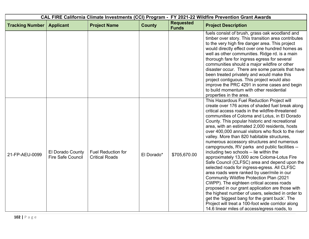| CAL FIRE California Climate Investments (CCI) Program - FY 2021-22 Wildfire Prevention Grant Awards |                                              |                                                    |               |                                  |                                                                                                                                                                                                                                                                                                                                                                                                                                                                                                                                                                                                                                                                                                                                                                                                                                                                                                                                                                                                                                                                                                                         |
|-----------------------------------------------------------------------------------------------------|----------------------------------------------|----------------------------------------------------|---------------|----------------------------------|-------------------------------------------------------------------------------------------------------------------------------------------------------------------------------------------------------------------------------------------------------------------------------------------------------------------------------------------------------------------------------------------------------------------------------------------------------------------------------------------------------------------------------------------------------------------------------------------------------------------------------------------------------------------------------------------------------------------------------------------------------------------------------------------------------------------------------------------------------------------------------------------------------------------------------------------------------------------------------------------------------------------------------------------------------------------------------------------------------------------------|
| <b>Tracking Number</b>                                                                              | <b>Applicant</b>                             | <b>Project Name</b>                                | <b>County</b> | <b>Requested</b><br><b>Funds</b> | <b>Project Description</b>                                                                                                                                                                                                                                                                                                                                                                                                                                                                                                                                                                                                                                                                                                                                                                                                                                                                                                                                                                                                                                                                                              |
|                                                                                                     |                                              |                                                    |               |                                  | fuels consist of brush, grass oak woodland and<br>timber over story. This transition area contributes<br>to the very high fire danger area. This project<br>would directly effect over one hundred homes as<br>well as other communities. Ridge rd. is a main<br>thorough fare for ingress egress for several<br>communities should a major wildfire or other<br>disaster occur. There are some parcels that have<br>been treated privately and would make this<br>project contiguous. This project would also<br>improve the PRC 4291 in some cases and begin<br>to build momentum with other residential<br>properties in the area.                                                                                                                                                                                                                                                                                                                                                                                                                                                                                   |
| 21-FP-AEU-0099                                                                                      | El Dorado County<br><b>Fire Safe Council</b> | <b>Fuel Reduction for</b><br><b>Critical Roads</b> | El Dorado*    | \$705,670.00                     | This Hazardous Fuel Reduction Project will<br>create over 176 acres of shaded fuel break along<br>critical access roads in the wildfire-threatened<br>communities of Coloma and Lotus, in El Dorado<br>County. This popular historic and recreational<br>area, with an estimated 2,000 residents, hosts<br>over 400,000 annual visitors who flock to the river<br>valley. More than 820 habitable structures,<br>numerous accessory structures and numerous<br>campgrounds, RV parks and public facilities --<br>including two schools -- lie within the<br>approximately 13,000 acre Coloma-Lotus Fire<br>Safe Council (CLFSC) area and depend upon the<br>selected roads for ingress-egress. All CLFSC<br>area roads were ranked by user/mile in our<br><b>Community Wildfire Protection Plan (2021)</b><br>CWPP). The eighteen critical access roads<br>proposed in our grant application are those with<br>the highest number of users, selected in order to<br>get the 'biggest bang for the grant buck'. The<br>Project will treat a 100-foot wide corridor along<br>14.6 linear miles of access/egress roads, to |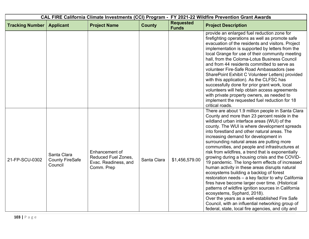| CAL FIRE California Climate Investments (CCI) Program - FY 2021-22 Wildfire Prevention Grant Awards |                                                  |                                                                             |               |                                  |                                                                                                                                                                                                                                                                                                                                                                                                                                                                                                                                                                                                                                                                                                                                                                                                                                                                                                                                                                                                             |
|-----------------------------------------------------------------------------------------------------|--------------------------------------------------|-----------------------------------------------------------------------------|---------------|----------------------------------|-------------------------------------------------------------------------------------------------------------------------------------------------------------------------------------------------------------------------------------------------------------------------------------------------------------------------------------------------------------------------------------------------------------------------------------------------------------------------------------------------------------------------------------------------------------------------------------------------------------------------------------------------------------------------------------------------------------------------------------------------------------------------------------------------------------------------------------------------------------------------------------------------------------------------------------------------------------------------------------------------------------|
| <b>Tracking Number</b>                                                                              | <b>Applicant</b>                                 | <b>Project Name</b>                                                         | <b>County</b> | <b>Requested</b><br><b>Funds</b> | <b>Project Description</b>                                                                                                                                                                                                                                                                                                                                                                                                                                                                                                                                                                                                                                                                                                                                                                                                                                                                                                                                                                                  |
|                                                                                                     |                                                  |                                                                             |               |                                  | provide an enlarged fuel reduction zone for<br>firefighting operations as well as promote safe<br>evacuation of the residents and visitors. Project<br>implementation is supported by letters from the<br>local Grange for use of their community meeting<br>hall, from the Coloma-Lotus Business Council<br>and from 44 residents committed to serve as<br>volunteer Fire-Safe Road Ambassadors (see<br>SharePoint Exhibit C Volunteer Letters) provided<br>with this application). As the CLFSC has<br>successfully done for prior grant work, local<br>volunteers will help obtain access agreements<br>with private property owners, as needed to<br>implement the requested fuel reduction for 18<br>critical roads.                                                                                                                                                                                                                                                                                   |
| 21-FP-SCU-0302                                                                                      | Santa Clara<br><b>County FireSafe</b><br>Council | Enhancement of<br>Reduced Fuel Zones,<br>Evac. Readiness, and<br>Comm. Prep | Santa Clara   | \$1,456,579.00                   | There are about 1.9 million people in Santa Clara<br>County and more than 23 percent reside in the<br>wildland urban interface areas (WUI) of the<br>county. The WUI is where development spreads<br>into forestland and other natural areas. The<br>increasing demand for development in<br>surrounding natural areas are putting more<br>communities, and people and infrastructures at<br>risk from wildfires, a trend that is exponentially<br>growing during a housing crisis and the COVID-<br>19 pandemic. The long-term effects of increased<br>human activity in these areas disrupts natural<br>ecosystems building a backlog of forest<br>restoration needs - a key factor to why California<br>fires have become larger over time. (Historical<br>patterns of wildfire ignition sources in California<br>ecosystems, Syphard, 2018).<br>Over the years as a well-established Fire Safe<br>Council, with an influential networking group of<br>federal, state, local fire agencies, and city and |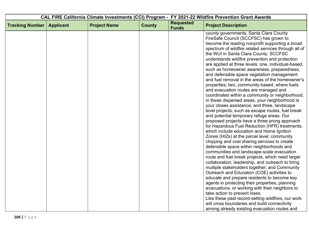| CAL FIRE California Climate Investments (CCI) Program - FY 2021-22 Wildfire Prevention Grant Awards |                  |                     |               |                                  |                                                                                                                                                                                                                                                                                                                                                                                                                                                                                                                                                                                                                                                                                                                                                                                                                                                                                                                                                                                                                                                                                                                                                                                                                                                                                                                                                                                                                                                                                                   |
|-----------------------------------------------------------------------------------------------------|------------------|---------------------|---------------|----------------------------------|---------------------------------------------------------------------------------------------------------------------------------------------------------------------------------------------------------------------------------------------------------------------------------------------------------------------------------------------------------------------------------------------------------------------------------------------------------------------------------------------------------------------------------------------------------------------------------------------------------------------------------------------------------------------------------------------------------------------------------------------------------------------------------------------------------------------------------------------------------------------------------------------------------------------------------------------------------------------------------------------------------------------------------------------------------------------------------------------------------------------------------------------------------------------------------------------------------------------------------------------------------------------------------------------------------------------------------------------------------------------------------------------------------------------------------------------------------------------------------------------------|
| <b>Tracking Number</b>                                                                              | <b>Applicant</b> | <b>Project Name</b> | <b>County</b> | <b>Requested</b><br><b>Funds</b> | <b>Project Description</b>                                                                                                                                                                                                                                                                                                                                                                                                                                                                                                                                                                                                                                                                                                                                                                                                                                                                                                                                                                                                                                                                                                                                                                                                                                                                                                                                                                                                                                                                        |
|                                                                                                     |                  |                     |               |                                  | county governments, Santa Clara County<br>FireSafe Council (SCCFSC) has grown to<br>become the leading nonprofit supporting a broad<br>spectrum of wildfire related services through all of<br>the WUI in Santa Clara County. SCCFSC<br>understands wildfire prevention and protection<br>are applied at three levels: one, individual-based,<br>such as homeowner awareness, preparedness,<br>and defensible space vegetation management<br>and fuel removal in the areas of the homeowner's<br>properties; two, community-based, where fuels<br>and evacuation routes are managed and<br>coordinated within a community or neighborhood,<br>in these dispersed areas, your neighborhood is<br>your closes assistance; and three, landscape<br>level projects, such as escape routes, fuel break<br>and potential temporary refuge areas. Our<br>proposed projects have a three prong approach<br>for Hazardous Fuel Reduction (HFR) treatments,<br>which include education and Home Ignition<br>Zones (HIZs) at the parcel level; community<br>chipping and cost sharing services to create<br>defensible space within neighborhoods and<br>communities and landscape-scale evacuation<br>route and fuel break projects, which need larger<br>collaboration, leadership, and outreach to bring<br>multiple stakeholders together; and Community<br>Outreach and Education (COE) activities to<br>educate and prepare residents to become key<br>agents in protecting their properties, planning |
|                                                                                                     |                  |                     |               |                                  | evacuations, or working with their neighbors to<br>take action to prevent loses.<br>Like these past record-setting wildfires, our work                                                                                                                                                                                                                                                                                                                                                                                                                                                                                                                                                                                                                                                                                                                                                                                                                                                                                                                                                                                                                                                                                                                                                                                                                                                                                                                                                            |
|                                                                                                     |                  |                     |               |                                  | will cross boundaries and build connectivity<br>among already existing evacuation routes and                                                                                                                                                                                                                                                                                                                                                                                                                                                                                                                                                                                                                                                                                                                                                                                                                                                                                                                                                                                                                                                                                                                                                                                                                                                                                                                                                                                                      |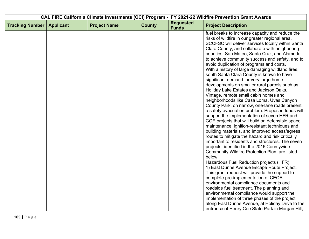| CAL FIRE California Climate Investments (CCI) Program - FY 2021-22 Wildfire Prevention Grant Awards |                  |                     |               |                                  |                                                                                                                                                                                                                                                                                                                                                                                                                                                                                                                                                                                                                                                                                                                                                                                                                                                                                                                                                                                                                                                                                                                                                                                                                                                                                                                                                                                                                                                                                                  |
|-----------------------------------------------------------------------------------------------------|------------------|---------------------|---------------|----------------------------------|--------------------------------------------------------------------------------------------------------------------------------------------------------------------------------------------------------------------------------------------------------------------------------------------------------------------------------------------------------------------------------------------------------------------------------------------------------------------------------------------------------------------------------------------------------------------------------------------------------------------------------------------------------------------------------------------------------------------------------------------------------------------------------------------------------------------------------------------------------------------------------------------------------------------------------------------------------------------------------------------------------------------------------------------------------------------------------------------------------------------------------------------------------------------------------------------------------------------------------------------------------------------------------------------------------------------------------------------------------------------------------------------------------------------------------------------------------------------------------------------------|
| <b>Tracking Number</b>                                                                              | <b>Applicant</b> | <b>Project Name</b> | <b>County</b> | <b>Requested</b><br><b>Funds</b> | <b>Project Description</b>                                                                                                                                                                                                                                                                                                                                                                                                                                                                                                                                                                                                                                                                                                                                                                                                                                                                                                                                                                                                                                                                                                                                                                                                                                                                                                                                                                                                                                                                       |
|                                                                                                     |                  |                     |               |                                  | fuel breaks to increase capacity and reduce the<br>risks of wildfire in our greater regional area.<br>SCCFSC will deliver services locally within Santa<br>Clara County, and collaborate with neighboring<br>counties, San Mateo, Santa Cruz, and Alameda,<br>to achieve community success and safety, and to<br>avoid duplication of programs and costs.<br>With a history of large damaging wildland fires,<br>south Santa Clara County is known to have<br>significant demand for very large home<br>developments on smaller rural parcels such as<br>Holiday Lake Estates and Jackson Oaks.<br>Vintage, remote small cabin homes and<br>neighborhoods like Casa Loma, Uvas Canyon<br>County Park, on narrow, one-lane roads present<br>a safety evacuation problem. Proposed funds will<br>support the implementation of seven HFR and<br>COE projects that will build on defensible space<br>maintenance, ignition-resistant techniques and<br>building materials, and improved access/egress<br>routes to mitigate the hazard and risk critically<br>important to residents and structures. The seven<br>projects, identified in the 2016 Countywide<br>Community Wildfire Protection Plan, are listed<br>below.<br>Hazardous Fuel Reduction projects (HFR):<br>1) East Dunne Avenue Escape Route Project.<br>This grant request will provide the support to<br>complete pre-implementation of CEQA<br>environmental compliance documents and<br>roadside fuel treatment. The planning and |
|                                                                                                     |                  |                     |               |                                  | environmental compliance would support the<br>implementation of three phases of the project<br>along East Dunne Avenue, at Holiday Drive to the                                                                                                                                                                                                                                                                                                                                                                                                                                                                                                                                                                                                                                                                                                                                                                                                                                                                                                                                                                                                                                                                                                                                                                                                                                                                                                                                                  |
|                                                                                                     |                  |                     |               |                                  | entrance of Henry Coe State Park in Morgan Hill,                                                                                                                                                                                                                                                                                                                                                                                                                                                                                                                                                                                                                                                                                                                                                                                                                                                                                                                                                                                                                                                                                                                                                                                                                                                                                                                                                                                                                                                 |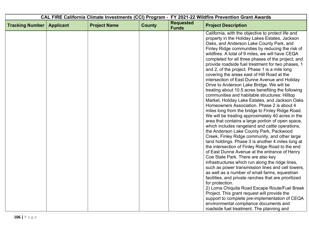| CAL FIRE California Climate Investments (CCI) Program - FY 2021-22 Wildfire Prevention Grant Awards |                  |                     |               |                                  |                                                                                                                                                                                                                                                                                                                                                                                                                                                                                                                                                                                                                                                                                                                                                                                                                                                                                                                                                                                                                                                                                                                                                                                                                                                                                        |
|-----------------------------------------------------------------------------------------------------|------------------|---------------------|---------------|----------------------------------|----------------------------------------------------------------------------------------------------------------------------------------------------------------------------------------------------------------------------------------------------------------------------------------------------------------------------------------------------------------------------------------------------------------------------------------------------------------------------------------------------------------------------------------------------------------------------------------------------------------------------------------------------------------------------------------------------------------------------------------------------------------------------------------------------------------------------------------------------------------------------------------------------------------------------------------------------------------------------------------------------------------------------------------------------------------------------------------------------------------------------------------------------------------------------------------------------------------------------------------------------------------------------------------|
| <b>Tracking Number</b>                                                                              | <b>Applicant</b> | <b>Project Name</b> | <b>County</b> | <b>Requested</b><br><b>Funds</b> | <b>Project Description</b>                                                                                                                                                                                                                                                                                                                                                                                                                                                                                                                                                                                                                                                                                                                                                                                                                                                                                                                                                                                                                                                                                                                                                                                                                                                             |
|                                                                                                     |                  |                     |               |                                  | California, with the objective to protect life and<br>property in the Holiday Lakes Estates, Jackson<br>Oaks, and Anderson Lake County Park, and<br>Finley Ridge communities by reducing the risk of<br>wildfires. A total of 9 miles, we will have CEQA<br>completed for all three phases of the project, and<br>provide roadside fuel treatment for two phases, 1<br>and 2, of the project. Phase 1 is a mile long<br>covering the areas east of Hill Road at the<br>intersection of East Dunne Avenue and Holiday<br>Drive to Anderson Lake Bridge. We will be<br>treating about 10.5 acres benefiting the following<br>communities and habitable structures: Hilltop<br>Market, Holiday Lake Estates, and Jackson Oaks<br>Homeowners Association. Phase 2 is about 4<br>miles long from the bridge to Finley Ridge Road.<br>We will be treating approximately 40 acres in the<br>area that contains a large portion of open space,<br>which includes rangeland and cattle operations,<br>the Anderson Lake County Park, Packwood<br>Creek, Finley Ridge community, and other large<br>land holdings. Phase 3 is another 4 miles long at<br>the intersection of Finley Ridge Road to the end<br>of East Dunne Avenue at the entrance of Henry<br>Coe State Park. There are also key |
|                                                                                                     |                  |                     |               |                                  | infrastructures which run along the ridge lines,<br>such as power transmission lines and cell towers,<br>as well as a number of small farms, equestrian                                                                                                                                                                                                                                                                                                                                                                                                                                                                                                                                                                                                                                                                                                                                                                                                                                                                                                                                                                                                                                                                                                                                |
|                                                                                                     |                  |                     |               |                                  | facilities, and private ranches that are prioritized<br>for protection.                                                                                                                                                                                                                                                                                                                                                                                                                                                                                                                                                                                                                                                                                                                                                                                                                                                                                                                                                                                                                                                                                                                                                                                                                |
|                                                                                                     |                  |                     |               |                                  | 2) Loma Chiquita Road Escape Route/Fuel Break<br>Project. This grant request will provide the<br>support to complete pre-implementation of CEQA                                                                                                                                                                                                                                                                                                                                                                                                                                                                                                                                                                                                                                                                                                                                                                                                                                                                                                                                                                                                                                                                                                                                        |
|                                                                                                     |                  |                     |               |                                  | environmental compliance documents and<br>roadside fuel treatment. The planning and                                                                                                                                                                                                                                                                                                                                                                                                                                                                                                                                                                                                                                                                                                                                                                                                                                                                                                                                                                                                                                                                                                                                                                                                    |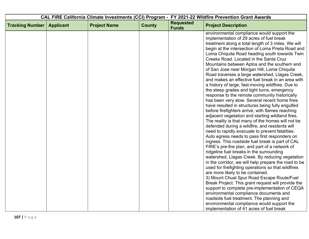| CAL FIRE California Climate Investments (CCI) Program - FY 2021-22 Wildfire Prevention Grant Awards |                  |                     |               |                                  |                                                                                                                                                                                                                                                                                                                                                                                                                                                                                                                                                                                                                                                                                                                                                                                                                                                                                                                                                                                                                                                                                                                                                                                                                                                                                                                                                                                                                                                                                       |
|-----------------------------------------------------------------------------------------------------|------------------|---------------------|---------------|----------------------------------|---------------------------------------------------------------------------------------------------------------------------------------------------------------------------------------------------------------------------------------------------------------------------------------------------------------------------------------------------------------------------------------------------------------------------------------------------------------------------------------------------------------------------------------------------------------------------------------------------------------------------------------------------------------------------------------------------------------------------------------------------------------------------------------------------------------------------------------------------------------------------------------------------------------------------------------------------------------------------------------------------------------------------------------------------------------------------------------------------------------------------------------------------------------------------------------------------------------------------------------------------------------------------------------------------------------------------------------------------------------------------------------------------------------------------------------------------------------------------------------|
| <b>Tracking Number</b>                                                                              | <b>Applicant</b> | <b>Project Name</b> | <b>County</b> | <b>Requested</b><br><b>Funds</b> | <b>Project Description</b>                                                                                                                                                                                                                                                                                                                                                                                                                                                                                                                                                                                                                                                                                                                                                                                                                                                                                                                                                                                                                                                                                                                                                                                                                                                                                                                                                                                                                                                            |
|                                                                                                     |                  |                     |               |                                  | environmental compliance would support the<br>implementation of 29 acres of fuel break<br>treatment along a total length of 3 miles. We will<br>begin at the intersection of Loma Prieta Road and<br>Loma Chiquita Road heading south towards Twin<br>Creeks Road. Located in the Santa Cruz<br>Mountains between Aptos and the southern end<br>of San Jose near Morgan Hill, Loma Chiquita<br>Road traverses a large watershed, Llagas Creek,<br>and makes an effective fuel break in an area with<br>a history of large, fast-moving wildfires. Due to<br>the steep grades and tight turns, emergency<br>response to the remote community historically<br>has been very slow. Several recent home fires<br>have resulted in structures being fully engulfed<br>before firefighters arrive, with flames reaching<br>adjacent vegetation and starting wildland fires.<br>The reality is that many of the homes will not be<br>defended during a wildfire, and residents will<br>need to rapidly evacuate to prevent fatalities.<br>Auto egress needs to pass first responders on<br>ingress. This roadside fuel break is part of CAL<br>FIRE's pre-fire plan, and part of a network of<br>ridgeline fuel breaks in the surrounding<br>watershed, Llagas Creek. By reducing vegetation<br>in the corridor, we will help prepare the road to be<br>used for firefighting operations so that wildfires<br>are more likely to be contained.<br>3) Mount Chual Spur Road Escape Route/Fuel |
|                                                                                                     |                  |                     |               |                                  | Break Project. This grant request will provide the<br>support to complete pre-implementation of CEQA<br>environmental compliance documents and                                                                                                                                                                                                                                                                                                                                                                                                                                                                                                                                                                                                                                                                                                                                                                                                                                                                                                                                                                                                                                                                                                                                                                                                                                                                                                                                        |
|                                                                                                     |                  |                     |               |                                  | roadside fuel treatment. The planning and                                                                                                                                                                                                                                                                                                                                                                                                                                                                                                                                                                                                                                                                                                                                                                                                                                                                                                                                                                                                                                                                                                                                                                                                                                                                                                                                                                                                                                             |
|                                                                                                     |                  |                     |               |                                  | environmental compliance would support the<br>implementation of 41 acres of fuel break                                                                                                                                                                                                                                                                                                                                                                                                                                                                                                                                                                                                                                                                                                                                                                                                                                                                                                                                                                                                                                                                                                                                                                                                                                                                                                                                                                                                |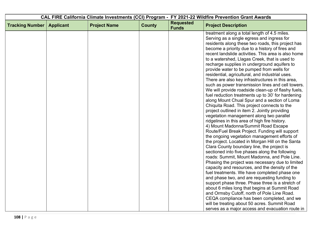| CAL FIRE California Climate Investments (CCI) Program - FY 2021-22 Wildfire Prevention Grant Awards |                  |                     |               |                                  |                                                                                                         |
|-----------------------------------------------------------------------------------------------------|------------------|---------------------|---------------|----------------------------------|---------------------------------------------------------------------------------------------------------|
| <b>Tracking Number</b>                                                                              | <b>Applicant</b> | <b>Project Name</b> | <b>County</b> | <b>Requested</b><br><b>Funds</b> | <b>Project Description</b>                                                                              |
|                                                                                                     |                  |                     |               |                                  | treatment along a total length of 4.5 miles.                                                            |
|                                                                                                     |                  |                     |               |                                  | Serving as a single egress and ingress for                                                              |
|                                                                                                     |                  |                     |               |                                  | residents along these two roads, this project has                                                       |
|                                                                                                     |                  |                     |               |                                  | become a priority due to a history of fires and                                                         |
|                                                                                                     |                  |                     |               |                                  | recent landslide activities. This area is also home                                                     |
|                                                                                                     |                  |                     |               |                                  | to a watershed, Llagas Creek, that is used to                                                           |
|                                                                                                     |                  |                     |               |                                  | recharge supplies in underground aquifers to                                                            |
|                                                                                                     |                  |                     |               |                                  | provide water to be pumped from wells for                                                               |
|                                                                                                     |                  |                     |               |                                  | residential, agricultural, and industrial uses.                                                         |
|                                                                                                     |                  |                     |               |                                  | There are also key infrastructures in this area,                                                        |
|                                                                                                     |                  |                     |               |                                  | such as power transmission lines and cell towers.                                                       |
|                                                                                                     |                  |                     |               |                                  | We will provide roadside clean-up of flashy fuels,<br>fuel reduction treatments up to 30' for hardening |
|                                                                                                     |                  |                     |               |                                  | along Mount Chual Spur and a section of Loma                                                            |
|                                                                                                     |                  |                     |               |                                  | Chiquita Road. This project connects to the                                                             |
|                                                                                                     |                  |                     |               |                                  | project outlined in item 2. Jointly providing                                                           |
|                                                                                                     |                  |                     |               |                                  | vegetation management along two parallel                                                                |
|                                                                                                     |                  |                     |               |                                  | ridgelines in this area of high fire history.                                                           |
|                                                                                                     |                  |                     |               |                                  | 4) Mount Madonna/Summit Road Escape                                                                     |
|                                                                                                     |                  |                     |               |                                  | Route/Fuel Break Project. Funding will support                                                          |
|                                                                                                     |                  |                     |               |                                  | the ongoing vegetation management efforts of                                                            |
|                                                                                                     |                  |                     |               |                                  | the project. Located in Morgan Hill on the Santa                                                        |
|                                                                                                     |                  |                     |               |                                  | Clara County boundary line, the project is                                                              |
|                                                                                                     |                  |                     |               |                                  | sectioned into five phases along the following                                                          |
|                                                                                                     |                  |                     |               |                                  | roads: Summit, Mount Madonna, and Pole Line.                                                            |
|                                                                                                     |                  |                     |               |                                  | Phasing the project was necessary due to limited                                                        |
|                                                                                                     |                  |                     |               |                                  | capacity and resources, and the density of the                                                          |
|                                                                                                     |                  |                     |               |                                  | fuel treatments. We have completed phase one                                                            |
|                                                                                                     |                  |                     |               |                                  | and phase two, and are requesting funding to                                                            |
|                                                                                                     |                  |                     |               |                                  | support phase three. Phase three is a stretch of                                                        |
|                                                                                                     |                  |                     |               |                                  | about 6 miles long that begins at Summit Road                                                           |
|                                                                                                     |                  |                     |               |                                  | and Ormsby Cutoff, north of Pole Line Road.                                                             |
|                                                                                                     |                  |                     |               |                                  | CEQA compliance has been completed, and we                                                              |
|                                                                                                     |                  |                     |               |                                  | will be treating about 50 acres. Summit Road                                                            |
|                                                                                                     |                  |                     |               |                                  | serves as a major access and evacuation route in                                                        |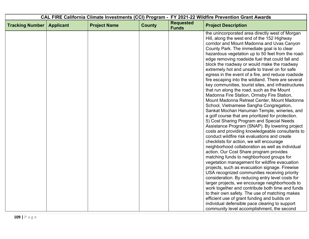| CAL FIRE California Climate Investments (CCI) Program - FY 2021-22 Wildfire Prevention Grant Awards |                  |                     |               |                                  |                                                                                                                                                                                                                                                                                                                                                                                                                                                                                                                                                                                                                                                                                                                                                                                                                                                                                                                                                                                                                                                                                                                                                                                                                                                                                                                                                                                                                                                                                                                         |
|-----------------------------------------------------------------------------------------------------|------------------|---------------------|---------------|----------------------------------|-------------------------------------------------------------------------------------------------------------------------------------------------------------------------------------------------------------------------------------------------------------------------------------------------------------------------------------------------------------------------------------------------------------------------------------------------------------------------------------------------------------------------------------------------------------------------------------------------------------------------------------------------------------------------------------------------------------------------------------------------------------------------------------------------------------------------------------------------------------------------------------------------------------------------------------------------------------------------------------------------------------------------------------------------------------------------------------------------------------------------------------------------------------------------------------------------------------------------------------------------------------------------------------------------------------------------------------------------------------------------------------------------------------------------------------------------------------------------------------------------------------------------|
| <b>Tracking Number</b>                                                                              | <b>Applicant</b> | <b>Project Name</b> | <b>County</b> | <b>Requested</b><br><b>Funds</b> | <b>Project Description</b>                                                                                                                                                                                                                                                                                                                                                                                                                                                                                                                                                                                                                                                                                                                                                                                                                                                                                                                                                                                                                                                                                                                                                                                                                                                                                                                                                                                                                                                                                              |
|                                                                                                     |                  |                     |               |                                  | the unincorporated area directly west of Morgan<br>Hill, along the west end of the 152 Highway<br>corridor and Mount Madonna and Uvas Canyon<br>County Park. The immediate goal is to clear<br>hazardous vegetation up to 50 feet from the road-<br>edge removing roadside fuel that could fall and<br>block the roadway or would make the roadway<br>extremely hot and unsafe to travel on for safe<br>egress in the event of a fire, and reduce roadside<br>fire escaping into the wildland. There are several<br>key communities, tourist sites, and infrastructures<br>that run along the road, such as the Mount<br>Madonna Fire Station, Ormsby Fire Station,<br>Mount Madonna Retreat Center, Mount Madonna<br>School, Vietnamese Sangha Congregation,<br>Sankat Mochan Hanuman Temple, wineries, and<br>a golf course that are prioritized for protection.<br>5) Cost Sharing Program and Special Needs<br>Assistance Program (SNAP). By lowering project<br>costs and providing knowledgeable consultants to<br>conduct wildfire risk evaluations and create<br>checklists for action, we will encourage<br>neighborhood collaboration as well as individual<br>action. Our Cost Share program provides<br>matching funds to neighborhood groups for<br>vegetation management for wildfire evacuation<br>projects, such as evacuation signage. Firewise<br>USA recognized communities receiving priority<br>consideration. By reducing entry level costs for<br>larger projects, we encourage neighborhoods to |
|                                                                                                     |                  |                     |               |                                  | work together and contribute both time and funds<br>to their own safety. The use of matching makes                                                                                                                                                                                                                                                                                                                                                                                                                                                                                                                                                                                                                                                                                                                                                                                                                                                                                                                                                                                                                                                                                                                                                                                                                                                                                                                                                                                                                      |
|                                                                                                     |                  |                     |               |                                  | efficient use of grant funding and builds on<br>individual defensible pace clearing to support                                                                                                                                                                                                                                                                                                                                                                                                                                                                                                                                                                                                                                                                                                                                                                                                                                                                                                                                                                                                                                                                                                                                                                                                                                                                                                                                                                                                                          |
|                                                                                                     |                  |                     |               |                                  | community level accomplishment, the second                                                                                                                                                                                                                                                                                                                                                                                                                                                                                                                                                                                                                                                                                                                                                                                                                                                                                                                                                                                                                                                                                                                                                                                                                                                                                                                                                                                                                                                                              |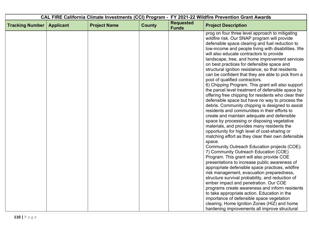|                        |                  |                     |               |                                  | CAL FIRE California Climate Investments (CCI) Program - FY 2021-22 Wildfire Prevention Grant Awards                                                                                                                                                                                                                                                                                                                                                                                                                                                                                                                                                                                                                                                                                                                                                                                                                                                                                                                                                                                                                                                                                                                                                                                                                                                                                                                                                                                                                                                                             |
|------------------------|------------------|---------------------|---------------|----------------------------------|---------------------------------------------------------------------------------------------------------------------------------------------------------------------------------------------------------------------------------------------------------------------------------------------------------------------------------------------------------------------------------------------------------------------------------------------------------------------------------------------------------------------------------------------------------------------------------------------------------------------------------------------------------------------------------------------------------------------------------------------------------------------------------------------------------------------------------------------------------------------------------------------------------------------------------------------------------------------------------------------------------------------------------------------------------------------------------------------------------------------------------------------------------------------------------------------------------------------------------------------------------------------------------------------------------------------------------------------------------------------------------------------------------------------------------------------------------------------------------------------------------------------------------------------------------------------------------|
| <b>Tracking Number</b> | <b>Applicant</b> | <b>Project Name</b> | <b>County</b> | <b>Requested</b><br><b>Funds</b> | <b>Project Description</b>                                                                                                                                                                                                                                                                                                                                                                                                                                                                                                                                                                                                                                                                                                                                                                                                                                                                                                                                                                                                                                                                                                                                                                                                                                                                                                                                                                                                                                                                                                                                                      |
|                        |                  |                     |               |                                  | prog on four three level approach to mitigating<br>wildfire risk. Our SNAP program will provide<br>defensible space clearing and fuel reduction to<br>low-income and people living with disabilities. We<br>will also educate contractors to provide<br>landscape, tree, and home improvement services<br>on best practices for defensible space and<br>structural ignition resistance, so that residents<br>can be confident that they are able to pick from a<br>pool of qualified contractors.<br>6) Chipping Program. This grant will also support<br>the parcel level treatment of defensible space by<br>offering free chipping for residents who clear their<br>defensible space but have no way to process the<br>debris. Community chipping is designed to assist<br>residents and communities in their efforts to<br>create and maintain adequate and defensible<br>space by processing or disposing vegetative<br>materials, and provides many residents the<br>opportunity for high level of cost-sharing or<br>matching effort as they clear their own defensible<br>space.<br>Community Outreach Education projects (COE):<br>7) Community Outreach Education (COE)<br>Program. This grant will also provide COE<br>presentations to increase public awareness of<br>appropriate defensible space practices, wildfire<br>risk management, evacuation preparedness,<br>structure survival probability, and reduction of<br>ember impact and penetration. Our COE<br>programs create awareness and inform residents<br>to take appropriate action. Education in the |
|                        |                  |                     |               |                                  | importance of defensible space vegetation<br>clearing, Home Ignition Zones (HIZ) and home                                                                                                                                                                                                                                                                                                                                                                                                                                                                                                                                                                                                                                                                                                                                                                                                                                                                                                                                                                                                                                                                                                                                                                                                                                                                                                                                                                                                                                                                                       |
|                        |                  |                     |               |                                  | hardening improvements all improve structural                                                                                                                                                                                                                                                                                                                                                                                                                                                                                                                                                                                                                                                                                                                                                                                                                                                                                                                                                                                                                                                                                                                                                                                                                                                                                                                                                                                                                                                                                                                                   |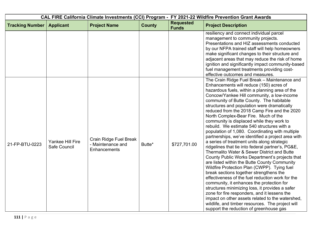| CAL FIRE California Climate Investments (CCI) Program - FY 2021-22 Wildfire Prevention Grant Awards |                                  |                                                             |               |                                  |                                                                                                                                                                                                                                                                                                                                                                                                                                                                                                                                                                                                                                                                                                                                                                                                                                                                                                                                                                                                                                                                                                                                                                                                                                                                                      |
|-----------------------------------------------------------------------------------------------------|----------------------------------|-------------------------------------------------------------|---------------|----------------------------------|--------------------------------------------------------------------------------------------------------------------------------------------------------------------------------------------------------------------------------------------------------------------------------------------------------------------------------------------------------------------------------------------------------------------------------------------------------------------------------------------------------------------------------------------------------------------------------------------------------------------------------------------------------------------------------------------------------------------------------------------------------------------------------------------------------------------------------------------------------------------------------------------------------------------------------------------------------------------------------------------------------------------------------------------------------------------------------------------------------------------------------------------------------------------------------------------------------------------------------------------------------------------------------------|
| <b>Tracking Number</b>                                                                              | <b>Applicant</b>                 | <b>Project Name</b>                                         | <b>County</b> | <b>Requested</b><br><b>Funds</b> | <b>Project Description</b>                                                                                                                                                                                                                                                                                                                                                                                                                                                                                                                                                                                                                                                                                                                                                                                                                                                                                                                                                                                                                                                                                                                                                                                                                                                           |
|                                                                                                     |                                  |                                                             |               |                                  | resiliency and connect individual parcel<br>management to community projects.<br>Presentations and HIZ assessments conducted<br>by our NFPA trained staff will help homeowners<br>make significant changes to their structure and<br>adjacent areas that may reduce the risk of home<br>ignition and significantly impact community-based<br>fuel management treatments providing cost-<br>effective outcomes and measures.                                                                                                                                                                                                                                                                                                                                                                                                                                                                                                                                                                                                                                                                                                                                                                                                                                                          |
| 21-FP-BTU-0223                                                                                      | Yankee Hill Fire<br>Safe Council | Crain Ridge Fuel Break<br>- Maintenance and<br>Enhancements | Butte*        | \$727,701.00                     | The Crain Ridge Fuel Break - Maintenance and<br>Enhancements will reduce (150) acres of<br>hazardous fuels, within a planning area of the<br>Concow/Yankee Hill community, a low-income<br>community of Butte County. The habitable<br>structures and population were dramatically<br>reduced from the 2018 Camp Fire and the 2020<br>North Complex-Bear Fire. Much of the<br>community is displaced while they work to<br>rebuild. We estimate 540 structures with a<br>population of 1,080. Coordinating with multiple<br>partnerships, we've identified a project area with<br>a series of treatment units along strategic<br>ridgelines that tie into federal partner's, PG&E,<br>Thermalito Water & Sewer District and Butte<br>County Public Works Department's projects that<br>are listed within the Butte County Community<br>Wildfire Protection Plan (CWPP). Tying fuel<br>break sections together strengthens the<br>effectiveness of the fuel reduction work for the<br>community, it enhances the protection for<br>structures minimizing loss, it provides a safer<br>zone for fire responders, and it lessens the<br>impact on other assets related to the watershed,<br>wildlife, and timber resources. The project will<br>support the reduction of greenhouse gas |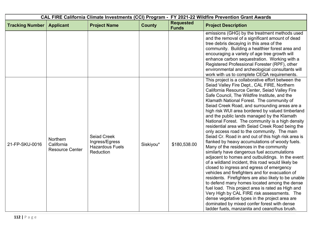| CAL FIRE California Climate Investments (CCI) Program - FY 2021-22 Wildfire Prevention Grant Awards |                                                  |                                                                             |               |                                  |                                                                                                                                                                                                                                                                                                                                                                                                                                                                                                                                                                                                                                                                                                                                                                                                                                                                                                                                                                                                                                                                                                                                                                                                                                                                                                                                      |
|-----------------------------------------------------------------------------------------------------|--------------------------------------------------|-----------------------------------------------------------------------------|---------------|----------------------------------|--------------------------------------------------------------------------------------------------------------------------------------------------------------------------------------------------------------------------------------------------------------------------------------------------------------------------------------------------------------------------------------------------------------------------------------------------------------------------------------------------------------------------------------------------------------------------------------------------------------------------------------------------------------------------------------------------------------------------------------------------------------------------------------------------------------------------------------------------------------------------------------------------------------------------------------------------------------------------------------------------------------------------------------------------------------------------------------------------------------------------------------------------------------------------------------------------------------------------------------------------------------------------------------------------------------------------------------|
| <b>Tracking Number</b>                                                                              | <b>Applicant</b>                                 | <b>Project Name</b>                                                         | <b>County</b> | <b>Requested</b><br><b>Funds</b> | <b>Project Description</b>                                                                                                                                                                                                                                                                                                                                                                                                                                                                                                                                                                                                                                                                                                                                                                                                                                                                                                                                                                                                                                                                                                                                                                                                                                                                                                           |
|                                                                                                     |                                                  |                                                                             |               |                                  | emissions (GHG) by the treatment methods used<br>and the removal of a significant amount of dead<br>tree debris decaying in this area of the<br>community. Building a healthier forest area and<br>encouraging a variety of age tree growth will<br>enhance carbon sequestration. Working with a<br>Registered Professional Forester (RPF), other<br>environmental and archeological consultants will<br>work with us to complete CEQA requirements.                                                                                                                                                                                                                                                                                                                                                                                                                                                                                                                                                                                                                                                                                                                                                                                                                                                                                 |
| 21-FP-SKU-0016                                                                                      | Northern<br>California<br><b>Resource Center</b> | <b>Seiad Creek</b><br>Ingress/Egress<br><b>Hazardous Fuels</b><br>Reduction | Siskiyou*     | \$180,538.00                     | This project is a collaborative effort between the<br>Seiad Valley Fire Dept., CAL FIRE, Northern<br>California Resource Center, Seiad Valley Fire<br>Safe Council, The Wildfire Institute, and the<br>Klamath National Forest. The community of<br>Seiad Creek Road, and surrounding areas are a<br>high risk WUI area bordered by valued timberland<br>and the public lands managed by the Klamath<br>National Forest. The community is a high density<br>residential area with Seiad Creek Road being the<br>only access road to the community. The main<br>Seiad Cr. Road in and out of this high risk area is<br>flanked by heavy accumulations of woody fuels.<br>Many of the residences in the community<br>similarly have dangerous fuel accumulations<br>adjacent to homes and outbuildings. In the event<br>of a wildland incident, this road would likely be<br>closed to ingress and egress of emergency<br>vehicles and firefighters and for evacuation of<br>residents. Firefighters are also likely to be unable<br>to defend many homes located among the dense<br>fuel load. This project area is rated as High and<br>Very High by CAL FIRE risk assessments. The<br>dense vegetative types in the project area are<br>dominated by mixed confer forest with dense<br>ladder fuels, manzanita and ceanothus brush. |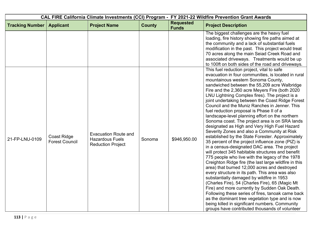|                        |                                             |                                                                                   |               | CAL FIRE California Climate Investments (CCI) Program - FY 2021-22 Wildfire Prevention Grant Awards |                                                                                                                                                                                                                                                                                                                                                                                                                                                                                                                                                                                                                                                                                                                                                                                                                                                                                                                                                                                                                                                                                                                                                                                                                                                                                                                                                                                               |
|------------------------|---------------------------------------------|-----------------------------------------------------------------------------------|---------------|-----------------------------------------------------------------------------------------------------|-----------------------------------------------------------------------------------------------------------------------------------------------------------------------------------------------------------------------------------------------------------------------------------------------------------------------------------------------------------------------------------------------------------------------------------------------------------------------------------------------------------------------------------------------------------------------------------------------------------------------------------------------------------------------------------------------------------------------------------------------------------------------------------------------------------------------------------------------------------------------------------------------------------------------------------------------------------------------------------------------------------------------------------------------------------------------------------------------------------------------------------------------------------------------------------------------------------------------------------------------------------------------------------------------------------------------------------------------------------------------------------------------|
| <b>Tracking Number</b> | <b>Applicant</b>                            | <b>Project Name</b>                                                               | <b>County</b> | <b>Requested</b><br><b>Funds</b>                                                                    | <b>Project Description</b>                                                                                                                                                                                                                                                                                                                                                                                                                                                                                                                                                                                                                                                                                                                                                                                                                                                                                                                                                                                                                                                                                                                                                                                                                                                                                                                                                                    |
|                        |                                             |                                                                                   |               |                                                                                                     | The biggest challenges are the heavy fuel<br>loading, fire history showing fire paths aimed at<br>the community and a lack of substantial fuels<br>modification in the past. This project would treat<br>70 acres along the main Seiad Creek Road and<br>associated driveways. Treatments would be up<br>to 100ft on both sides of the road and driveways.<br>This fuel reduction project, vital to safe                                                                                                                                                                                                                                                                                                                                                                                                                                                                                                                                                                                                                                                                                                                                                                                                                                                                                                                                                                                      |
| 21-FP-LNU-0109         | <b>Coast Ridge</b><br><b>Forest Council</b> | <b>Evacuation Route and</b><br><b>Hazardous Fuels</b><br><b>Reduction Project</b> | Sonoma        | \$946,950.00                                                                                        | evacuation in four communities, is located in rural<br>mountainous western Sonoma County,<br>sandwiched between the 55,209 acre Walbridge<br>Fire and the 2,360 acre Meyers Fire (both 2020<br>LNU Lightning Complex fires). The project is a<br>joint undertaking between the Coast Ridge Forest<br>Council and the Muniz Ranches in Jenner. This<br>fuel reduction proposal is Phase II of a<br>landscape-level planning effort on the northern<br>Sonoma coast. The project area is on SRA lands<br>designated as High and Very High Fuel Hazard<br>Severity Zones and also a Community at Risk<br>established by the State Forester. Approximately<br>35 percent of the project influence zone (PIZ) is<br>in a census-designated DAC area. The project<br>will protect 345 habitable structures and benefit<br>775 people who live with the legacy of the 1978<br>Creighton Ridge fire (the last large wildfire in this<br>area) that burned 12,000 acres and destroyed<br>every structure in its path. This area was also<br>substantially damaged by wildfire in 1953<br>(Charles Fire), 54 (Charles Fire), 65 (Magic Mt)<br>Fire) and more currently by Sudden Oak Death.<br>Following these series of fires, tanoak came back<br>as the dominant tree vegetation type and is now<br>being killed in significant numbers. Community<br>groups have contributed thousands of volunteer |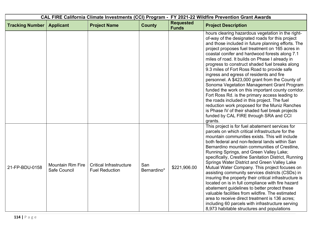|                        |                                          |                                                         |                    | CAL FIRE California Climate Investments (CCI) Program - FY 2021-22 Wildfire Prevention Grant Awards |                                                                                                                                                                                                                                                                                                                                                                                                                                                                                                                                                                                                                                                                                                                                                                                                                                                                                        |
|------------------------|------------------------------------------|---------------------------------------------------------|--------------------|-----------------------------------------------------------------------------------------------------|----------------------------------------------------------------------------------------------------------------------------------------------------------------------------------------------------------------------------------------------------------------------------------------------------------------------------------------------------------------------------------------------------------------------------------------------------------------------------------------------------------------------------------------------------------------------------------------------------------------------------------------------------------------------------------------------------------------------------------------------------------------------------------------------------------------------------------------------------------------------------------------|
| <b>Tracking Number</b> | <b>Applicant</b>                         | <b>Project Name</b>                                     | <b>County</b>      | <b>Requested</b><br><b>Funds</b>                                                                    | <b>Project Description</b>                                                                                                                                                                                                                                                                                                                                                                                                                                                                                                                                                                                                                                                                                                                                                                                                                                                             |
|                        |                                          |                                                         |                    |                                                                                                     | hours clearing hazardous vegetation in the right-<br>of-way of the designated roads for this project<br>and those included in future planning efforts. The<br>project proposes fuel treatment on 165 acres in<br>coastal conifer and hardwood forests along 7.1<br>miles of road. It builds on Phase I already in<br>progress to construct shaded fuel breaks along<br>9.3 miles of Fort Ross Road to provide safe<br>ingress and egress of residents and fire<br>personnel. A \$423,000 grant from the County of<br>Sonoma Vegetation Management Grant Program<br>funded the work on this important county corridor.<br>Fort Ross Rd. is the primary access leading to<br>the roads included in this project. The fuel<br>reduction work proposed for the Muniz Ranches<br>is Phase IV of their shaded fuel break projects<br>funded by CAL FIRE through SRA and CCI<br>grants.       |
| 21-FP-BDU-0158         | <b>Mountain Rim Fire</b><br>Safe Council | <b>Critical Infrastructure</b><br><b>Fuel Reduction</b> | San<br>Bernardino* | \$221,906.00                                                                                        | This project is for fuel abatement services for<br>parcels on which critical infrastructure for the<br>mountain communities exists. This will include<br>both federal and non-federal lands within San<br>Bernardino mountain communities of Crestline,<br>Running Springs, and Green Valley Lake;<br>specifically, Crestline Sanitation District, Running<br>Springs Water District and Green Valley Lake<br>Mutual Water Company. This project focuses on<br>assisting community services districts (CSDs) in<br>insuring the property their critical infrastructure is<br>located on is in full compliance with fire hazard<br>abatement guidelines to better protect these<br>valuable facilities from wildfire. The estimated<br>area to receive direct treatment is 136 acres;<br>including 60 parcels with infrastructure serving<br>8,973 habitable structures and populations |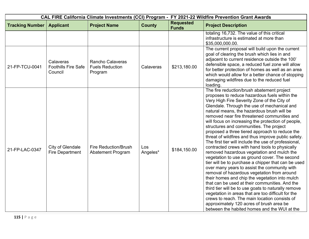| CAL FIRE California Climate Investments (CCI) Program - FY 2021-22 Wildfire Prevention Grant Awards |                                                    |                                                              |                 |                                  |                                                                                                                                                                                                                                                                                                                                                                                                                                                                                                                                                                                                                                                                                                                                                                                                                                                                                                                                                                                                                                                                                                                                                                                                                                |
|-----------------------------------------------------------------------------------------------------|----------------------------------------------------|--------------------------------------------------------------|-----------------|----------------------------------|--------------------------------------------------------------------------------------------------------------------------------------------------------------------------------------------------------------------------------------------------------------------------------------------------------------------------------------------------------------------------------------------------------------------------------------------------------------------------------------------------------------------------------------------------------------------------------------------------------------------------------------------------------------------------------------------------------------------------------------------------------------------------------------------------------------------------------------------------------------------------------------------------------------------------------------------------------------------------------------------------------------------------------------------------------------------------------------------------------------------------------------------------------------------------------------------------------------------------------|
| <b>Tracking Number</b>                                                                              | <b>Applicant</b>                                   | <b>Project Name</b>                                          | <b>County</b>   | <b>Requested</b><br><b>Funds</b> | <b>Project Description</b>                                                                                                                                                                                                                                                                                                                                                                                                                                                                                                                                                                                                                                                                                                                                                                                                                                                                                                                                                                                                                                                                                                                                                                                                     |
|                                                                                                     |                                                    |                                                              |                 |                                  | totaling 16,732. The value of this critical<br>infrastructure is estimated at more than<br>\$35,000,000.00.                                                                                                                                                                                                                                                                                                                                                                                                                                                                                                                                                                                                                                                                                                                                                                                                                                                                                                                                                                                                                                                                                                                    |
| 21-FP-TCU-0041                                                                                      | Calaveras<br><b>Foothills Fire Safe</b><br>Council | <b>Rancho Calaveras</b><br><b>Fuels Reduction</b><br>Program | Calaveras       | \$213,180.00                     | The current proposal will build upon the current<br>goal of clearing the brush which lies in and<br>adjacent to current residence outside the 100'<br>defensible space, a reduced fuel zone will allow<br>for better protection of homes as well as an area<br>which would allow for a better chance of stopping<br>damaging wildfires due to the reduced fuel<br>loading.                                                                                                                                                                                                                                                                                                                                                                                                                                                                                                                                                                                                                                                                                                                                                                                                                                                     |
| 21-FP-LAC-0347                                                                                      | City of Glendale<br><b>Fire Department</b>         | <b>Fire Reduction/Brush</b><br>Abatement Program             | Los<br>Angeles* | \$184,150.00                     | The fire reduction/brush abatement project<br>proposes to reduce hazardous fuels within the<br>Very High Fire Severity Zone of the City of<br>Glendale. Through the use of mechanical and<br>natural means, the hazardous brush will be<br>removed near fire threatened communities and<br>will focus on increasing the protection of people,<br>structures and communities. The project<br>proposed a three tiered approach to reduce the<br>threat of wildfires and thus improve public safety.<br>The first tier will include the use of professional,<br>contracted crews with hand tools to physically<br>removed hazardous vegetation and mulch the<br>vegetation to use as ground cover. The second<br>tier will be to purchase a chipper that can be used<br>over many years to assist the community with<br>removal of hazardous vegetation from around<br>their homes and chip the vegetation into mulch<br>that can be used at their communities. And the<br>third tier will be to use goats to naturally remove<br>vegetation in areas that are too difficult for the<br>crews to reach. The main location consists of<br>approximately 120 acres of brush area be<br>between the habited homes and the WUI at the |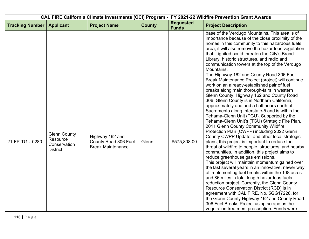| CAL FIRE California Climate Investments (CCI) Program - FY 2021-22 Wildfire Prevention Grant Awards |                                                                    |                                                                     |               |                                  |                                                                                                                                                                                                                                                                                                                                                                                                                                                                                                                                                                                                                                                                                                                                                                                                                                                                                                                                                                                                                                                                                                                                                                                                                                                                                                                                              |
|-----------------------------------------------------------------------------------------------------|--------------------------------------------------------------------|---------------------------------------------------------------------|---------------|----------------------------------|----------------------------------------------------------------------------------------------------------------------------------------------------------------------------------------------------------------------------------------------------------------------------------------------------------------------------------------------------------------------------------------------------------------------------------------------------------------------------------------------------------------------------------------------------------------------------------------------------------------------------------------------------------------------------------------------------------------------------------------------------------------------------------------------------------------------------------------------------------------------------------------------------------------------------------------------------------------------------------------------------------------------------------------------------------------------------------------------------------------------------------------------------------------------------------------------------------------------------------------------------------------------------------------------------------------------------------------------|
| <b>Tracking Number</b>                                                                              | <b>Applicant</b>                                                   | <b>Project Name</b>                                                 | <b>County</b> | <b>Requested</b><br><b>Funds</b> | <b>Project Description</b>                                                                                                                                                                                                                                                                                                                                                                                                                                                                                                                                                                                                                                                                                                                                                                                                                                                                                                                                                                                                                                                                                                                                                                                                                                                                                                                   |
|                                                                                                     |                                                                    |                                                                     |               |                                  | base of the Verdugo Mountains. This area is of<br>importance because of the close proximity of the<br>homes in this community to this hazardous fuels<br>area, it will also remove the hazardous vegetation<br>that if ignited could threaten the City's Brand<br>Library, historic structures, and radio and<br>communication towers at the top of the Verdugo<br>Mountains.                                                                                                                                                                                                                                                                                                                                                                                                                                                                                                                                                                                                                                                                                                                                                                                                                                                                                                                                                                |
| 21-FP-TGU-0280                                                                                      | <b>Glenn County</b><br>Resource<br>Conservation<br><b>District</b> | Highway 162 and<br>County Road 306 Fuel<br><b>Break Maintenance</b> | Glenn         | \$575,808.00                     | The Highway 162 and County Road 306 Fuel<br>Break Maintenance Project (project) will continue<br>work on an already-established pair of fuel<br>breaks along main thorough-fairs in western<br>Glenn County: Highway 162 and County Road<br>306. Glenn County is in Northern California,<br>approximately one and a half hours north of<br>Sacramento along Interstate-5 and is within the<br>Tehama-Glenn Unit (TGU). Supported by the<br>Tehama-Glenn Unit's (TGU) Strategic Fire Plan,<br>2011 Glenn County Community Wildfire<br>Protection Plan (CWPP) including 2022 Glenn<br>County CWPP Update, and other local strategic<br>plans, this project is important to reduce the<br>threat of wildfire to people, structures, and nearby<br>communities. In addition, this project aims to<br>reduce greenhouse gas emissions.<br>This project will maintain momentum gained over<br>the last several years in an innovative, newer way<br>of implementing fuel breaks within the 108 acres<br>and 86 miles in total length hazardous fuels<br>reduction project. Currently, the Glenn County<br>Resource Conservation District (RCD) is in<br>agreement with CAL FIRE, No. 5GG17226, for<br>the Glenn County Highway 162 and County Road<br>306 Fuel Breaks Project using scrape as the<br>vegetation treatment prescription. Funds were |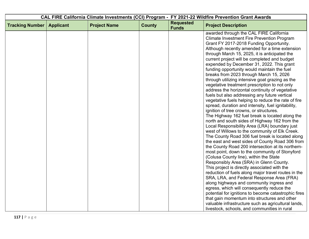|                        |                  |                     |               |                                  | CAL FIRE California Climate Investments (CCI) Program - FY 2021-22 Wildfire Prevention Grant Awards |
|------------------------|------------------|---------------------|---------------|----------------------------------|-----------------------------------------------------------------------------------------------------|
| <b>Tracking Number</b> | <b>Applicant</b> | <b>Project Name</b> | <b>County</b> | <b>Requested</b><br><b>Funds</b> | <b>Project Description</b>                                                                          |
|                        |                  |                     |               |                                  | awarded through the CAL FIRE California<br><b>Climate Investment Fire Prevention Program</b>        |
|                        |                  |                     |               |                                  | Grant FY 2017-2018 Funding Opportunity.                                                             |
|                        |                  |                     |               |                                  | Although recently amended for a time extension                                                      |
|                        |                  |                     |               |                                  | through March 15, 2025, it is anticipated the                                                       |
|                        |                  |                     |               |                                  | current project will be completed and budget<br>expended by December 31, 2022. This grant           |
|                        |                  |                     |               |                                  | funding opportunity would maintain the fuel                                                         |
|                        |                  |                     |               |                                  | breaks from 2023 through March 15, 2026                                                             |
|                        |                  |                     |               |                                  | through utilizing intensive goat grazing as the                                                     |
|                        |                  |                     |               |                                  | vegetative treatment prescription to not only                                                       |
|                        |                  |                     |               |                                  | address the horizontal continuity of vegetative                                                     |
|                        |                  |                     |               |                                  | fuels but also addressing any future vertical                                                       |
|                        |                  |                     |               |                                  | vegetative fuels helping to reduce the rate of fire                                                 |
|                        |                  |                     |               |                                  | spread, duration and intensity, fuel ignitability,                                                  |
|                        |                  |                     |               |                                  | ignition of tree crowns, or structures.<br>The Highway 162 fuel break is located along the          |
|                        |                  |                     |               |                                  | north and south sides of Highway 162 from the                                                       |
|                        |                  |                     |               |                                  | Local Responsibility Area (LRA) boundary just                                                       |
|                        |                  |                     |               |                                  | west of Willows to the community of Elk Creek.                                                      |
|                        |                  |                     |               |                                  | The County Road 306 fuel break is located along                                                     |
|                        |                  |                     |               |                                  | the east and west sides of County Road 306 from                                                     |
|                        |                  |                     |               |                                  | the County Road 200 intersection at its northern-                                                   |
|                        |                  |                     |               |                                  | most point, down to the community of Stonyford                                                      |
|                        |                  |                     |               |                                  | (Colusa County line), within the State                                                              |
|                        |                  |                     |               |                                  | Responsibly Area (SRA) in Glenn County.                                                             |
|                        |                  |                     |               |                                  | This project is directly associated with the<br>reduction of fuels along major travel routes in the |
|                        |                  |                     |               |                                  | SRA, LRA, and Federal Response Area (FRA)                                                           |
|                        |                  |                     |               |                                  | along highways and community ingress and                                                            |
|                        |                  |                     |               |                                  | egress, which will consequently reduce the                                                          |
|                        |                  |                     |               |                                  | potential for ignitions to become catastrophic fires                                                |
|                        |                  |                     |               |                                  | that gain momentum into structures and other                                                        |
|                        |                  |                     |               |                                  | valuable infrastructure such as agricultural lands,                                                 |
|                        |                  |                     |               |                                  | livestock, schools, and communities in rural                                                        |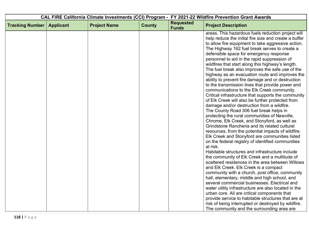| <b>Requested</b><br><b>Tracking Number</b><br><b>Project Name</b><br><b>County</b><br><b>Project Description</b><br><b>Applicant</b><br><b>Funds</b><br>areas. This hazardous fuels reduction project will<br>help reduce the initial fire size and create a buffer<br>to allow fire equipment to take aggressive action.<br>The Highway 162 fuel break serves to create a<br>defensible space for emergency response<br>personnel to aid in the rapid suppression of<br>wildfires that start along this highway's length.<br>The fuel break also improves the safe use of the<br>highway as an evacuation route and improves the<br>ability to prevent fire damage and or destruction<br>to the transmission lines that provide power and |  |  | CAL FIRE California Climate Investments (CCI) Program - FY 2021-22 Wildfire Prevention Grant Awards |
|--------------------------------------------------------------------------------------------------------------------------------------------------------------------------------------------------------------------------------------------------------------------------------------------------------------------------------------------------------------------------------------------------------------------------------------------------------------------------------------------------------------------------------------------------------------------------------------------------------------------------------------------------------------------------------------------------------------------------------------------|--|--|-----------------------------------------------------------------------------------------------------|
|                                                                                                                                                                                                                                                                                                                                                                                                                                                                                                                                                                                                                                                                                                                                            |  |  |                                                                                                     |
|                                                                                                                                                                                                                                                                                                                                                                                                                                                                                                                                                                                                                                                                                                                                            |  |  |                                                                                                     |
|                                                                                                                                                                                                                                                                                                                                                                                                                                                                                                                                                                                                                                                                                                                                            |  |  |                                                                                                     |
|                                                                                                                                                                                                                                                                                                                                                                                                                                                                                                                                                                                                                                                                                                                                            |  |  |                                                                                                     |
|                                                                                                                                                                                                                                                                                                                                                                                                                                                                                                                                                                                                                                                                                                                                            |  |  |                                                                                                     |
|                                                                                                                                                                                                                                                                                                                                                                                                                                                                                                                                                                                                                                                                                                                                            |  |  |                                                                                                     |
|                                                                                                                                                                                                                                                                                                                                                                                                                                                                                                                                                                                                                                                                                                                                            |  |  |                                                                                                     |
|                                                                                                                                                                                                                                                                                                                                                                                                                                                                                                                                                                                                                                                                                                                                            |  |  |                                                                                                     |
|                                                                                                                                                                                                                                                                                                                                                                                                                                                                                                                                                                                                                                                                                                                                            |  |  |                                                                                                     |
|                                                                                                                                                                                                                                                                                                                                                                                                                                                                                                                                                                                                                                                                                                                                            |  |  |                                                                                                     |
|                                                                                                                                                                                                                                                                                                                                                                                                                                                                                                                                                                                                                                                                                                                                            |  |  |                                                                                                     |
| communications to the Elk Creek community.                                                                                                                                                                                                                                                                                                                                                                                                                                                                                                                                                                                                                                                                                                 |  |  |                                                                                                     |
|                                                                                                                                                                                                                                                                                                                                                                                                                                                                                                                                                                                                                                                                                                                                            |  |  | Critical infrastructure that supports the community                                                 |
| of Elk Creek will also be further protected from                                                                                                                                                                                                                                                                                                                                                                                                                                                                                                                                                                                                                                                                                           |  |  |                                                                                                     |
| damage and/or destruction from a wildfire.                                                                                                                                                                                                                                                                                                                                                                                                                                                                                                                                                                                                                                                                                                 |  |  |                                                                                                     |
| The County Road 306 fuel break helps in                                                                                                                                                                                                                                                                                                                                                                                                                                                                                                                                                                                                                                                                                                    |  |  |                                                                                                     |
| protecting the rural communities of Newville,                                                                                                                                                                                                                                                                                                                                                                                                                                                                                                                                                                                                                                                                                              |  |  |                                                                                                     |
| Chrome, Elk Creek, and Stonyford, as well as                                                                                                                                                                                                                                                                                                                                                                                                                                                                                                                                                                                                                                                                                               |  |  |                                                                                                     |
| Grindstone Rancheria and its related cultural                                                                                                                                                                                                                                                                                                                                                                                                                                                                                                                                                                                                                                                                                              |  |  |                                                                                                     |
| resources, from the potential impacts of wildfire.                                                                                                                                                                                                                                                                                                                                                                                                                                                                                                                                                                                                                                                                                         |  |  |                                                                                                     |
| Elk Creek and Stonyford are communities listed                                                                                                                                                                                                                                                                                                                                                                                                                                                                                                                                                                                                                                                                                             |  |  |                                                                                                     |
| on the federal registry of identified communities                                                                                                                                                                                                                                                                                                                                                                                                                                                                                                                                                                                                                                                                                          |  |  |                                                                                                     |
| at risk.                                                                                                                                                                                                                                                                                                                                                                                                                                                                                                                                                                                                                                                                                                                                   |  |  |                                                                                                     |
| Habitable structures and infrastructure include                                                                                                                                                                                                                                                                                                                                                                                                                                                                                                                                                                                                                                                                                            |  |  |                                                                                                     |
| the community of Elk Creek and a multitude of                                                                                                                                                                                                                                                                                                                                                                                                                                                                                                                                                                                                                                                                                              |  |  |                                                                                                     |
| scattered residences in the area between Willows                                                                                                                                                                                                                                                                                                                                                                                                                                                                                                                                                                                                                                                                                           |  |  |                                                                                                     |
| and Elk Creek. Elk Creek is a compact                                                                                                                                                                                                                                                                                                                                                                                                                                                                                                                                                                                                                                                                                                      |  |  |                                                                                                     |
| community with a church, post office, community                                                                                                                                                                                                                                                                                                                                                                                                                                                                                                                                                                                                                                                                                            |  |  |                                                                                                     |
| hall, elementary, middle and high school, and                                                                                                                                                                                                                                                                                                                                                                                                                                                                                                                                                                                                                                                                                              |  |  |                                                                                                     |
| several commercial businesses. Electrical and                                                                                                                                                                                                                                                                                                                                                                                                                                                                                                                                                                                                                                                                                              |  |  |                                                                                                     |
| water utility infrastructure are also located in the                                                                                                                                                                                                                                                                                                                                                                                                                                                                                                                                                                                                                                                                                       |  |  |                                                                                                     |
| urban core. All are critical components that                                                                                                                                                                                                                                                                                                                                                                                                                                                                                                                                                                                                                                                                                               |  |  |                                                                                                     |
| provide service to habitable structures that are at                                                                                                                                                                                                                                                                                                                                                                                                                                                                                                                                                                                                                                                                                        |  |  |                                                                                                     |
| risk of being interrupted or destroyed by wildfire.<br>The community and the surrounding area are                                                                                                                                                                                                                                                                                                                                                                                                                                                                                                                                                                                                                                          |  |  |                                                                                                     |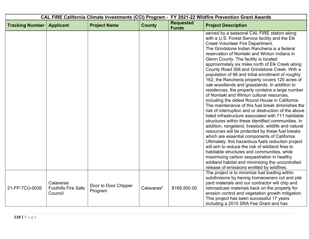|                        |                                                    |                                 |               | CAL FIRE California Climate Investments (CCI) Program - FY 2021-22 Wildfire Prevention Grant Awards |                                                                                                                                                                                                                                                                                                                                                                                                                                                                                                                                                                                                                                                                                                                                                                                                                                                                                                                                                                                                                                                                                                                                                                                                                                                                                                                                                                                             |
|------------------------|----------------------------------------------------|---------------------------------|---------------|-----------------------------------------------------------------------------------------------------|---------------------------------------------------------------------------------------------------------------------------------------------------------------------------------------------------------------------------------------------------------------------------------------------------------------------------------------------------------------------------------------------------------------------------------------------------------------------------------------------------------------------------------------------------------------------------------------------------------------------------------------------------------------------------------------------------------------------------------------------------------------------------------------------------------------------------------------------------------------------------------------------------------------------------------------------------------------------------------------------------------------------------------------------------------------------------------------------------------------------------------------------------------------------------------------------------------------------------------------------------------------------------------------------------------------------------------------------------------------------------------------------|
| <b>Tracking Number</b> | <b>Applicant</b>                                   | <b>Project Name</b>             | <b>County</b> | <b>Requested</b><br><b>Funds</b>                                                                    | <b>Project Description</b>                                                                                                                                                                                                                                                                                                                                                                                                                                                                                                                                                                                                                                                                                                                                                                                                                                                                                                                                                                                                                                                                                                                                                                                                                                                                                                                                                                  |
|                        |                                                    |                                 |               |                                                                                                     | served by a seasonal CAL FIRE station along<br>with a U.S. Forest Service facility and the Elk<br>Creek Volunteer Fire Department.<br>The Grindstone Indian Rancheria is a federal<br>reservation of Nomlaki and Wintun Indians in<br>Glenn County. The facility is located<br>approximately six miles north of Elk Creek along<br>County Road 306 and Grindstone Creek. With a<br>population of 98 and tribal enrollment of roughly<br>162, the Rancheria property covers 120 acres of<br>oak woodlands and grasslands. In addition to<br>residences, the property contains a large number<br>of Nomlaki and Wintun cultural resources,<br>including the oldest Round House in California.<br>The maintenance of this fuel break diminishes the<br>risk of interruption and or destruction of the above<br>listed infrastructure associated with 711 habitable<br>structures within these identified communities. In<br>addition, rangeland, livestock, wildlife and natural<br>resources will be protected by these fuel breaks<br>which are essential components of California.<br>Ultimately, this hazardous fuels reduction project<br>will aim to reduce the risk of wildland fires to<br>habitable structures and communities, while<br>maximizing carbon sequestration in healthy<br>wildland habitat and minimizing the uncontrolled<br>release of emissions emitted by wildfires. |
| 21-FP-TCU-0035         | Calaveras<br><b>Foothills Fire Safe</b><br>Council | Door to Door Chipper<br>Program | Calaveras*    | \$169,500.00                                                                                        | The project is to minimize fuel loading within<br>subdivisions by having homeowners cut and pile<br>yard materials and our contractor will chip and<br>rebroadcast materials back on the property for<br>erosion control and vegetation growth mitigation.<br>This project has been successful 17 years<br>including a 2015 SRA Fee Grant and has                                                                                                                                                                                                                                                                                                                                                                                                                                                                                                                                                                                                                                                                                                                                                                                                                                                                                                                                                                                                                                           |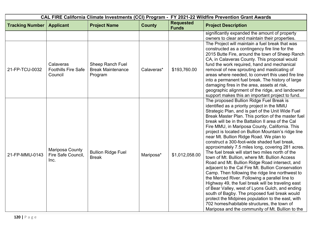|                        |                                                    |                                                         | CAL FIRE California Climate Investments (CCI) Program - FY 2021-22 Wildfire Prevention Grant Awards |                                  |                                                                                                                                                                                                                                                                                                                                                                                                                                                                                                                                                                                                                                                                                                                                                                                                                                                                                                                                                                                                                                                                                                                                                                                                         |
|------------------------|----------------------------------------------------|---------------------------------------------------------|-----------------------------------------------------------------------------------------------------|----------------------------------|---------------------------------------------------------------------------------------------------------------------------------------------------------------------------------------------------------------------------------------------------------------------------------------------------------------------------------------------------------------------------------------------------------------------------------------------------------------------------------------------------------------------------------------------------------------------------------------------------------------------------------------------------------------------------------------------------------------------------------------------------------------------------------------------------------------------------------------------------------------------------------------------------------------------------------------------------------------------------------------------------------------------------------------------------------------------------------------------------------------------------------------------------------------------------------------------------------|
| <b>Tracking Number</b> | <b>Applicant</b>                                   | <b>Project Name</b>                                     | <b>County</b>                                                                                       | <b>Requested</b><br><b>Funds</b> | <b>Project Description</b>                                                                                                                                                                                                                                                                                                                                                                                                                                                                                                                                                                                                                                                                                                                                                                                                                                                                                                                                                                                                                                                                                                                                                                              |
| 21-FP-TCU-0032         | Calaveras<br><b>Foothills Fire Safe</b><br>Council | Sheep Ranch Fuel<br><b>Break Maintenance</b><br>Program | Calaveras*                                                                                          | \$193,760.00                     | significantly expanded the amount of property<br>owners to clear and maintain their properties.<br>The Project will maintain a fuel break that was<br>constructed as a contingency fire line for the<br>2015 Butte Fire, around the town of Sheep Ranch<br>CA, in Calaveras County. This proposal would<br>fund the work required, hand and mechanical<br>removal of new sprouting and masticating of<br>areas where needed, to convert this used fire line<br>into a permanent fuel break. The history of large<br>damaging fires in the area, assets at risk,<br>geographic alignment of the ridge, and landowner                                                                                                                                                                                                                                                                                                                                                                                                                                                                                                                                                                                     |
| 21-FP-MMU-0143         | Mariposa County<br>Fire Safe Council,<br>Inc.      | <b>Bullion Ridge Fuel</b><br><b>Break</b>               | Mariposa*                                                                                           | \$1,012,058.00                   | support makes this an important project to fund.<br>The proposed Bullion Ridge Fuel Break is<br>identified as a priority project in the MMU<br>Strategic Plan, and is part of the Unit Wide Fuel<br>Break Master Plan. This portion of the master fuel<br>break will be in the Battalion II area of the Cal<br>Fire MMU, in Mariposa County, California. This<br>project is located on Bullion Mountain's ridge line<br>near Mt. Bullion Ridge Road. We plan to<br>construct a 300-foot-wide shaded fuel break,<br>approximately 7.5 miles long, covering 281 acres.<br>The fuel break will start two miles north of the<br>town of Mt. Bullion, where Mt. Bullion Access<br>Road and Mt. Bullion Ridge Road intersect, and<br>adjacent to the Cal Fire Mt. Bullion Conservation<br>Camp. Then following the ridge line northwest to<br>the Merced River. Following a parallel line to<br>Highway 49, the fuel break will be traveling east<br>of Bear Valley, west of Lyons Gulch, and ending<br>south of Bagby. The proposed fuel break would<br>protect the Midpines population to the east, with<br>702 homes/habitable structures, the town of<br>Mariposa and the community of Mt. Bullion to the |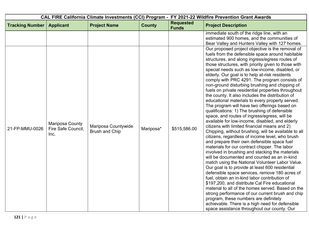|                        |                                               |                                              | CAL FIRE California Climate Investments (CCI) Program - FY 2021-22 Wildfire Prevention Grant Awards |                                  |                                                                                                                                                                                                                                                                                                                                                                                                                                                                                                                                                                                                                                                                                                                                                                                                                                                                                                                                                                                                                                                                                                                                                                                                                                                                                                                                                                                                                                                                                                                                                                                                                                                                                                                                                                    |
|------------------------|-----------------------------------------------|----------------------------------------------|-----------------------------------------------------------------------------------------------------|----------------------------------|--------------------------------------------------------------------------------------------------------------------------------------------------------------------------------------------------------------------------------------------------------------------------------------------------------------------------------------------------------------------------------------------------------------------------------------------------------------------------------------------------------------------------------------------------------------------------------------------------------------------------------------------------------------------------------------------------------------------------------------------------------------------------------------------------------------------------------------------------------------------------------------------------------------------------------------------------------------------------------------------------------------------------------------------------------------------------------------------------------------------------------------------------------------------------------------------------------------------------------------------------------------------------------------------------------------------------------------------------------------------------------------------------------------------------------------------------------------------------------------------------------------------------------------------------------------------------------------------------------------------------------------------------------------------------------------------------------------------------------------------------------------------|
| <b>Tracking Number</b> | <b>Applicant</b>                              | <b>Project Name</b>                          | <b>County</b>                                                                                       | <b>Requested</b><br><b>Funds</b> | <b>Project Description</b>                                                                                                                                                                                                                                                                                                                                                                                                                                                                                                                                                                                                                                                                                                                                                                                                                                                                                                                                                                                                                                                                                                                                                                                                                                                                                                                                                                                                                                                                                                                                                                                                                                                                                                                                         |
| 21-FP-MMU-0026         | Mariposa County<br>Fire Safe Council,<br>Inc. | Mariposa Countywide<br><b>Brush and Chip</b> | Mariposa*                                                                                           | \$515,586.00                     | immediate south of the ridge line, with an<br>estimated 900 homes, and the communities of<br>Bear Valley and Hunters Valley with 127 homes.<br>Our proposed project objective is the removal of<br>fuels from the defensible space around habitable<br>structures, and along ingress/egress routes of<br>those structures, with priority given to those with<br>special needs such as low-income, disabled, or<br>elderly. Our goal is to help at-risk residents<br>comply with PRC 4291. The program consists of<br>non-ground disturbing brushing and chipping of<br>fuels on private residential properties throughout<br>the county. It also includes the distribution of<br>educational materials to every property served.<br>The program will have two offerings based on<br>qualifications: 1) The brushing of defensible<br>space, and routes of ingress/egress, will be<br>available for low-income, disabled, and elderly<br>citizens with limited financial means and 2)<br>Chipping, without brushing, will be available to all<br>citizens, regardless of income level, who brush<br>and prepare their own defensible space fuel<br>materials for our contract chipper. The labor<br>involved in brushing and stacking the materials<br>will be documented and counted as an in-kind<br>match using the National Volunteer Labor Value.<br>Our goal is to provide at least 600 residential<br>defensible space services, remove 180 acres of<br>fuel, obtain an in-kind labor contribution of<br>\$197,200, and distribute Cal Fire educational<br>material to all of the homes served. Based on the<br>strong performance of our current brush and chip<br>program, these numbers are definitely<br>achievable. There is a high need for defensible |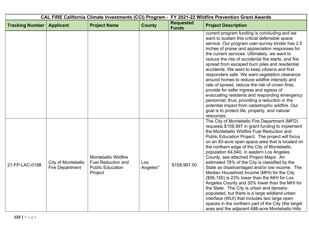| CAL FIRE California Climate Investments (CCI) Program - FY 2021-22 Wildfire Prevention Grant Awards |                                              |                                                                                        |                 |                                  |                                                                                                                                                                                                                                                                                                                                                                                                                                                                                                                                                                                                                                                                                                                                                                                                                                                                                                         |
|-----------------------------------------------------------------------------------------------------|----------------------------------------------|----------------------------------------------------------------------------------------|-----------------|----------------------------------|---------------------------------------------------------------------------------------------------------------------------------------------------------------------------------------------------------------------------------------------------------------------------------------------------------------------------------------------------------------------------------------------------------------------------------------------------------------------------------------------------------------------------------------------------------------------------------------------------------------------------------------------------------------------------------------------------------------------------------------------------------------------------------------------------------------------------------------------------------------------------------------------------------|
| <b>Tracking Number</b>                                                                              | <b>Applicant</b>                             | <b>Project Name</b>                                                                    | <b>County</b>   | <b>Requested</b><br><b>Funds</b> | <b>Project Description</b>                                                                                                                                                                                                                                                                                                                                                                                                                                                                                                                                                                                                                                                                                                                                                                                                                                                                              |
|                                                                                                     |                                              |                                                                                        |                 |                                  | current program funding is concluding and we<br>want to sustain this critical defensible space<br>service. Our program user-survey binder has 2.5<br>inches of praise and appreciation responses for<br>the current services. Ultimately, we want to<br>reduce the risk of accidental fire starts, and fire<br>spread from escaped burn piles and residential<br>accidents. We want to keep citizens and first<br>responders safe. We want vegetation clearance<br>around homes to reduce wildfire intensity and<br>rate of spread, reduce the risk of crown fires,<br>provide for safer ingress and egress of<br>evacuating residents and responding emergency<br>personnel; thus, providing a reduction in the<br>potential impact from catastrophic wildfire. Our<br>goal is to protect life, property, and natural<br>resources.                                                                    |
| 21-FP-LAC-0188                                                                                      | City of Montebello<br><b>Fire Department</b> | Montebello Wildfire<br><b>Fuel Reduction and</b><br><b>Public Education</b><br>Project | Los<br>Angeles* | \$108,997.00                     | The City of Montebello Fire Department (MFD)<br>requests \$108,997 in grant funding to implement<br>the Montebello Wildfire Fuel Reduction and<br>Public Education Project. The project will focus<br>on an 83-acre open space area that is located on<br>the northern edge of the City of Montebello,<br>population 64,640, in eastern Los Angeles<br>County, see attached Project Maps. An<br>estimated 78% of the City is classified by the<br>State as disadvantaged and/or low income. The<br>Median Household Income (MHI) for the City<br>(\$56,150) is 23% lower than the MHI for Los<br>Angeles County and 30% lower than the MHI for<br>the State. The City is urban and densely-<br>populated, but there is a large wildland-urban<br>interface (WUI) that includes two large open<br>spaces in the northern part of the City (the target<br>area and the adjacent 488-acre Montebello Hills |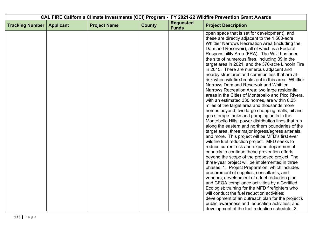| CAL FIRE California Climate Investments (CCI) Program - FY 2021-22 Wildfire Prevention Grant Awards |                  |                     |               |                                  |                                                                                                                                                                                                                                                             |
|-----------------------------------------------------------------------------------------------------|------------------|---------------------|---------------|----------------------------------|-------------------------------------------------------------------------------------------------------------------------------------------------------------------------------------------------------------------------------------------------------------|
| <b>Tracking Number</b>                                                                              | <b>Applicant</b> | <b>Project Name</b> | <b>County</b> | <b>Requested</b><br><b>Funds</b> | <b>Project Description</b>                                                                                                                                                                                                                                  |
|                                                                                                     |                  |                     |               |                                  | open space that is set for development), and<br>these are directly adjacent to the 1,500-acre<br>Whittier Narrows Recreation Area (including the<br>Dam and Reservoir), all of which is a Federal<br>Responsibility Area (FRA). The WUI has been            |
|                                                                                                     |                  |                     |               |                                  | the site of numerous fires, including 39 in the<br>target area in 2021, and the 370-acre Lincoln Fire<br>in 2015. There are numerous adjacent and<br>nearby structures and communities that are at-<br>risk when wildfire breaks out in this area: Whittier |
|                                                                                                     |                  |                     |               |                                  | Narrows Dam and Reservoir and Whittier<br>Narrows Recreation Area; two large residential<br>areas in the Cities of Montebello and Pico Rivera,<br>with an estimated 330 homes, are within 0.25<br>miles of the target area and thousands more               |
|                                                                                                     |                  |                     |               |                                  | homes beyond; two large shopping malls; oil and<br>gas storage tanks and pumping units in the<br>Montebello Hills; power distribution lines that run<br>along the eastern and northern boundaries of the                                                    |
|                                                                                                     |                  |                     |               |                                  | target area, three major ingress/egress arterials,<br>and more. This project will be MFD's first ever<br>wildfire fuel reduction project. MFD seeks to<br>reduce current risk and expand departmental<br>capacity to continue these prevention efforts      |
|                                                                                                     |                  |                     |               |                                  | beyond the scope of the proposed project. The<br>three-year project will be implemented in three<br>phases: 1. Project Preparation, which includes<br>procurement of supplies, consultants, and                                                             |
|                                                                                                     |                  |                     |               |                                  | vendors; development of a fuel reduction plan<br>and CEQA compliance activities by a Certified<br>Ecologist; training for the MFD firefighters who<br>will conduct the fuel reduction activities;                                                           |
|                                                                                                     |                  |                     |               |                                  | development of an outreach plan for the project's<br>public awareness and education activities; and<br>development of the fuel reduction schedule. 2.                                                                                                       |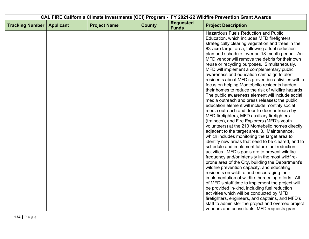| CAL FIRE California Climate Investments (CCI) Program - FY 2021-22 Wildfire Prevention Grant Awards |                  |                     |               |                                  |                                                                                                   |
|-----------------------------------------------------------------------------------------------------|------------------|---------------------|---------------|----------------------------------|---------------------------------------------------------------------------------------------------|
| <b>Tracking Number</b>                                                                              | <b>Applicant</b> | <b>Project Name</b> | <b>County</b> | <b>Requested</b><br><b>Funds</b> | <b>Project Description</b>                                                                        |
|                                                                                                     |                  |                     |               |                                  | <b>Hazardous Fuels Reduction and Public</b>                                                       |
|                                                                                                     |                  |                     |               |                                  | Education, which includes MFD firefighters                                                        |
|                                                                                                     |                  |                     |               |                                  | strategically clearing vegetation and trees in the                                                |
|                                                                                                     |                  |                     |               |                                  | 83-acre target area, following a fuel reduction                                                   |
|                                                                                                     |                  |                     |               |                                  | plan and schedule, over an 18-month period. An                                                    |
|                                                                                                     |                  |                     |               |                                  | MFD vendor will remove the debris for their own                                                   |
|                                                                                                     |                  |                     |               |                                  | reuse or recycling purposes. Simultaneously,                                                      |
|                                                                                                     |                  |                     |               |                                  | MFD will implement a complementary public                                                         |
|                                                                                                     |                  |                     |               |                                  | awareness and education campaign to alert                                                         |
|                                                                                                     |                  |                     |               |                                  | residents about MFD's prevention activities with a                                                |
|                                                                                                     |                  |                     |               |                                  | focus on helping Montebello residents harden                                                      |
|                                                                                                     |                  |                     |               |                                  | their homes to reduce the risk of wildfire hazards.                                               |
|                                                                                                     |                  |                     |               |                                  | The public awareness element will include social<br>media outreach and press releases; the public |
|                                                                                                     |                  |                     |               |                                  | education element will include monthly social                                                     |
|                                                                                                     |                  |                     |               |                                  | media outreach and door-to-door outreach by                                                       |
|                                                                                                     |                  |                     |               |                                  | MFD firefighters, MFD auxiliary firefighters                                                      |
|                                                                                                     |                  |                     |               |                                  | (trainees), and Fire Explorers (MFD's youth                                                       |
|                                                                                                     |                  |                     |               |                                  | volunteers) at the 210 Montebello homes directly                                                  |
|                                                                                                     |                  |                     |               |                                  | adjacent to the target area. 3. Maintenance,                                                      |
|                                                                                                     |                  |                     |               |                                  | which includes monitoring the target area to                                                      |
|                                                                                                     |                  |                     |               |                                  | identify new areas that need to be cleared, and to                                                |
|                                                                                                     |                  |                     |               |                                  | schedule and implement future fuel reduction                                                      |
|                                                                                                     |                  |                     |               |                                  | activities. MFD's goals are to prevent wildfire                                                   |
|                                                                                                     |                  |                     |               |                                  | frequency and/or intensity in the most wildfire-                                                  |
|                                                                                                     |                  |                     |               |                                  | prone area of the City, building the Department's                                                 |
|                                                                                                     |                  |                     |               |                                  | wildfire prevention capacity, and educating                                                       |
|                                                                                                     |                  |                     |               |                                  | residents on wildfire and encouraging their                                                       |
|                                                                                                     |                  |                     |               |                                  | implementation of wildfire hardening efforts. All                                                 |
|                                                                                                     |                  |                     |               |                                  | of MFD's staff time to implement the project will                                                 |
|                                                                                                     |                  |                     |               |                                  | be provided in-kind, including fuel reduction                                                     |
|                                                                                                     |                  |                     |               |                                  | activities which will be conducted by MFD                                                         |
|                                                                                                     |                  |                     |               |                                  | firefighters, engineers, and captains, and MFD's                                                  |
|                                                                                                     |                  |                     |               |                                  | staff to administer the project and oversee project                                               |
|                                                                                                     |                  |                     |               |                                  | vendors and consultants. MFD requests grant                                                       |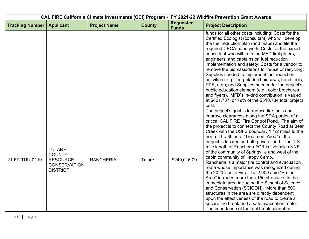|                        |                                                                                             |                     | CAL FIRE California Climate Investments (CCI) Program - FY 2021-22 Wildfire Prevention Grant Awards |                                  |                                                                                                                                                                                                                                                                                                                                                                                                                                                                                                                                                                                                                                                                                                                                                                                                                                                                                                                                                                                                                        |
|------------------------|---------------------------------------------------------------------------------------------|---------------------|-----------------------------------------------------------------------------------------------------|----------------------------------|------------------------------------------------------------------------------------------------------------------------------------------------------------------------------------------------------------------------------------------------------------------------------------------------------------------------------------------------------------------------------------------------------------------------------------------------------------------------------------------------------------------------------------------------------------------------------------------------------------------------------------------------------------------------------------------------------------------------------------------------------------------------------------------------------------------------------------------------------------------------------------------------------------------------------------------------------------------------------------------------------------------------|
| <b>Tracking Number</b> | <b>Applicant</b>                                                                            | <b>Project Name</b> | <b>County</b>                                                                                       | <b>Requested</b><br><b>Funds</b> | <b>Project Description</b>                                                                                                                                                                                                                                                                                                                                                                                                                                                                                                                                                                                                                                                                                                                                                                                                                                                                                                                                                                                             |
|                        |                                                                                             |                     |                                                                                                     |                                  | funds for all other costs including: Costs for the<br>Certified Ecologist (consultant) who will develop<br>the fuel reduction plan (and maps) and file the<br>required CEQA paperwork; Costs for the expert<br>consultant who will train the MFD firefighters,<br>engineers, and captains on fuel reduction<br>implementation and safety; Costs for a vendor to<br>remove the biomass/debris for reuse or recycling;<br>Supplies needed to implement fuel reduction<br>activities (e.g., long-blade chainsaws, hand tools,<br>PPE, etc.); and Supplies needed for the project's<br>public education element (e.g., color brochures<br>and flyers). MFD's in-kind contribution is valued<br>at \$401,737, or 79% of the \$510,734 total project<br>cost.                                                                                                                                                                                                                                                                |
| 21-FP-TUU-0119         | <b>TULARE</b><br><b>COUNTY</b><br><b>RESOURCE</b><br><b>CONSERVATION</b><br><b>DISTRICT</b> | <b>RANCHERIA</b>    | Tulare                                                                                              | \$249,016.00                     | The project's goal is to reduce fire fuels and<br>improve clearances along the SRA portion of a<br>critical CAL FIRE Fire Control Road. The aim of<br>the project is to connect the County Road at Bear<br>Creek with the USFS boundary 1 1/2 miles to the<br>north. The 36 acre "Treatment Area" of the<br>project is located on both private land. The 1 $\frac{1}{2}$<br>mile length of Rancheria FCR is five miles NNE<br>of the community of Springville and west of the<br>cabin community of Happy Camp<br>Rancheria is a major fire control and evacuation<br>route whose importance was recognized during<br>the 2020 Castle Fire. The 2,000 acre "Project<br>Area" includes more than 150 structures in the<br>immediate area including the School of Science<br>and Conservation (SCICON). More than 500<br>structures in the area are directly dependent<br>upon the effectiveness of the road to create a<br>secure fire break and a safe evacuation route.<br>The importance of the fuel break cannot be |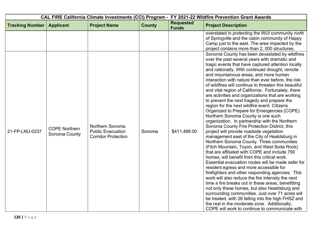| CAL FIRE California Climate Investments (CCI) Program - FY 2021-22 Wildfire Prevention Grant Awards |                                       |                                                                           |               |                                  |                                                                                                                                                                                                                                                                                                                                                                                                                                                                                                                                                                                                                                                                                                                                                                                                                                                                                                                                                                                                                                                                                                                                                                                                                                                                                                                                                                                                                                                                                                                                                                                                                                                                                                                                                                                                   |
|-----------------------------------------------------------------------------------------------------|---------------------------------------|---------------------------------------------------------------------------|---------------|----------------------------------|---------------------------------------------------------------------------------------------------------------------------------------------------------------------------------------------------------------------------------------------------------------------------------------------------------------------------------------------------------------------------------------------------------------------------------------------------------------------------------------------------------------------------------------------------------------------------------------------------------------------------------------------------------------------------------------------------------------------------------------------------------------------------------------------------------------------------------------------------------------------------------------------------------------------------------------------------------------------------------------------------------------------------------------------------------------------------------------------------------------------------------------------------------------------------------------------------------------------------------------------------------------------------------------------------------------------------------------------------------------------------------------------------------------------------------------------------------------------------------------------------------------------------------------------------------------------------------------------------------------------------------------------------------------------------------------------------------------------------------------------------------------------------------------------------|
| <b>Tracking Number</b>                                                                              | <b>Applicant</b>                      | <b>Project Name</b>                                                       | <b>County</b> | <b>Requested</b><br><b>Funds</b> | <b>Project Description</b>                                                                                                                                                                                                                                                                                                                                                                                                                                                                                                                                                                                                                                                                                                                                                                                                                                                                                                                                                                                                                                                                                                                                                                                                                                                                                                                                                                                                                                                                                                                                                                                                                                                                                                                                                                        |
| 21-FP-LNU-0237                                                                                      | <b>COPE Northern</b><br>Sonoma County | Northern Sonoma<br><b>Public Evacuation</b><br><b>Corridor Protection</b> | Sonoma        | \$411,488.00                     | overstated in protecting the WUI community north<br>of Springville and the cabin community of Happy<br>Camp just to the east. The area impacted by the<br>project contains more than 2, 000 structures.<br>Sonoma County has been devastated by wildfires<br>over the past several years with dramatic and<br>tragic events that have captured attention locally<br>and nationally. With continued drought, remote<br>and mountainous areas, and more human<br>interaction with nature than ever before, the risk<br>of wildfires will continue to threaten this beautiful<br>and vital region of California. Fortunately, there<br>are activities and organizations that are working<br>to prevent the next tragedy and prepare the<br>region for the next wildfire event. Citizens<br>Organized to Prepare for Emergencies (COPE)<br>Northern Sonoma County is one such<br>organization. In partnership with the Northern<br>Sonoma County Fire Protection District, this<br>project will provide roadside vegetation<br>management east of the City of Healdsburg in<br>Northern Sonoma County. Three communities<br>(Fitch Mountain, Toyon, and West Soda Rock)<br>that are affiliated with COPE and include 750<br>homes, will benefit from this critical work.<br>Essential evacuation routes will be made safer for<br>resident egress and more accessible for<br>firefighters and other responding agencies. This<br>work will also reduce the fire intensity the next<br>time a fire breaks out in these areas, benefitting<br>not only these homes, but also Healdsburg and<br>surrounding communities. Just over 71 acres will<br>be treated, with 28 falling into the high FHSZ and<br>the rest in the moderate zone. Additionally,<br>COPE will work to continue to communicate with |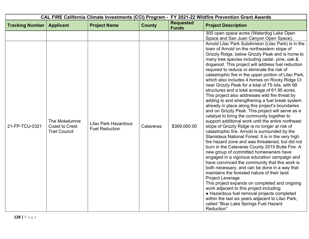|                        |                                                                |                                                      | CAL FIRE California Climate Investments (CCI) Program - FY 2021-22 Wildfire Prevention Grant Awards |                                  |                                                                                                                                                                                                                                                                                                                                                                                                                                                                                                                                                                                                                                                                                                                                                                                                                                                                                                                                                                                                                                                                                                                                                                                                                                                                                                                                                                                                                                                                                                                                                                                                                                                                                                                                    |
|------------------------|----------------------------------------------------------------|------------------------------------------------------|-----------------------------------------------------------------------------------------------------|----------------------------------|------------------------------------------------------------------------------------------------------------------------------------------------------------------------------------------------------------------------------------------------------------------------------------------------------------------------------------------------------------------------------------------------------------------------------------------------------------------------------------------------------------------------------------------------------------------------------------------------------------------------------------------------------------------------------------------------------------------------------------------------------------------------------------------------------------------------------------------------------------------------------------------------------------------------------------------------------------------------------------------------------------------------------------------------------------------------------------------------------------------------------------------------------------------------------------------------------------------------------------------------------------------------------------------------------------------------------------------------------------------------------------------------------------------------------------------------------------------------------------------------------------------------------------------------------------------------------------------------------------------------------------------------------------------------------------------------------------------------------------|
| <b>Tracking Number</b> | <b>Applicant</b>                                               | <b>Project Name</b>                                  | <b>County</b>                                                                                       | <b>Requested</b><br><b>Funds</b> | <b>Project Description</b>                                                                                                                                                                                                                                                                                                                                                                                                                                                                                                                                                                                                                                                                                                                                                                                                                                                                                                                                                                                                                                                                                                                                                                                                                                                                                                                                                                                                                                                                                                                                                                                                                                                                                                         |
| 21-FP-TCU-0321         | The Mokelumne<br><b>Coast to Crest</b><br><b>Trail Council</b> | <b>Lilac Park Hazardous</b><br><b>Fuel Reduction</b> | Calaveras                                                                                           | \$369,000.00                     | 300 open space acres (Waterdog Lake Open<br>Space and San Juan Canyon Open Space).<br>Arnold Lilac Park Subdivision (Lilac Park) is in the<br>town of Arnold on the northeastern slope of<br>Grizzly Ridge, below Grizzly Peak and is home to<br>many tree species including cedar, pine, oak &<br>dogwood. This project will address fuel reduction<br>required to reduce or eliminate the risk of<br>catastrophic fire in the upper portion of Lilac Park,<br>which also includes 4 homes on Rocky Ridge Ct<br>near Grizzly Peak for a total of 75 lots, with 68<br>structures and a total acreage of 61.95 acres.<br>This project also addresses wild fire threat by<br>adding to and strengthening a fuel break system<br>already in place along this project's boundaries<br>and on Grizzly Peak. This project will serve as a<br>catalyst to bring the community together to<br>support additional work until the entire northeast<br>slope of Grizzly Ridge is no longer at risk of<br>catastrophic fire. Arnold is surrounded by the<br>Stanislaus National Forest. It is in the very high<br>fire hazard zone and was threatened, but did not<br>burn in the Calaveras County 2015 Butte Fire. A<br>new group of committed homeowners have<br>engaged in a vigorous education campaign and<br>have convinced the community that this work is<br>both necessary, and can be done in a way that<br>maintains the forested nature of their land.<br>Project Leverage<br>This project expands on completed and ongoing<br>work adjacent to this project including:<br>• Hazardous fuel removal projects completed<br>within the last six years adjacent to Lilac Park,<br>called "Blue Lake Springs Fuel Hazard<br>Reduction" |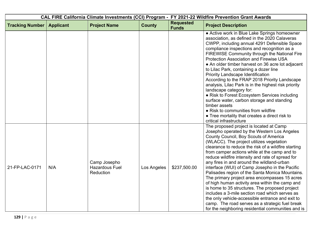| CAL FIRE California Climate Investments (CCI) Program - FY 2021-22 Wildfire Prevention Grant Awards |                  |                                                           |               |                                  |                                                                                                                                                                                                                                                                                                                                                                                                                                                                                                                                                                                                                                                                                                                                                                                                                                                                |  |
|-----------------------------------------------------------------------------------------------------|------------------|-----------------------------------------------------------|---------------|----------------------------------|----------------------------------------------------------------------------------------------------------------------------------------------------------------------------------------------------------------------------------------------------------------------------------------------------------------------------------------------------------------------------------------------------------------------------------------------------------------------------------------------------------------------------------------------------------------------------------------------------------------------------------------------------------------------------------------------------------------------------------------------------------------------------------------------------------------------------------------------------------------|--|
| <b>Tracking Number</b>                                                                              | <b>Applicant</b> | <b>Project Name</b>                                       | <b>County</b> | <b>Requested</b><br><b>Funds</b> | <b>Project Description</b>                                                                                                                                                                                                                                                                                                                                                                                                                                                                                                                                                                                                                                                                                                                                                                                                                                     |  |
|                                                                                                     |                  |                                                           |               |                                  | • Active work in Blue Lake Springs homeowner<br>association, as defined in the 2020 Calaveras<br>CWPP, including annual 4291 Defensible Space<br>compliance inspections and recognition as a<br>FIREWISE Community through the National Fire<br><b>Protection Association and Firewise USA</b><br>• An older timber harvest on 36 acre lot adjacent<br>to Lilac Park, containing a dozer line<br>Priority Landscape Identification<br>According to the FRAP 2018 Priority Landscape<br>analysis, Lilac Park is in the highest risk priority<br>landscape category for:<br>• Risk to Forest Ecosystem Services including<br>surface water, carbon storage and standing<br>timber assets<br>• Risk to communities from wildfire<br>• Tree mortality that creates a direct risk to<br>critical infrastructure                                                     |  |
| 21-FP-LAC-0171                                                                                      | N/A              | Camp Josepho<br><b>Hazardous Fuel</b><br><b>Reduction</b> | Los Angeles   | \$237,500.00                     | The proposed project is located at Camp<br>Josepho operated by the Western Los Angeles<br>County Council, Boy Scouts of America<br>(WLACC). The project utilizes vegetation<br>clearance to reduce the risk of a wildfire starting<br>from camper actions while at the camp and to<br>reduce wildfire intensity and rate of spread for<br>any fires in and around the wildland-urban<br>interface (WUI) of Camp Josepho in the Pacific<br>Palisades region of the Santa Monica Mountains.<br>The primary project area encompasses 15 acres<br>of high human activity area within the camp and<br>is home to 35 structures. The proposed project<br>includes a 3-mile section road which serves as<br>the only vehicle-accessible entrance and exit to<br>camp. The road serves as a strategic fuel break<br>for the neighboring residential communities and is |  |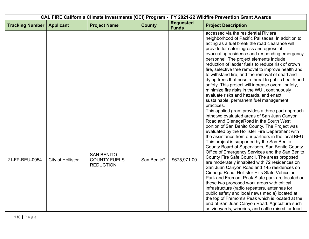| CAL FIRE California Climate Investments (CCI) Program - FY 2021-22 Wildfire Prevention Grant Awards |                   |                                                              |               |                                  |                                                                                                                                                                                                                                                                                                                                                                                                                                                                                                                                                                                                                                                                                                                                                                                                                                                                                                                                                                                                                            |  |
|-----------------------------------------------------------------------------------------------------|-------------------|--------------------------------------------------------------|---------------|----------------------------------|----------------------------------------------------------------------------------------------------------------------------------------------------------------------------------------------------------------------------------------------------------------------------------------------------------------------------------------------------------------------------------------------------------------------------------------------------------------------------------------------------------------------------------------------------------------------------------------------------------------------------------------------------------------------------------------------------------------------------------------------------------------------------------------------------------------------------------------------------------------------------------------------------------------------------------------------------------------------------------------------------------------------------|--|
| <b>Tracking Number</b>                                                                              | <b>Applicant</b>  | <b>Project Name</b>                                          | <b>County</b> | <b>Requested</b><br><b>Funds</b> | <b>Project Description</b>                                                                                                                                                                                                                                                                                                                                                                                                                                                                                                                                                                                                                                                                                                                                                                                                                                                                                                                                                                                                 |  |
|                                                                                                     |                   |                                                              |               |                                  | accessed via the residential Riviera<br>neighborhood of Pacific Palisades. In addition to<br>acting as a fuel break the road clearance will<br>provide for safer ingress and egress of<br>evacuating residence and responding emergency<br>personnel. The project elements include<br>reduction of ladder fuels to reduce risk of crown<br>fire, selective tree removal to improve health and<br>to withstand fire, and the removal of dead and<br>dying trees that pose a threat to public health and<br>safety. This project will increase overall safety,<br>minimize fire risks in the WUI, continuously<br>evaluate risks and hazards, and enact<br>sustainable, permanent fuel management<br>practices.                                                                                                                                                                                                                                                                                                              |  |
| 21-FP-BEU-0054                                                                                      | City of Hollister | <b>SAN BENITO</b><br><b>COUNTY FUELS</b><br><b>REDUCTION</b> | San Benito*   | \$675,971.00                     | This applied grant provides a three part approach<br>inthetwo evaluated areas of San Juan Canyon<br>Road and CienegaRoad in the South West<br>portion of San Benito County. The Project was<br>evaluated by the Hollister Fire Department with<br>the assistance from our partners in the local BEU.<br>This project is supported by the San Benito<br>County Board of Supervisors, San Benito County<br>Office of Emergency Services and the San Benito<br>County Fire Safe Council. The areas proposed<br>are moderately inhabited with 72 residences on<br>San Juan Canyon Road and 145 residences on<br>Cienega Road. Hollister Hills State Vehicular<br>Park and Fremont Peak State park are located on<br>these two proposed work areas with critical<br>infrastructure (radio repeaters, antennas for<br>public safety and local news media) located at<br>the top of Fremont's Peak which is located at the<br>end of San Juan Canyon Road. Agriculture such<br>as vineyards, wineries, and cattle raised for food |  |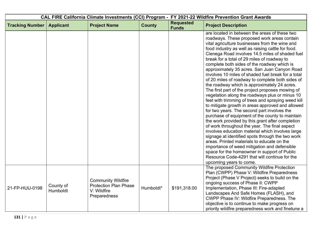| CAL FIRE California Climate Investments (CCI) Program - FY 2021-22 Wildfire Prevention Grant Awards |                       |                                                                                          |               |                                  |                                                                                                                                                                                                                                                                                                                                                                                                                                                                                                                                                                                                                                                                                                                                                                                                                                                                                                                                                                                                                                                                                                                                                                                                                                                                                                                         |  |
|-----------------------------------------------------------------------------------------------------|-----------------------|------------------------------------------------------------------------------------------|---------------|----------------------------------|-------------------------------------------------------------------------------------------------------------------------------------------------------------------------------------------------------------------------------------------------------------------------------------------------------------------------------------------------------------------------------------------------------------------------------------------------------------------------------------------------------------------------------------------------------------------------------------------------------------------------------------------------------------------------------------------------------------------------------------------------------------------------------------------------------------------------------------------------------------------------------------------------------------------------------------------------------------------------------------------------------------------------------------------------------------------------------------------------------------------------------------------------------------------------------------------------------------------------------------------------------------------------------------------------------------------------|--|
| <b>Tracking Number</b>                                                                              | <b>Applicant</b>      | <b>Project Name</b>                                                                      | <b>County</b> | <b>Requested</b><br><b>Funds</b> | <b>Project Description</b>                                                                                                                                                                                                                                                                                                                                                                                                                                                                                                                                                                                                                                                                                                                                                                                                                                                                                                                                                                                                                                                                                                                                                                                                                                                                                              |  |
|                                                                                                     |                       |                                                                                          |               |                                  | are located in between the areas of these two<br>roadways. These proposed work areas contain<br>vital agriculture businesses from the wine and<br>food industry as well as raising cattle for food.<br>Cienega Road involves 14.5 miles of shaded fuel<br>break for a total of 29 miles of roadway to<br>complete both sides of the roadway which is<br>approximately 35 acres. San Juan Canyon Road<br>involves 10 miles of shaded fuel break for a total<br>of 20 miles of roadway to complete both sides of<br>the roadway which is approximately 24 acres.<br>The first part of the project proposes mowing of<br>vegetation along the roadways plus or minus 10<br>feet with trimming of trees and spraying weed kill<br>to mitigate growth in areas approved and allowed<br>for two years. The second part involves the<br>purchase of equipment of the county to maintain<br>the work provided by this grant after completion<br>of work throughout the year. The final aspect<br>involves education material which involves large<br>signage at identified spots through the two work<br>areas. Printed materials to educate on the<br>importance of weed mitigation and defensible<br>space for the homeowner in support of Public<br>Resource Code-4291 that will continue for the<br>upcoming years to come. |  |
| 21-FP-HUU-0198                                                                                      | County of<br>Humboldt | <b>Community Wildfire</b><br><b>Protection Plan Phase</b><br>V: Wildfire<br>Preparedness | Humboldt*     | \$191,318.00                     | The proposed Community Wildfire Protection<br>Plan (CWPP) Phase V: Wildfire Preparedness<br>Project (Phase V Project) seeks to build on the<br>ongoing success of Phase II: CWPP<br>Implementation, Phase III: Fire-adapted<br>Landscapes And Safe Homes (FLASH), and<br>CWPP Phase IV: Wildfire Preparedness. The<br>objective is to continue to make progress on<br>priority wildfire preparedness work and finetune a                                                                                                                                                                                                                                                                                                                                                                                                                                                                                                                                                                                                                                                                                                                                                                                                                                                                                                |  |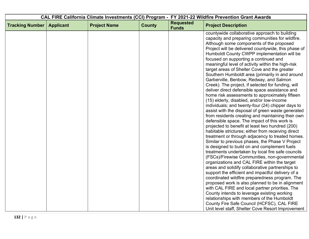| CAL FIRE California Climate Investments (CCI) Program - FY 2021-22 Wildfire Prevention Grant Awards |                  |                     |               |                                  |                                                                                                                                                                                                                                                                                                                                                                                                   |
|-----------------------------------------------------------------------------------------------------|------------------|---------------------|---------------|----------------------------------|---------------------------------------------------------------------------------------------------------------------------------------------------------------------------------------------------------------------------------------------------------------------------------------------------------------------------------------------------------------------------------------------------|
| <b>Tracking Number</b>                                                                              | <b>Applicant</b> | <b>Project Name</b> | <b>County</b> | <b>Requested</b><br><b>Funds</b> | <b>Project Description</b>                                                                                                                                                                                                                                                                                                                                                                        |
|                                                                                                     |                  |                     |               |                                  | countywide collaborative approach to building<br>capacity and preparing communities for wildfire.<br>Although some components of the proposed<br>Project will be delivered countywide, this phase of<br>Humboldt County CWPP implementation will be<br>focused on supporting a continued and<br>meaningful level of activity within the high-risk<br>target areas of Shelter Cove and the greater |
|                                                                                                     |                  |                     |               |                                  | Southern Humboldt area (primarily in and around<br>Garberville, Benbow, Redway, and Salmon<br>Creek). The project, if selected for funding, will<br>deliver direct defensible space assistance and<br>home risk assessments to approximately fifteen<br>(15) elderly, disabled, and/or low-income<br>individuals; and twenty-four (24) chipper days to                                            |
|                                                                                                     |                  |                     |               |                                  | assist with the disposal of green waste generated<br>from residents creating and maintaining their own<br>defensible space. The impact of this work is<br>projected to benefit at least two hundred (200)<br>habitable strictures; either from receiving direct<br>treatment or through adjacency to treated homes.<br>Similar to previous phases, the Phase V Project                            |
|                                                                                                     |                  |                     |               |                                  | is designed to build on and complement fuels<br>treatments undertaken by local fire safe councils<br>(FSCs)/Firewise Communities, non-governmental<br>organizations and CAL FIRE within the target<br>areas and solidify collaborative partnerships to<br>support the efficient and impactful delivery of a<br>coordinated wildfire preparedness program. The                                     |
|                                                                                                     |                  |                     |               |                                  | proposed work is also planned to be in alignment<br>with CAL FIRE and local partner priorities. The<br>County intends to leverage existing working<br>relationships with members of the Humboldt<br>County Fire Safe Council (HCFSC), CAL FIRE<br>Unit level staff, Shelter Cove Resort Improvement                                                                                               |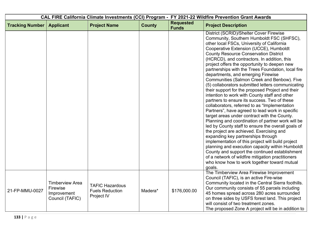| CAL FIRE California Climate Investments (CCI) Program - FY 2021-22 Wildfire Prevention Grant Awards |                                                                      |                                                                |               |                                  |                                                                                                                                                                                                                                                                                                                                                                                                                                                                                                                                                                                                                                                                                                                                                                                                                                                                                                                                                                                                                                                                                                                                                                                                                                                                                                           |  |
|-----------------------------------------------------------------------------------------------------|----------------------------------------------------------------------|----------------------------------------------------------------|---------------|----------------------------------|-----------------------------------------------------------------------------------------------------------------------------------------------------------------------------------------------------------------------------------------------------------------------------------------------------------------------------------------------------------------------------------------------------------------------------------------------------------------------------------------------------------------------------------------------------------------------------------------------------------------------------------------------------------------------------------------------------------------------------------------------------------------------------------------------------------------------------------------------------------------------------------------------------------------------------------------------------------------------------------------------------------------------------------------------------------------------------------------------------------------------------------------------------------------------------------------------------------------------------------------------------------------------------------------------------------|--|
| <b>Tracking Number</b>                                                                              | <b>Applicant</b>                                                     | <b>Project Name</b>                                            | <b>County</b> | <b>Requested</b><br><b>Funds</b> | <b>Project Description</b>                                                                                                                                                                                                                                                                                                                                                                                                                                                                                                                                                                                                                                                                                                                                                                                                                                                                                                                                                                                                                                                                                                                                                                                                                                                                                |  |
|                                                                                                     |                                                                      |                                                                |               |                                  | District (SCRID)/Shelter Cover Firewise<br>Community, Southern Humboldt FSC (SHFSC),<br>other local FSCs, University of California<br>Cooperative Extension (UCCE), Humboldt<br><b>County Resource Conservation District</b><br>(HCRCD), and contractors. In addition, this<br>project offers the opportunity to deepen new<br>partnerships with the Trees Foundation, local fire<br>departments, and emerging Firewise<br>Communities (Salmon Creek and Benbow). Five<br>(5) collaborators submitted letters communicating<br>their support for the proposed Project and their<br>intention to work with County staff and other<br>partners to ensure its success. Two of these<br>collaborators, referred to as "Implementation<br>Partners", have agreed to lead work in specific<br>target areas under contract with the County.<br>Planning and coordination of partner work will be<br>led by County staff to ensure the overall goals of<br>the project are achieved. Exercising and<br>expanding key partnerships through<br>implementation of this project will build project<br>planning and execution capacity within Humboldt<br>County and support the continued establishment<br>of a network of wildfire mitigation practitioners<br>who know how to work together toward mutual<br>goals. |  |
| 21-FP-MMU-0027                                                                                      | <b>Timberview Area</b><br>Firewise<br>Improvement<br>Council (TAFIC) | <b>TAFIC Hazardous</b><br><b>Fuels Reduction</b><br>Project IV | Madera*       | \$176,000.00                     | The Timberview Area Firewise Improvement<br>Council (TAFIC), is an active Fire-wise<br>Community located in the Central Sierra foothills.<br>Our community consists of 55 parcels including<br>45 homes spread across 280 acres surrounded<br>on three sides by USFS forest land. This project<br>will consist of two treatment zones.<br>The proposed Zone A project will be in addition to                                                                                                                                                                                                                                                                                                                                                                                                                                                                                                                                                                                                                                                                                                                                                                                                                                                                                                              |  |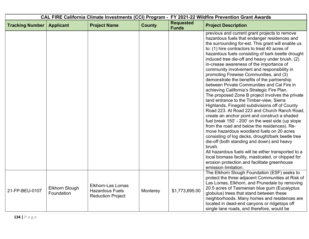| CAL FIRE California Climate Investments (CCI) Program - FY 2021-22 Wildfire Prevention Grant Awards |                                     |                                                                                |               |                                  |                                                                                                                                                                                                                                                                                                                                                                                                                                                                                                                                                                                                                                                                                                                                                                                                                                                                                                                                                                                                                                                                                                                                                                                                                                                                                                        |
|-----------------------------------------------------------------------------------------------------|-------------------------------------|--------------------------------------------------------------------------------|---------------|----------------------------------|--------------------------------------------------------------------------------------------------------------------------------------------------------------------------------------------------------------------------------------------------------------------------------------------------------------------------------------------------------------------------------------------------------------------------------------------------------------------------------------------------------------------------------------------------------------------------------------------------------------------------------------------------------------------------------------------------------------------------------------------------------------------------------------------------------------------------------------------------------------------------------------------------------------------------------------------------------------------------------------------------------------------------------------------------------------------------------------------------------------------------------------------------------------------------------------------------------------------------------------------------------------------------------------------------------|
| <b>Tracking Number</b>                                                                              | <b>Applicant</b>                    | <b>Project Name</b>                                                            | <b>County</b> | <b>Requested</b><br><b>Funds</b> | <b>Project Description</b>                                                                                                                                                                                                                                                                                                                                                                                                                                                                                                                                                                                                                                                                                                                                                                                                                                                                                                                                                                                                                                                                                                                                                                                                                                                                             |
|                                                                                                     |                                     |                                                                                |               |                                  | previous and current grant projects to remove<br>hazardous fuels that endanger residences and<br>the surrounding for-est. This grant will enable us<br>to: (1) hire contractors to treat 40 acres of<br>hazardous fuels consisting of bark beetle drought<br>induced tree die-off and heavy under brush, (2)<br>in-crease awareness of the importance of<br>community involvement and responsibility in<br>promoting Firewise Communities, and (3)<br>demonstrate the benefits of the partnership<br>between Private Communities and Cal Fire in<br>achieving California's Strategic Fire Plan.<br>The proposed Zone B project involves the private<br>land entrance to the Timber-view, Sierra<br>Highlands, Finegold subdivisions off of County<br>Road 223. At Road 223 and Church Ranch Road,<br>create an anchor point and construct a shaded<br>fuel break 150' - 200' on the west side (up slope<br>from the road and below the residences). Re-<br>move hazardous woodland fuels on 20 acres<br>consisting of log decks, drought/bark beetle tree<br>die-off (both standing and down) and heavy<br>brush.<br>All hazardous fuels will be either transported to a<br>local biomass facility, masticated, or chipped for<br>erosion protection and facilitate greenhouse<br>emission limitation. |
| 21-FP-BEU-0107                                                                                      | <b>Elkhorn Slough</b><br>Foundation | <b>Elkhorn-Las Lomas</b><br><b>Hazardous Fuels</b><br><b>Reduction Project</b> | Monterey      | \$1,773,695.00                   | The Elkhorn Slough Foundation (ESF) seeks to<br>protect the three adjacent Communities at Risk of<br>Las Lomas, Elkhorn, and Prunedale by removing<br>20.5 acres of Tasmanian blue gum (Eucalyptus<br>globulus) trees that stand between these<br>neighborhoods. Many homes and residences are<br>located in dead-end canyons or ridgetops off<br>single lane roads, and therefore, would be                                                                                                                                                                                                                                                                                                                                                                                                                                                                                                                                                                                                                                                                                                                                                                                                                                                                                                           |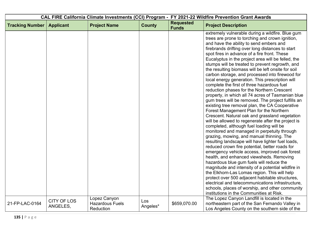| CAL FIRE California Climate Investments (CCI) Program - FY 2021-22 Wildfire Prevention Grant Awards |                                |                                                     |                 |                                  |                                                                                                                                                                                                                                                                                                                                                                                                                                                                                                                                                                                                                                                                                                                                                                                                                                                                                                                                                                                                                                                                                                                                                                                                                                                                                                                                                                                                                                                                                                                                                                                                                                          |
|-----------------------------------------------------------------------------------------------------|--------------------------------|-----------------------------------------------------|-----------------|----------------------------------|------------------------------------------------------------------------------------------------------------------------------------------------------------------------------------------------------------------------------------------------------------------------------------------------------------------------------------------------------------------------------------------------------------------------------------------------------------------------------------------------------------------------------------------------------------------------------------------------------------------------------------------------------------------------------------------------------------------------------------------------------------------------------------------------------------------------------------------------------------------------------------------------------------------------------------------------------------------------------------------------------------------------------------------------------------------------------------------------------------------------------------------------------------------------------------------------------------------------------------------------------------------------------------------------------------------------------------------------------------------------------------------------------------------------------------------------------------------------------------------------------------------------------------------------------------------------------------------------------------------------------------------|
| <b>Tracking Number</b>                                                                              | <b>Applicant</b>               | <b>Project Name</b>                                 | <b>County</b>   | <b>Requested</b><br><b>Funds</b> | <b>Project Description</b>                                                                                                                                                                                                                                                                                                                                                                                                                                                                                                                                                                                                                                                                                                                                                                                                                                                                                                                                                                                                                                                                                                                                                                                                                                                                                                                                                                                                                                                                                                                                                                                                               |
|                                                                                                     |                                |                                                     |                 |                                  | extremely vulnerable during a wildfire. Blue gum<br>trees are prone to torching and crown ignition,<br>and have the ability to send embers and<br>firebrands drifting over long distances to start<br>spot fires in advance of a fire front. These<br>Eucalyptus in the project area will be felled, the<br>stumps will be treated to prevent regrowth, and<br>the resulting biomass will be left onsite for soil<br>carbon storage, and processed into firewood for<br>local energy generation. This prescription will<br>complete the first of three hazardous fuel<br>reduction phases for the Northern Crescent<br>property, in which all 74 acres of Tasmanian blue<br>gum trees will be removed. The project fulfills an<br>existing tree removal plan, the CA Cooperative<br>Forest Management Plan for the Northern<br>Crescent. Natural oak and grassland vegetation<br>will be allowed to regenerate after the project is<br>completed, although fuel loading will be<br>monitored and managed in perpetuity through<br>grazing, mowing, and manual thinning. The<br>resulting landscape will have lighter fuel loads,<br>reduced crown fire potential, better roads for<br>emergency vehicle access, improved oak forest<br>health, and enhanced viewsheds. Removing<br>hazardous blue gum fuels will reduce the<br>magnitude and intensity of a potential wildfire in<br>the Elkhorn-Las Lomas region. This will help<br>protect over 500 adjacent habitable structures,<br>electrical and telecommunications infrastructure,<br>schools, places of worship, and other community<br>institutions in the Communities at Risk. |
| 21-FP-LAC-0164                                                                                      | <b>CITY OF LOS</b><br>ANGELES, | Lopez Canyon<br><b>Hazardous Fuels</b><br>Reduction | Los<br>Angeles* | \$659,070.00                     | The Lopez Canyon Landfill is located in the<br>northeastern part of the San Fernando Valley in<br>Los Angeles County on the southern side of the                                                                                                                                                                                                                                                                                                                                                                                                                                                                                                                                                                                                                                                                                                                                                                                                                                                                                                                                                                                                                                                                                                                                                                                                                                                                                                                                                                                                                                                                                         |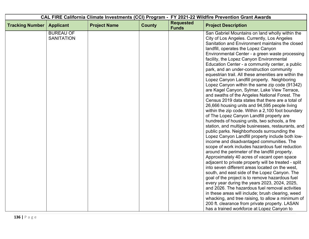| CAL FIRE California Climate Investments (CCI) Program - FY 2021-22 Wildfire Prevention Grant Awards |                   |                     |               |                                  |                                                                                               |
|-----------------------------------------------------------------------------------------------------|-------------------|---------------------|---------------|----------------------------------|-----------------------------------------------------------------------------------------------|
| <b>Tracking Number</b>                                                                              | <b>Applicant</b>  | <b>Project Name</b> | <b>County</b> | <b>Requested</b><br><b>Funds</b> | <b>Project Description</b>                                                                    |
|                                                                                                     | <b>BUREAU OF</b>  |                     |               |                                  | San Gabriel Mountains on land wholly within the                                               |
|                                                                                                     | <b>SANITATION</b> |                     |               |                                  | City of Los Angeles. Currently, Los Angeles                                                   |
|                                                                                                     |                   |                     |               |                                  | Sanitation and Environment maintains the closed                                               |
|                                                                                                     |                   |                     |               |                                  | landfill, operates the Lopez Canyon                                                           |
|                                                                                                     |                   |                     |               |                                  | Environmental Center - a green waste processing                                               |
|                                                                                                     |                   |                     |               |                                  | facility, the Lopez Canyon Environmental<br>Education Center - a community center, a public   |
|                                                                                                     |                   |                     |               |                                  | park, and an under-construction community                                                     |
|                                                                                                     |                   |                     |               |                                  | equestrian trail. All these amenities are within the                                          |
|                                                                                                     |                   |                     |               |                                  | Lopez Canyon Landfill property. Neighboring                                                   |
|                                                                                                     |                   |                     |               |                                  | Lopez Canyon within the same zip code (91342)                                                 |
|                                                                                                     |                   |                     |               |                                  | are Kagel Canyon, Sylmar, Lake View Terrace,                                                  |
|                                                                                                     |                   |                     |               |                                  | and swaths of the Angeles National Forest. The                                                |
|                                                                                                     |                   |                     |               |                                  | Census 2019 data states that there are a total of                                             |
|                                                                                                     |                   |                     |               |                                  | 26,666 housing units and 94,595 people living                                                 |
|                                                                                                     |                   |                     |               |                                  | within the zip code. Within a 2,100 foot boundary                                             |
|                                                                                                     |                   |                     |               |                                  | of The Lopez Canyon Landfill property are                                                     |
|                                                                                                     |                   |                     |               |                                  | hundreds of housing units, two schools, a fire                                                |
|                                                                                                     |                   |                     |               |                                  | station, and multiple businesses, restaurants, and                                            |
|                                                                                                     |                   |                     |               |                                  | public parks. Neighborhoods surrounding the                                                   |
|                                                                                                     |                   |                     |               |                                  | Lopez Canyon Landfill property include both low-<br>income and disadvantaged communities. The |
|                                                                                                     |                   |                     |               |                                  | scope of work includes hazardous fuel reduction                                               |
|                                                                                                     |                   |                     |               |                                  | around the perimeter of the landfill property.                                                |
|                                                                                                     |                   |                     |               |                                  | Approximately 40 acres of vacant open space                                                   |
|                                                                                                     |                   |                     |               |                                  | adjacent to private property will be treated - split                                          |
|                                                                                                     |                   |                     |               |                                  | into seven different areas located on the west,                                               |
|                                                                                                     |                   |                     |               |                                  | south, and east side of the Lopez Canyon. The                                                 |
|                                                                                                     |                   |                     |               |                                  | goal of the project is to remove hazardous fuel                                               |
|                                                                                                     |                   |                     |               |                                  | every year during the years 2023, 2024, 2025,                                                 |
|                                                                                                     |                   |                     |               |                                  | and 2026. The hazardous fuel removal activities                                               |
|                                                                                                     |                   |                     |               |                                  | in these areas will include; brush clearing, weed                                             |
|                                                                                                     |                   |                     |               |                                  | whacking, and tree raising, to allow a minimum of                                             |
|                                                                                                     |                   |                     |               |                                  | 200 ft. clearance from private property. LASAN                                                |
|                                                                                                     |                   |                     |               |                                  | has a trained workforce at Lopez Canyon to                                                    |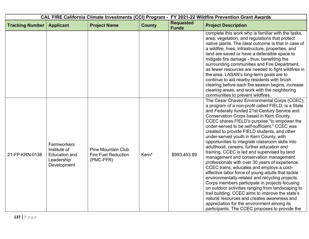| CAL FIRE California Climate Investments (CCI) Program - FY 2021-22 Wildfire Prevention Grant Awards |                                                                                  |                                                                      |               |                                  |                                                                                                                                                                                                                                                                                                                                                                                                                                                                                                                                                                                                                                                                                                                                                                                                                                                                                                                                                                                                                                                                                                         |
|-----------------------------------------------------------------------------------------------------|----------------------------------------------------------------------------------|----------------------------------------------------------------------|---------------|----------------------------------|---------------------------------------------------------------------------------------------------------------------------------------------------------------------------------------------------------------------------------------------------------------------------------------------------------------------------------------------------------------------------------------------------------------------------------------------------------------------------------------------------------------------------------------------------------------------------------------------------------------------------------------------------------------------------------------------------------------------------------------------------------------------------------------------------------------------------------------------------------------------------------------------------------------------------------------------------------------------------------------------------------------------------------------------------------------------------------------------------------|
| <b>Tracking Number</b>                                                                              | <b>Applicant</b>                                                                 | <b>Project Name</b>                                                  | <b>County</b> | <b>Requested</b><br><b>Funds</b> | <b>Project Description</b>                                                                                                                                                                                                                                                                                                                                                                                                                                                                                                                                                                                                                                                                                                                                                                                                                                                                                                                                                                                                                                                                              |
|                                                                                                     |                                                                                  |                                                                      |               |                                  | complete this work who is familiar with the tasks,<br>area, vegetation, and regulations that protect<br>native plants. The ideal outcome is that in case of<br>a wildfire, lives, infrastructure, properties, and<br>land are saved or have a defensible space to<br>mitigate fire damage - thus, benefiting the<br>surrounding communities and Fire Department,<br>as fewer resources are needed to fight wildfires in<br>the area. LASAN's long-term goals are to<br>continue to aid nearby residents with brush<br>clearing before each fire season begins, increase<br>clearing areas, and work with the neighboring<br>communities to prevent wildfires.                                                                                                                                                                                                                                                                                                                                                                                                                                           |
| 21-FP-KRN-0138                                                                                      | Farmworkers<br>Institute of<br><b>Education and</b><br>Leadership<br>Development | <b>Pine Mountain Club</b><br><b>Fire Fuel Reduction</b><br>(PMC-FFR) | Kern*         | \$993,453.89                     | The Cesar Chavez Environmental Corps (CCEC),<br>a program of a non-profit called FIELD, is a State<br>and Federally funded 21st Century Service and<br>Conservation Corps based in Kern County.<br>CCEC shares FIELD's purpose "to empower the<br>under-served to be self-sufficient." CCEC was<br>created to provide FIELD students, and other<br>under-served youth in Kern County, with<br>opportunities to integrate classroom skills into<br>adulthood, careers, further education and<br>training. CCEC is led and supervised by land<br>management and conservation management<br>professionals with over 30 years of experience.<br>CCEC trains, educates and employs a cost-<br>effective labor force of young adults that tackle<br>environmentally-related and recycling projects.<br>Corps members participate in projects focusing<br>on outdoor activities ranging from landscaping to<br>trail building. CCEC aims to improve the state's<br>natural resources and creates awareness and<br>appreciation for the environment among its<br>participants. The CCEC proposes to provide the |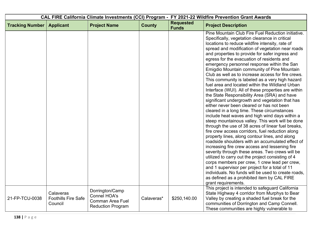| CAL FIRE California Climate Investments (CCI) Program - FY 2021-22 Wildfire Prevention Grant Awards |                                                    |                                                                                               |               |                                  |                                                                                                                                                                                                                                                                                                                                                                                                                                                                                                                                                                                                                                                                                                                                                                                                                                                                                                                                                                                                                                                                                                                                                                                                                                                                                                                                                                                                                                                                                                                                              |
|-----------------------------------------------------------------------------------------------------|----------------------------------------------------|-----------------------------------------------------------------------------------------------|---------------|----------------------------------|----------------------------------------------------------------------------------------------------------------------------------------------------------------------------------------------------------------------------------------------------------------------------------------------------------------------------------------------------------------------------------------------------------------------------------------------------------------------------------------------------------------------------------------------------------------------------------------------------------------------------------------------------------------------------------------------------------------------------------------------------------------------------------------------------------------------------------------------------------------------------------------------------------------------------------------------------------------------------------------------------------------------------------------------------------------------------------------------------------------------------------------------------------------------------------------------------------------------------------------------------------------------------------------------------------------------------------------------------------------------------------------------------------------------------------------------------------------------------------------------------------------------------------------------|
| <b>Tracking Number</b>                                                                              | <b>Applicant</b>                                   | <b>Project Name</b>                                                                           | <b>County</b> | <b>Requested</b><br><b>Funds</b> | <b>Project Description</b>                                                                                                                                                                                                                                                                                                                                                                                                                                                                                                                                                                                                                                                                                                                                                                                                                                                                                                                                                                                                                                                                                                                                                                                                                                                                                                                                                                                                                                                                                                                   |
|                                                                                                     |                                                    |                                                                                               |               |                                  | Pine Mountain Club Fire Fuel Reduction initiative.<br>Specifically, vegetation clearance in critical<br>locations to reduce wildfire intensity, rate of<br>spread and modification of vegetation near roads<br>and properties to provide for safer ingress and<br>egress for the evacuation of residents and<br>emergency personnel response within the San<br>Emigdio Mountain community of Pine Mountain<br>Club as well as to increase access for fire crews.<br>This community is labeled as a very high hazard<br>fuel area and located within the Wildland Urban<br>Interface (WUI). All of these properties are within<br>the State Responsibility Area (SRA) and have<br>significant undergrowth and vegetation that has<br>either never been cleared or has not been<br>cleared in a long time. These circumstances<br>include heat waves and high wind days within a<br>steep mountainous valley. This work will be done<br>through the use of 38 acres of linear fuel breaks,<br>fire crew access corridors, fuel reduction along<br>property lines, along contour lines, and along<br>roadside shoulders with an accumulated effect of<br>increasing fire crew access and lessening fire<br>severity through these areas. Two crews will be<br>utilized to carry out the project consisting of 4<br>corps members per crew, 1 crew lead per crew,<br>and 1 supervisor per project for a total of 11<br>individuals. No funds will be used to create roads,<br>as defined as a prohibited item by CAL FIRE<br>grant requirements. |
| 21-FP-TCU-0038                                                                                      | Calaveras<br><b>Foothills Fire Safe</b><br>Council | Dorrington/Camp<br><b>Connel HOA's</b><br><b>Comman Area Fuel</b><br><b>Reduction Program</b> | Calaveras*    | \$250,140.00                     | This project is intended to safeguard California<br>State Highway 4 corridor from Murphys to Bear<br>Valley by creating a shaded fuel break for the<br>communities of Dorrington and Camp Connell.<br>These communities are highly vulnerable to                                                                                                                                                                                                                                                                                                                                                                                                                                                                                                                                                                                                                                                                                                                                                                                                                                                                                                                                                                                                                                                                                                                                                                                                                                                                                             |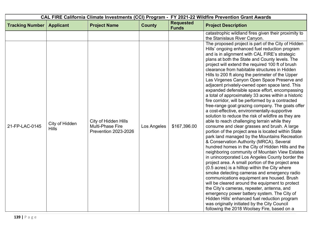|                        |                                |                                                                         |               | CAL FIRE California Climate Investments (CCI) Program - FY 2021-22 Wildfire Prevention Grant Awards |                                                                                                                                                                                                                                                                                                                                                                                                                                                                                                                                                                                                                                                                                                                                                                                                                                                                                                                                                                                                                                                                                                                                                                                                                                                                                                                                                                                                                                                                                                                                                                                                                                                                                                                                                                                                     |
|------------------------|--------------------------------|-------------------------------------------------------------------------|---------------|-----------------------------------------------------------------------------------------------------|-----------------------------------------------------------------------------------------------------------------------------------------------------------------------------------------------------------------------------------------------------------------------------------------------------------------------------------------------------------------------------------------------------------------------------------------------------------------------------------------------------------------------------------------------------------------------------------------------------------------------------------------------------------------------------------------------------------------------------------------------------------------------------------------------------------------------------------------------------------------------------------------------------------------------------------------------------------------------------------------------------------------------------------------------------------------------------------------------------------------------------------------------------------------------------------------------------------------------------------------------------------------------------------------------------------------------------------------------------------------------------------------------------------------------------------------------------------------------------------------------------------------------------------------------------------------------------------------------------------------------------------------------------------------------------------------------------------------------------------------------------------------------------------------------------|
| <b>Tracking Number</b> | <b>Applicant</b>               | <b>Project Name</b>                                                     | <b>County</b> | <b>Requested</b><br><b>Funds</b>                                                                    | <b>Project Description</b>                                                                                                                                                                                                                                                                                                                                                                                                                                                                                                                                                                                                                                                                                                                                                                                                                                                                                                                                                                                                                                                                                                                                                                                                                                                                                                                                                                                                                                                                                                                                                                                                                                                                                                                                                                          |
| 21-FP-LAC-0145         | City of Hidden<br><b>Hills</b> | City of Hidden Hills<br>Multi-Phase Fire<br><b>Prevention 2023-2026</b> | Los Angeles   | \$167,396.00                                                                                        | catastrophic wildland fires given their proximity to<br>the Stanislaus River Canyon.<br>The proposed project is part of the City of Hidden<br>Hills' ongoing enhanced fuel reduction program<br>and is in alignment with CAL FIRE's strategic<br>plans at both the State and County levels. The<br>project will extend the required 100 ft of brush<br>clearance from habitable structures in Hidden<br>Hills to 200 ft along the perimeter of the Upper<br>Las Virgenes Canyon Open Space Preserve and<br>adjacent privately-owned open space land. This<br>expanded defensible space effort, encompassing<br>a total of approximately 33 acres within a historic<br>fire corridor, will be performed by a contracted<br>free-range goat grazing company. The goats offer<br>a cost-effective, environmentally-supportive<br>solution to reduce the risk of wildfire as they are<br>able to reach challenging terrain while they<br>consume and clear grasses and brush. A large<br>portion of the project area is located within State<br>park land managed by the Mountains Recreation<br>& Conservation Authority (MRCA). Several<br>hundred homes in the City of Hidden Hills and the<br>neighboring community of Mountain View Estates<br>in unincorporated Los Angeles County border the<br>project area. A small portion of the project area<br>(0.5 acres) is a hilltop within the City where<br>smoke detecting cameras and emergency radio<br>communications equipment are housed. Brush<br>will be cleared around the equipment to protect<br>the City's cameras, repeater, antenna, and<br>emergency power battery system. The City of<br>Hidden Hills' enhanced fuel reduction program<br>was originally initiated by the City Council<br>following the 2018 Woolsey Fire, based on a |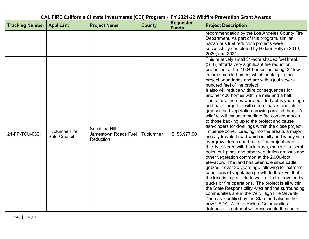| CAL FIRE California Climate Investments (CCI) Program - FY 2021-22 Wildfire Prevention Grant Awards |                                      |                                                      |               |                                  |                                                                                                                                                                                                                                                                                                                                                                                                                                                                                                                                                                                                                                                                                                                                                                                                                                                                                                                                                                                                                                                                                                                                                                                                                                                                                                                                                                                                                                                                                                                                                               |
|-----------------------------------------------------------------------------------------------------|--------------------------------------|------------------------------------------------------|---------------|----------------------------------|---------------------------------------------------------------------------------------------------------------------------------------------------------------------------------------------------------------------------------------------------------------------------------------------------------------------------------------------------------------------------------------------------------------------------------------------------------------------------------------------------------------------------------------------------------------------------------------------------------------------------------------------------------------------------------------------------------------------------------------------------------------------------------------------------------------------------------------------------------------------------------------------------------------------------------------------------------------------------------------------------------------------------------------------------------------------------------------------------------------------------------------------------------------------------------------------------------------------------------------------------------------------------------------------------------------------------------------------------------------------------------------------------------------------------------------------------------------------------------------------------------------------------------------------------------------|
| <b>Tracking Number</b>                                                                              | <b>Applicant</b>                     | <b>Project Name</b>                                  | <b>County</b> | <b>Requested</b><br><b>Funds</b> | <b>Project Description</b>                                                                                                                                                                                                                                                                                                                                                                                                                                                                                                                                                                                                                                                                                                                                                                                                                                                                                                                                                                                                                                                                                                                                                                                                                                                                                                                                                                                                                                                                                                                                    |
|                                                                                                     |                                      |                                                      |               |                                  | recommendation by the Los Angeles County Fire<br>Department. As part of this program, similar<br>hazardous fuel reduction projects were<br>successfully completed by Hidden Hills in 2019,<br>2020, and 2021.                                                                                                                                                                                                                                                                                                                                                                                                                                                                                                                                                                                                                                                                                                                                                                                                                                                                                                                                                                                                                                                                                                                                                                                                                                                                                                                                                 |
| 21-FP-TCU-0331                                                                                      | <b>Tuolumne Fire</b><br>Safe Council | Sunshine Hill /<br>Jamestown Roads Fuel<br>Reduction | Tuolumne*     | \$153,977.00                     | This relatively small 31-acre shaded fuel break<br>(SFB) affords very significant fire reduction<br>protection for the 100+ homes including, 32 low-<br>income mobile homes, which back up to the<br>project boundaries and are within just several<br>hundred feet of the project.<br>It also will reduce wildfire consequences for<br>another 400 homes within a mile and a half.<br>These rural homes were built forty plus years ago<br>and have large lots with open spaces and lots of<br>grasses and vegetation growing around them. A<br>wildfire will cause immediate fire consequences<br>to those backing up to the project and cause<br>ash/cinders for dwellings within the close project<br>influence zone. Leading into the area is a major<br>heavily traveled road which is hilly and windy with<br>overgrown trees and brush. The project area is<br>thickly covered with buck brush, manzanita, scrub<br>oaks, bull pines and other vegetation grasses and<br>other vegetation common at the 2,000-foot<br>elevation. The land has been idle since cattle<br>grazed it over 30 years ago, allowing for extreme<br>conditions of vegetation growth to the level that<br>the land is impossible to walk or to be traveled by<br>trucks or fire operations. The project is all within<br>the State Responsibility Area and the surrounding<br>communities are in the Very High Fire Severity<br>Zone as identified by the State and also in the<br>new USDA "Wildfire Risk to Communities"<br>database. Treatment will necessitate the use of |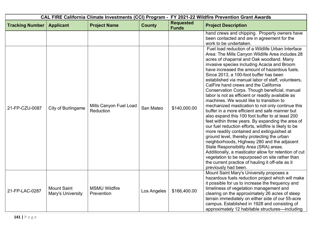| CAL FIRE California Climate Investments (CCI) Program - FY 2021-22 Wildfire Prevention Grant Awards |                                         |                                     |               |                                  |                                                                                                                                                                                                                                                                                                                                                                                                                                                                                                                                                                                                                                                                                                                                                                                                                                                                                                                                                                                                                                                                                                                                                                                                    |
|-----------------------------------------------------------------------------------------------------|-----------------------------------------|-------------------------------------|---------------|----------------------------------|----------------------------------------------------------------------------------------------------------------------------------------------------------------------------------------------------------------------------------------------------------------------------------------------------------------------------------------------------------------------------------------------------------------------------------------------------------------------------------------------------------------------------------------------------------------------------------------------------------------------------------------------------------------------------------------------------------------------------------------------------------------------------------------------------------------------------------------------------------------------------------------------------------------------------------------------------------------------------------------------------------------------------------------------------------------------------------------------------------------------------------------------------------------------------------------------------|
| <b>Tracking Number</b>                                                                              | <b>Applicant</b>                        | <b>Project Name</b>                 | <b>County</b> | <b>Requested</b><br><b>Funds</b> | <b>Project Description</b>                                                                                                                                                                                                                                                                                                                                                                                                                                                                                                                                                                                                                                                                                                                                                                                                                                                                                                                                                                                                                                                                                                                                                                         |
|                                                                                                     |                                         |                                     |               |                                  | hand crews and chipping. Property owners have<br>been contacted and are in agreement for the<br>work to be undertaken.                                                                                                                                                                                                                                                                                                                                                                                                                                                                                                                                                                                                                                                                                                                                                                                                                                                                                                                                                                                                                                                                             |
| 21-FP-CZU-0087                                                                                      | City of Burlingame                      | Mills Canyon Fuel Load<br>Reduction | San Mateo     | \$140,000.00                     | Fuel load reduction of a Wildlife Urban Interface<br>Area: The Mills Canyon Wildlife Area includes 28<br>acres of chaparral and Oak woodland. Many<br>invasive species including Acacia and Broom<br>have increased the amount of hazardous fuels.<br>Since 2013, a 100-foot buffer has been<br>established via manual labor of staff, volunteers,<br>CalFire hand crews and the California<br>Conservation Corps. Though beneficial, manual<br>labor is not as efficient or readily available as<br>machines. We would like to transition to<br>mechanized mastication to not only continue this<br>buffer in a more efficient and safe manner but<br>also expand this 100 foot buffer to at least 200<br>feet within three years. By expanding the area of<br>our fuel reduction efforts, wildfire is likely to be<br>more readily contained and extinguished at<br>ground level, thereby protecting the urban<br>neighborhoods, Highway 280 and the adjacent<br>State Responsibility Area (SRA) areas.<br>Additionally, a masticator allow for retention of cut<br>vegetation to be repurposed on site rather than<br>the current practice of hauling it off-site as it<br>previously had been. |
| 21-FP-LAC-0287                                                                                      | <b>Mount Saint</b><br>Mary's University | <b>MSMU Wildfire</b><br>Prevention  | Los Angeles   | \$166,400.00                     | Mount Saint Mary's University proposes a<br>hazardous fuels reduction project which will make<br>it possible for us to increase the frequency and<br>timeliness of vegetation management and<br>clearing on the approximately 26 acres of steep<br>terrain immediately on either side of our 55-acre<br>campus. Established in 1928 and consisting of<br>approximately 12 habitable structures—including                                                                                                                                                                                                                                                                                                                                                                                                                                                                                                                                                                                                                                                                                                                                                                                           |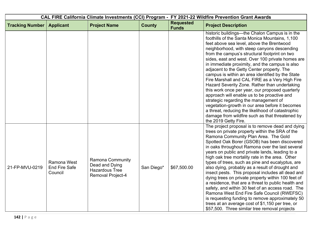| CAL FIRE California Climate Investments (CCI) Program - FY 2021-22 Wildfire Prevention Grant Awards |                                                |                                                                                         |               |                                  |                                                                                                                                                                                                                                                                                                                                                                                                                                                                                                                                                                                                                                                                                                                                                                                                                                                                                           |
|-----------------------------------------------------------------------------------------------------|------------------------------------------------|-----------------------------------------------------------------------------------------|---------------|----------------------------------|-------------------------------------------------------------------------------------------------------------------------------------------------------------------------------------------------------------------------------------------------------------------------------------------------------------------------------------------------------------------------------------------------------------------------------------------------------------------------------------------------------------------------------------------------------------------------------------------------------------------------------------------------------------------------------------------------------------------------------------------------------------------------------------------------------------------------------------------------------------------------------------------|
| <b>Tracking Number</b>                                                                              | <b>Applicant</b>                               | <b>Project Name</b>                                                                     | <b>County</b> | <b>Requested</b><br><b>Funds</b> | <b>Project Description</b>                                                                                                                                                                                                                                                                                                                                                                                                                                                                                                                                                                                                                                                                                                                                                                                                                                                                |
|                                                                                                     |                                                |                                                                                         |               |                                  | historic buildings—the Chalon Campus is in the<br>foothills of the Santa Monica Mountains, 1,100<br>feet above sea level, above the Brentwood<br>neighborhood, with steep canyons descending<br>from the campus's structural footprint on two<br>sides, east and west. Over 100 private homes are<br>in immediate proximity, and the campus is also<br>adjacent to the Getty Center property. The<br>campus is within an area identified by the State<br>Fire Marshall and CAL FIRE as a Very High Fire<br>Hazard Severity Zone. Rather than undertaking<br>this work once per year, our proposed quarterly<br>approach will enable us to be proactive and<br>strategic regarding the management of<br>vegetation-growth in our area before it becomes<br>a threat, reducing the likelihood of catastrophic<br>damage from wildfire such as that threatened by<br>the 2019 Getty Fire.    |
| 21-FP-MVU-0219                                                                                      | Ramona West<br><b>End Fire Safe</b><br>Council | <b>Ramona Community</b><br>Dead and Dying<br><b>Hazardous Tree</b><br>Removal Project-4 | San Diego*    | \$67,500.00                      | The project proposal is to remove dead and dying<br>trees on private property within the SRA of the<br>Ramona Community Plan Area. The Gold<br>Spotted Oak Borer (GSOB) has been discovered<br>in oaks throughout Ramona over the last several<br>years on public and private lands, leading to a<br>high oak tree mortality rate in the area. Other<br>types of trees, such as pine and eucalyptus, are<br>also dying, probably as a result of drought and<br>insect pests. This proposal includes all dead and<br>dying trees on private property within 100 feet of<br>a residence, that are a threat to public health and<br>safety, and within 30 feet of an access road. The<br>Ramona West End Fire Safe Council (RWEFSC)<br>is requesting funding to remove approximately 50<br>trees at an average cost of \$1,150 per tree, or<br>\$57,500. Three similar tree removal projects |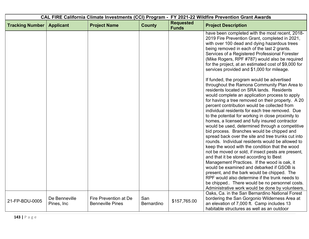| CAL FIRE California Climate Investments (CCI) Program - FY 2021-22 Wildfire Prevention Grant Awards |                              |                                                  |                   |                                  |                                                                                                                                                                                                                                                                                                                                                                                                                                                                                                                                                                                                                                                                                                                                                                                                                                                                                                                                                                                                                                                                        |
|-----------------------------------------------------------------------------------------------------|------------------------------|--------------------------------------------------|-------------------|----------------------------------|------------------------------------------------------------------------------------------------------------------------------------------------------------------------------------------------------------------------------------------------------------------------------------------------------------------------------------------------------------------------------------------------------------------------------------------------------------------------------------------------------------------------------------------------------------------------------------------------------------------------------------------------------------------------------------------------------------------------------------------------------------------------------------------------------------------------------------------------------------------------------------------------------------------------------------------------------------------------------------------------------------------------------------------------------------------------|
| <b>Tracking Number</b>                                                                              | <b>Applicant</b>             | <b>Project Name</b>                              | <b>County</b>     | <b>Requested</b><br><b>Funds</b> | <b>Project Description</b>                                                                                                                                                                                                                                                                                                                                                                                                                                                                                                                                                                                                                                                                                                                                                                                                                                                                                                                                                                                                                                             |
|                                                                                                     |                              |                                                  |                   |                                  | have been completed with the most recent, 2018-<br>2019 Fire Prevention Grant, completed in 2021,<br>with over 100 dead and dying hazardous trees<br>being removed in each of the last 2 grants.<br>Services of a Registered Professional Forester<br>(Mike Rogers, RPF #787) would also be required<br>for the project, at an estimated cost of \$9,000 for<br>services provided and \$1,000 for mileage.                                                                                                                                                                                                                                                                                                                                                                                                                                                                                                                                                                                                                                                             |
|                                                                                                     |                              |                                                  |                   |                                  | If funded, the program would be advertised<br>throughout the Ramona Community Plan Area to<br>residents located on SRA lands. Residents<br>would complete an application process to apply<br>for having a tree removed on their property. A 20<br>percent contribution would be collected from<br>individual residents for each tree removed. Due<br>to the potential for working in close proximity to<br>homes, a licensed and fully insured contractor<br>would be used, determined through a competitive<br>bid process. Branches would be chipped and<br>spread back over the site and tree trunks cut into<br>rounds. Individual residents would be allowed to<br>keep the wood with the condition that the wood<br>not be moved or sold, if insect pests are present,<br>and that it be stored according to Best<br>Management Practices. If the wood is oak, it<br>would be examined and debarked if GSOB is<br>present, and the bark would be chipped. The<br>RPF would also determine if the trunk needs to<br>be chipped There would be no personnel costs. |
| 21-FP-BDU-0005                                                                                      | De Benneville<br>Pines, Inc. | Fire Prevention at De<br><b>Benneville Pines</b> | San<br>Bernardino | \$157,765.00                     | Administrative work would be done by volunteers.<br>Oaks, Ca. in the San Bernardino National Forest<br>bordering the San Gorgonio Wilderness Area at<br>an elevation of 7,000 ft. Camp includes 13<br>habitable structures as well as an outdoor                                                                                                                                                                                                                                                                                                                                                                                                                                                                                                                                                                                                                                                                                                                                                                                                                       |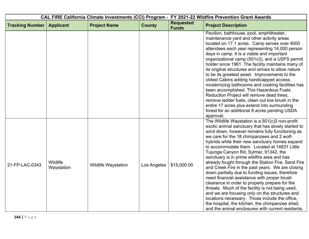| CAL FIRE California Climate Investments (CCI) Program - FY 2021-22 Wildfire Prevention Grant Awards |                        |                            |               |                                  |                                                                                                                                                                                                                                                                                                                                                                                                                                                                                                                                                                                                                                                                                                                                                                                                                                                                                                                                 |
|-----------------------------------------------------------------------------------------------------|------------------------|----------------------------|---------------|----------------------------------|---------------------------------------------------------------------------------------------------------------------------------------------------------------------------------------------------------------------------------------------------------------------------------------------------------------------------------------------------------------------------------------------------------------------------------------------------------------------------------------------------------------------------------------------------------------------------------------------------------------------------------------------------------------------------------------------------------------------------------------------------------------------------------------------------------------------------------------------------------------------------------------------------------------------------------|
| <b>Tracking Number</b>                                                                              | <b>Applicant</b>       | <b>Project Name</b>        | <b>County</b> | <b>Requested</b><br><b>Funds</b> | <b>Project Description</b>                                                                                                                                                                                                                                                                                                                                                                                                                                                                                                                                                                                                                                                                                                                                                                                                                                                                                                      |
|                                                                                                     |                        |                            |               |                                  | Pavilion, bathhouse, pool, amphitheater,<br>maintenance yard and other activity areas<br>located on 17.1 acres. Camp serves over 4000<br>attendees each year representing 14,000 person<br>days in camp. It is a viable and important<br>organizational camp (501c3), and a USFS permit<br>holder since 1961. The facility maintains many of<br>its original structures and strives to allow nature<br>to be its greatest asset. Improvements to the<br>oldest Cabins adding handicapped access,<br>modernizing bathrooms and cooking facilities has<br>been accomplished. This Hazardous Fuels<br>Reduction Project will remove dead trees,<br>remove ladder fuels, clean out low brush in the<br>entire 17 acres plus extend into surrounding<br>forest for an additional 8 acres pending USDA<br>approval.                                                                                                                   |
| 21-FP-LAC-0343                                                                                      | Wildlife<br>Waystation | <b>Wildlife Waystation</b> | Los Angeles   | \$15,000.00                      | The Wildlife Waystation is a 501(c)3 non-profit<br>exotic animal sanctuary that has slowly started to<br>wind down, however remains fully functioning as<br>we care for the 18 chimpanzees and 2 wolf-<br>hybrids while their new sanctuary homes expand<br>to accommodate them. Located at 14831 Little<br>Tujunga Canyon Rd, Sylmar, 91342, the<br>sanctuary is in prime wildfire area and has<br>already fought through the Station Fire, Sand Fire<br>and Creek Fire in the past years. We are closing<br>down partially due to funding issues, therefore<br>need financial assistance with proper brush<br>clearance in order to properly prepare for fire<br>threats. Much of the facility is not being used,<br>and we are focusing only on the structures and<br>locations necessary. Those include the office,<br>the hospital, the kitchen, the chimpanzee shed,<br>and the animal enclosures with current residents, |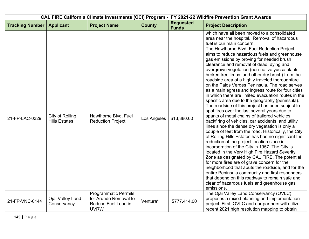|                        |                                         |                                                                                            |               | CAL FIRE California Climate Investments (CCI) Program - FY 2021-22 Wildfire Prevention Grant Awards |                                                                                                                                                                                                                                                                                                                                                                                                                                                                                                                                                                                                                                                                                                                                                                                                                                                                                                                                                                                                                                                                                                                                                                                                                                                                             |
|------------------------|-----------------------------------------|--------------------------------------------------------------------------------------------|---------------|-----------------------------------------------------------------------------------------------------|-----------------------------------------------------------------------------------------------------------------------------------------------------------------------------------------------------------------------------------------------------------------------------------------------------------------------------------------------------------------------------------------------------------------------------------------------------------------------------------------------------------------------------------------------------------------------------------------------------------------------------------------------------------------------------------------------------------------------------------------------------------------------------------------------------------------------------------------------------------------------------------------------------------------------------------------------------------------------------------------------------------------------------------------------------------------------------------------------------------------------------------------------------------------------------------------------------------------------------------------------------------------------------|
| <b>Tracking Number</b> | <b>Applicant</b>                        | <b>Project Name</b>                                                                        | <b>County</b> | <b>Requested</b><br><b>Funds</b>                                                                    | <b>Project Description</b>                                                                                                                                                                                                                                                                                                                                                                                                                                                                                                                                                                                                                                                                                                                                                                                                                                                                                                                                                                                                                                                                                                                                                                                                                                                  |
| 21-FP-LAC-0329         | City of Rolling<br><b>Hills Estates</b> | Hawthorne Blvd. Fuel<br><b>Reduction Project</b>                                           | Los Angeles   | \$13,380.00                                                                                         | which have all been moved to a consolidated<br>area near the hospital. Removal of hazardous<br>fuel is our main concern.<br>The Hawthorne Blvd. Fuel Reduction Project<br>aims to reduce hazardous fuels and greenhouse<br>gas emissions by proving for needed brush<br>clearance and removal of dead, dying and<br>overgrown vegetation (non-native yucca plants,<br>broken tree limbs, and other dry brush) from the<br>roadside area of a highly traveled thoroughfare<br>on the Palos Verdes Peninsula. The road serves<br>as a main egress and ingress route for four cities<br>in which there are limited evacuation routes in the<br>specific area due to the geography (peninsula).<br>The roadside of this project has been subject to<br>spot fires over the last several years due to<br>sparks of metal chains of trailered vehicles,<br>backfiring of vehicles, car accidents, and utility<br>lines since the dense dry vegetation is only a<br>couple of feet from the road. Historically, the City<br>of Rolling Hills Estates has had no significant fuel<br>reduction at the project location since in<br>incorporation of the City in 1957. The City is<br>located in the Very High Fire Hazard Severity<br>Zone as designated by CAL FIRE. The potential |
|                        |                                         |                                                                                            |               |                                                                                                     | for more fires are of grave concern for the<br>neighborhood that abuts the roadside, and for the<br>entire Peninsula community and first responders<br>that depend on this roadway to remain safe and<br>clear of hazardous fuels and greenhouse gas<br>emissions.                                                                                                                                                                                                                                                                                                                                                                                                                                                                                                                                                                                                                                                                                                                                                                                                                                                                                                                                                                                                          |
| 21-FP-VNC-0144         | Ojai Valley Land<br>Conservancy         | <b>Programmatic Permits</b><br>for Arundo Removal to<br>Reduce Fuel Load in<br><b>UVRW</b> | Ventura*      | \$777,414.00                                                                                        | The Ojai Valley Land Conservancy (OVLC)<br>proposes a mixed planning and implementation<br>project. First, OVLC and our partners will utilize<br>recent 2021 high resolution mapping to obtain                                                                                                                                                                                                                                                                                                                                                                                                                                                                                                                                                                                                                                                                                                                                                                                                                                                                                                                                                                                                                                                                              |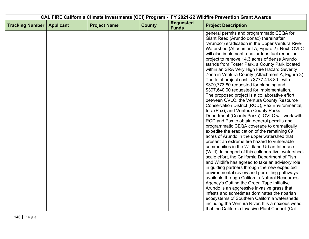| CAL FIRE California Climate Investments (CCI) Program - FY 2021-22 Wildfire Prevention Grant Awards |                  |                     |               |                                  |                                                                                                  |
|-----------------------------------------------------------------------------------------------------|------------------|---------------------|---------------|----------------------------------|--------------------------------------------------------------------------------------------------|
| <b>Tracking Number</b>                                                                              | <b>Applicant</b> | <b>Project Name</b> | <b>County</b> | <b>Requested</b><br><b>Funds</b> | <b>Project Description</b>                                                                       |
|                                                                                                     |                  |                     |               |                                  | general permits and programmatic CEQA for                                                        |
|                                                                                                     |                  |                     |               |                                  | Giant Reed (Arundo donax) (hereinafter                                                           |
|                                                                                                     |                  |                     |               |                                  | "Arundo") eradication in the Upper Ventura River                                                 |
|                                                                                                     |                  |                     |               |                                  | Watershed (Attachment A, Figure 2). Next, OVLC<br>will also implement a hazardous fuel reduction |
|                                                                                                     |                  |                     |               |                                  | project to remove 14.3 acres of dense Arundo                                                     |
|                                                                                                     |                  |                     |               |                                  | stands from Foster Park, a County Park located                                                   |
|                                                                                                     |                  |                     |               |                                  | within an SRA Very High Fire Hazard Severity                                                     |
|                                                                                                     |                  |                     |               |                                  | Zone in Ventura County (Attachment A, Figure 3).                                                 |
|                                                                                                     |                  |                     |               |                                  | The total project cost is \$777,413.80 - with                                                    |
|                                                                                                     |                  |                     |               |                                  | \$379,773.80 requested for planning and                                                          |
|                                                                                                     |                  |                     |               |                                  | \$397,640.00 requested for implementation.                                                       |
|                                                                                                     |                  |                     |               |                                  | The proposed project is a collaborative effort                                                   |
|                                                                                                     |                  |                     |               |                                  | between OVLC, the Ventura County Resource                                                        |
|                                                                                                     |                  |                     |               |                                  | Conservation District (RCD), Pax Environmental,                                                  |
|                                                                                                     |                  |                     |               |                                  | Inc. (Pax), and Ventura County Parks                                                             |
|                                                                                                     |                  |                     |               |                                  | Department (County Parks). OVLC will work with                                                   |
|                                                                                                     |                  |                     |               |                                  | RCD and Pax to obtain general permits and                                                        |
|                                                                                                     |                  |                     |               |                                  | programmatic CEQA coverage to dramatically                                                       |
|                                                                                                     |                  |                     |               |                                  | expedite the eradication of the remaining 69                                                     |
|                                                                                                     |                  |                     |               |                                  | acres of Arundo in the upper watershed that                                                      |
|                                                                                                     |                  |                     |               |                                  | present an extreme fire hazard to vulnerable                                                     |
|                                                                                                     |                  |                     |               |                                  | communities in the Wildland-Urban Interface                                                      |
|                                                                                                     |                  |                     |               |                                  | (WUI). In support of this collaborative, watershed-                                              |
|                                                                                                     |                  |                     |               |                                  | scale effort, the California Department of Fish                                                  |
|                                                                                                     |                  |                     |               |                                  | and Wildlife has agreed to take an advisory role                                                 |
|                                                                                                     |                  |                     |               |                                  | in guiding partners through the new expedited                                                    |
|                                                                                                     |                  |                     |               |                                  | environmental review and permitting pathways                                                     |
|                                                                                                     |                  |                     |               |                                  | available through California Natural Resources<br>Agency's Cutting the Green Tape Initiative.    |
|                                                                                                     |                  |                     |               |                                  | Arundo is an aggressive invasive grass that                                                      |
|                                                                                                     |                  |                     |               |                                  | infests and sometimes dominates the riparian                                                     |
|                                                                                                     |                  |                     |               |                                  | ecosystems of Southern California watersheds                                                     |
|                                                                                                     |                  |                     |               |                                  | including the Ventura River. It is a noxious weed                                                |
|                                                                                                     |                  |                     |               |                                  | that the California Invasive Plant Council (Cal-                                                 |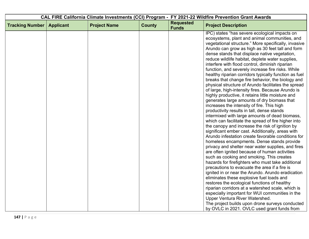| CAL FIRE California Climate Investments (CCI) Program - FY 2021-22 Wildfire Prevention Grant Awards |                  |                     |               |                                  |                                                                                          |
|-----------------------------------------------------------------------------------------------------|------------------|---------------------|---------------|----------------------------------|------------------------------------------------------------------------------------------|
| <b>Tracking Number</b>                                                                              | <b>Applicant</b> | <b>Project Name</b> | <b>County</b> | <b>Requested</b><br><b>Funds</b> | <b>Project Description</b>                                                               |
|                                                                                                     |                  |                     |               |                                  | IPC) states "has severe ecological impacts on                                            |
|                                                                                                     |                  |                     |               |                                  | ecosystems, plant and animal communities, and                                            |
|                                                                                                     |                  |                     |               |                                  | vegetational structure." More specifically, invasive                                     |
|                                                                                                     |                  |                     |               |                                  | Arundo can grow as high as 30 feet tall and form                                         |
|                                                                                                     |                  |                     |               |                                  | dense stands that displace native vegetation,                                            |
|                                                                                                     |                  |                     |               |                                  | reduce wildlife habitat, deplete water supplies,                                         |
|                                                                                                     |                  |                     |               |                                  | interfere with flood control, diminish riparian                                          |
|                                                                                                     |                  |                     |               |                                  | function, and severely increase fire risks. While                                        |
|                                                                                                     |                  |                     |               |                                  | healthy riparian corridors typically function as fuel                                    |
|                                                                                                     |                  |                     |               |                                  | breaks that change fire behavior, the biology and                                        |
|                                                                                                     |                  |                     |               |                                  | physical structure of Arundo facilitates the spread                                      |
|                                                                                                     |                  |                     |               |                                  | of large, high-intensity fires. Because Arundo is                                        |
|                                                                                                     |                  |                     |               |                                  | highly productive, it retains little moisture and                                        |
|                                                                                                     |                  |                     |               |                                  | generates large amounts of dry biomass that                                              |
|                                                                                                     |                  |                     |               |                                  | increases the intensity of fire. This high<br>productivity results in tall, dense stands |
|                                                                                                     |                  |                     |               |                                  | intermixed with large amounts of dead biomass,                                           |
|                                                                                                     |                  |                     |               |                                  | which can facilitate the spread of fire higher into                                      |
|                                                                                                     |                  |                     |               |                                  | the canopy and increase the risk of ignition by                                          |
|                                                                                                     |                  |                     |               |                                  | significant ember cast. Additionally, areas with                                         |
|                                                                                                     |                  |                     |               |                                  | Arundo infestation create favorable conditions for                                       |
|                                                                                                     |                  |                     |               |                                  | homeless encampments. Dense stands provide                                               |
|                                                                                                     |                  |                     |               |                                  | privacy and shelter near water supplies, and fires                                       |
|                                                                                                     |                  |                     |               |                                  | are often ignited because of human activities                                            |
|                                                                                                     |                  |                     |               |                                  | such as cooking and smoking. This creates                                                |
|                                                                                                     |                  |                     |               |                                  | hazards for firefighters who must take additional                                        |
|                                                                                                     |                  |                     |               |                                  | precautions to evacuate the area if a fire is                                            |
|                                                                                                     |                  |                     |               |                                  | ignited in or near the Arundo. Arundo eradication                                        |
|                                                                                                     |                  |                     |               |                                  | eliminates these explosive fuel loads and                                                |
|                                                                                                     |                  |                     |               |                                  | restores the ecological functions of healthy                                             |
|                                                                                                     |                  |                     |               |                                  | riparian corridors at a watershed scale, which is                                        |
|                                                                                                     |                  |                     |               |                                  | especially important for WUI communities in the                                          |
|                                                                                                     |                  |                     |               |                                  | Upper Ventura River Watershed.                                                           |
|                                                                                                     |                  |                     |               |                                  | The project builds upon drone surveys conducted                                          |
|                                                                                                     |                  |                     |               |                                  | by OVLC in 2021. OVLC used grant funds from                                              |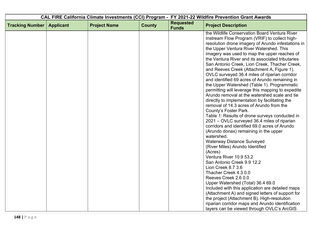| CAL FIRE California Climate Investments (CCI) Program - FY 2021-22 Wildfire Prevention Grant Awards |                  |                     |               |                                  |                                                                                                    |
|-----------------------------------------------------------------------------------------------------|------------------|---------------------|---------------|----------------------------------|----------------------------------------------------------------------------------------------------|
| <b>Tracking Number</b>                                                                              | <b>Applicant</b> | <b>Project Name</b> | <b>County</b> | <b>Requested</b><br><b>Funds</b> | <b>Project Description</b>                                                                         |
|                                                                                                     |                  |                     |               |                                  | the Wildlife Conservation Board Ventura River                                                      |
|                                                                                                     |                  |                     |               |                                  | Instream Flow Program (VRIF) to collect high-                                                      |
|                                                                                                     |                  |                     |               |                                  | resolution drone imagery of Arundo infestations in                                                 |
|                                                                                                     |                  |                     |               |                                  | the Upper Ventura River Watershed. This                                                            |
|                                                                                                     |                  |                     |               |                                  | imagery was used to map the upper reaches of                                                       |
|                                                                                                     |                  |                     |               |                                  | the Ventura River and its associated tributaries                                                   |
|                                                                                                     |                  |                     |               |                                  | San Antonio Creek, Lion Creek, Thacher Creek,                                                      |
|                                                                                                     |                  |                     |               |                                  | and Reeves Creek (Attachment A, Figure 1).                                                         |
|                                                                                                     |                  |                     |               |                                  | OVLC surveyed 36.4 miles of riparian corridor                                                      |
|                                                                                                     |                  |                     |               |                                  | and identified 69 acres of Arundo remaining in                                                     |
|                                                                                                     |                  |                     |               |                                  | the Upper Watershed (Table 1). Programmatic                                                        |
|                                                                                                     |                  |                     |               |                                  | permitting will leverage this mapping to expedite<br>Arundo removal at the watershed scale and tie |
|                                                                                                     |                  |                     |               |                                  | directly to implementation by facilitating the                                                     |
|                                                                                                     |                  |                     |               |                                  | removal of 14.3 acres of Arundo from the                                                           |
|                                                                                                     |                  |                     |               |                                  | County's Foster Park.                                                                              |
|                                                                                                     |                  |                     |               |                                  | Table 1: Results of drone surveys conducted in                                                     |
|                                                                                                     |                  |                     |               |                                  | 2021 – OVLC surveyed 36.4 miles of riparian                                                        |
|                                                                                                     |                  |                     |               |                                  | corridors and identified 69.0 acres of Arundo                                                      |
|                                                                                                     |                  |                     |               |                                  | (Arundo donax) remaining in the upper                                                              |
|                                                                                                     |                  |                     |               |                                  | watershed.                                                                                         |
|                                                                                                     |                  |                     |               |                                  | <b>Waterway Distance Surveyed</b>                                                                  |
|                                                                                                     |                  |                     |               |                                  | (River Miles) Arundo Identified                                                                    |
|                                                                                                     |                  |                     |               |                                  | (Acres)                                                                                            |
|                                                                                                     |                  |                     |               |                                  | Ventura River 10.9 53.2                                                                            |
|                                                                                                     |                  |                     |               |                                  | San Antonio Creek 9.9 12.2                                                                         |
|                                                                                                     |                  |                     |               |                                  | Lion Creek 8.7 3.6                                                                                 |
|                                                                                                     |                  |                     |               |                                  | Thacher Creek 4.3 0.0                                                                              |
|                                                                                                     |                  |                     |               |                                  | Reeves Creek 2.6 0.0                                                                               |
|                                                                                                     |                  |                     |               |                                  | Upper Watershed (Total) 36.4 69.0                                                                  |
|                                                                                                     |                  |                     |               |                                  | Included with this application are detailed maps                                                   |
|                                                                                                     |                  |                     |               |                                  | (Attachment A) and signed letters of support for                                                   |
|                                                                                                     |                  |                     |               |                                  | the project (Attachment B). High-resolution                                                        |
|                                                                                                     |                  |                     |               |                                  | riparian corridor maps and Arundo identification                                                   |
|                                                                                                     |                  |                     |               |                                  | layers can be viewed through OVLC's ArcGIS                                                         |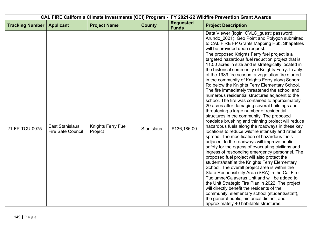| CAL FIRE California Climate Investments (CCI) Program - FY 2021-22 Wildfire Prevention Grant Awards |                                                    |                               |                   |                                  |                                                                                                                                                                                                                                                                                                                                                                                                                                                                                                                                                                                                                                                                                                                                                                                                                                                                                                                                                                                                                                                                                                                                                                                                                                                                                                                                                                                                                                                                                                                                                       |
|-----------------------------------------------------------------------------------------------------|----------------------------------------------------|-------------------------------|-------------------|----------------------------------|-------------------------------------------------------------------------------------------------------------------------------------------------------------------------------------------------------------------------------------------------------------------------------------------------------------------------------------------------------------------------------------------------------------------------------------------------------------------------------------------------------------------------------------------------------------------------------------------------------------------------------------------------------------------------------------------------------------------------------------------------------------------------------------------------------------------------------------------------------------------------------------------------------------------------------------------------------------------------------------------------------------------------------------------------------------------------------------------------------------------------------------------------------------------------------------------------------------------------------------------------------------------------------------------------------------------------------------------------------------------------------------------------------------------------------------------------------------------------------------------------------------------------------------------------------|
| <b>Tracking Number</b>                                                                              | <b>Applicant</b>                                   | <b>Project Name</b>           | <b>County</b>     | <b>Requested</b><br><b>Funds</b> | <b>Project Description</b>                                                                                                                                                                                                                                                                                                                                                                                                                                                                                                                                                                                                                                                                                                                                                                                                                                                                                                                                                                                                                                                                                                                                                                                                                                                                                                                                                                                                                                                                                                                            |
|                                                                                                     |                                                    |                               |                   |                                  | Data Viewer (login: OVLC_guest; password:<br>Arundo 2021). Geo Point and Polygon submitted<br>to CAL FIRE FP Grants Mapping Hub. Shapefiles<br>will be provided upon request.                                                                                                                                                                                                                                                                                                                                                                                                                                                                                                                                                                                                                                                                                                                                                                                                                                                                                                                                                                                                                                                                                                                                                                                                                                                                                                                                                                         |
| 21-FP-TCU-0075                                                                                      | <b>East Stanislaus</b><br><b>Fire Safe Council</b> | Knights Ferry Fuel<br>Project | <b>Stanislaus</b> | \$136,186.00                     | The proposed Knights Ferry fuel project is a<br>targeted hazardous fuel reduction project that is<br>11.50 acres in size and is strategically located in<br>the historical community of Knights Ferry. In July<br>of the 1989 fire season, a vegetation fire started<br>in the community of Knights Ferry along Sonora<br>Rd below the Knights Ferry Elementary School.<br>The fire immediately threatened the school and<br>numerous residential structures adjacent to the<br>school. The fire was contained to approximately<br>20 acres after damaging several buildings and<br>threatening a large number of residential<br>structures in the community. The proposed<br>roadside brushing and thinning project will reduce<br>hazardous fuels along the roadways in these key<br>locations to reduce wildfire intensity and rates of<br>spread. The modification of hazardous fuels<br>adjacent to the roadways will improve public<br>safety for the egress of evacuating civilians and<br>ingress of responding emergency personnel. The<br>proposed fuel project will also protect the<br>students/staff at the Knights Ferry Elementary<br>School. The overall project area is within the<br>State Responsibility Area (SRA) in the Cal Fire<br>Tuolumne/Calaveras Unit and will be added to<br>the Unit Strategic Fire Plan in 2022. The project<br>will directly benefit the residents of the<br>community, elementary school (students/staff),<br>the general public, historical district, and<br>approximately 40 habitable structures. |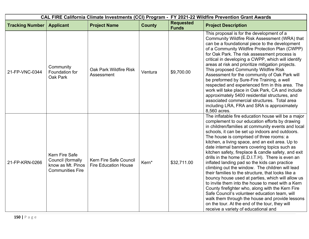| CAL FIRE California Climate Investments (CCI) Program - FY 2021-22 Wildfire Prevention Grant Awards |                                                                                     |                                                       |               |                                  |                                                                                                                                                                                                                                                                                                                                                                                                                                                                                                                                                                                                                                                                                                                                                                                                                                                                                                                                                                                                  |
|-----------------------------------------------------------------------------------------------------|-------------------------------------------------------------------------------------|-------------------------------------------------------|---------------|----------------------------------|--------------------------------------------------------------------------------------------------------------------------------------------------------------------------------------------------------------------------------------------------------------------------------------------------------------------------------------------------------------------------------------------------------------------------------------------------------------------------------------------------------------------------------------------------------------------------------------------------------------------------------------------------------------------------------------------------------------------------------------------------------------------------------------------------------------------------------------------------------------------------------------------------------------------------------------------------------------------------------------------------|
| <b>Tracking Number</b>                                                                              | <b>Applicant</b>                                                                    | <b>Project Name</b>                                   | <b>County</b> | <b>Requested</b><br><b>Funds</b> | <b>Project Description</b>                                                                                                                                                                                                                                                                                                                                                                                                                                                                                                                                                                                                                                                                                                                                                                                                                                                                                                                                                                       |
| 21-FP-VNC-0344                                                                                      | Community<br>Foundation for<br>Oak Park                                             | Oak Park Wildfire Risk<br>Assessment                  | Ventura       | \$9,700.00                       | This proposal is for the development of a<br>Community Wildfire Risk Assessment (WRA) that<br>can be a foundational piece to the development<br>of a Community Wildfire Protection Plan (CWPP)<br>for Oak Park. The risk assessment process is<br>critical in developing a CWPP, which will identify<br>areas at risk and prioritize mitigation projects.<br>This proposed Community Wildfire Risk<br>Assessment for the community of Oak Park will<br>be preformed by Sure-Fire Training, a well<br>respected and experienced firm in this area. The<br>work will take place in Oak Park, CA and include<br>approximately 5400 residential structures, and<br>associated commercial structures. Total area<br>including LRA, FRA and SRA is approximately<br>8,560 acres.                                                                                                                                                                                                                       |
| 21-FP-KRN-0266                                                                                      | Kern Fire Safe<br>Council (formally<br>know as Mt. Pinos<br><b>Communities Fire</b> | Kern Fire Safe Council<br><b>Fire Education House</b> | Kern*         | \$32,711.00                      | The inflatable fire education house will be a major<br>complement to our education efforts by drawing<br>in children/families at community events and local<br>schools, it can be set up indoors and outdoors.<br>The house is comprised of three rooms: a<br>kitchen, a living space, and an exit area. Up to<br>date internal banners covering topics such as<br>kitchen safety, fireplace & candle safety, and exit<br>drills in the home (E.D.I.T.H). There is even an<br>inflated landing pad so the kids can practice<br>climbing out the window. The children will lead<br>their families to the structure, that looks like a<br>bouncy house used at parties, which will allow us<br>to invite them into the house to meet with a Kern<br>County firefighter who, along with the Kern Fire<br>Safe Council's volunteer education team, will<br>walk them through the house and provide lessons<br>on the tour. At the end of the tour, they will<br>receive a variety of educational and |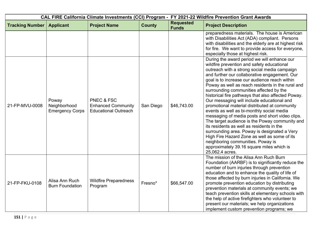| CAL FIRE California Climate Investments (CCI) Program - FY 2021-22 Wildfire Prevention Grant Awards |                                                 |                                                                                   |               |                                  |                                                                                                                                                                                                                                                                                                                                                                                                                                                                                                                                                                                                                                                                                                                                                                                                                                                                                                      |
|-----------------------------------------------------------------------------------------------------|-------------------------------------------------|-----------------------------------------------------------------------------------|---------------|----------------------------------|------------------------------------------------------------------------------------------------------------------------------------------------------------------------------------------------------------------------------------------------------------------------------------------------------------------------------------------------------------------------------------------------------------------------------------------------------------------------------------------------------------------------------------------------------------------------------------------------------------------------------------------------------------------------------------------------------------------------------------------------------------------------------------------------------------------------------------------------------------------------------------------------------|
| <b>Tracking Number</b>                                                                              | <b>Applicant</b>                                | <b>Project Name</b>                                                               | <b>County</b> | <b>Requested</b><br><b>Funds</b> | <b>Project Description</b>                                                                                                                                                                                                                                                                                                                                                                                                                                                                                                                                                                                                                                                                                                                                                                                                                                                                           |
|                                                                                                     |                                                 |                                                                                   |               |                                  | preparedness materials. The house is American<br>with Disabilities Act (ADA) compliant. Persons<br>with disabilities and the elderly are at highest risk<br>for fire. We want to provide access for everyone,<br>especially those at highest risk.                                                                                                                                                                                                                                                                                                                                                                                                                                                                                                                                                                                                                                                   |
| 21-FP-MVU-0008                                                                                      | Poway<br>Neighborhood<br><b>Emergency Corps</b> | <b>PNEC &amp; FSC</b><br><b>Enhanced Community</b><br><b>Educational Outreach</b> | San Diego     | \$46,743.00                      | During the award period we will enhance our<br>wildfire prevention and safety educational<br>outreach with a strong social media campaign<br>and further our collaborative engagement. Our<br>goal is to increase our audience reach within<br>Poway as well as reach residents in the rural and<br>surrounding communities affected by the<br>historical fire pathways that also affected Poway.<br>Our messaging will include educational and<br>promotional material distributed at community<br>events as well as bi-monthly social media<br>messaging of media posts and short video clips.<br>The target audience is the Poway community and<br>its residents as well as residents in the<br>surrounding area. Poway is designated a Very<br>High Fire Hazard Zone as well as some of its<br>neighboring communities. Poway is<br>approximately 39.16 square miles which is<br>25,062.4 acres. |
| 21-FP-FKU-0108                                                                                      | Alisa Ann Ruch<br><b>Burn Foundation</b>        | <b>Wildfire Preparedness</b><br>Program                                           | Fresno*       | \$66,547.00                      | The mission of the Alisa Ann Ruch Burn<br>Foundation (AARBF) is to significantly reduce the<br>number of burn injuries through prevention<br>education and to enhance the quality of life of<br>those affected by burn injuries in California. We<br>promote prevention education by distributing<br>prevention materials at community events; we<br>teach prevention skills at elementary schools with<br>the help of active firefighters who volunteer to<br>present our materials; we help organizations<br>implement custom prevention programs; we                                                                                                                                                                                                                                                                                                                                              |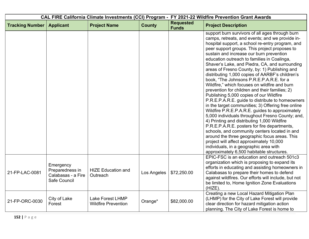| CAL FIRE California Climate Investments (CCI) Program - FY 2021-22 Wildfire Prevention Grant Awards |                                                                    |                                                |               |                                  |                                                                                                                                                                                                                                                                                                                                                                                                                                                                                                                                                                                                                                                                                                                                                                                                                                                                                                                                                                                                                                                                                                                                                                                                         |  |
|-----------------------------------------------------------------------------------------------------|--------------------------------------------------------------------|------------------------------------------------|---------------|----------------------------------|---------------------------------------------------------------------------------------------------------------------------------------------------------------------------------------------------------------------------------------------------------------------------------------------------------------------------------------------------------------------------------------------------------------------------------------------------------------------------------------------------------------------------------------------------------------------------------------------------------------------------------------------------------------------------------------------------------------------------------------------------------------------------------------------------------------------------------------------------------------------------------------------------------------------------------------------------------------------------------------------------------------------------------------------------------------------------------------------------------------------------------------------------------------------------------------------------------|--|
| <b>Tracking Number</b>                                                                              | <b>Applicant</b>                                                   | <b>Project Name</b>                            | <b>County</b> | <b>Requested</b><br><b>Funds</b> | <b>Project Description</b>                                                                                                                                                                                                                                                                                                                                                                                                                                                                                                                                                                                                                                                                                                                                                                                                                                                                                                                                                                                                                                                                                                                                                                              |  |
|                                                                                                     |                                                                    |                                                |               |                                  | support burn survivors of all ages through burn<br>camps, retreats, and events; and we provide in-<br>hospital support, a school re-entry program, and<br>peer support groups. This project proposes to<br>sustain and increase our burn prevention<br>education outreach to families in Coalinga,<br>Shaver's Lake, and Piedra, CA, and surrounding<br>areas of Fresno County, by: 1) Publishing and<br>distributing 1,000 copies of AARBF's children's<br>book, "The Johnsons P.R.E.P.A.R.E. for a<br>Wildfire," which focuses on wildfire and burn<br>prevention for children and their families; 2)<br>Publishing 5,000 copies of our Wildfire<br>P.R.E.P.A.R.E. guide to distribute to homeowners<br>in the target communities; 3) Offering free online<br>Wildfire P.R.E.P.A.R.E. guides to approximately<br>5,000 individuals throughout Fresno County; and,<br>4) Printing and distributing 1,000 Wildfire<br>P.R.E.P.A.R.E. posters for fire departments,<br>schools, and community centers located in and<br>around the three geographic focus areas. This<br>project will affect approximately 10,000<br>individuals, in a geographic area with<br>approximately 6,500 habitable structures. |  |
| 21-FP-LAC-0081                                                                                      | Emergency<br>Preparedness in<br>Calabasas - a Fire<br>Safe Council | <b>HIZE Education and</b><br>Outreach          | Los Angeles   | \$72,250.00                      | EPIC-FSC is an education and outreach 501c3<br>organization which is proposing to expand its<br>efforts in educating and assisting homeowners in<br>Calabasas to prepare their homes to defend<br>against wildfires. Our efforts will include, but not<br>be limited to, Home Ignition Zone Evaluations<br>$(HIZE)$ .                                                                                                                                                                                                                                                                                                                                                                                                                                                                                                                                                                                                                                                                                                                                                                                                                                                                                   |  |
| 21-FP-ORC-0030                                                                                      | City of Lake<br>Forest                                             | Lake Forest LHMP<br><b>Wildfire Prevention</b> | Orange*       | \$82,000.00                      | Creating a new Local Hazard Mitigation Plan<br>(LHMP) for the City of Lake Forest will provide<br>clear direction for hazard mitigation action<br>planning. The City of Lake Forest is home to                                                                                                                                                                                                                                                                                                                                                                                                                                                                                                                                                                                                                                                                                                                                                                                                                                                                                                                                                                                                          |  |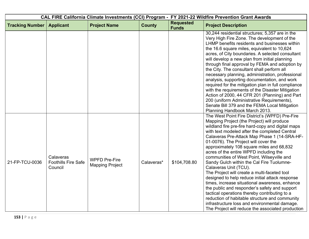| CAL FIRE California Climate Investments (CCI) Program - FY 2021-22 Wildfire Prevention Grant Awards |                                                    |                                                |               |                                  |                                                                                                                                                                                                                                                                                                                                                                                                                                                                                                                                                                                                                                                                                                                                                                                                                                                                                                                      |  |
|-----------------------------------------------------------------------------------------------------|----------------------------------------------------|------------------------------------------------|---------------|----------------------------------|----------------------------------------------------------------------------------------------------------------------------------------------------------------------------------------------------------------------------------------------------------------------------------------------------------------------------------------------------------------------------------------------------------------------------------------------------------------------------------------------------------------------------------------------------------------------------------------------------------------------------------------------------------------------------------------------------------------------------------------------------------------------------------------------------------------------------------------------------------------------------------------------------------------------|--|
| <b>Tracking Number</b>                                                                              | <b>Applicant</b>                                   | <b>Project Name</b>                            | <b>County</b> | <b>Requested</b><br><b>Funds</b> | <b>Project Description</b>                                                                                                                                                                                                                                                                                                                                                                                                                                                                                                                                                                                                                                                                                                                                                                                                                                                                                           |  |
|                                                                                                     |                                                    |                                                |               |                                  | 30,244 residential structures; 5,357 are in the<br>Very High Fire Zone. The development of the<br>LHMP benefits residents and businesses within<br>the 16.6 square miles, equivalent to 10,624<br>acres, of City boundaries. A selected consultant<br>will develop a new plan from initial planning<br>through final approval by FEMA and adoption by<br>the City. The consultant shall perform all<br>necessary planning, administration, professional<br>analysis, supporting documentation, and work<br>required for the mitigation plan in full compliance<br>with the requirements of the Disaster Mitigation<br>Action of 2000, 44 CFR 201 (Planning) and Part<br>200 (uniform Administrative Requirements),<br>Senate Bill 379 and the FEMA Local Mitigation<br>Planning Handbook March 2013.                                                                                                                 |  |
| 21-FP-TCU-0036                                                                                      | Calaveras<br><b>Foothills Fire Safe</b><br>Council | <b>WPFD Pre-Fire</b><br><b>Mapping Project</b> | Calaveras*    | \$104,708.80                     | The West Point Fire District's (WPFD) Pre-Fire<br>Mapping Project (the Project) will produce<br>wildland fire pre-fire hard-copy and digital maps<br>with text modeled after the completed Central<br>Calaveras Pre-Attack Map Phase 1 (14-SRA-HF-<br>01-0076). The Project will cover the<br>approximately 108 square miles and 68,832<br>acres of the entire WPFD including the<br>communities of West Point, Wilseyville and<br>Sandy Gulch within the Cal Fire Tuolumne-<br>Calaveras Unit (TCU).<br>The Project will create a multi-faceted tool<br>designed to help reduce initial attack response<br>times, increase situational awareness, enhance<br>the public and responder's safety and support<br>tactical operations thereby contributing to a<br>reduction of habitable structure and community<br>infrastructure loss and environmental damage.<br>The Project will reduce the associated production |  |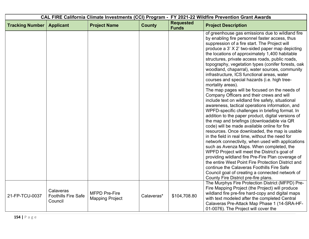| CAL FIRE California Climate Investments (CCI) Program - FY 2021-22 Wildfire Prevention Grant Awards |                                                    |                                                |               |                                  |                                                                                                                                                                                                                                                                                                                                                                                                                                                                                                                                                                                                                                                                                                                                                                                                                                                                                                                                                                                                                                                                                                                                                                                                                                                                                                                                                                                                                                                                |  |
|-----------------------------------------------------------------------------------------------------|----------------------------------------------------|------------------------------------------------|---------------|----------------------------------|----------------------------------------------------------------------------------------------------------------------------------------------------------------------------------------------------------------------------------------------------------------------------------------------------------------------------------------------------------------------------------------------------------------------------------------------------------------------------------------------------------------------------------------------------------------------------------------------------------------------------------------------------------------------------------------------------------------------------------------------------------------------------------------------------------------------------------------------------------------------------------------------------------------------------------------------------------------------------------------------------------------------------------------------------------------------------------------------------------------------------------------------------------------------------------------------------------------------------------------------------------------------------------------------------------------------------------------------------------------------------------------------------------------------------------------------------------------|--|
| <b>Tracking Number</b>                                                                              | <b>Applicant</b>                                   | <b>Project Name</b>                            | <b>County</b> | <b>Requested</b><br><b>Funds</b> | <b>Project Description</b>                                                                                                                                                                                                                                                                                                                                                                                                                                                                                                                                                                                                                                                                                                                                                                                                                                                                                                                                                                                                                                                                                                                                                                                                                                                                                                                                                                                                                                     |  |
|                                                                                                     |                                                    |                                                |               |                                  | of greenhouse gas emissions due to wildland fire<br>by enabling fire personnel faster access, thus<br>suppression of a fire start. The Project will<br>produce a 3' X 2' two-sided paper map depicting<br>the locations of approximately 1,400 habitable<br>structures, private access roads, public roads,<br>topography, vegetation types (conifer forests, oak<br>woodland, chaparral), water sources, community<br>infrastructure, ICS functional areas, water<br>courses and special hazards (i.e. high tree-<br>mortality areas).<br>The map pages will be focused on the needs of<br>Company Officers and their crews and will<br>include text on wildland fire safety, situational<br>awareness, tactical operations information, and<br>WPFD-specific challenges in briefing format. In<br>addition to the paper product, digital versions of<br>the map and briefings (downloadable via QR<br>code) will be made available online for fire<br>resources. Once downloaded, the map is usable<br>in the field in real time, without the need for<br>network connectivity, when used with applications<br>such as Avenza Maps. When completed, the<br>WPFD Project will meet the District's goal of<br>providing wildland fire Pre-Fire Plan coverage of<br>the entire West Point Fire Protection District and<br>continue the Calaveras Foothills Fire Safe<br>Council goal of creating a connected network of<br>County Fire District pre-fire plans. |  |
| 21-FP-TCU-0037                                                                                      | Calaveras<br><b>Foothills Fire Safe</b><br>Council | <b>MFPD Pre-Fire</b><br><b>Mapping Project</b> | Calaveras*    | \$104,708.80                     | The Murphys Fire Protection District (MFPD) Pre-<br>Fire Mapping Project (the Project) will produce<br>wildland fire pre-fire hard-copy and digital maps<br>with text modeled after the completed Central<br>Calaveras Pre-Attack Map Phase 1 (14-SRA-HF-<br>01-0076). The Project will cover the                                                                                                                                                                                                                                                                                                                                                                                                                                                                                                                                                                                                                                                                                                                                                                                                                                                                                                                                                                                                                                                                                                                                                              |  |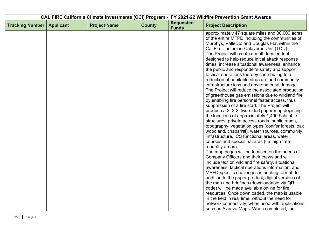| CAL FIRE California Climate Investments (CCI) Program - FY 2021-22 Wildfire Prevention Grant Awards |                  |                     |               |                                  |                                                                                                                                                                                                                                                                                                                                                                                                                                                                                                                                                                                                                                                                                                                                                                                                                                                                                                                                                                                                                                                                                                                                                                                                                                                                                                                                                                                                                                                                                                                                                                       |
|-----------------------------------------------------------------------------------------------------|------------------|---------------------|---------------|----------------------------------|-----------------------------------------------------------------------------------------------------------------------------------------------------------------------------------------------------------------------------------------------------------------------------------------------------------------------------------------------------------------------------------------------------------------------------------------------------------------------------------------------------------------------------------------------------------------------------------------------------------------------------------------------------------------------------------------------------------------------------------------------------------------------------------------------------------------------------------------------------------------------------------------------------------------------------------------------------------------------------------------------------------------------------------------------------------------------------------------------------------------------------------------------------------------------------------------------------------------------------------------------------------------------------------------------------------------------------------------------------------------------------------------------------------------------------------------------------------------------------------------------------------------------------------------------------------------------|
| <b>Tracking Number</b>                                                                              | <b>Applicant</b> | <b>Project Name</b> | <b>County</b> | <b>Requested</b><br><b>Funds</b> | <b>Project Description</b>                                                                                                                                                                                                                                                                                                                                                                                                                                                                                                                                                                                                                                                                                                                                                                                                                                                                                                                                                                                                                                                                                                                                                                                                                                                                                                                                                                                                                                                                                                                                            |
|                                                                                                     |                  |                     |               |                                  | approximately 47 square miles and 30,000 acres<br>of the entire MFPD including the communities of<br>Murphys, Vallecito and Douglas Flat within the<br>Cal Fire Tuolumne-Calaveras Unit (TCU).<br>The Project will create a multi-faceted tool<br>designed to help reduce initial attack response<br>times, increase situational awareness, enhance<br>the public and responder's safety and support<br>tactical operations thereby contributing to a<br>reduction of habitable structure and community<br>infrastructure loss and environmental damage.<br>The Project will reduce the associated production<br>of greenhouse gas emissions due to wildland fire<br>by enabling fire personnel faster access, thus<br>suppression of a fire start. The Project will<br>produce a 3' X 2' two-sided paper map depicting<br>the locations of approximately 1,400 habitable<br>structures, private access roads, public roads,<br>topography, vegetation types (conifer forests, oak<br>woodland, chaparral), water sources, community<br>infrastructure, ICS functional areas, water<br>courses and special hazards (i.e. high tree-<br>mortality areas).<br>The map pages will be focused on the needs of<br>Company Officers and their crews and will<br>include text on wildland fire safety, situational<br>awareness, tactical operations information, and<br>MPFD-specific challenges in briefing format. In<br>addition to the paper product, digital versions of<br>the map and briefings (downloadable via QR<br>code) will be made available online for fire |
|                                                                                                     |                  |                     |               |                                  | resources. Once downloaded, the map is usable<br>in the field in real time, without the need for<br>network connectivity, when used with applications<br>such as Avenza Maps. When completed, the                                                                                                                                                                                                                                                                                                                                                                                                                                                                                                                                                                                                                                                                                                                                                                                                                                                                                                                                                                                                                                                                                                                                                                                                                                                                                                                                                                     |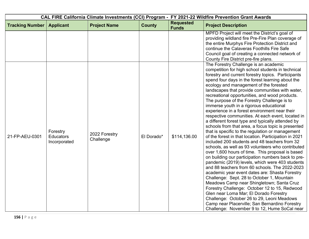|                        |                                              |                            |               | CAL FIRE California Climate Investments (CCI) Program - FY 2021-22 Wildfire Prevention Grant Awards |                                                                                                                                                                                                                                                                                                                                                                                                                                                                                                                                                                                                                                                                                                                                                                                                                                                                                                                                                                                                                                                                                                                                                                                                                                                                                                                                                                                                                                                                                          |
|------------------------|----------------------------------------------|----------------------------|---------------|-----------------------------------------------------------------------------------------------------|------------------------------------------------------------------------------------------------------------------------------------------------------------------------------------------------------------------------------------------------------------------------------------------------------------------------------------------------------------------------------------------------------------------------------------------------------------------------------------------------------------------------------------------------------------------------------------------------------------------------------------------------------------------------------------------------------------------------------------------------------------------------------------------------------------------------------------------------------------------------------------------------------------------------------------------------------------------------------------------------------------------------------------------------------------------------------------------------------------------------------------------------------------------------------------------------------------------------------------------------------------------------------------------------------------------------------------------------------------------------------------------------------------------------------------------------------------------------------------------|
| <b>Tracking Number</b> | <b>Applicant</b>                             | <b>Project Name</b>        | <b>County</b> | <b>Requested</b><br><b>Funds</b>                                                                    | <b>Project Description</b>                                                                                                                                                                                                                                                                                                                                                                                                                                                                                                                                                                                                                                                                                                                                                                                                                                                                                                                                                                                                                                                                                                                                                                                                                                                                                                                                                                                                                                                               |
|                        |                                              |                            |               |                                                                                                     | MPFD Project will meet the District's goal of<br>providing wildland fire Pre-Fire Plan coverage of<br>the entire Murphys Fire Protection District and<br>continue the Calaveras Foothills Fire Safe<br>Council goal of creating a connected network of<br>County Fire District pre-fire plans.                                                                                                                                                                                                                                                                                                                                                                                                                                                                                                                                                                                                                                                                                                                                                                                                                                                                                                                                                                                                                                                                                                                                                                                           |
| 21-FP-AEU-0301         | Forestry<br><b>Educators</b><br>Incorporated | 2022 Forestry<br>Challenge | El Dorado*    | \$114,136.00                                                                                        | The Forestry Challenge is an academic<br>competition for high school students in technical<br>forestry and current forestry topics. Participants<br>spend four days in the forest learning about the<br>ecology and management of the forested<br>landscapes that provide communities with water,<br>recreational opportunities, and wood products.<br>The purpose of the Forestry Challenge is to<br>immerse youth in a rigorous educational<br>experience in a forest environment near their<br>respective communities. At each event, located in<br>a different forest type and typically attended by<br>schools from that area, a focus topic is presented<br>that is specific to the regulation or management<br>of the forest in that location. Participation in 2021<br>included 200 students and 48 teachers from 32<br>schools, as well as 93 volunteers who contributed<br>over 1,600 hours of time. This proposal is based<br>on building our participation numbers back to pre-<br>pandemic (2019) levels, which were 403 students<br>and 88 teachers from 60 schools. The 2022-2023<br>academic year event dates are: Shasta Forestry<br>Challenge: Sept. 28 to October 1, Mountain<br>Meadows Camp near Shingletown; Santa Cruz<br>Forestry Challenge: October 12 to 15, Redwood<br>Glen near Loma Mar; El Dorado Forestry<br>Challenge: October 26 to 29, Leoni Meadows<br>Camp near Placerville; San Bernardino Forestry<br>Challenge: November 9 to 12, Hume SoCal near |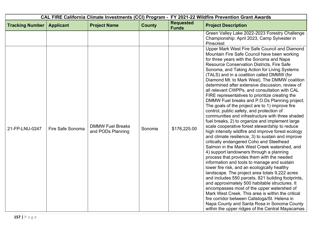|                        |                  |                                              | CAL FIRE California Climate Investments (CCI) Program - FY 2021-22 Wildfire Prevention Grant Awards |                                  |                                                                                                                                                                                                                                                                                                                                                                                                                                                                                                                                                                                                                                                                                                                                                                                                                                                                                                                                                                                                                                                                                                                                                                                                                                                                                                                                                                                                                                                                                     |
|------------------------|------------------|----------------------------------------------|-----------------------------------------------------------------------------------------------------|----------------------------------|-------------------------------------------------------------------------------------------------------------------------------------------------------------------------------------------------------------------------------------------------------------------------------------------------------------------------------------------------------------------------------------------------------------------------------------------------------------------------------------------------------------------------------------------------------------------------------------------------------------------------------------------------------------------------------------------------------------------------------------------------------------------------------------------------------------------------------------------------------------------------------------------------------------------------------------------------------------------------------------------------------------------------------------------------------------------------------------------------------------------------------------------------------------------------------------------------------------------------------------------------------------------------------------------------------------------------------------------------------------------------------------------------------------------------------------------------------------------------------------|
| <b>Tracking Number</b> | <b>Applicant</b> | <b>Project Name</b>                          | <b>County</b>                                                                                       | <b>Requested</b><br><b>Funds</b> | <b>Project Description</b>                                                                                                                                                                                                                                                                                                                                                                                                                                                                                                                                                                                                                                                                                                                                                                                                                                                                                                                                                                                                                                                                                                                                                                                                                                                                                                                                                                                                                                                          |
|                        |                  |                                              |                                                                                                     |                                  | Green Valley Lake 2022-2023 Forestry Challenge<br>Championship: April 2023, Camp Sylvester in<br>Pinecrest<br>Upper Mark West Fire Safe Council and Diamond<br>Mountain Fire Safe Council have been working<br>for three years with the Sonoma and Napa                                                                                                                                                                                                                                                                                                                                                                                                                                                                                                                                                                                                                                                                                                                                                                                                                                                                                                                                                                                                                                                                                                                                                                                                                             |
| 21-FP-LNU-0247         | Fire Safe Sonoma | <b>DMMW Fuel Breaks</b><br>and PODs Planning | Sonoma                                                                                              | \$176,225.00                     | <b>Resource Conservation Districts, Fire Safe</b><br>Sonoma, and Taking Action for Living Systems<br>(TALS) and in a coalition called DMMW (for<br>Diamond Mt. to Mark West). The DMMW coalition<br>determined after extensive discussion, review of<br>all relevant CWPPs, and consultation with CAL<br>FIRE representatives to prioritize creating the<br>DMMW Fuel breaks and P.O.Ds Planning project.<br>The goals of the project are to 1) improve fire<br>control, public safety, and protection of<br>communities and infrastructure with three shaded<br>fuel breaks, 2) to organize and implement large<br>scale cooperative forest stewardship to reduce<br>high intensity wildfire and improve forest ecology<br>and climate resilience, 3) to sustain and improve<br>critically endangered Coho and Steelhead<br>Salmon in the Mark West Creek watershed, and<br>4) support landowners through a planning<br>process that provides them with the needed<br>information and tools to manage and sustain<br>lower fire risk, and an ecologically healthy<br>landscape. The project area totals 9,222 acres<br>and includes 550 parcels, 821 building footprints,<br>and approximately 500 habitable structures. It<br>encompasses most of the upper watershed of<br>Mark West Creek. This area is within the critical<br>fire corridor between Calistoga/St. Helena in<br>Napa County and Santa Rosa in Sonoma County<br>within the upper ridges of the Central Mayacamas |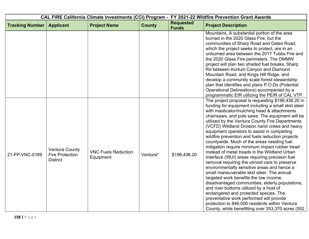| CAL FIRE California Climate Investments (CCI) Program - FY 2021-22 Wildfire Prevention Grant Awards |                                                                    |                                         |               |                                  |                                                                                                                                                                                                                                                                                                                                                                                                                                                                                                                                                                                                                                                                                                                                                                                                                                                                                                                                                                                                                                                                                                       |  |
|-----------------------------------------------------------------------------------------------------|--------------------------------------------------------------------|-----------------------------------------|---------------|----------------------------------|-------------------------------------------------------------------------------------------------------------------------------------------------------------------------------------------------------------------------------------------------------------------------------------------------------------------------------------------------------------------------------------------------------------------------------------------------------------------------------------------------------------------------------------------------------------------------------------------------------------------------------------------------------------------------------------------------------------------------------------------------------------------------------------------------------------------------------------------------------------------------------------------------------------------------------------------------------------------------------------------------------------------------------------------------------------------------------------------------------|--|
| <b>Tracking Number</b>                                                                              | <b>Applicant</b>                                                   | <b>Project Name</b>                     | <b>County</b> | <b>Requested</b><br><b>Funds</b> | <b>Project Description</b>                                                                                                                                                                                                                                                                                                                                                                                                                                                                                                                                                                                                                                                                                                                                                                                                                                                                                                                                                                                                                                                                            |  |
|                                                                                                     |                                                                    |                                         |               |                                  | Mountains. A substantial portion of the area<br>burned in the 2020 Glass Fire, but the<br>communities of Sharp Road and Gates Road,<br>which the project seeks to protect, are in an<br>unburned area between the 2017 Tubbs Fire and<br>the 2020 Glass Fire perimeters. The DMMW<br>project will plan two shaded fuel breaks, Sharp<br>Rd between Kortum Canyon and Diamond<br>Mountain Road, and Kings Hill Ridge, and<br>develop a community scale forest stewardship<br>plan that identifies and plans P.O.Ds (Potential<br>Operational Delineations) accompanied by a<br>programmatic EIR utilizing the PEIR of CAL VTP.                                                                                                                                                                                                                                                                                                                                                                                                                                                                         |  |
| 21-FP-VNC-0189                                                                                      | <b>Ventura County</b><br><b>Fire Protection</b><br><b>District</b> | <b>VNC Fuels Reduction</b><br>Equipment | Ventura*      | \$196,436.20                     | The project proposal is requesting \$196,436.20 in<br>funding for equipment including a small skid steer<br>with masticator/mulching head & attachments<br>chainsaws, and pole saws. The equipment will be<br>utilized by the Ventura County Fire Departments<br>(VCFD) Wildland Division hand crews and heavy<br>equipment operators to assist in completing<br>wildfire prevention and fuels reduction projects<br>countywide. Much of the areas needing fuel<br>mitigation require minimum impact rubber tread<br>instead of metal treads in the Wildland Urban<br>Interface (WUI) areas requiring precision fuel<br>removal requiring the utmost care to preserve<br>environmentally sensitive areas and hence a<br>small maneuverable skid steer. The annual<br>targeted work benefits the low income,<br>disadvantaged communities, elderly populations,<br>and river bottoms utilized by a host of<br>endangered and protected species. The<br>preventative work performed will provide<br>protection to 846,000 residents within Ventura<br>County, while benefitting over 353,370 acres (552 |  |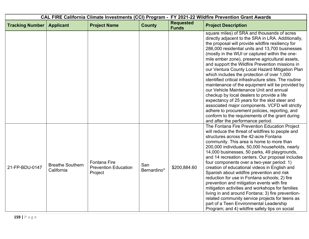|                        |                                       |                                                               | CAL FIRE California Climate Investments (CCI) Program - FY 2021-22 Wildfire Prevention Grant Awards |                                  |                                                                                                                                                                                                                                                                                                                                                                                                                                                                                                                                                                                                                                                                                                                                                                                                                                                                                                                         |
|------------------------|---------------------------------------|---------------------------------------------------------------|-----------------------------------------------------------------------------------------------------|----------------------------------|-------------------------------------------------------------------------------------------------------------------------------------------------------------------------------------------------------------------------------------------------------------------------------------------------------------------------------------------------------------------------------------------------------------------------------------------------------------------------------------------------------------------------------------------------------------------------------------------------------------------------------------------------------------------------------------------------------------------------------------------------------------------------------------------------------------------------------------------------------------------------------------------------------------------------|
| <b>Tracking Number</b> | <b>Applicant</b>                      | <b>Project Name</b>                                           | <b>County</b>                                                                                       | <b>Requested</b><br><b>Funds</b> | <b>Project Description</b>                                                                                                                                                                                                                                                                                                                                                                                                                                                                                                                                                                                                                                                                                                                                                                                                                                                                                              |
|                        |                                       |                                                               |                                                                                                     |                                  | square miles) of SRA and thousands of acres<br>directly adjacent to the SRA in LRA. Additionally,<br>the proposal will provide wildfire resiliency for<br>286,000 residential units and 13,700 businesses<br>(mostly in the WUI or captured within the one-<br>mile ember zone), preserve agricultural assets,<br>and support the Wildfire Prevention missions in<br>our Ventura County Local Hazard Mitigation Plan<br>which includes the protection of over 1,000<br>identified critical infrastructure sites. The routine<br>maintenance of the equipment will be provided by<br>our Vehicle Maintenance Unit and annual<br>checkup by local dealers to provide a life<br>expectancy of 25 years for the skid steer and<br>associated major components. VCFD will strictly<br>adhere to procurement policies, reporting, and<br>conform to the requirements of the grant during<br>and after the performance period. |
| 21-FP-BDU-0147         | <b>Breathe Southern</b><br>California | <b>Fontana Fire</b><br><b>Prevention Education</b><br>Project | San<br>Bernardino*                                                                                  | \$200,884.60                     | The Fontana Fire Prevention Education Project<br>will reduce the threat of wildfires to people and<br>structures across the 42-acre Fontana<br>community. This area is home to more than<br>200,000 individuals, 50,000 households, nearly<br>14,000 businesses, 50 parks, 49 playgrounds,<br>and 14 recreation centers. Our proposal includes<br>four components over a two-year period: 1)<br>creation of educational videos in English and<br>Spanish about wildfire prevention and risk<br>reduction for use in Fontana schools; 2) fire<br>prevention and mitigation events with fire<br>mitigation activities and workshops for families<br>living in and around Fontana; 3) fire prevention-<br>related community service projects for teens as<br>part of a Teen Environmental Leadership<br>Program; and 4) wildfire safety tips on social                                                                     |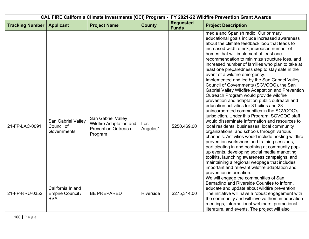| CAL FIRE California Climate Investments (CCI) Program - FY 2021-22 Wildfire Prevention Grant Awards |                                                     |                                                                                               |                 |                                  |                                                                                                                                                                                                                                                                                                                                                                                                                                                                                                                                                                                                                                                                                                                                                                                                                                                                                                                               |  |
|-----------------------------------------------------------------------------------------------------|-----------------------------------------------------|-----------------------------------------------------------------------------------------------|-----------------|----------------------------------|-------------------------------------------------------------------------------------------------------------------------------------------------------------------------------------------------------------------------------------------------------------------------------------------------------------------------------------------------------------------------------------------------------------------------------------------------------------------------------------------------------------------------------------------------------------------------------------------------------------------------------------------------------------------------------------------------------------------------------------------------------------------------------------------------------------------------------------------------------------------------------------------------------------------------------|--|
| <b>Tracking Number</b>                                                                              | <b>Applicant</b>                                    | <b>Project Name</b>                                                                           | <b>County</b>   | <b>Requested</b><br><b>Funds</b> | <b>Project Description</b>                                                                                                                                                                                                                                                                                                                                                                                                                                                                                                                                                                                                                                                                                                                                                                                                                                                                                                    |  |
|                                                                                                     |                                                     |                                                                                               |                 |                                  | media and Spanish radio. Our primary<br>educational goals include increased awareness<br>about the climate feedback loop that leads to<br>increased wildfire risk, increased number of<br>homes that will implement at least one<br>recommendation to minimize structure loss, and<br>increased number of families who plan to take at<br>least one preparedness step to stay safe in the<br>event of a wildfire emergency.                                                                                                                                                                                                                                                                                                                                                                                                                                                                                                   |  |
| 21-FP-LAC-0091                                                                                      | San Gabriel Valley<br>Council of<br>Governments     | San Gabriel Valley<br><b>Wildfire Adaptation and</b><br><b>Prevention Outreach</b><br>Program | Los<br>Angeles* | \$250,469.00                     | Implemented and led by the San Gabriel Valley<br>Council of Governments (SGVCOG), the San<br>Gabriel Valley Wildfire Adaptation and Prevention<br>Outreach Program would provide wildfire<br>prevention and adaptation public outreach and<br>education activities for 31 cities and 28<br>unincorporated communities in the SGVCOG's<br>jurisdiction. Under this Program, SGVCOG staff<br>would disseminate information and resources to<br>local residents, businesses, local community<br>organizations, and schools through various<br>channels. Activities would include hosting wildfire<br>prevention workshops and training sessions,<br>participating in and boothing at community pop-<br>up events, developing social media marketing<br>toolkits, launching awareness campaigns, and<br>maintaining a regional webpage that includes<br>important and relevant wildfire adaptation and<br>prevention information. |  |
| 21-FP-RRU-0352                                                                                      | California Inland<br>Empire Council /<br><b>BSA</b> | <b>BE PREPARED</b>                                                                            | Riverside       | \$275,314.00                     | We will engage the communities of San<br>Bernadino and Riverside Counties to inform,<br>educate and update about wildfire prevention.<br>The initiative will have a robust engagement with<br>the community and will involve them in education<br>meetings, informational webinars, promotional<br>literature, and events. The project will also                                                                                                                                                                                                                                                                                                                                                                                                                                                                                                                                                                              |  |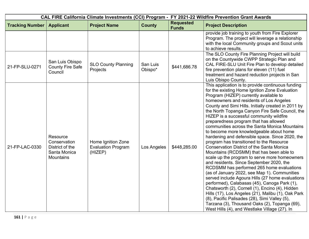| CAL FIRE California Climate Investments (CCI) Program - FY 2021-22 Wildfire Prevention Grant Awards |                                                                                 |                                                            |                     |                                  |                                                                                                                                                                                                                                                                                                                                                                                                                                                                                                                                                                                                                                                                                                                                                                                                                                                                                                                                                                                                                                                                                                                                                                                                                                              |
|-----------------------------------------------------------------------------------------------------|---------------------------------------------------------------------------------|------------------------------------------------------------|---------------------|----------------------------------|----------------------------------------------------------------------------------------------------------------------------------------------------------------------------------------------------------------------------------------------------------------------------------------------------------------------------------------------------------------------------------------------------------------------------------------------------------------------------------------------------------------------------------------------------------------------------------------------------------------------------------------------------------------------------------------------------------------------------------------------------------------------------------------------------------------------------------------------------------------------------------------------------------------------------------------------------------------------------------------------------------------------------------------------------------------------------------------------------------------------------------------------------------------------------------------------------------------------------------------------|
| <b>Tracking Number</b>                                                                              | <b>Applicant</b>                                                                | <b>Project Name</b>                                        | <b>County</b>       | <b>Requested</b><br><b>Funds</b> | <b>Project Description</b>                                                                                                                                                                                                                                                                                                                                                                                                                                                                                                                                                                                                                                                                                                                                                                                                                                                                                                                                                                                                                                                                                                                                                                                                                   |
|                                                                                                     |                                                                                 |                                                            |                     |                                  | provide job training to youth from Fire Explorer<br>Program. The project will leverage a relationship<br>with the local Community groups and Scout units<br>to achieve results.                                                                                                                                                                                                                                                                                                                                                                                                                                                                                                                                                                                                                                                                                                                                                                                                                                                                                                                                                                                                                                                              |
| 21-FP-SLU-0271                                                                                      | San Luis Obispo<br><b>County Fire Safe</b><br>Council                           | <b>SLO County Planning</b><br>Projects                     | San Luis<br>Obispo* | \$441,686.78                     | The SLO County Fire Planning Project will build<br>on the Countywide CWPP Strategic Plan and<br>CAL FIRE-SLU Unit Fire Plan to develop detailed<br>fire prevention plans for eleven (11) fuel<br>treatment and hazard reduction projects in San<br>Luis Obispo County.                                                                                                                                                                                                                                                                                                                                                                                                                                                                                                                                                                                                                                                                                                                                                                                                                                                                                                                                                                       |
| 21-FP-LAC-0330                                                                                      | Resource<br>Conservation<br>District of the<br>Santa Monica<br><b>Mountains</b> | Home Ignition Zone<br><b>Evaluation Program</b><br>(HIZEP) | Los Angeles         | \$448,285.00                     | This application is to provide continuous funding<br>for the existing Home Ignition Zone Evaluation<br>Program (HIZEP) currently available to<br>homeowners and residents of Los Angeles<br>County and Simi Hills. Initially created in 2011 by<br>the North Topanga Canyon Fire Safe Council, the<br>HIZEP is a successful community wildfire<br>preparedness program that has allowed<br>communities across the Santa Monica Mountains<br>to become more knowledgeable about home<br>hardening and defensible space. Since 2020, the<br>program has transitioned to the Resource<br><b>Conservation District of the Santa Monica</b><br>Mountains (RCDSMM) that has been able to<br>scale up the program to serve more homeowners<br>and residents. Since September 2020, the<br>RCDSMM has performed 265 home evaluations<br>(as of January 2022, see Map 1). Communities<br>served include Agoura Hills (27 home evaluations<br>performed), Calabasas (45), Canoga Park (1),<br>Chatsworth (2), Cornell (1), Encino (4), Hidden<br>Hills (17), Los Angeles (21), Malibu (1), Oak Park<br>(8), Pacific Palisades (28), Simi Valley (5),<br>Tarzana (3), Thousand Oaks (2), Topanga (69),<br>West Hills (4), and Westlake Village (27). In |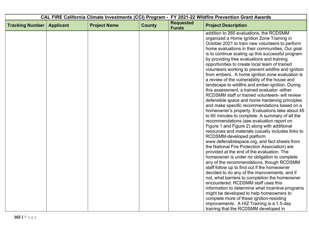| CAL FIRE California Climate Investments (CCI) Program - FY 2021-22 Wildfire Prevention Grant Awards |                  |                     |               |                                  |                                                                                                                                                                                                                                                                                                                                                                                                                                                                                                                                                                                                                                                                                                                                                                                                                                                                                                                                                                                                                                                                                                                                                                                                                                                                                                                                                                                                                                                                                                   |
|-----------------------------------------------------------------------------------------------------|------------------|---------------------|---------------|----------------------------------|---------------------------------------------------------------------------------------------------------------------------------------------------------------------------------------------------------------------------------------------------------------------------------------------------------------------------------------------------------------------------------------------------------------------------------------------------------------------------------------------------------------------------------------------------------------------------------------------------------------------------------------------------------------------------------------------------------------------------------------------------------------------------------------------------------------------------------------------------------------------------------------------------------------------------------------------------------------------------------------------------------------------------------------------------------------------------------------------------------------------------------------------------------------------------------------------------------------------------------------------------------------------------------------------------------------------------------------------------------------------------------------------------------------------------------------------------------------------------------------------------|
| <b>Tracking Number</b>                                                                              | <b>Applicant</b> | <b>Project Name</b> | <b>County</b> | <b>Requested</b><br><b>Funds</b> | <b>Project Description</b>                                                                                                                                                                                                                                                                                                                                                                                                                                                                                                                                                                                                                                                                                                                                                                                                                                                                                                                                                                                                                                                                                                                                                                                                                                                                                                                                                                                                                                                                        |
|                                                                                                     |                  |                     |               |                                  | addition to 265 evaluations, the RCDSMM<br>organized a Home Ignition Zone Training in<br>October 2021 to train new volunteers to perform<br>home evaluations in their communities. Our goal<br>is to continue scaling up this successful program<br>by providing free evaluations and training<br>opportunities to create local team of trained<br>volunteers working to prevent wildfire and ignition<br>from embers. A home ignition zone evaluation is<br>a review of the vulnerability of the house and<br>landscape to wildfire and ember-ignition. During<br>this assessment, a trained evaluator -either<br>RCDSMM staff or trained volunteers- will review<br>defensible space and home hardening principles<br>and make specific recommendations based on a<br>homeowner's property. Evaluations take about 45<br>to 60 minutes to complete. A summary of all the<br>recommendations (see evaluation report on<br>Figure 1 and Figure 2) along with additional<br>resources and materials (usually includes links to<br>RCDSMM-developed platform<br>www.defensiblespace.org, and fact sheets from<br>the National Fire Protection Association) are<br>provided at the end of the evaluation. The<br>homeowner is under no obligation to complete<br>any of the recommendations, though RCDSMM<br>staff follow up to find out if the homeowner<br>decided to do any of the improvements, and if<br>not, what barriers to completion the homeowner<br>encountered. RCDSMM staff uses this |
|                                                                                                     |                  |                     |               |                                  | information to determine what incentive programs<br>might be developed to help homeowners to<br>complete more of these ignition-resisting                                                                                                                                                                                                                                                                                                                                                                                                                                                                                                                                                                                                                                                                                                                                                                                                                                                                                                                                                                                                                                                                                                                                                                                                                                                                                                                                                         |
|                                                                                                     |                  |                     |               |                                  | improvements. A HIZ Training is a 1.5-day<br>training that the RCDSMM developed in                                                                                                                                                                                                                                                                                                                                                                                                                                                                                                                                                                                                                                                                                                                                                                                                                                                                                                                                                                                                                                                                                                                                                                                                                                                                                                                                                                                                                |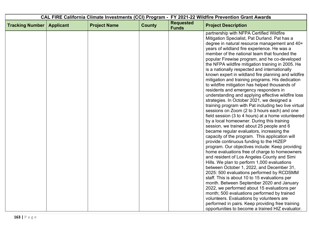| CAL FIRE California Climate Investments (CCI) Program - FY 2021-22 Wildfire Prevention Grant Awards |                  |                     |               |                                  |                                                                                                                                                                                                                                                                                                                                                                                                                                                                                                                                                                                                                                                                                                                                                                                                                                                                                                                                                                                                                                                                                                                                                                                                                                                                                                                                                                                                                                                                                                         |
|-----------------------------------------------------------------------------------------------------|------------------|---------------------|---------------|----------------------------------|---------------------------------------------------------------------------------------------------------------------------------------------------------------------------------------------------------------------------------------------------------------------------------------------------------------------------------------------------------------------------------------------------------------------------------------------------------------------------------------------------------------------------------------------------------------------------------------------------------------------------------------------------------------------------------------------------------------------------------------------------------------------------------------------------------------------------------------------------------------------------------------------------------------------------------------------------------------------------------------------------------------------------------------------------------------------------------------------------------------------------------------------------------------------------------------------------------------------------------------------------------------------------------------------------------------------------------------------------------------------------------------------------------------------------------------------------------------------------------------------------------|
| <b>Tracking Number</b>                                                                              | <b>Applicant</b> | <b>Project Name</b> | <b>County</b> | <b>Requested</b><br><b>Funds</b> | <b>Project Description</b>                                                                                                                                                                                                                                                                                                                                                                                                                                                                                                                                                                                                                                                                                                                                                                                                                                                                                                                                                                                                                                                                                                                                                                                                                                                                                                                                                                                                                                                                              |
|                                                                                                     |                  |                     |               |                                  | partnership with NFPA Certified Wildfire<br>Mitigation Specialist, Pat Durland. Pat has a<br>degree in natural resource management and 40+<br>years of wildland fire experience. He was a<br>member of the national team that founded the<br>popular Firewise program, and he co-developed<br>the NFPA wildfire mitigation training in 2005. He<br>is a nationally respected and internationally<br>known expert in wildland fire planning and wildfire<br>mitigation and training programs. His dedication<br>to wildfire mitigation has helped thousands of<br>residents and emergency responders in<br>understanding and applying effective wildfire loss<br>strategies. In October 2021, we designed a<br>training program with Pat including two live virtual<br>sessions on Zoom (2 to 3 hours each) and one<br>field session (3 to 4 hours) at a home volunteered<br>by a local homeowner. During this training<br>session, we trained about 25 people and 6<br>became regular evaluators, increasing the<br>capacity of the program. This application will<br>provide continuous funding to the HIZEP<br>program. Our objectives include: Keep providing<br>home evaluations free of charge to homeowners<br>and resident of Los Angeles County and Simi<br>Hills. We plan to perform 1,000 evaluations<br>between October 1, 2022, and December 31,<br>2025: 500 evaluations performed by RCDSMM<br>staff. This is about 10 to 15 evaluations per<br>month. Between September 2020 and January |
|                                                                                                     |                  |                     |               |                                  | 2022, we performed about 15 evaluations per<br>month; 500 evaluations performed by trained<br>volunteers. Evaluations by volunteers are                                                                                                                                                                                                                                                                                                                                                                                                                                                                                                                                                                                                                                                                                                                                                                                                                                                                                                                                                                                                                                                                                                                                                                                                                                                                                                                                                                 |
|                                                                                                     |                  |                     |               |                                  | performed in pairs. Keep providing free training<br>opportunities to become a trained HIZ evaluator.                                                                                                                                                                                                                                                                                                                                                                                                                                                                                                                                                                                                                                                                                                                                                                                                                                                                                                                                                                                                                                                                                                                                                                                                                                                                                                                                                                                                    |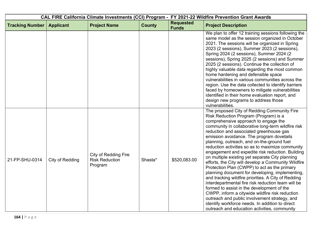| CAL FIRE California Climate Investments (CCI) Program - FY 2021-22 Wildfire Prevention Grant Awards |                  |                                                                 |               |                                  |                                                                                                                                                                                                                                                                                                                                                                                                                                                                                                                                                                                                                                                                                                                                                                                                                                                                                                                                                                                                                 |  |
|-----------------------------------------------------------------------------------------------------|------------------|-----------------------------------------------------------------|---------------|----------------------------------|-----------------------------------------------------------------------------------------------------------------------------------------------------------------------------------------------------------------------------------------------------------------------------------------------------------------------------------------------------------------------------------------------------------------------------------------------------------------------------------------------------------------------------------------------------------------------------------------------------------------------------------------------------------------------------------------------------------------------------------------------------------------------------------------------------------------------------------------------------------------------------------------------------------------------------------------------------------------------------------------------------------------|--|
| <b>Tracking Number</b>                                                                              | <b>Applicant</b> | <b>Project Name</b>                                             | <b>County</b> | <b>Requested</b><br><b>Funds</b> | <b>Project Description</b>                                                                                                                                                                                                                                                                                                                                                                                                                                                                                                                                                                                                                                                                                                                                                                                                                                                                                                                                                                                      |  |
|                                                                                                     |                  |                                                                 |               |                                  | We plan to offer 12 training sessions following the<br>same model as the session organized in October<br>2021. The sessions will be organized in Spring<br>2023 (2 sessions), Summer 2023 (2 sessions),<br>Spring 2024 (2 sessions), Summer 2024 (2<br>sessions), Spring 2025 (2 sessions) and Summer<br>2025 (2 sessions). Continue the collection of<br>highly valuable data regarding the most common<br>home hardening and defensible space<br>vulnerabilities in various communities across the<br>region. Use the data collected to identify barriers<br>faced by homeowners to mitigate vulnerabilities<br>identified in their home evaluation report, and<br>design new programs to address those<br>vulnerabilities.                                                                                                                                                                                                                                                                                   |  |
| 21-FP-SHU-0314                                                                                      | City of Redding  | <b>City of Redding Fire</b><br><b>Risk Reduction</b><br>Program | Shasta*       | \$520,083.00                     | The proposed City of Redding Community Fire<br>Risk Reduction Program (Program) is a<br>comprehensive approach to engage the<br>community in collaborative long-term wildfire risk<br>reduction and associated greenhouse gas<br>emission avoidance. The program dovetails<br>planning, outreach, and on-the-ground fuel<br>reduction activities so as to maximize community<br>engagement and expedite risk reduction. Building<br>on multiple existing yet separate City planning<br>efforts, the City will develop a Community Wildfire<br>Protection Plan (CWPP) to act as the primary<br>planning document for developing, implementing,<br>and tracking wildfire priorities. A City of Redding<br>interdepartmental fire risk reduction team will be<br>formed to assist in the development of the<br>CWPP, inform a citywide wildfire risk reduction<br>outreach and public involvement strategy, and<br>identify workforce needs. In addition to direct<br>outreach and education activities, community |  |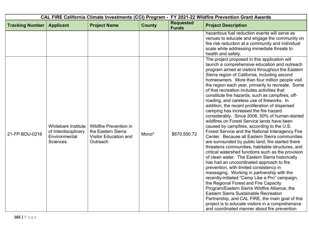|                        |                                                                                 |                                                                                                  | CAL FIRE California Climate Investments (CCI) Program - FY 2021-22 Wildfire Prevention Grant Awards |                                  |                                                                                                                                                                                                                                                                                                                                                                                                                                                                                                                                                                                                                                                                                                                                                                                                                                                                                                                                                                                                                                                                                                                                                                                                                                                                                                                                                                                                                                                                                                                     |
|------------------------|---------------------------------------------------------------------------------|--------------------------------------------------------------------------------------------------|-----------------------------------------------------------------------------------------------------|----------------------------------|---------------------------------------------------------------------------------------------------------------------------------------------------------------------------------------------------------------------------------------------------------------------------------------------------------------------------------------------------------------------------------------------------------------------------------------------------------------------------------------------------------------------------------------------------------------------------------------------------------------------------------------------------------------------------------------------------------------------------------------------------------------------------------------------------------------------------------------------------------------------------------------------------------------------------------------------------------------------------------------------------------------------------------------------------------------------------------------------------------------------------------------------------------------------------------------------------------------------------------------------------------------------------------------------------------------------------------------------------------------------------------------------------------------------------------------------------------------------------------------------------------------------|
| <b>Tracking Number</b> | <b>Applicant</b>                                                                | <b>Project Name</b>                                                                              | <b>County</b>                                                                                       | <b>Requested</b><br><b>Funds</b> | <b>Project Description</b>                                                                                                                                                                                                                                                                                                                                                                                                                                                                                                                                                                                                                                                                                                                                                                                                                                                                                                                                                                                                                                                                                                                                                                                                                                                                                                                                                                                                                                                                                          |
|                        |                                                                                 |                                                                                                  |                                                                                                     |                                  | hazardous fuel reduction events will serve as<br>venues to educate and engage the community on<br>fire risk reduction at a community and individual<br>scale while addressing immediate threats to<br>health and safety.                                                                                                                                                                                                                                                                                                                                                                                                                                                                                                                                                                                                                                                                                                                                                                                                                                                                                                                                                                                                                                                                                                                                                                                                                                                                                            |
| 21-FP-BDU-0216         | Whitebark Institute<br>of Interdisciplinary<br>Environmental<br><b>Sciences</b> | <b>Wildfire Prevention in</b><br>the Eastern Sierra:<br><b>Visitor Education and</b><br>Outreach | Mono*                                                                                               | \$670,550.72                     | The project proposed in this application will<br>launch a comprehensive education and outreach<br>program aimed at visitors throughout the Eastern<br>Sierra region of California, including second<br>homeowners. More than four million people visit<br>the region each year, primarily to recreate. Some<br>of that recreation includes activities that<br>constitute fire hazards, such as campfires, off-<br>roading, and careless use of fireworks. In<br>addition, the recent proliferation of dispersed<br>camping has increased the fire hazard<br>considerably. Since 2006, 50% of human-started<br>wildfires on Forest Service lands have been<br>caused by campfires, according to the U.S.<br>Forest Service and the National Interagency Fire<br>Center. Because all Eastern Sierra communities<br>are surrounded by public land, fire started there<br>threatens communities, habitable structures, and<br>critical watershed functions such as the provision<br>of clean water. The Eastern Sierra historically<br>has had an uncoordinated approach to fire<br>prevention, with limited consistency in<br>messaging. Working in partnership with the<br>recently-initiated "Camp Like a Pro" campaign,<br>the Regional Forest and Fire Capacity<br>Program/Eastern Sierra Wildfire Alliance, the<br>Eastern Sierra Sustainable Recreation<br>Partnership, and CAL FIRE, the main goal of this<br>project is to educate visitors in a comprehensive<br>and coordinated manner about fire prevention |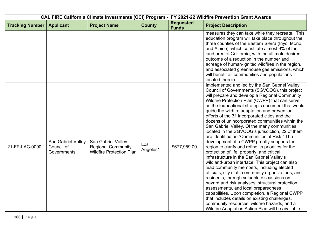| CAL FIRE California Climate Investments (CCI) Program - FY 2021-22 Wildfire Prevention Grant Awards |                                                 |                                                                                    |                 |                                  |                                                                                                                                                                                                                                                                                                                                                                                                                                                                                                                                                                                                                                                                                                                                                                                                                                                                                                                                                                                                                                                                                                                                                                                                                                                                       |
|-----------------------------------------------------------------------------------------------------|-------------------------------------------------|------------------------------------------------------------------------------------|-----------------|----------------------------------|-----------------------------------------------------------------------------------------------------------------------------------------------------------------------------------------------------------------------------------------------------------------------------------------------------------------------------------------------------------------------------------------------------------------------------------------------------------------------------------------------------------------------------------------------------------------------------------------------------------------------------------------------------------------------------------------------------------------------------------------------------------------------------------------------------------------------------------------------------------------------------------------------------------------------------------------------------------------------------------------------------------------------------------------------------------------------------------------------------------------------------------------------------------------------------------------------------------------------------------------------------------------------|
| <b>Tracking Number</b>                                                                              | <b>Applicant</b>                                | <b>Project Name</b>                                                                | <b>County</b>   | <b>Requested</b><br><b>Funds</b> | <b>Project Description</b>                                                                                                                                                                                                                                                                                                                                                                                                                                                                                                                                                                                                                                                                                                                                                                                                                                                                                                                                                                                                                                                                                                                                                                                                                                            |
|                                                                                                     |                                                 |                                                                                    |                 |                                  | measures they can take while they recreate. This<br>education program will take place throughout the<br>three counties of the Eastern Sierra (Inyo, Mono,<br>and Alpine), which constitute almost 9% of the<br>land area of California, with the ultimate desired<br>outcome of a reduction in the number and<br>acreage of human-ignited wildfires in the region,<br>and associated greenhouse gas emissions, which<br>will benefit all communities and populations<br>located therein.                                                                                                                                                                                                                                                                                                                                                                                                                                                                                                                                                                                                                                                                                                                                                                              |
| 21-FP-LAC-0090                                                                                      | San Gabriel Valley<br>Council of<br>Governments | San Gabriel Valley<br><b>Regional Community</b><br><b>Wildfire Protection Plan</b> | Los<br>Angeles* | \$677,959.00                     | Implemented and led by the San Gabriel Valley<br>Council of Governments (SGVCOG), this project<br>will prepare and develop a Regional Community<br>Wildfire Protection Plan (CWPP) that can serve<br>as the foundational strategic document that would<br>guide the wildfire adaptation and prevention<br>efforts of the 31 incorporated cities and the<br>dozens of unincorporated communities within the<br>San Gabriel Valley. Of the many communities<br>located in the SGVCOG's jurisdiction, 22 of them<br>are identified as "Communities at Risk." The<br>development of a CWPP greatly supports the<br>region to clarify and refine its priorities for the<br>protection of life, property, and critical<br>infrastructure in the San Gabriel Valley's<br>wildland-urban interface. This project can also<br>lead community members, including elected<br>officials, city staff, community organizations, and<br>residents, through valuable discussions on<br>hazard and risk analyses, structural protection<br>assessments, and local preparedness<br>capabilities. Upon completion, a Regional CWPP<br>that includes details on existing challenges,<br>community resources, wildfire hazards, and a<br>Wildfire Adaptation Action Plan will be available |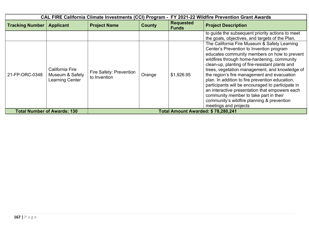|                        | <b>CAL FIRE California Climate Investments (CCI) Program -</b> |                                         |                                    |                                  | FY 2021-22 Wildfire Prevention Grant Awards                                                                                                                                                                                                                                                                                                                                                                                                                                                                                                                                                                            |  |  |
|------------------------|----------------------------------------------------------------|-----------------------------------------|------------------------------------|----------------------------------|------------------------------------------------------------------------------------------------------------------------------------------------------------------------------------------------------------------------------------------------------------------------------------------------------------------------------------------------------------------------------------------------------------------------------------------------------------------------------------------------------------------------------------------------------------------------------------------------------------------------|--|--|
| <b>Tracking Number</b> | <b>Applicant</b>                                               | <b>Project Name</b>                     | <b>County</b>                      | <b>Requested</b><br><b>Funds</b> | <b>Project Description</b>                                                                                                                                                                                                                                                                                                                                                                                                                                                                                                                                                                                             |  |  |
|                        |                                                                |                                         |                                    |                                  | to guide the subsequent priority actions to meet<br>the goals, objectives, and targets of the Plan.                                                                                                                                                                                                                                                                                                                                                                                                                                                                                                                    |  |  |
| 21-FP-ORC-0348         | California Fire<br>Museum & Safety<br><b>Learning Center</b>   | Fire Safety: Prevention<br>to Invention | Orange                             | \$1,926.95                       | The California Fire Museum & Safety Learning<br>Center's Prevention to Invention program<br>educates community members on how to prevent<br>wildfires through home-hardening, community<br>clean-up, planting of fire-resistant plants and<br>trees, vegetation management, and knowledge of<br>the region's fire management and evacuation<br>plan. In addition to fire prevention education,<br>participants will be encouraged to participate in<br>an interactive presentation that empowers each<br>community member to take part in their<br>community's wildfire planning & prevention<br>meetings and projects |  |  |
|                        | <b>Total Number of Awards: 130</b>                             |                                         | Total Amount Awarded: \$78,280,241 |                                  |                                                                                                                                                                                                                                                                                                                                                                                                                                                                                                                                                                                                                        |  |  |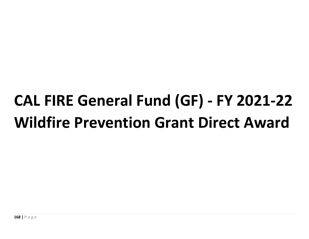## **CAL FIRE General Fund (GF) - FY 2021-22 Wildfire Prevention Grant Direct Award**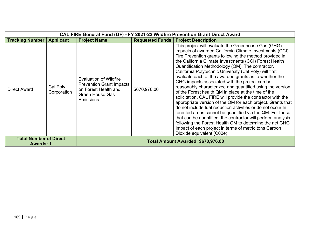| CAL FIRE General Fund (GF) - FY 2021-22 Wildfire Prevention Grant Direct Award |                         |                                                                                                                                        |              |                                                                                                                                                                                                                                                                                                                                                                                                                                                                                                                                                                                                                                                                                                                                                                                                                                                                                                                                                                                                                                                               |  |  |
|--------------------------------------------------------------------------------|-------------------------|----------------------------------------------------------------------------------------------------------------------------------------|--------------|---------------------------------------------------------------------------------------------------------------------------------------------------------------------------------------------------------------------------------------------------------------------------------------------------------------------------------------------------------------------------------------------------------------------------------------------------------------------------------------------------------------------------------------------------------------------------------------------------------------------------------------------------------------------------------------------------------------------------------------------------------------------------------------------------------------------------------------------------------------------------------------------------------------------------------------------------------------------------------------------------------------------------------------------------------------|--|--|
| <b>Tracking Number</b>                                                         | <b>Applicant</b>        | <b>Project Name</b>                                                                                                                    |              | <b>Requested Funds   Project Description</b>                                                                                                                                                                                                                                                                                                                                                                                                                                                                                                                                                                                                                                                                                                                                                                                                                                                                                                                                                                                                                  |  |  |
| <b>Direct Award</b>                                                            | Cal Poly<br>Corporation | <b>Evaluation of Wildfire</b><br><b>Prevention Grant Impacts</b><br>on Forest Health and<br><b>Green House Gas</b><br><b>Emissions</b> | \$670,976.00 | This project will evaluate the Greenhouse Gas (GHG)<br>impacts of awarded California Climate Investments (CCI)<br>Fire Prevention grants following the method provided in<br>the California Climate Investments (CCI) Forest Health<br>Quantification Methodology (QM). The contractor,<br>California Polytechnic University (Cal Poly) will first<br>evaluate each of the awarded grants as to whether the<br>GHG impacts associated with the project can be<br>reasonably characterized and quantified using the version<br>of the Forest health QM in place at the time of the<br>solicitation. CAL FIRE will provide the contractor with the<br>appropriate version of the QM for each project. Grants that<br>do not include fuel reduction activities or do not occur In<br>forested areas cannot be quantified via the QM. For those<br>that can be quantified, the contractor will perform analysis<br>following the Forest Health QM to determine the net GHG<br>Impact of each project in terms of metric tons Carbon<br>Dioxide equivalent (C02e). |  |  |
| <b>Total Number of Direct</b><br><b>Awards: 1</b>                              |                         |                                                                                                                                        |              | Total Amount Awarded: \$670,976.00                                                                                                                                                                                                                                                                                                                                                                                                                                                                                                                                                                                                                                                                                                                                                                                                                                                                                                                                                                                                                            |  |  |